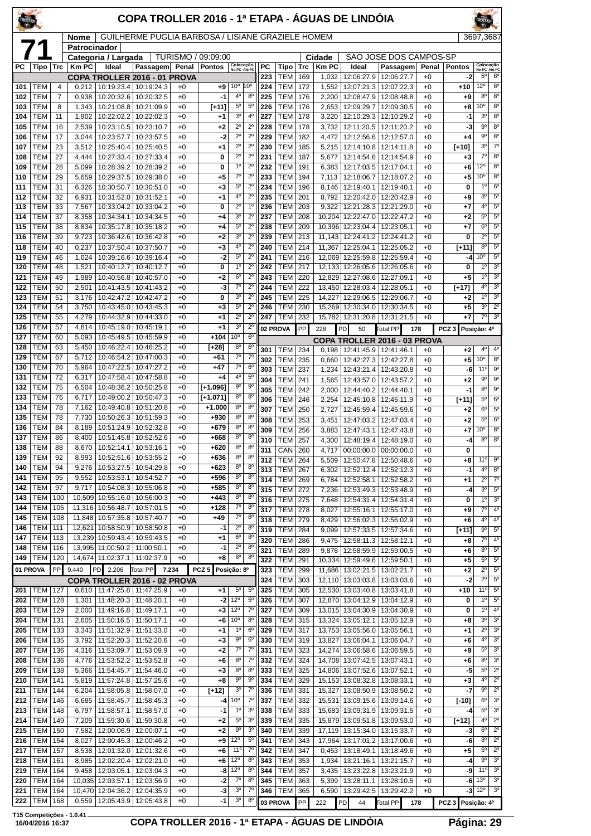| TROLLEY    |                          |            |                |                          | COPA TROLLER 2016 - 1ª ETAPA - ÁGUAS DE LINDÓIA              |              |                        |                                          |                                  |            |                          |            |                       |                                            |                                       |                 |                       |                                             |                                  |
|------------|--------------------------|------------|----------------|--------------------------|--------------------------------------------------------------|--------------|------------------------|------------------------------------------|----------------------------------|------------|--------------------------|------------|-----------------------|--------------------------------------------|---------------------------------------|-----------------|-----------------------|---------------------------------------------|----------------------------------|
|            |                          |            | <b>Nome</b>    |                          | GUILHERME PUGLIA BARBOSA / LISIANE GRAZIELE HOMEM            |              |                        |                                          |                                  |            |                          |            |                       |                                            |                                       |                 |                       | 3697,3687                                   |                                  |
|            |                          |            | Patrocinador   | Categoria / Largada      |                                                              |              | TURISMO / 09:09:00     |                                          |                                  |            |                          |            | Cidade                |                                            | SAO JOSE DOS CAMPOS-SP                |                 |                       |                                             |                                  |
| РC         | Tipo                     | Trc        | <b>Km PC</b>   | Ideal                    | Passagem<br>COPA TROLLER 2016 - 01 PROVA                     | Penal        | <b>Pontos</b>          | Colocação<br>No PC Até PC                |                                  | PC<br>223  | Tipo<br><b>TEM</b>       | Trc<br>169 | <b>Km PC</b><br>1,032 | Ideal<br>12:06:27.9                        | Passagem<br>12:06:27.7                | Penal<br>$+0$   | <b>Pontos</b><br>$-2$ | Colocação<br>No PC Até PC<br>5 <sup>0</sup> | 8 <sup>0</sup>                   |
| 101        | <b>TEM</b>               | 4          | 0,212          | 10:19:23.4               | 10:19:24.3                                                   | $+0$         | +9                     | 10 <sup>o</sup>                          | 10 <sup>o</sup>                  | 224        | <b>TEM</b>               | 172        | 1,552                 | 12:07:21.3                                 | 12:07:22.3                            | $+0$            | +10                   | 12°                                         | 8 <sup>0</sup>                   |
| 102        | <b>TEM</b>               | 7          | 0,938          | 10:20:32.6               | 10:20:32.5                                                   | $+0$         | $-1$                   | 4°                                       | $8^{\circ}$                      | 225        | <b>TEM</b>               | 176        | 2,200                 | 12:08:47.9                                 | 12:08:48.8                            | $+0$            | +9                    | 8 <sup>o</sup>                              | 8 <sup>o</sup>                   |
| 103        | <b>TEM</b>               | 8          | 1,343          | 10:21:08.8               | 10:21:09.9                                                   | $+0$         | [+11]                  | $5^{\circ}$                              | $5^{\circ}$                      | 226        | <b>TEM</b>               | 176        | 2,653                 | 12:09:29.7                                 | 12:09:30.5                            | $+0$            | +8                    | 10 <sup>o</sup>                             | $\overline{8^0}$                 |
| 104        | <b>TEM</b>               | 11         | 1,902          | 10:22:02.2               | 10:22:02.3                                                   | $+0$         | $+1$                   | 3 <sup>o</sup>                           | 4 <sup>0</sup>                   | 227        | <b>TEM</b>               | 178        | 3,220                 | 12:10:29.3                                 | 12:10:29.2                            | $+0$            | $-1$                  | 3 <sup>o</sup>                              | $8^{\circ}$                      |
| 105        | <b>TEM</b><br><b>TEM</b> | 16<br>17   | 2,539<br>3,044 | 10:23:10.5<br>10:23:57.7 | 10:23:10.7<br>10:23:57.5                                     | $+0$<br>$+0$ | $+2$<br>$-2$           | $2^{\circ}$<br>$\overline{2^0}$          | $2^{\circ}$<br>$\overline{2^0}$  | 228<br>229 | <b>TEM</b><br><b>TEM</b> | 178<br>182 | 3,732                 | 12:11:20.5                                 | 12:11:20.2<br>12:12:56.6 12:12:57.0   | $+0$            | -3<br>$+4$            | $9^{\circ}$<br>$\overline{9^{\circ}}$       | 8 <sup>0</sup><br>8 <sup>o</sup> |
| 106<br>107 | <b>TEM</b>               | 23         | 3,512          | 10:25:40.4               | 10:25:40.5                                                   | $+0$         | $+1$                   | $2^{\circ}$                              | $2^{\circ}$                      | 230        | <b>TEM</b>               | 185        | 4,472<br>5,215        | 12:14:10.8                                 | 12:14:11.8                            | $+0$<br>$+0$    | [+10]                 | 3 <sup>o</sup>                              | $\overline{7^0}$                 |
| 108        | <b>TEM</b>               | 27         | 4,444          | 10:27:33.4               | 10:27:33.4                                                   | $+0$         | 0                      | $2^{\circ}$                              | $2^{\circ}$                      | 231        | <b>TEM</b>               | 187        | 5,677                 | 12:14:54.6                                 | 12:14:54.9                            | $+0$            | +3                    | $7^\circ$                                   | 8 <sup>0</sup>                   |
| 109        | <b>TEM</b>               | 28         | 5,099          | 10:28:39.2               | 10:28:39.2                                                   | $+0$         | 0                      | $1^{\circ}$                              | $2^{\circ}$                      | 232        | <b>TEM</b>               | 191        | 6,383                 | 12:17:03.5                                 | 12:17:04.1                            | $+0$            | +6                    | 12°                                         | 8 <sup>o</sup>                   |
| 110        | <b>TEM</b>               | 29         | 5,659          | 10:29:37.5               | 10:29:38.0                                                   | $+0$         | $+5$                   | $\overline{7}^{\circ}$                   | $2^{\circ}$                      | 233        | <b>TEM</b>               | 194        | 7,113                 | 12:18:06.7                                 | 12:18:07.2                            | $+0$            | +5                    | $10^{\circ}$                                | $8^{\circ}$                      |
| 111        | <b>TEM</b>               | 31         | 6,326          | 10:30:50.7               | 10:30:51.0                                                   | $+0$         | $+3$                   | $5^{\circ}$                              | $2^{\circ}$                      | 234        | <b>TEM</b>               | 196        | 8,146                 | 12:19:40.1                                 | 12:19:40.1                            | $+0$            | 0                     | 1 <sup>0</sup>                              | 6 <sup>o</sup>                   |
| 112        | <b>TEM</b>               | 32         | 6,931          | 10:31:52.0               | 10:31:52.1                                                   | $+0$         | $+1$                   | 4°<br>$2^{\circ}$                        | $2^{\circ}$<br>1 <sup>0</sup>    | 235        | <b>TEM</b>               | 201        | 8,792                 | 12:20:42.0                                 | 12:20:42.9                            | $+0$            | +9                    | 3 <sup>o</sup><br>4 <sup>0</sup>            | $5^{\circ}$<br>$5^{\circ}$       |
| 113<br>114 | <b>TEM</b><br><b>TEM</b> | 33<br>37   | 7,567<br>8,358 | 10:33:04.2<br>10:34:34.1 | 10:33:04.2<br>10:34:34.5                                     | $+0$<br>$+0$ | 0<br>$+4$              | 3 <sup>o</sup>                           | $2^{\circ}$                      | 236<br>237 | <b>TEM</b><br><b>TEM</b> | 203<br>208 | 9,322                 | 12:21:28.3<br>10,204 12:22:47.0            | 12:21:29.0<br>12:22:47.2              | $+0$<br>$+0$    | +7<br>+2              | $5^{\circ}$                                 | $5^{\circ}$                      |
| 115        | <b>TEM</b>               | 38         | 8,834          | 10:35:17.8               | 10:35:18.2                                                   | $+0$         | $+4$                   | $5^{\circ}$                              | $2^{\circ}$                      | 238        | <b>TEM</b>               | 209        | 10,396                | 12:23:04.4                                 | 12:23:05.1                            | $+0$            | +7                    | 6 <sup>o</sup>                              | $5^{\circ}$                      |
| 116        | <b>TEM</b>               | 39         | 9,723          | 10:36:42.6               | 10:36:42.8                                                   | $+0$         | $+2$                   | 3 <sup>o</sup>                           | $2^{\circ}$                      | 239        | <b>TEM</b>               | 213        | 11,143                | 12:24:41.2                                 | 12:24:41.2                            | $+0$            | 0                     | $2^{\circ}$                                 | $5^{\circ}$                      |
| 118        | <b>TEM</b>               | 40         | 0,237          | 10:37:50.4               | 10:37:50.7                                                   | $+0$         | $+3$                   | 4°                                       | $2^{\circ}$                      | 240        | <b>TEM</b>               | 214        | 11,367                | 12:25:04.1                                 | 12:25:05.2                            | $+0$            | [+11]                 | 8 <sup>o</sup>                              | $\overline{5^0}$                 |
| 119        | <b>TEM</b>               | 46         | 1,024          | 10:39:16.6               | 10:39:16.4                                                   | $+0$         | -2                     | $5^{\circ}$                              | $2^{\circ}$                      | 241        | <b>TEM</b>               | 216        | 12,069                | 12:25:59.8                                 | 12:25:59.4                            | $+0$            | -4                    | 10 <sup>o</sup>                             | $5^{\circ}$                      |
| 120        | <b>TEM</b>               | 48         | 1,521          | 10:40:12.7               | 10:40:12.7                                                   | $+0$         | 0                      | $1^{\circ}$                              | $2^{\circ}$                      | 242        | <b>TEM</b>               | 217        |                       | 12,133 12:26:05.6                          | 12:26:05.6                            | $+0$            | 0                     | $1^{\circ}$                                 | 3 <sup>0</sup>                   |
| 121        | <b>TEM</b>               | 49         | 1.989          | 10:40:56.8               | 10:40:57.0                                                   | $+0$         | $+2$                   | 6 <sup>o</sup>                           | $2^{\circ}$                      | 243        | <b>TEM</b>               | 220        | 12,829                | 12:27:08.6                                 | 12:27:09.1                            | $+0$            | +5                    | 1 <sup>0</sup>                              | 3 <sup>0</sup>                   |
| 122        | <b>TEM</b>               | 50         | 2,501          | 10:41:43.5               | 10:41:43.2                                                   | $+0$         | -3                     | $\overline{7}^{\circ}$<br>3 <sup>o</sup> | $2^{\circ}$<br>$2^{\circ}$       | 244        | <b>TEM</b>               | 222        | 13,450                | 12:28:03.4                                 | 12:28:05.1                            | $+0$            | $[+17]$               | 4°<br>1 <sup>0</sup>                        | 3 <sup>o</sup><br>3 <sup>o</sup> |
| 123<br>124 | <b>TEM</b><br><b>TEM</b> | 51<br>54   | 3,176<br>3.750 | 10:42:47.2<br>10:43:45.0 | 10:42:47.2<br>10:43:45.3                                     | $+0$<br>$+0$ | 0<br>$+3$              | 5 <sup>0</sup>                           | $2^{\circ}$                      | 245<br>246 | <b>TEM</b><br><b>TEM</b> | 225<br>230 | 14,227<br>15,269      | 12:29:06.5<br>12:30:34.0                   | 12:29:06.7<br>12:30:34.5              | $+0$<br>$+0$    | +2<br>+5              | 30                                          | $2^{\circ}$                      |
| 125        | <b>TEM</b>               | 55         | 4,279          | 10:44:32.9               | 10:44:33.0                                                   | $+0$         | $+1$                   | $2^{\circ}$                              | $2^{\circ}$                      | 247        | TEM                      | 232        | 15,782                | 12:31:20.8                                 | 12:31:21.5                            | $+0$            | +7                    | $7^\circ$                                   | 3 <sup>0</sup>                   |
| 126        | <b>TEM</b>               | 57         | 4,814          |                          | 10:45:19.0   10:45:19.1                                      | $+0$         | $+1$                   | $\overline{3^0}$                         | $2^{\circ}$                      |            | 02 PROVA                 | PP         | 228                   | PD<br>50                                   | <b>Total PP</b>                       | 178             | PCZ <sub>3</sub>      | Posição: 4º                                 |                                  |
| 127        | <b>TEM</b>               | 60         | 5,093          | 10:45:49.5               | 10:45:59.9                                                   | $+0$         | $+104$                 | 10 <sup>o</sup>                          | 6 <sup>o</sup>                   |            |                          |            |                       |                                            | COPA TROLLER 2016 - 03 PROVA          |                 |                       |                                             |                                  |
| 128        | <b>TEM</b>               | 63         | 5,450          | 10:46:22.4               | 10:46:25.2                                                   | $+0$         | [+28]                  | 8 <sup>o</sup>                           | 6 <sup>o</sup>                   | 301        | TEM                      | 234        | 0,198                 |                                            | 12:41:45.9 12:41:46.1                 | $+0$            | +2                    | 4 <sup>0</sup>                              | $4^{\circ}$                      |
| 129        | <b>TEM</b>               | 67         | 5,712          | 10:46:54.2               | 10:47:00.3                                                   | $+0$         | $+61$                  | $\overline{7^\circ}$                     | $\overline{7}^{\circ}$           | 302        | <b>TEM</b>               | 235        | 0,660                 | 12:42:27.3                                 | 12:42:27.8                            | $+0$            | +5                    | 10 <sup>o</sup>                             | $8^{\circ}$                      |
| 130        | <b>TEM</b>               | 70         | 5,964          | 10:47:22.5               | 10:47:27.2                                                   | $+0$         | $+47$                  | $7^\circ$                                | 6 <sup>°</sup>                   | 303        | <b>TEM</b>               | 237        | 1,234                 | 12:43:21.4                                 | 12:43:20.8                            | $+0$            | -6                    | $11^{\circ}$                                | $9^{\circ}$                      |
| 131<br>132 | <b>TEM</b><br><b>TEM</b> | 72<br>75   | 6,317<br>6,504 | 10:47:58.4<br>10:48:36.2 | 10:47:58.8<br>10:50:25.8                                     | $+0$<br>$+0$ | $+4$<br>[+1.096]       | 4°<br>$9^{\circ}$                        | $5^{\circ}$<br>$9^{\circ}$       | 304        | <b>TEM</b>               | 241        | 1,565                 | 12:43:57.0                                 | 12:43:57.2                            | $+0$            | $+2$                  | $9^{\circ}$                                 | $\overline{9^{\circ}}$           |
| 133        | <b>TEM</b>               | 76         | 6,717          | 10:49:00.2               | 10:50:47.3                                                   | $+0$         | $[+1.071]$             | $8^{\circ}$                              | 8 <sup>0</sup>                   | 305        | <b>TEM</b>               | 242        | 2,000                 | 12:44:40.2                                 | 12:44:40.1                            | $+0$            | $-1$                  | $8^{\circ}$<br>5 <sup>0</sup>               | $9^{\circ}$<br>6 <sup>o</sup>    |
| 134        | <b>TEM</b>               | 78         | 7,162          | 10:49:40.8               | 10:51:20.8                                                   | $+0$         | $+1.000$               | 8 <sup>o</sup>                           | $8^{\circ}$                      | 306<br>307 | <b>TEM</b><br><b>TEM</b> | 246<br>250 | 2,254<br>2,727        | 12:45:10.8<br>12:45:59.4                   | 12:45:11.9<br>12:45:59.6              | $+0$<br>$+0$    | [+11]<br>$+2$         | 6 <sup>o</sup>                              | 5 <sup>0</sup>                   |
| 135        | <b>TEM</b>               | 78         | 7,730          | 10:50:26.3               | 10:51:59.3                                                   | $+0$         | +930                   | $8^{\circ}$                              | $8^{\circ}$                      | 308        | <b>TEM</b>               | 253        | 3,451                 | 12:47:03.2                                 | 12:47:03.4                            | $+0$            | +2                    | $5^{\circ}$                                 | 6 <sup>o</sup>                   |
| 136        | <b>TEM</b>               | 84         | 8,189          | 10:51:24.9               | 10:52:32.8                                                   | $+0$         | +679                   | $8^{\circ}$                              | 8 <sup>o</sup>                   | 309        | <b>TEM</b>               | 256        | 3,883                 | 12:47:43.1                                 | 12:47:43.8                            | $+0$            | +7                    | $10^{\circ}$                                | $8^{\circ}$                      |
| 137        | <b>TEM</b>               | 86         | 8,400          | 10:51:45.8               | 10:52:52.6                                                   | $+0$         | +668                   | $8^{\circ}$                              | 8 <sup>o</sup>                   | 310        | <b>TEM</b>               | 257        |                       |                                            | 4,300   12:48:19.4   12:48:19.0       | $+0$            | -4                    | 8 <sup>o</sup>                              | $\overline{8^{\circ}}$           |
| 138        | <b>TEM</b>               | 88         | 8,670          |                          | 10:52:14.1 10:53:16.1                                        | $+0$         | $+620$                 | 8 <sup>o</sup>                           | 8 <sup>o</sup>                   | 311        | CAN                      | 260        |                       |                                            | 4,717 00:00:00.0 00:00:00.0           | $+0$            | 0                     |                                             |                                  |
| 139        | <b>TEM</b>               | 92         | 8,993          | 10:53:27.5               | 10:52:51.6   10:53:55.2                                      | $+0$         | +636                   | 80<br>$8^{\rm o}$                        | 8 <sup>o</sup><br>8 <sup>0</sup> | 312        | <b>TEM</b>               | 264        |                       |                                            | 5,509   12:50:47.8   12:50:48.6       | +0              | +8                    | $11^{\circ}$                                | $9^{\circ}$                      |
| 140<br>141 | <b>TEM</b><br><b>TEM</b> | 94<br>95   | 9,276<br>9,552 | 10:53:53.1               | 10:54:29.8<br>10:54:52.7                                     | $+0$<br>$+0$ | +623<br>+596           | 80                                       | 8 <sup>o</sup>                   | 313        | <b>TEM 267</b>           |            | 6.302                 |                                            | 12:52:12.4   12:52:12.3               | $+0$            | $-1$                  | 4 <sup>0</sup>                              | 8 <sup>o</sup><br>$7^\circ$      |
| 142        | <b>TEM</b>               | 97         |                |                          | 9,717   10:54:08.3   10:55:06.8                              | $+0$         | +585                   | $8^{\rm o}$                              | 8 <sup>0</sup>                   | 314<br>315 | <b>TEM</b><br><b>TEM</b> | 269<br>272 | 6,784<br>7,236        | 12:53:49.3                                 | 12:52:58.1   12:52:58.2<br>12:53:48.9 | $^{+0}$<br>$+0$ | +1<br>-4              | $2^{\circ}$<br>3 <sup>o</sup>               | $5^{\circ}$                      |
| 143        | <b>TEM</b>               | 100        | 10,509         |                          | 10:55:16.0   10:56:00.3                                      | $+0$         | +443                   | $8^{\circ}$                              | 8 <sup>0</sup>                   | 316        | <b>TEM 275</b>           |            |                       |                                            | 7,648   12:54:31.4   12:54:31.4       | $+0$            | 0                     | $1^\circ$                                   | $\overline{3^0}$                 |
| 144        | <b>TEM</b>               | 105        | 11,316         | 10:56:48.7               | 10:57:01.5                                                   | $+0$         | +128                   | 70                                       | $8^{\circ}$                      | 317        | <b>TEM 278</b>           |            | 8,027                 |                                            | 12:55:16.1   12:55:17.0               | $^{+0}$         | +9                    | $7^\circ$                                   | $4^{\circ}$                      |
| 145        | <b>TEM</b>               | 108        |                |                          | 11,848 10:57:35.8 10:57:40.7                                 | $+0$         | +49                    | $7^\circ$                                | $8^{\circ}$                      | 318        | TEM                      | 279        | 8,429                 | 12:56:02.3                                 | 12:56:02.9                            | +0              | +6                    | 4°                                          | 4 <sup>0</sup>                   |
| 146        | <b>TEM</b>               | 111        | 12,621         |                          | 10:58:50.9   10:58:50.8                                      | $+0$         | -1                     | $2^{\circ}$                              | $8^{\circ}$                      | 319        | <b>TEM</b>               | 284        | 9,099                 |                                            | 12:57:33.5   12:57:34.6               | $+0$            | $[+11]$               | $\overline{9^{\circ}}$                      | $5^\circ$                        |
| 147        | <b>TEM</b>               | 113        | 13,239         | 10:59:43.4               | 10:59:43.5                                                   | $+0$         | +1                     | $6^{\circ}$<br>$2^{\circ}$               | 8 <sup>o</sup><br>8 <sup>o</sup> | 320        | <b>TEM</b>               | 286        | 9,475                 | 12:58:11.3                                 | 12:58:12.1                            | $^{+0}$         | +8                    | $7^\circ$                                   | 4 <sup>0</sup>                   |
| 148        | <b>TEM</b><br>149   TEM  | 116<br>120 |                |                          | 13,995 11:00:50.2 11:00:50.1<br>14,674 11:02:37.1 11:02:37.9 | $+0$<br>$+0$ | $-1$                   | 80                                       | $8^{\circ}$                      | 321        | TEM                      | 289        |                       | 9,878   12:58:59.9                         | 12:59:00.5                            | $+0$            | +6                    | 8 <sup>o</sup>                              | $5^{\circ}$                      |
| 01 PROVA   |                          | PP         | 9.440          | PD 2.206                 | Total PP                                                     | 7.234        | +8<br>PCZ <sub>5</sub> |                                          |                                  | 322        | <b>TEM</b>               | 291        |                       | 10,334 12:59:49.6                          | 12:59:50.1                            | $+0$            | +5                    | $5^{\circ}$<br>$2^{\circ}$                  | $5^{\rm o}$<br>$5^{\circ}$       |
|            |                          |            |                |                          | COPA TROLLER 2016 - 02 PROVA                                 |              |                        | Posição: 8º                              |                                  | 323<br>324 | <b>TEM</b><br>TEM        | 299<br>303 |                       | 11,686   13:02:21.5  <br>12,110 13:03:03.8 | 13:02:21.7<br>13:03:03.6              | $+0$<br>$+0$    | +2<br>$-2$            | $2^{\circ}$                                 | $5^{\circ}$                      |
| 201        | <b>TEM</b>               | 127        |                |                          | 0,610   11:47:25.8   11:47:25.9                              | $+0$         | +1                     | $5^{\circ}$                              | $5^{\circ}$                      | 325        | <b>TEM</b>               | 305        |                       | 12,530 13:03:40.8                          | 13:03:41.8                            | $^{+0}$         | $+10$                 | 11 <sup>0</sup>                             | $5^{\circ}$                      |
| 202        | <b>TEM</b>               | 128        | 1,301          | 11:48:20.3               | 11:48:20.1                                                   | $+0$         | $-2$                   | 12°                                      | $5^{\circ}$                      | 326        | <b>TEM</b>               | 307        |                       | 12,870 13:04:12.9                          | 13:04:12.9                            | $+0$            | 0                     | $1^{\circ}$                                 | $5^\circ$                        |
| 203        | <b>TEM</b>               | 129        |                |                          | 2,000   11:49:16.8   11:49:17.1                              | $+0$         | $+3$                   | $12^{\circ}$                             | $7^\circ$                        | 327        | <b>TEM</b>               | 309        |                       | 13,015 13:04:30.9                          | 13:04:30.9                            | $+0$            | 0                     | $1^{\circ}$                                 | $4^{\circ}$                      |
| 204        | <b>TEM</b>               | 131        | 2,605          |                          | 11:50:16.5   11:50:17.1                                      | $+0$         | +6                     | 10 <sup>o</sup>                          | 8 <sup>o</sup>                   | 328        | TEM                      | 315        |                       | 13,324 13:05:12.1                          | 13:05:12.9                            | $^{+0}$         | +8                    | 3 <sup>o</sup>                              | 3 <sup>o</sup>                   |
| 205        | <b>TEM</b>               | 133        | 3,343          |                          | 11:51:32.9   11:51:33.0                                      | $+0$         | $+1$                   | 1 <sup>0</sup>                           | 6 <sup>o</sup>                   | 329        | <b>TEM</b>               | 317        |                       | 13,753 13:05:56.0                          | 13:05:56.1                            | $+0$            | +1                    | $2^{\circ}$                                 | 3 <sup>o</sup>                   |
| 206        | <b>TEM</b>               | 135<br>136 | 3,792          | 11:52:20.3               | 11:52:20.6                                                   | $+0$         | $+3$                   | $9^{\circ}$<br>70                        | 6 <sup>o</sup><br>$7^\circ$      | 330<br>331 | TEM                      | 319        |                       | 13,827 13:06:04.1                          | 13:06:04.7                            | $+0$            | +6                    | 4°<br>$5^{\circ}$                           | 3 <sup>o</sup><br>$30$           |
| 207<br>208 | <b>TEM</b><br><b>TEM</b> | 136        | 4,316          |                          | 11:53:09.7   11:53:09.9<br>4,776   11:53:52.2   11:53:52.8   | $+0$<br>$+0$ | $+2$<br>+6             | $8^{\circ}$                              | $7^\circ$                        | 332        | TEM<br><b>TEM</b>        | 323<br>324 |                       | 14,274 13:06:58.6<br>14,708 13:07:42.5     | 13:06:59.5<br>13:07:43.1              | $+0$<br>$+0$    | +9<br>+6              | 8 <sup>o</sup>                              | 3 <sup>o</sup>                   |
| 209        | <b>TEM</b>               | 138        | 5,366          | 11:54:45.7               | 11:54:46.0                                                   | $+0$         | $+3$                   | 80                                       | 8 <sup>o</sup>                   | 333        | <b>TEM</b>               | 325        |                       | 14,806 13:07:52.6                          | 13:07:52.1                            | $+0$            | -5                    | $5^{\circ}$                                 | $2^{\circ}$                      |
| 210        | <b>TEM</b>               | 141        | 5,819          | 11:57:24.8               | 11:57:25.6                                                   | $+0$         | $+8$                   | 90                                       | 90                               | 334        | <b>TEM</b>               | 329        |                       | 15,153 13:08:32.8                          | 13:08:33.1                            | +0              | +3                    | 4°                                          | $2^{\circ}$                      |
| 211        | <b>TEM</b>               | 144        |                |                          | 6,204   11:58:05.8   11:58:07.0                              | $+0$         | $[+12]$                | 3 <sup>o</sup>                           | $7^\circ$                        | 336        | <b>TEM</b>               | 331        |                       |                                            | 15,327   13:08:50.9   13:08:50.2      | $+0$            | -7                    | $\overline{9^{\circ}}$                      | $\overline{2^0}$                 |
| 212        | <b>TEM</b>               | 146        | 6,685          | 11:58:45.7               | 11:58:45.3                                                   | $+0$         | -4                     | 10 <sup>o</sup>                          | $7^{\circ}$                      | 337        | TEM                      | 332        |                       | 15,531 13:09:15.6                          | 13:09:14.6                            | +0              | $[-10]$               | 6 <sup>o</sup>                              | $30$                             |
| 213        | <b>TEM</b>               | 148        | 6,797          | 11:58:57.1               | 11:58:57.0                                                   | $+0$         | -1                     | $1^{\circ}$                              | 3 <sup>o</sup>                   | 338        | TEM                      | 333        |                       | 15,683 13:09:31.9                          | 13:09:31.5                            | $+0$            | -4                    | $5^{\circ}$                                 | 3 <sup>o</sup>                   |
| 214        | <b>TEM</b>               | 149        | 7,209          |                          | 11:59:30.6   11:59:30.8                                      | $+0$         | $+2$                   | $5^{\rm o}$                              | 3 <sup>o</sup>                   | 339        | <b>TEM</b>               | 335        |                       |                                            | 15,879 13:09:51.8 13:09:53.0          | $+0$            | [+12]                 | 4°                                          | $2^{\circ}$                      |
| 215        | <b>TEM</b>               | 150        | 7,582          |                          | 12:00:06.9   12:00:07.1                                      | $+0$         | $+2$                   | $9^{\circ}$<br>$12^{\circ}$              | 3 <sup>o</sup><br>$5^{\circ}$    | 340        | <b>TEM</b><br><b>TEM</b> | 339        |                       | 17,119   13:15:34.0                        | 13:15:33.7                            | $+0$            | -3<br>-6              | 6 <sup>o</sup><br>8 <sup>o</sup>            | $2^{\circ}$<br>$2^{\circ}$       |
| 216<br>217 | <b>TEM</b><br><b>TEM</b> | 154<br>157 | 8,027<br>8,538 |                          | 12:00:45.3   12:00:46.2<br>12:01:32.0   12:01:32.6           | $+0$<br>$+0$ | $+9$<br>+6             | 11°                                      | $7^{\circ}$                      | 341<br>342 | <b>TEM</b>               | 343<br>347 | 0,453                 | 17,964 13:17:01.2<br>13:18:49.1            | 13:17:00.6<br>13:18:49.6              | +0<br>$+0$      | +5                    | $5^{\circ}$                                 | $\overline{2^0}$                 |
| 218        | <b>TEM</b>               | 161        | 8,985          |                          | 12:02:20.4   12:02:21.0                                      | $+0$         | +6                     | $12^{\circ}$                             | $8^{\circ}$                      | 343        | <b>TEM</b>               | 353        |                       | 1,934   13:21:16.1   13:21:15.7            |                                       | $+0$            | -4                    | $9^{\circ}$                                 | 3 <sup>o</sup>                   |
| 219        | TEM                      | 164        |                |                          | 9,458   12:03:05.1   12:03:04.3                              | $+0$         | -8                     | $12^{\circ}$                             | 8 <sup>o</sup>                   | 344        | <b>TEM</b>               | 357        |                       | 3,435   13:23:22.8                         | 13:23:21.9                            | $+0$            | -9                    | 11°                                         | 3 <sup>o</sup>                   |
| 220        | <b>TEM</b>               | 164        | 10,035         |                          | 12:03:57.1   12:03:56.9                                      | $+0$         | -2                     | $7^\circ$                                | 8 <sup>o</sup>                   | 345        | <b>TEM</b>               | 363        | 5,399                 | 13:28:11.1                                 | 13:28:10.5                            | +0              | -6                    | 13 <sup>o</sup>                             | 3 <sup>o</sup>                   |
| 221        | <b>TEM</b>               | 164        |                |                          | 10,470 12:04:36.2 12:04:35.9                                 | $+0$         | -3                     | 30                                       | $7^\circ$                        | 346        | <b>TEM</b>               | 365        |                       | 6,590 13:29:42.5                           | 13:29:42.2                            | $+0$            |                       | $-3$ 12°                                    | 3 <sup>0</sup>                   |
|            | 222 TEM                  | 168        |                |                          | $0,559$   12:05:43.9   12:05:43.8                            | $+0$         | -1                     | 3 <sup>o</sup>                           | 8 <sup>o</sup>                   |            | 03 PROVA                 | PP         | 222                   | PD<br>44                                   | Total PP                              | 178             | PCZ 3 Posição: 4º     |                                             |                                  |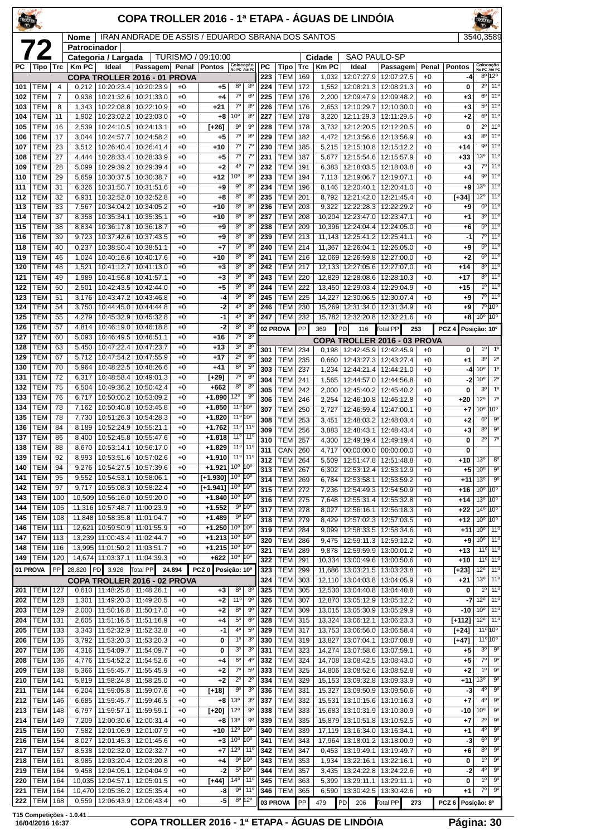| TROLLER    |                          |                     |                      |                                        | COPA TROLLER 2016 - 1ª ETAPA - ÁGUAS DE LINDÓIA   |              |                          |                                                         |                                  |                  |                          |                   |                       |                                            |                                            |                 |                           |                                                         |                                         |
|------------|--------------------------|---------------------|----------------------|----------------------------------------|---------------------------------------------------|--------------|--------------------------|---------------------------------------------------------|----------------------------------|------------------|--------------------------|-------------------|-----------------------|--------------------------------------------|--------------------------------------------|-----------------|---------------------------|---------------------------------------------------------|-----------------------------------------|
|            | 72                       |                     | Nome<br>Patrocinador |                                        | IRAN ANDRADE DE ASSIS / EDUARDO SBRANA DOS SANTOS |              |                          |                                                         |                                  |                  |                          |                   |                       |                                            |                                            |                 |                           | 3540,3589                                               |                                         |
|            |                          |                     |                      | Categoria / Largada                    |                                                   |              | TURISMO / 09:10:00       |                                                         |                                  |                  |                          |                   | Cidade                | <b>SAO PAULO-SP</b>                        |                                            |                 |                           |                                                         |                                         |
| PC.        | Tipo                     | <b>Trc</b>          | <b>Km PC</b>         | Ideal                                  | Passagem<br>COPA TROLLER 2016 - 01 PROVA          | Penal        | <b>Pontos</b>            | Colocação<br>No PC Até PC                               |                                  | <b>PC</b><br>223 | Tipo<br>TEM              | <b>Trc</b><br>169 | <b>Km PC</b><br>1,032 | Ideal<br>12:07:27.9                        | Passagem<br>12:07:27.5                     | Penal<br>$+0$   | <b>Pontos</b><br>-4       | Colocação<br>No PC Até PC                               | 8º 12º                                  |
| 101        | <b>TEM</b>               | $\overline{4}$      | 0,212                |                                        | 10:20:23.4   10:20:23.9                           | $+0$         | +5                       | $8^{\circ}$                                             | 8 <sup>0</sup>                   | 224              | TEM                      | 172               | 1,552                 | 12:08:21.3                                 | 12:08:21.3                                 | $+0$            | 0                         |                                                         | 2º 11º                                  |
| 102<br>103 | <b>TEM</b><br>TEM        | $\overline{7}$<br>8 | 0,938<br>1,343       | 10:21:32.6<br>10:22:08.8               | 10:21:33.0<br>10:22:10.9                          | $+0$<br>$+0$ | +4<br>$+21$              | $7^{\circ}$<br>$7^\circ$                                | 6 <sup>o</sup><br>$8^{\circ}$    | 225<br>226       | <b>TEM</b><br><b>TEM</b> | 176<br>176        | 2,200<br>2,653        | 12:09:47.9<br>12:10:29.7                   | 12:09:48.2<br>12:10:30.0                   | $+0$<br>$+0$    | $+3$<br>$+3$              | $6^{\circ}$                                             | 11°<br>5º 11º                           |
| 104        | <b>TEM</b>               | 11                  | 1,902                | 10:23:02.2                             | 10:23:03.0                                        | $+0$         | $+8$                     | 10 <sup>o</sup>                                         | 8 <sup>o</sup>                   | 227              | <b>TEM</b>               | 178               | 3,220                 | 12:11:29.3                                 | 12:11:29.5                                 | $+0$            | $+2$                      |                                                         | $6°$ 11 <sup>o</sup>                    |
| 105        | TEM                      | 16                  | 2,539                | 10:24:10.5                             | 10:24:13.1                                        | $+0$         | [+26]                    | $9^{\circ}$                                             | $9^{\circ}$                      | 228              | <b>TEM</b>               | 178               | 3,732                 | 12:12:20.5                                 | 12:12:20.5                                 | $+0$            | 0                         |                                                         | 2º 11º                                  |
| 106<br>107 | <b>TEM</b><br><b>TEM</b> | 17<br>23            | 3,044<br>3,512       | 10:24:57.7<br>10:26:40.4               | 10:24:58.2<br>10:26:41.4                          | $+0$<br>$+0$ | $+5$<br>$+10$            | $7^\circ$<br>$7^\circ$                                  | 8 <sup>0</sup><br>$7^\circ$      | 229<br>230       | <b>TEM</b><br><b>TEM</b> | 182<br>185        | 4,472<br>5,215        | 12:13:56.6<br>12:15:10.8                   | 12:13:56.9<br>12:15:12.2                   | $+0$<br>$+0$    | $+3$<br>$+14$             | $8^{\circ}$                                             | 11 <sup>o</sup><br>$9°$ 11°             |
| 108        | <b>TEM</b>               | 27                  | 4,444                | 10:28:33.4                             | 10:28:33.9                                        | +0           | $+5$                     | $7^{\circ}$                                             | $7^\circ$                        | 231              | <b>TEM</b>               | 187               | 5,677                 | 12:15:54.6                                 | 12:15:57.9                                 | $+0$            | $+33$                     | 13 <sup>o</sup>                                         | 11 <sup>0</sup>                         |
| 109        | TEM                      | 28                  | 5,099                | 10:29:39.2                             | 10:29:39.4                                        | $+0$         | $+2$                     | 4 <sup>0</sup>                                          | $7^\circ$                        | 232              | <b>TEM</b>               | 191               | 6,383                 | 12:18:03.5                                 | 12:18:03.8                                 | $+0$            | $+3$                      |                                                         | $7°$ 11 <sup>o</sup>                    |
| 110<br>111 | TEM<br>TEM               | 29<br>31            | 5,659<br>6,326       | 10:30:37.5<br>10:31:50.7               | 10:30:38.7<br>10:31:51.6                          | $+0$<br>+0   | $+12$<br>$+9$            | $10^{\circ}$<br>90                                      | 8 <sup>0</sup><br>8 <sup>o</sup> | 233<br>234       | TEM<br><b>TEM</b>        | 194<br>196        | 7,113<br>8,146        | 12:19:06.7<br>12:20:40.1                   | 12:19:07.1<br>12:20:41.0                   | $+0$<br>$+0$    | $+4$<br>$+9$              | $9^{\circ}$<br>13 <sup>o</sup>                          | 11 <sup>o</sup><br>11 <sup>0</sup>      |
| 112        | <b>TEM</b>               | 32                  | 6,931                | 10:32:52.0                             | 10:32:52.8                                        | $+0$         | $+8$                     | $8^{\circ}$                                             | 8 <sup>o</sup>                   | 235              | <b>TEM</b>               | 201               | 8,792                 | 12:21:42.0                                 | 12:21:45.4                                 | $+0$            | [+34]                     | $12^{\circ}$                                            | 11 <sup>o</sup>                         |
| 113        | <b>TEM</b>               | 33                  | 7,567                | 10:34:04.2                             | 10:34:05.2                                        | $+0$         | $+10$                    | $8^{\circ}$<br>8 <sup>o</sup>                           | 8 <sup>o</sup>                   | 236              | <b>TEM</b>               | 203               | 9,322                 | 12:22:28.3                                 | 12:22:29.2                                 | $+0$            | $+9$                      | 6 <sup>o</sup><br>3 <sup>0</sup>                        | 11 <sup>o</sup><br>11 <sup>0</sup>      |
| 114<br>115 | TEM<br>TEM               | 37<br>38            | 8,358<br>8,834       | 10:35:34.1<br>10:36:17.8               | 10:35:35.1<br>10:36:18.7                          | $+0$<br>$+0$ | $+10$<br>$+9$            | 8 <sup>o</sup>                                          | 8 <sup>o</sup><br>8 <sup>0</sup> | 237<br>238       | <b>TEM</b><br><b>TEM</b> | 208<br>209        | 10,204                | 12:23:47.0<br>10,396 12:24:04.4            | 12:23:47.1<br>12:24:05.0                   | $+0$<br>$+0$    | $+1$<br>+6                |                                                         | 5º 11º                                  |
| 116        | TEM                      | 39                  | 9,723                | 10:37:42.6                             | 10:37:43.5                                        | $+0$         | $+9$                     | $8^{\circ}$                                             | 8 <sup>o</sup>                   | 239              | <b>TEM</b>               | 213               |                       | 11,143 12:25:41.2                          | 12:25:41.1                                 | $+0$            | $-1$                      |                                                         | $7°$ 11°                                |
| 118        | TEM                      | 40                  | 0,237                | 10:38:50.4                             | 10:38:51.1                                        | $+0$         | $+7$                     | 6 <sup>o</sup><br>8 <sup>o</sup>                        | 8 <sup>o</sup><br>8 <sup>o</sup> | 240              | <b>TEM</b>               | 214               | 11,367                | 12:26:04.1                                 | 12:26:05.0                                 | $+0$            | $^{+9}$                   | $5^{\circ}$                                             | 11 <sup>0</sup><br>$6°$ 11 <sup>o</sup> |
| 119<br>120 | TEM<br>TEM               | 46<br>48            | 1,024<br>1,521       | 10:40:16.6<br>10:41:12.7               | 10:40:17.6<br>10:41:13.0                          | +0<br>$+0$   | $+10$<br>$+3$            | $8^{\circ}$                                             | 8 <sup>o</sup>                   | 241<br>242       | <b>TEM</b><br><b>TEM</b> | 216<br>217        | 12,069                | 12:26:59.8<br>12,133 12:27:05.6            | 12:27:00.0<br>12:27:07.0                   | $+0$<br>$+0$    | $+2$<br>$+14$             | $8^{\circ}$                                             | $11^{\circ}$                            |
| 121        | TEM                      | 49                  | 1,989                | 10:41:56.8                             | 10:41:57.1                                        | $+0$         | $+3$                     | $9^{\circ}$                                             | 8 <sup>o</sup>                   | 243              | <b>TEM</b>               | 220               |                       | 12,829 12:28:08.6                          | 12:28:10.3                                 | $+0$            | $+17$                     | $8^{\circ}$                                             | 11 <sup>o</sup>                         |
| 122        | TEM                      | 50                  | 2,501                | 10:42:43.5                             | 10:42:44.0                                        | $+0$         | $+5$                     | $9^{\circ}$<br>$9^{\circ}$                              | 8 <sup>o</sup><br>8 <sup>o</sup> | 244              | <b>TEM</b>               | 222               |                       | 13.450 12:29:03.4                          | 12:29:04.9                                 | $+0$            | +15                       |                                                         | 10 110<br>7º 11º                        |
| 123<br>124 | TEM<br><b>TEM</b>        | 51<br>54            | 3,176<br>3,750       | 10:43:47.2<br>10:44:45.0               | 10:43:46.8<br>10:44:44.8                          | $+0$<br>$+0$ | -4<br>-2                 | 4 <sup>0</sup>                                          | 8 <sup>0</sup>                   | 245<br>246       | <b>TEM</b><br><b>TEM</b> | 225<br>230        | 14,227                | 12:30:06.5<br>15,269 12:31:34.0            | 12:30:07.4<br>12:31:34.9                   | $+0$<br>$+0$    | $+9$<br>+9                |                                                         | 7°10°                                   |
| 125        | TEM                      | 55                  | 4,279                | 10:45:32.9                             | 10:45:32.8                                        | $+0$         | -1                       | 4°                                                      | 8 <sup>o</sup>                   | 247              | <b>TEM</b>               | 232               | 15,782                | 12:32:20.8                                 | 12:32:21.6                                 | $+0$            | $+8$                      | 10 <sup>o</sup>                                         | 10 <sup>o</sup>                         |
| 126        | TEM                      | 57                  | 4,814                | 10:46:19.0                             | 10:46:18.8                                        | $+0$         | -2                       | $8^{\circ}$<br>$7^\circ$                                | 8 <sup>c</sup><br>8 <sup>o</sup> |                  | 02 PROVA                 | PP                | 369                   | PD<br>116                                  | Total PP<br>253                            |                 | PCZ <sub>4</sub>          | Posicão: 10º                                            |                                         |
| 127<br>128 | TEM<br>TEM               | 60<br>63            | 5,093<br>5,450       | 10:46:49.5<br>10:47:22.4               | 10:46:51.1<br>10:47:23.7                          | $+0$<br>+0   | $+16$<br>$+13$           | 3 <sup>o</sup>                                          | 8 <sup>o</sup>                   | 301              | <b>TEM</b>               | 234               | 0.198                 | 12:42:45.9                                 | COPA TROLLER 2016 - 03 PROVA<br>12:42:45.9 | $+0$            | 0                         | 1 <sup>0</sup>                                          | $1^{\circ}$                             |
| 129        | <b>TEM</b>               | 67                  | 5,712                | 10:47:54.2                             | 10:47:55.9                                        | $+0$         | $+17$                    | $2^{\circ}$                                             | 6 <sup>o</sup>                   | 302              | <b>TEM</b>               | 235               | 0,660                 | 12:43:27.3                                 | 12:43:27.4                                 | $+0$            | $+1$                      | 30                                                      | $2^{\circ}$                             |
| 130<br>131 | TEM<br>TEM               | 70<br>72            | 5,964<br>6,317       | 10:48:22.5<br>10:48:58.4               | 10:48:26.6<br>10:49:01.3                          | $+0$<br>+0   | $+41$                    | $6^{\circ}$<br>$7^{\circ}$                              | $5^{\circ}$<br>$6^{\circ}$       | 303              | <b>TEM</b>               | 237               |                       | 1,234   12:44:21.4   12:44:21.0            |                                            | $+0$            | -4                        | 10 <sup>o</sup>                                         | $\overline{1^{\circ}}$                  |
| 132        | <b>TEM</b>               | 75                  | 6,504                | 10:49:36.2                             | 10:50:42.4                                        | $+0$         | [+29]<br>$+662$          | 8 <sup>o</sup>                                          | 8 <sup>o</sup>                   | 304<br>305       | <b>TEM</b><br><b>TEM</b> | 241<br>242        | 1,565<br>2,000        | 12:44:57.0<br>12:45:40.2                   | 12:44:56.8<br>12:45:40.2                   | $+0$<br>$+0$    | -2<br>0                   | 10 <sup>o</sup><br>30                                   | $\overline{2^0}$<br>1 <sup>0</sup>      |
| 133        | TEM                      | 76                  | 6,717                | 10:50:00.2                             | 10:53:09.2                                        | $+0$         | $+1.890$                 | 12°                                                     | 90                               | 306              | <b>TEM</b>               | 246               | 2,254                 | 12:46:10.8                                 | 12:46:12.8                                 | $+0$            | $+20$                     | 12°                                                     | $7^\circ$                               |
| 134        | TEM<br><b>TEM</b>        | 78<br>78            | 7,162                | 10:50:40.8                             | 10:53:45.8                                        | +0           | $+1.850$                 | $11^{\circ} 10^{\circ}$<br>11°10°                       |                                  | 307              | <b>TEM</b>               | 250               | 2,727                 | 12:46:59.4                                 | 12:47:00.1                                 | $+0$            | $+7$                      | 10 <sup>o</sup>                                         | 10 <sup>o</sup>                         |
| 135<br>136 | TEM                      | 84                  | 8,189                | 7,730   10:51:26.3<br>10:52:24.9       | 10:54:28.3<br>10:55:21.1                          | $+0$<br>+0   | $+1.820$<br>$+1.762$     | 11°                                                     | $11^{\circ}$                     | 308<br>309       | <b>TEM</b><br><b>TEM</b> | 253<br>256        | 3,451<br>3,883        | 12:48:03.2<br>12:48:43.1                   | 12:48:03.4<br>12:48:43.4                   | $+0$<br>$+0$    | $+2$<br>$+3$              | 6 <sup>o</sup><br>80                                    | $9^{\circ}$<br>$9^{\circ}$              |
| 137        | TEM                      | 86                  | 8,400                | 10:52:45.8                             | 10:55:47.6                                        | $+0$         | $+1.818$                 | 11°                                                     | $11^{\circ}$                     | 310              | <b>TEM</b>               | 257               | 4,300                 | 12:49:19.4                                 | 12:49:19.4                                 | $+0$            | 0                         | $2^{\circ}$                                             | $7^\circ$                               |
| 138<br>139 | <b>TEM</b><br>TEM        | 88<br>92            | 8.670                | 10:53:14.1<br>8,993   10:53:51.6       | 10:56:17.0<br>10:57:02.6                          | $+0$         | $+1.829$<br>$+1.910$     | 11 <sup>o</sup> 11 <sup>o</sup><br>11° 11°              |                                  | 311              | CAN 260                  |                   |                       | 4,717 00:00:00.0 00:00:00.0                |                                            | $+0$            | 0                         |                                                         |                                         |
| 140        | <b>TEM</b>               | 94                  | 9,276                | 10:54:27.5                             | 10:57:39.6                                        | +0<br>$+0$   | $+1.921$                 | 10 <sup>o</sup>                                         | 10 <sup>o</sup>                  | 312<br>313       | <b>TEM</b><br><b>TEM</b> | 264<br>267        | 5,509<br>6,302        | 12:53:12.4                                 | 12:51:47.8   12:51:48.8<br>12:53:12.9      | $+0$<br>$+0$    | +10<br>$+5$               | 13 <sup>o</sup><br>10 <sup>o</sup>                      | $8^{\circ}$<br>$9^{\circ}$              |
| 141        | <b>TEM</b>               | 95                  | 9,552                | 10:54:53.1                             | 10:58:06.1                                        | +0           | $[+1.930]$               | $10^{\circ}$ $ 10^{\circ}$                              |                                  | 314              | <b>TEM</b>               | 269               | 6,784                 | 12:53:58.1                                 | 12:53:59.2                                 | $^{+0}$         | $+11$                     | 13 <sup>0</sup>                                         | $9^{\circ}$                             |
| 142<br>143 | <b>TEM</b><br>TEM        | 97<br>100           | 9,717                | 10:55:08.3                             | 10:58:22.4                                        | +0           | $[-1.941]$               | $10^{\circ}$ $ 10^{\circ}$<br>$10^{\circ}$ $10^{\circ}$ |                                  | 315              | <b>TEM</b>               | 272               | 7,236                 | 12:54:49.3                                 | 12:54:50.9                                 | $+0$            | $+16$                     | 10 <sup>o</sup>                                         | 10 <sup>o</sup>                         |
| 144        | <b>TEM</b>               | 105                 |                      | 10,509 10:56:16.0<br>11,316 10:57:48.7 | 10:59:20.0<br>11:00:23.9                          | $+0$<br>+0   | $+1.840$<br>$+1.552$     | $9^{\circ}$ 10 <sup>°</sup>                             |                                  | 316<br>317       | <b>TEM</b><br><b>TEM</b> | 275<br>278        | 7,648<br>8,027        | 12:55:31.4<br>12:56:16.1                   | 12:55:32.8<br>12:56:18.3                   | $+0$<br>$^{+0}$ | $+14$<br>$+22$            | 13 <sup>o</sup><br>$14^{\circ}$                         | 10 <sup>o</sup><br>10 <sup>o</sup>      |
| 145        | <b>TEM</b>               | 108                 |                      | 11,848 10:58:35.8                      | 11:01:04.7                                        | +0           | $+1.489$                 | $9^{\circ}$ 10 <sup>°</sup>                             |                                  | 318              | <b>TEM</b>               | 279               | 8,429                 | 12:57:02.3                                 | 12:57:03.5                                 | $+0$            | $+12$                     | 10 <sup>o</sup>                                         | 10 <sup>o</sup>                         |
| 146        | <b>TEM</b>               | 111                 |                      | 12,621 10:59:50.9                      | 11:01:55.9                                        | $+0$         | $+1.250$                 | $10^{\circ}$ 10 <sup>°</sup><br>10 <sup>o</sup>         | 10°                              | 319              | <b>TEM</b>               | 284               | 9,099                 | 12:58:33.5                                 | 12:58:34.6                                 | $+0$            | $+11$                     | 10 <sup>o</sup>                                         | $11^{\circ}$                            |
| 147<br>148 | <b>TEM</b><br><b>TEM</b> | 113<br>116          |                      | 13,239 11:00:43.4<br>13,995 11:01:50.2 | 11:02:44.7<br>11:03:51.7                          | $+0$<br>$+0$ | $+1.213$<br>$+1.215$ 10° |                                                         | 10 <sup>o</sup>                  | 320<br>321       | <b>TEM</b><br><b>TEM</b> | 286<br>289        | 9,475<br>9,878        | 12:59:11.3<br>12:59:59.9                   | 12:59:12.2<br>13:00:01.2                   | $^{+0}$<br>$+0$ | $+9$<br>$+13$             | 10 <sup>o</sup>                                         | 11°<br>11 <sup>o</sup> 11 <sup>o</sup>  |
| 149        | <b>TEM</b>               | 120                 |                      | 14,674 11:03:37.1                      | 11:04:39.3                                        | $+0$         | +622                     | $10^{\circ}$ $10^{\circ}$                               |                                  | 322              | TEM                      | 291               |                       | 10,334   13:00:49.6   13:00:50.6           |                                            | $+0$            | +10                       |                                                         | 11° 11°                                 |
|            | 01 PROVA                 | PP                  | 28.820               | PD 3.926                               | <b>Total PP</b>                                   | 24.894       | PCZ 0 Posição: 10°       |                                                         |                                  | 323              | <b>TEM</b>               | 299               |                       | 11,686 13:03:21.5                          | 13:03:23.8                                 | $^{+0}$         | [+23]                     | $12^{\circ}$                                            | $11^{\circ}$                            |
|            | 201   TEM                | 127                 |                      | $0,610$   11:48:25.8                   | COPA TROLLER 2016 - 02 PROVA<br>11:48:26.1        | $+0$         | $+3$                     | 8 <sup>o</sup>                                          | 8 <sup>o</sup>                   | 324<br>325       | TEM<br>TEM               | 303<br>305        | 12,110                | 13:04:03.8<br>12,530 13:04:40.8 13:04:40.8 | 13:04:05.9                                 | $^{+0}$<br>$+0$ | $+21$<br>0                | 13 <sup>o</sup>                                         | $11^{\circ}$<br>$10$ 11 <sup>o</sup>    |
| 202        | <b>TEM</b>               | 128                 | 1,301                | 11:49:20.3                             | 11:49:20.5                                        | $+0$         | $+2$                     | 11°                                                     | $9^{\circ}$                      | 326              | <b>TEM</b>               | 307               |                       | 12,870 13:05:12.9                          | 13:05:12.2                                 | $+0$            | -7                        | $12^{\circ}$                                            | 11 <sup>o</sup>                         |
| 203        | TEM                      | 129                 | 2,000                | 11:50:16.8                             | 11:50:17.0                                        | $+0$         | $+2$                     | 8 <sup>o</sup>                                          | 90                               | 327              | <b>TEM</b>               | 309               |                       | 13,015 13:05:30.9                          | 13:05:29.9                                 | $+0$            | -10                       | 10 <sup>o</sup>                                         | 11 <sup>o</sup>                         |
| 204<br>205 | TEM<br><b>TEM</b>        | 131                 | 2,605                | 11:51:16.5                             | 11:51:16.9                                        | $+0$         | +4<br>-1                 | $5^{\circ}$<br>$4^{\circ}$                              | 6 <sup>o</sup><br>$5^{\circ}$    | 328<br>329       | TEM<br><b>TEM</b>        | 315               |                       | 13,324 13:06:12.1                          | 13:06:23.3<br>13:06:58.4                   | $^{+0}$         | [+112]                    | $12^{\circ}$ 11 <sup>°</sup><br>$11^{\circ} 10^{\circ}$ |                                         |
| 206        | <b>TEM</b>               | 133<br>135          | 3,343<br>3,792       | 11:52:32.9<br>11:53:20.3               | 11:52:32.8<br>11:53:20.3                          | +0<br>$+0$   | 0                        | $1^{\circ}$                                             | $3^{\rm o}$                      | 330              | <b>TEM</b>               | 317<br>319        |                       | 13,753 13:06:56.0<br>13,827 13:07:04.1     | 13:07:08.8                                 | $^{+0}$<br>$+0$ | $[+24]$<br>[+47]          | $11^{\circ} 10^{\circ}$                                 |                                         |
| 207        | <b>TEM</b>               | 136                 | 4,316                | 11:54:09.7                             | 11:54:09.7                                        | $+0$         | 0                        | $30$                                                    | 3 <sup>o</sup>                   | 331              | <b>TEM</b>               | 323               | 14,274                | 13:07:58.6                                 | 13:07:59.1                                 | $^{+0}$         | +5                        | $3^{\circ}$                                             | 90                                      |
| 208        | TEM                      | 136                 | 4,776                | 11:54:52.2                             | 11:54:52.6                                        | $+0$         | +4                       | 6 <sup>o</sup>                                          | 4 <sup>0</sup>                   | 332              | <b>TEM</b>               | 324               |                       | 14,708 13:08:42.5                          | 13:08:43.0                                 | $+0$            | +5                        | 7º  <br>$1^{\circ}$                                     | $9^{\circ}$<br>$\overline{9^{\circ}}$   |
| 209<br>210 | <b>TEM</b><br><b>TEM</b> | 138<br>141          | 5,366<br>5,819       | 11:55:45.7<br>11:58:24.8               | 11:55:45.9<br>11:58:25.0                          | $+0$<br>+0   | $+2$<br>$^{+2}$          | $7^\circ$<br>$2^{\circ}$                                | $5^{\circ}$<br>$2^{\circ}$       | 333<br>334       | <b>TEM</b><br><b>TEM</b> | 325<br>329        |                       | 14,806 13:08:52.6<br>15,153 13:09:32.8     | 13:08:52.8<br>13:09:33.9                   | $+0$<br>$^{+0}$ | $+2$<br>+11               | 13 <sup>o</sup>                                         | 9 <sup>o</sup>                          |
| 211        | <b>TEM</b>               | 144                 | 6,204                | 11:59:05.8                             | 11:59:07.6                                        | $+0$         | $[+18]$                  | $9^{\circ}$                                             | 3 <sup>o</sup>                   | 336              | <b>TEM</b>               | 331               |                       | 15,327 13:09:50.9                          | 13:09:50.6                                 | $+0$            | -3                        | 4°                                                      | $9^\circ$                               |
| 212        | <b>TEM</b>               | 146                 | 6,685                | 11:59:45.7                             | 11:59:46.5                                        | $+0$         | $+8$                     | 13 <sup>o</sup>                                         | 3 <sup>o</sup>                   | 337              | <b>TEM</b>               | 332               |                       | 15,531 13:10:15.6                          | 13:10:16.3                                 | $^{+0}$         | +7                        | 4°                                                      | $9^{\circ}$                             |
| 213<br>214 | <b>TEM</b><br><b>TEM</b> | 148<br>149          | 6,797<br>7,209       | 11:59:57.1<br>12:00:30.6               | 11:59:59.1<br>12:00:31.4                          | $+0$<br>$+0$ | [+20]<br>$+8$            | $12^{\circ}$<br>13 <sup>0</sup>                         | $9^{\rm o}$<br>$9^{\circ}$       | 338<br>339       | <b>TEM</b><br>TEM        | 333<br>335        |                       | 15,683 13:10:31.9<br>15,879 13:10:51.8     | 13:10:30.9<br>13:10:52.5                   | $+0$<br>$+0$    | -10<br>+7                 | 10 <sup>o</sup><br>$2^{\circ}$                          | $9^{\rm o}$<br>$9^{\circ}$              |
| 215        | <b>TEM</b>               | 150                 | 7,582                | 12:01:06.9                             | 12:01:07.9                                        | $^{+0}$      | +10                      | $12^{\circ}$                                            | 10°                              | 340              | <b>TEM</b>               | 339               |                       | 17,119   13:16:34.0                        | 13:16:34.1                                 | $^{+0}$         | +1                        | $4^{\circ}$                                             | $9^{\circ}$                             |
| 216        | <b>TEM</b>               | 154                 | 8,027                | 12:01:45.3                             | 12:01:45.6                                        | $+0$         | $+3$                     | 10 <sup>o</sup>                                         | 10°                              | 341              | <b>TEM</b>               | 343               | 17,964                | 13:18:01.2                                 | 13:18:00.9                                 | $+0$            | -3                        | $6^{\circ}$                                             | 9 <sup>o</sup>                          |
| 217<br>218 | <b>TEM</b><br>TEM        | 157<br>161          | 8,538<br>8,985       | 12:02:32.0<br>12:03:20.4               | 12:02:32.7<br>12:03:20.8                          | $+0$<br>$+0$ | +7<br>+4                 | 12°<br>$9^{\circ}$ 10 <sup>°</sup>                      | $11^{\circ}$                     | 342<br>343       | <b>TEM</b><br><b>TEM</b> | 347<br>353        | 0,453<br>1,934        | 13:19:49.1<br>13:22:16.1                   | 13:19:49.7<br>13:22:16.1                   | $+0$<br>$^{+0}$ | +6<br>0                   | $8^{\circ}$<br>1°                                       | $\overline{9^{\circ}}$<br>$9^{\circ}$   |
| 219        | TEM                      | 164                 | 9,458                | 12:04:05.1                             | 12:04:04.9                                        | +0           | $-2$                     | $5^{\circ}$ 10°                                         |                                  | 344              | <b>TEM</b>               | 357               | 3,435                 | 13:24:22.8                                 | 13:24:22.6                                 | $^{+0}$         | -2                        | 4°                                                      | $9^{\circ}$                             |
| 220        | <b>TEM</b>               | 164                 |                      | 10,035 12:04:57.1                      | 12:05:01.5                                        | $+0$         | [+44]                    | $14^{\circ}$   11 $^{\circ}$                            |                                  | 345              | <b>TEM</b>               | 363               | 5,399                 | 13:29:11.1                                 | 13:29:11.1                                 | $+0$            | 0                         | $1^{\circ}$                                             | $\overline{9^{\circ}}$                  |
| 221<br>222 | TEM<br><b>TEM</b>        | 164<br>168          |                      | 10,470 12:05:36.2<br>0,559 12:06:43.9  | 12:05:35.4<br>12:06:43.4                          | $+0$<br>$+0$ | -8<br>-5                 | $9^{\circ}$<br>$8^{\circ}$ 12°                          | $11^{\circ}$                     | 346              | <b>TEM</b><br>03 PROVA   | 365<br>PP         | 6,590<br>479          | 13:30:42.5<br><b>PD</b><br>206             | 13:30:42.6<br>Total PP<br>273              | $+0$            | $+1$<br>PCZ 6 Posição: 8º | 7°                                                      | $9^{\circ}$                             |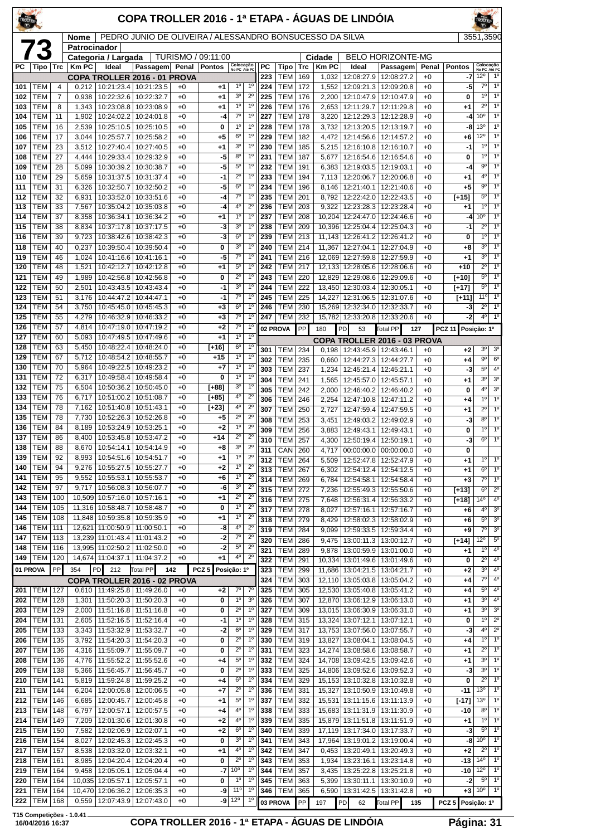| TROLLER    |                           |            |                             |                                            | COPA TROLLER 2016 - 1ª ETAPA - ÁGUAS DE LINDÓIA          |              |                  |                                  |                               |            |                          |            |                       |                                        |                                                 |                 |                     |                                  |                                    |
|------------|---------------------------|------------|-----------------------------|--------------------------------------------|----------------------------------------------------------|--------------|------------------|----------------------------------|-------------------------------|------------|--------------------------|------------|-----------------------|----------------------------------------|-------------------------------------------------|-----------------|---------------------|----------------------------------|------------------------------------|
|            |                           |            | <b>Nome</b><br>Patrocinador |                                            | PEDRO JUNIO DE OLIVEIRA / ALESSANDRO BONSUCESSO DA SILVA |              |                  |                                  |                               |            |                          |            |                       |                                        |                                                 |                 |                     | 3551,3590                        |                                    |
|            | 73                        |            |                             | Categoria / Largada                        |                                                          | TURISMO /    | 09:11:00         |                                  |                               |            |                          |            | Cidade                |                                        | <b>BELO HORIZONTE-MG</b>                        |                 |                     |                                  |                                    |
| PC.        | Tipo                      | Trc        | <b>KmPC</b>                 | Ideal                                      | Passagem Penal<br>COPA TROLLER 2016 - 01 PROVA           |              | <b>Pontos</b>    | Colocação<br>No PC Até PC        |                               | РC<br>223  | Tipo<br><b>TEM</b>       | Trc<br>169 | <b>Km PC</b><br>1,032 | Ideal<br>12:08:27.9                    | Passagem<br>12:08:27.2                          | Penal<br>$+0$   | <b>Pontos</b><br>-7 | Colocação<br>No PC Até PC<br>12° | 1 <sup>0</sup>                     |
| 101        | <b>TEM</b>                | 4          | 0.212                       |                                            | 10:21:23.4   10:21:23.5                                  | +0           | +1               | $1^{\circ}$                      | 1 <sup>0</sup>                | 224        | <b>TEM</b>               | 172        | 1,552                 | 12:09:21.3                             | 12:09:20.8                                      | $+0$            | -5                  | $7^\circ$                        | 1 <sup>0</sup>                     |
| 102        | TEM                       | 7          | 0,938                       | 10:22:32.6                                 | 10:22:32.7                                               | $+0$         | $+1$             | 3 <sup>o</sup><br>1 <sup>0</sup> | $2^{\circ}$<br>$1^{\circ}$    | 225        | <b>TEM</b>               | 176        | 2,200                 | 12:10:47.9                             | 12:10:47.9                                      | $+0$            | 0                   | $1^{\circ}$<br>$2^{\circ}$       | 1 <sup>0</sup><br>1 <sup>0</sup>   |
| 103<br>104 | <b>TEM</b><br>TEM         | 8<br>11    | 1,902                       | 1,343   10:23:08.8<br>10:24:02.2           | 10:23:08.9<br>10:24:01.8                                 | $+0$<br>$+0$ | $^{+1}$<br>-4    | $7^\circ$                        | $1^{\circ}$                   | 226<br>227 | <b>TEM</b><br>TEM        | 176<br>178 | 2.653<br>3,220        | 12:11:29.7<br>12:12:29.3               | 12:11:29.8<br>12:12:28.9                        | $+0$<br>$+0$    | $+1$<br>-4          | 10 <sup>o</sup>                  | 1 <sup>0</sup>                     |
| 105        | TEM                       | 16         | 2,539                       | 10:25:10.5                                 | 10:25:10.5                                               | $+0$         | 0                | $1^{\circ}$                      | $1^{\circ}$                   | 228        | <b>TEM</b>               | 178        | 3,732                 | 12:13:20.5                             | 12:13:19.7                                      | $+0$            | -8                  | 13 <sup>o</sup>                  | 1 <sup>0</sup>                     |
| 106        | <b>TEM</b>                | 17         | 3,044                       | 10:25:57.7                                 | 10:25:58.2                                               | $+0$         | $+5$             | 6 <sup>o</sup>                   | 1 <sup>0</sup>                | 229        | <b>TEM</b>               | 182        | 4,472                 | 12:14:56.6                             | 12:14:57.2                                      | $+0$            | $+6$                | 12°                              | 1 <sup>o</sup><br>10               |
| 107<br>108 | TEM<br>TEM                | 23<br>27   | 3,512<br>4,444              | 10:27:40.4<br>10:29:33.4                   | 10:27:40.5<br>10:29:32.9                                 | $+0$<br>$+0$ | $+1$<br>-5       | 3 <sup>o</sup><br>8 <sup>o</sup> | $1^{\circ}$<br>$1^{\circ}$    | 230<br>231 | <b>TEM</b><br><b>TEM</b> | 185<br>187 | 5,215<br>5,677        | 12:16:10.8<br>12:16:54.6               | 12:16:10.7<br>12:16:54.6                        | $+0$<br>$+0$    | $-1$<br>0           | 1 <sup>0</sup><br>$1^{\circ}$    | 1 <sup>0</sup>                     |
| 109        | TEM                       | 28         | 5,099                       | 10:30:39.2                                 | 10:30:38.7                                               | $+0$         | -5               | $5^{\circ}$                      | $1^{\circ}$                   | 232        | <b>TEM</b>               | 191        | 6,383                 | 12:19:03.5                             | 12:19:03.1                                      | $+0$            | -4                  | 90                               | $1^{\circ}$                        |
| 110        | TEM                       | 29         | 5,659                       | 10:31:37.5                                 | 10:31:37.4                                               | $+0$         | -1               | $2^{\circ}$                      | $1^{\circ}$                   | 233        | <b>TEM</b>               | 194        | 7,113                 | 12:20:06.7                             | 12:20:06.8                                      | $+0$            | $+1$                | 4°                               | $1^{\circ}$                        |
| 111<br>112 | TEM<br><b>TEM</b>         | 31<br>32   | 6,326<br>6,931              | 10:32:50.7<br>10:33:52.0                   | 10:32:50.2<br>10:33:51.6                                 | $+0$<br>$+0$ | -5<br>-4         | 6 <sup>o</sup><br>$7^\circ$      | 1 <sup>0</sup><br>$1^{\circ}$ | 234<br>235 | <b>TEM</b><br><b>TEM</b> | 196<br>201 | 8,146<br>8,792        | 12:21:40.1<br>12:22:42.0               | 12:21:40.6<br>12:22:43.5                        | $+0$<br>$+0$    | +5<br>[+15]         | $9^{\circ}$<br>$5^{\circ}$       | 1 <sup>0</sup><br>1 <sup>0</sup>   |
| 113        | TEM                       | 33         | 7,567                       | 10:35:04.2                                 | 10:35:03.8                                               | $+0$         | -4               | 4 <sup>0</sup>                   | $2^{\circ}$                   | 236        | <b>TEM</b>               | 203        | 9,322                 | 12:23:28.3                             | 12:23:28.4                                      | $+0$            | $+1$                | $1^{\circ}$                      | 1 <sup>0</sup>                     |
| 114        | <b>TEM</b>                | 37         | 8,358                       | 10:36:34.1                                 | 10:36:34.2                                               | $+0$         | $+1$             | 1 <sup>0</sup>                   | 1 <sup>0</sup>                | 237        | <b>TEM</b>               | 208        |                       | 10,204 12:24:47.0                      | 12:24:46.6                                      | $+0$            | -4                  | 10 <sup>o</sup>                  | 1 <sup>0</sup>                     |
| 115<br>116 | TEM<br>TEM                | 38<br>39   | 8,834<br>9,723              | 10:37:17.8<br>10:38:42.6                   | 10:37:17.5<br>10:38:42.3                                 | $+0$<br>$+0$ | -3<br>-3         | 3 <sup>0</sup><br>6 <sup>o</sup> | 1 <sup>0</sup><br>$1^{\circ}$ | 238<br>239 | <b>TEM</b><br><b>TEM</b> | 209<br>213 | 10,396                | 12:25:04.4<br>11,143 12:26:41.2        | 12:25:04.3<br>12:26:41.2                        | $+0$<br>$+0$    | -1<br>0             | $2^{\circ}$<br>$1^{\circ}$       | 1 <sup>0</sup><br>10               |
| 118        | TEM                       | 40         | 0,237                       | 10:39:50.4                                 | 10:39:50.4                                               | $+0$         | 0                | 3 <sup>0</sup>                   | 1 <sup>0</sup>                | 240        | <b>TEM</b>               | 214        |                       | 11,367 12:27:04.1                      | 12:27:04.9                                      | $+0$            | +8                  | 30                               | 1 <sup>0</sup>                     |
| 119        | TEM                       | 46         | 1,024                       | 10:41:16.6                                 | 10:41:16.1                                               | $+0$         | -5               | $7^\circ$                        | $1^{\circ}$                   | 241        | <b>TEM</b>               | 216        | 12,069                | 12:27:59.8                             | 12:27:59.9                                      | $+0$            | $+1$                | 3 <sup>o</sup>                   | 1 <sup>0</sup>                     |
| 120        | TEM                       | 48         | 1,521                       | 10:42:12.7                                 | 10:42:12.8                                               | $+0$         | $+1$             | $5^{\circ}$                      | 1 <sup>0</sup>                | 242        | <b>TEM</b>               | 217        |                       | 12,133 12:28:05.6                      | 12:28:06.6                                      | $+0$            | $+10$               | $\overline{2^{\circ}}$           | $1^{\circ}$                        |
| 121<br>122 | TEM<br>TEM                | 49<br>50   | 1,989<br>2,501              | 10:42:56.8<br>10:43:43.5                   | 10:42:56.8<br>10:43:43.4                                 | +0<br>+0     | 0<br>$-1$        | $2^{\circ}$<br>3 <sup>o</sup>    | 1 <sup>0</sup><br>$1^{\circ}$ | 243<br>244 | <b>TEM</b><br><b>TEM</b> | 220<br>222 | 12,829                | 12:29:08.6<br>13,450 12:30:03.4        | 12:29:09.6<br>12:30:05.1                        | $+0$<br>$+0$    | $[+10]$<br>[+17]    | $5^{\circ}$<br>$5^{\circ}$       | 1 <sup>0</sup><br>1 <sup>0</sup>   |
| 123        | TEM                       | 51         | 3,176                       | 10:44:47.2                                 | 10:44:47.1                                               | $+0$         | $-1$             | $7^\circ$                        | 1 <sup>0</sup>                | 245        | <b>TEM</b>               | 225        | 14,227                | 12:31:06.5                             | 12:31:07.6                                      | $+0$            | [+11]               | 11°                              | 10                                 |
| 124        | TEM                       | 54         | 3,750                       | 10:45:45.0                                 | 10:45:45.3                                               | $+0$         | $^{+3}$          | 6 <sup>o</sup>                   | $1^{\circ}$                   | 246        | <b>TEM</b>               | 230        |                       | 15,269 12:32:34.0                      | 12:32:33.7                                      | $+0$            | -3                  | $2^{\circ}$                      | 1 <sup>0</sup>                     |
| 125<br>126 | TEM<br><b>TEM</b>         | 55<br>57   | 4,279<br>4,814              | 10:46:32.9<br>10:47:19.0                   | 10:46:33.2<br>10:47:19.2                                 | $+0$<br>$+0$ | $+3$<br>+2       | $7^\circ$<br>$7^\circ$           | $1^{\circ}$<br>$1^{\circ}$    | 247        | <b>TEM</b>               | 232        |                       | 15,782 12:33:20.8                      | 12:33:20.6                                      | $+0$            | -2                  | 4º                               | 1 <sup>0</sup>                     |
| 127        | TEM                       | 60         | 5,093                       | 10:47:49.5                                 | 10:47:49.6                                               | $+0$         | $+1$             | 1 <sup>0</sup>                   | 1 <sup>0</sup>                |            | 02 PROVA                 | PP         | 180                   | PD<br>53                               | Total PP<br>127<br>COPA TROLLER 2016 - 03 PROVA |                 | <b>PCZ 11</b>       | Posição: 1º                      |                                    |
| 128        | TEM                       | 63         | 5,450                       | 10:48:22.4                                 | 10:48:24.0                                               | +0           | $[+16]$          | 6 <sup>o</sup>                   | $1^{\circ}$                   | 301        | TEM                      | 234        | 0,198                 | 12:43:45.9 12:43:46.1                  |                                                 | $+0$            | +2                  | 3 <sup>o</sup>                   | 3 <sup>o</sup>                     |
| 129<br>130 | <b>TEM</b><br>TEM         | 67<br>70   | 5,712<br>5,964              | 10:48:54.2<br>10:49:22.5                   | 10:48:55.7<br>10:49:23.2                                 | $+0$<br>$+0$ | $+15$<br>+7      | $1^{\circ}$<br>$1^{\circ}$       | $1^{\circ}$<br>1 <sup>0</sup> | 302        | <b>TEM</b>               | 235        | 0.660                 | 12:44:27.3                             | 12:44:27.7                                      | $+0$            | $+4$                | $9^{\circ}$                      | $6^{\circ}$                        |
| 131        | TEM                       | 72         | 6,317                       | 10:49:58.4                                 | 10:49:58.4                                               | $+0$         | 0                | 1 <sup>0</sup>                   | 1 <sup>0</sup>                | 303<br>304 | <b>TEM</b><br><b>TEM</b> | 237<br>241 | 1,234<br>1,565        | 12:45:21.4<br>12:45:57.0               | 12:45:21.1<br>12:45:57.1                        | $+0$<br>$+0$    | -3<br>$+1$          | $5^{\circ}$<br>30                | $4^{\circ}$<br>3 <sup>o</sup>      |
| 132        | TEM                       | 75         | 6,504                       | 10:50:36.2                                 | 10:50:45.0                                               | +0           | $[+88]$          | 3 <sup>o</sup>                   | 1 <sup>0</sup>                | 305        | <b>TEM</b>               | 242        | 2,000                 | 12:46:40.2                             | 12:46:40.2                                      | $+0$            | 0                   | 4 <sup>0</sup>                   | 3 <sup>o</sup>                     |
| 133        | TEM                       | 76         | 6,717                       | 10:51:00.2                                 | 10:51:08.7                                               | +0           | [+85]            | 4 <sup>0</sup><br>4 <sup>0</sup> | $2^{\circ}$<br>$2^{\circ}$    | 306        | <b>TEM</b>               | 246        | 2,254                 | 12:47:10.8                             | 12:47:11.2                                      | $+0$            | $+4$                | 1 <sup>0</sup>                   | 1 <sup>0</sup>                     |
| 134<br>135 | TEM<br>TEM                | 78<br>78   | 7,162<br>7,730              | 10:51:40.8<br>10:52:26.3                   | 10:51:43.1<br>10:52:26.8                                 | $+0$<br>$+0$ | [+23]<br>+5      | $2^{\circ}$                      | $2^{\circ}$                   | 307        | <b>TEM</b><br><b>TEM</b> | 250<br>253 | 2,727                 | 12:47:59.4                             | 12:47:59.5<br>12:49:02.9                        | $+0$            | $+1$                | $2^{\circ}$<br>$8^{\circ}$       | 1 <sup>0</sup><br>1 <sup>0</sup>   |
| 136        | TEM                       | 84         | 8,189                       | 10:53:24.9                                 | 10:53:25.1                                               | +0           | $+2$             | $1^{\circ}$                      | $2^{\circ}$                   | 308<br>309 | <b>TEM</b>               | 256        | 3,451<br>3,883        | 12:49:03.2<br>12:49:43.1               | 12:49:43.1                                      | $+0$<br>$+0$    | -3<br>0             | 1 <sup>0</sup>                   | 1 <sup>0</sup>                     |
| 137        | <b>TEM</b>                | 86         | 8,400                       | 10:53:45.8                                 | 10:53:47.2                                               | $+0$         | $+14$            | $2^{\circ}$                      | $2^{\circ}$                   | 310        | <b>TEM</b>               | 257        |                       | 4,300   12:50:19.4   12:50:19.1        |                                                 | $+0$            | -3                  | $6^{\circ}$                      | $1^{\circ}$                        |
| 138<br>139 | <b>TEM</b><br>TEM         | 88<br>92   | 8,670<br>8,993              | 10:54:14.1<br>10:54:51.6                   | 10:54:14.9<br>10:54:51.7                                 | $+0$<br>+0   | $+8$<br>+1       | 3 <sup>o</sup><br>$1^{\circ}$    | $2^{\circ}$<br>$2^{\circ}$    | 311        | <b>CAN 260</b>           |            |                       |                                        | 4,717 00:00:00.0 00:00:00.0                     | $+0$            | 0                   |                                  |                                    |
| 140        | <b>TEM</b>                | 94         | 9,276                       | 10:55:27.5                                 | 10:55:27.7                                               | $+0$         | $^{+2}$          | $1^{\circ}$                      | $2^{\circ}$                   | 312<br>313 | TEM<br><b>TEM</b>        | 264<br>267 | 5,509<br>6,302        | 12:52:47.8<br>12:54:12.4               | 12:52:47.9<br>12:54:12.5                        | $^{+0}$<br>$+0$ | $+1$<br>+1          | 1°<br>$6^{\circ}$                | $1^{\circ}$<br>1 <sup>0</sup>      |
| 141        | <b>TEM</b>                | 95         | 9,552                       | 10:55:53.1                                 | 10:55:53.7                                               | $+0$         | +6               | $1^{\circ}$                      | $2^{\circ}$                   | 314        | <b>TEM</b>               | 269        | 6,784                 | 12:54:58.1                             | 12:54:58.4                                      | $^{+0}$         | $+3$                | $7^\circ$                        | 1 <sup>0</sup>                     |
| 142<br>143 | <b>TEM</b><br>TEM         | 97<br>100  |                             | $9,717$   10:56:08.3<br>10,509 10:57:16.0  | 10:56:07.7<br>10:57:16.1                                 | $+0$<br>$+0$ | -6<br>+1         | 3 <sup>o</sup><br>$2^{\circ}$    | $2^{\circ}$<br>$2^{\circ}$    | 315        | <b>TEM</b>               | 272        | 7,236                 | 12:55:49.3                             | 12:55:50.6                                      | $^{+0}$         | [+13]               | $6^{\circ}$                      | $2^{\circ}$                        |
| 144        | <b>TEM</b>                | 105        |                             | 11,316 10:58:48.7                          | 10:58:48.7                                               | $+0$         | 0                | $1^{\circ}$                      | $2^{\circ}$                   | 316<br>317 | <b>TEM</b><br><b>TEM</b> | 275<br>278 | 7,648<br>8,027        | 12:57:16.1                             | 12:56:31.4   12:56:33.2<br>12:57:16.7           | $+0$<br>+0      | $[+18]$<br>+6       | $14^{\circ}$<br>4 <sup>0</sup>   | $\overline{4^0}$<br>3 <sup>0</sup> |
| 145        | <b>TEM</b>                | 108        |                             | 11,848 10:59:35.8                          | 10:59:35.9                                               | $+0$         | +1               | 1 <sup>o</sup>                   | $2^{\circ}$                   | 318        | <b>TEM</b>               | 279        | 8,429                 | 12:58:02.3                             | 12:58:02.9                                      | $+0$            | $+6$                | $5^{\circ}$                      | 3 <sup>o</sup>                     |
| 146        | <b>TEM</b>                | 111        |                             | 12,621 11:00:50.9                          | 11:00:50.1                                               | $+0$         | -8               | $4^{\circ}$<br>$7^\circ$         | $2^{\circ}$<br>$2^{\circ}$    | 319        | TEM                      | 284        | 9,099                 | 12:59:33.5                             | 12:59:34.4                                      | $+0$            | +9                  | $\overline{7^{\circ}}$           | $\overline{3^0}$                   |
| 147<br>148 | TEM<br><b>TEM</b>         | 113<br>116 |                             | 13,239 11:01:43.4<br>13,995 11:02:50.2     | 11:01:43.2<br>11:02:50.0                                 | +0<br>$+0$   | $-2$<br>-2       | $5^{\rm o}$                      | $2^{\circ}$                   | 320<br>321 | <b>TEM</b><br><b>TEM</b> | 286<br>289 | 9,475<br>9,878        | 13:00:11.3<br>13:00:59.9               | 13:00:12.7<br>13:01:00.0                        | $+0$<br>$+0$    | [+14]<br>+1         | $12^{\circ}$<br>$1^{\circ}$      | $5^{\rm o}$<br>4 <sup>0</sup>      |
| 149        | <b>TEM</b>                | 120        |                             | 14,674 11:04:37.1                          | 11:04:37.2                                               | $+0$         | $+1$             | $4^{\circ}$                      | $2^{\circ}$                   | 322        | <b>TEM</b>               | 291        | 10,334                | 13:01:49.6                             | 13:01:49.6                                      | $+0$            | 0                   | $2^{\circ}$                      | $4^{\circ}$                        |
| 01 PROVA   |                           | PP         | 354                         | PD<br>212                                  | <b>Total PP</b>                                          | 142          | PCZ <sub>5</sub> | Posição: 1º                      |                               | 323        | <b>TEM</b>               | 299        | 11,686                | 13:04:21.5                             | 13:04:21.7                                      | $+0$            | $+2$                | 3 <sup>o</sup>                   | $4^{\circ}$                        |
|            |                           |            |                             |                                            | COPA TROLLER 2016 - 02 PROVA                             |              |                  | $7^\circ$                        | $7^\circ$                     | 324        | TEM                      | 303        |                       | 12,110 13:05:03.8                      | 13:05:04.2                                      | $+0$            | +4                  | $7^\circ$<br>$5^{\circ}$         | 4 <sup>°</sup><br>$4^{\circ}$      |
| 202        | 201   TEM  <br><b>TEM</b> | 127<br>128 |                             | $0,610$   11:49:25.8<br>1,301   11:50:20.3 | 11:49:26.0<br>11:50:20.3                                 | +0<br>$+0$   | +2<br>0          | $1^{\circ}$                      | 3 <sup>o</sup>                | 325<br>326 | <b>TEM</b><br><b>TEM</b> | 305<br>307 |                       | 12,530 13:05:40.8<br>12,870 13:06:12.9 | 13:05:41.2<br>13:06:13.0                        | +0<br>$+0$      | +4<br>+1            | $3^{\circ}$                      | 4°                                 |
| 203        | <b>TEM</b>                | 129        |                             | 2,000   11:51:16.8                         | 11:51:16.8                                               | $+0$         | 0                | $2^{\circ}$                      | $1^{\circ}$                   | 327        | TEM                      | 309        |                       | 13,015 13:06:30.9                      | 13:06:31.0                                      | $+0$            | +1                  | $3^{\circ}$                      | 3 <sup>o</sup>                     |
| 204        | TEM                       | 131        | 2,605                       | 11:52:16.5                                 | 11:52:16.4                                               | $+0$         | -1               | 1 <sup>0</sup>                   | $1^{\circ}$<br>$1^{\circ}$    | 328        | <b>TEM</b>               | 315        |                       | 13,324 13:07:12.1                      | 13:07:12.1                                      | $+0$            | 0                   | $1^{\circ}$<br>$4^{\circ}$       | $2^{\circ}$<br>$2^{\circ}$         |
| 205<br>206 | <b>TEM</b><br><b>TEM</b>  | 133<br>135 | 3,343<br>3,792              | 11:53:32.9<br>11:54:20.3                   | 11:53:32.7<br>11:54:20.3                                 | $+0$<br>$+0$ | -2<br>0          | 6 <sup>o</sup><br>$2^{\circ}$    | $1^{\circ}$                   | 329<br>330 | TEM<br><b>TEM</b>        | 317<br>319 |                       | 13,753 13:07:56.0<br>13,827 13:08:04.1 | 13:07:55.7<br>13:08:04.5                        | $+0$<br>$+0$    | -3<br>+4            | $1^{\circ}$                      | 1 <sup>0</sup>                     |
| 207        | TEM                       | 136        | 4,316                       | 11:55:09.7                                 | 11:55:09.7                                               | $+0$         | 0                | $2^{\circ}$                      | $1^{\circ}$                   | 331        | <b>TEM</b>               | 323        |                       | 14,274 13:08:58.6                      | 13:08:58.7                                      | $+0$            | +1                  | $2^{\circ}$                      | $1^{\circ}$                        |
| 208        | TEM                       | 136        |                             | 4,776   11:55:52.2                         | 11:55:52.6                                               | $+0$         | +4               | $5^{\circ}$                      | $1^{\circ}$                   | 332        | TEM                      | 324        |                       | 14,708 13:09:42.5                      | 13:09:42.6                                      | $+0$            | +1                  | 3 <sup>0</sup>                   | $\overline{1^{\circ}}$             |
| 209<br>210 | TEM<br><b>TEM</b>         | 138<br>141 | 5,366<br>5,819              | 11:56:45.7<br>11:59:24.8                   | 11:56:45.7<br>11:59:25.2                                 | $+0$<br>$+0$ | 0<br>+4          | $2^{\circ}$<br>6 <sup>o</sup>    | $1^{\circ}$<br>$1^{\circ}$    | 333<br>334 | <b>TEM</b><br><b>TEM</b> | 325<br>329 |                       | 14,806 13:09:52.6<br>15,153 13:10:32.8 | 13:09:52.3<br>13:10:32.8                        | +0<br>+0        | -3<br>0             | 3 <sup>o</sup><br>$2^{\circ}$    | 1 <sup>0</sup><br>$1^{\circ}$      |
| 211        | <b>TEM</b>                | 144        | 6,204                       | 12:00:05.8                                 | 12:00:06.5                                               | $+0$         | +7               | $2^{\circ}$                      | $1^{\circ}$                   | 336        | <b>TEM</b>               | 331        |                       | 15,327 13:10:50.9                      | 13:10:49.8                                      | $+0$            | $-11$               | 13 <sup>o</sup>                  | $\overline{1^{\circ}}$             |
| 212        | TEM                       | 146        | 6,685                       | 12:00:45.7                                 | 12:00:45.8                                               | $+0$         | +1               | $5^{\circ}$                      | $1^{\circ}$                   | 337        | <b>TEM</b>               | 332        |                       | 15,531 13:11:15.6                      | 13:11:13.9                                      | +0              | $[-17]$             | 13 <sup>o</sup>                  | 1 <sup>0</sup>                     |
| 213<br>214 | <b>TEM</b><br><b>TEM</b>  | 148<br>149 | 6,797<br>7,209              | 12:00:57.1<br>12:01:30.6                   | 12:00:57.5<br>12:01:30.8                                 | +0<br>$+0$   | +4<br>$+2$       | 4 <sup>0</sup><br>$4^{\rm o}$    | $1^{\circ}$<br>$1^{\circ}$    | 338<br>339 | <b>TEM</b><br>TEM        | 333<br>335 |                       | 15,683 13:11:31.9<br>15,879 13:11:51.8 | 13:11:30.9<br>13:11:51.9                        | $+0$<br>$+0$    | -10<br>+1           | 8 <sup>o</sup><br>$1^{\circ}$    | 1 <sup>0</sup><br>1 <sup>0</sup>   |
| 215        | <b>TEM</b>                | 150        | 7,582                       | 12:02:06.9                                 | 12:02:07.1                                               | $+0$         | $+2$             | 6 <sup>o</sup>                   | $1^{\circ}$                   | 340        | <b>TEM</b>               | 339        |                       | 17,119 13:17:34.0                      | 13:17:33.7                                      | +0              | -3                  | $5^{\circ}$                      | 1 <sup>0</sup>                     |
| 216        | <b>TEM</b>                | 154        | 8,027                       | 12:02:45.3                                 | 12:02:45.3                                               | $+0$         | 0                | 3 <sup>o</sup>                   | $1^{\circ}$                   | 341        | <b>TEM</b>               | 343        | 17,964                | 13:19:01.2                             | 13:19:00.4                                      | +0              | -8                  | 10 <sup>o</sup>                  | 1 <sup>0</sup>                     |
| 217<br>218 | <b>TEM</b><br><b>TEM</b>  | 157<br>161 | 8,538<br>8,985              | 12:03:32.0<br>12:04:20.4                   | 12:03:32.1<br>12:04:20.4                                 | +0<br>$+0$   | +1<br>0          | 4 <sup>0</sup><br>$2^{\circ}$    | $1^{\circ}$<br>$1^{\circ}$    | 342<br>343 | <b>TEM</b><br><b>TEM</b> | 347<br>353 | 0,453<br>1,934        | 13:20:49.1<br>13:23:16.1               | 13:20:49.3<br>13:23:14.8                        | $+0$<br>$+0$    | $+2$<br>$-13$       | $2^{\circ}$<br>$14^{\circ}$      | 1 <sup>0</sup><br>1 <sup>0</sup>   |
| 219        | <b>TEM</b>                | 164        | 9,458                       | 12:05:05.1                                 | 12:05:04.4                                               | $+0$         | -7               | 10 <sup>o</sup>                  | $1^{\circ}$                   | 344        | TEM                      | 357        | 3,435                 | 13:25:22.8                             | 13:25:21.8                                      | $+0$            | -10                 | $12^{\circ}$                     | 1 <sup>0</sup>                     |
| 220        | <b>TEM</b>                | 164        |                             | 10,035 12:05:57.1                          | 12:05:57.1                                               | $+0$         | 0                | $1^{\circ}$                      | $1^{\circ}$                   | 345        | <b>TEM</b>               | 363        | 5,399                 | 13:30:11.1                             | 13:30:10.9                                      | +0              | -2                  | $5^{\circ}$                      | 1 <sup>0</sup>                     |
| 221<br>222 | TEM<br><b>TEM</b>         | 164<br>168 |                             | 10,470 12:06:36.2<br>$0,559$   12:07:43.9  | 12:06:35.3<br>12:07:43.0                                 | $+0$<br>$+0$ | -9               | $11^{\circ}$<br>$-9$ 12°         | 1°<br>$1^{\circ}$             | 346        | <b>TEM</b>               | 365        | 6,590                 | 13:31:42.5                             | 13:31:42.8                                      | $+0$            | $+3$                | 10 <sup>o</sup>                  | $1^{\circ}$                        |
|            |                           |            |                             |                                            |                                                          |              |                  |                                  |                               |            | 03 PROVA                 | PP         | 197                   | <b>PD</b><br>62                        | Total PP<br>135                                 |                 | PCZ 5 Posição: 1º   |                                  |                                    |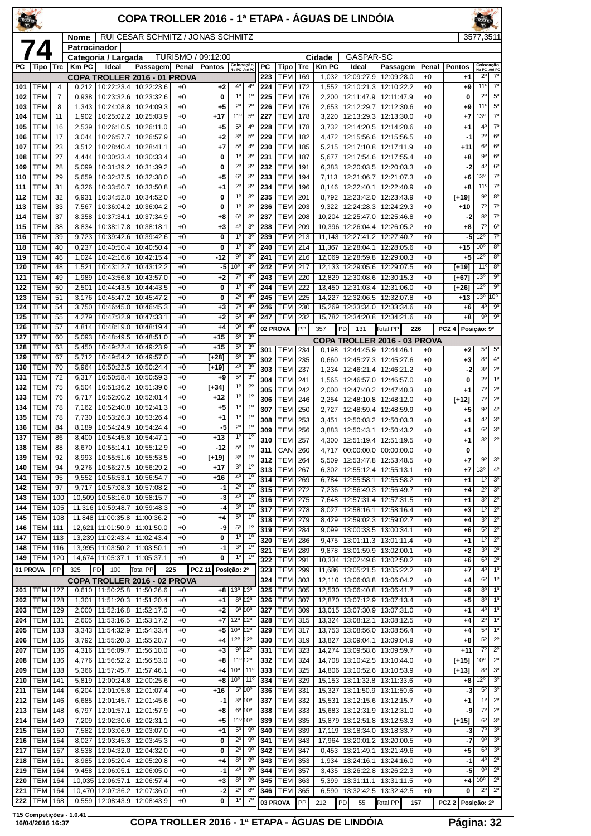| TROLLER    |                          |                |                 |                                        | COPA TROLLER 2016 - 1ª ETAPA - ÁGUAS DE LINDÓIA         |              |                    |                                                |                                  |                  |                              |            |                  |                                              |                                       |              |                   | <b>FROLLER</b>                           |                                            |
|------------|--------------------------|----------------|-----------------|----------------------------------------|---------------------------------------------------------|--------------|--------------------|------------------------------------------------|----------------------------------|------------------|------------------------------|------------|------------------|----------------------------------------------|---------------------------------------|--------------|-------------------|------------------------------------------|--------------------------------------------|
|            |                          |                | Nome            |                                        | RUI CESAR SCHMITZ / JONAS SCHMITZ                       |              |                    |                                                |                                  |                  |                              |            |                  |                                              |                                       |              |                   | 3577,3511                                |                                            |
|            | 74                       |                | Patrocinador    | Categoria / Largada                    |                                                         |              | TURISMO / 09:12:00 |                                                |                                  |                  |                              |            | Cidade           | <b>GASPAR-SC</b>                             |                                       |              |                   |                                          |                                            |
| РC         | Tipo                     | Trc            | <b>Km PC</b>    | Ideal                                  | Passagem Penal                                          |              | <b>Pontos</b>      | Colocação<br>No PC Até PC                      |                                  | РC               | Tipo                         | Trc        | <b>KmPC</b>      | Ideal                                        | Passagem                              | Penal        | <b>Pontos</b>     | Colocação<br>No PC Até PC                |                                            |
| 101        | TEM                      | 4              | 0,212           |                                        | COPA TROLLER 2016 - 01 PROVA<br>10:22:23.4   10:22:23.6 | $+0$         | $+2$               | $4^{\circ}$                                    | $4^{\circ}$                      | 223<br>224       | TEM<br>TEM                   | 169<br>172 | 1,032<br>1,552   | 12:09:27.9<br>12:10:21.3                     | 12:09:28.0<br>12:10:22.2              | $+0$<br>$+0$ | +1<br>+9          | $2^{\circ}$<br>$11^{\circ}$              | $7^\circ$<br>7 <sup>o</sup>                |
| 102        | TEM                      | $\overline{7}$ | 0,938           |                                        | 10:23:32.6   10:23:32.6                                 | $+0$         | 0                  | 1 <sup>0</sup>                                 | $1^{\circ}$                      | 225              | <b>TEM</b>                   | 176        | 2,200            | 12:11:47.9                                   | 12:11:47.9                            | $+0$         | 0                 | $2^{\circ}$                              | $5^{\rm o}$                                |
| 103        | <b>TEM</b>               | 8              | 1,343           | 10:24:08.8                             | 10:24:09.3                                              | $+0$         | +5                 | $2^{\circ}$                                    | $2^{\circ}$                      | 226              | <b>TEM</b>                   | 176        | 2,653            | 12:12:29.7                                   | 12:12:30.6                            | $+0$         | +9                | $11^{\circ}$                             | $5^{\circ}$                                |
| 104        | TEM                      | 11             | 1,902           | 10:25:02.2                             | 10:25:03.9                                              | $+0$         | +17                | $11^{\circ}$<br>$5^{\circ}$                    | $5^{\circ}$<br>$4^{\circ}$       | 227              | <b>TEM</b>                   | 178        | 3,220            | 12:13:29.3                                   | 12:13:30.0                            | $+0$         | +7                | 13°<br>$4^{\circ}$                       | $\overline{7^\circ}$<br>$7^\circ$          |
| 105<br>106 | TEM<br>TEM               | 16<br>17       | 2,539<br>3,044  | 10:26:57.7                             | 10:26:10.5   10:26:11.0<br>10:26:57.9                   | $+0$<br>$+0$ | +5<br>$+2$         | 3 <sup>o</sup>                                 | $5^{\circ}$                      | 228<br>229       | <b>TEM</b><br><b>TEM</b>     | 178<br>182 | 3,732<br>4,472   | 12:14:20.5<br>12:15:56.6                     | 12:14:20.6<br>12:15:56.5              | $+0$<br>$+0$ | +1<br>-1          | $2^{\circ}$                              | $6^{\circ}$                                |
| 107        | TEM                      | 23             | 3,512           | 10:28:40.4                             | 10:28:41.1                                              | $+0$         | $+7$               | $5^{\circ}$                                    | 4°                               | 230              | <b>TEM</b>                   | 185        | 5,215            | 12:17:10.8                                   | 12:17:11.9                            | $+0$         | $+11$             | $6^{\circ}$                              | $6^{\circ}$                                |
| 108        | TEM                      | 27             | 4,444           | 10:30:33.4                             | 10:30:33.4                                              | $+0$         | 0                  | 1 <sup>0</sup>                                 | 3 <sup>o</sup>                   | 231              | <b>TEM</b>                   | 187        | 5,677            | 12:17:54.6                                   | 12:17:55.4                            | $+0$         | +8                | 9 <sup>o</sup>                           | $6^{\circ}$                                |
| 109<br>110 | TEM<br>TEM               | 28<br>29       | 5,099<br>5,659  | 10:31:39.2<br>10:32:37.5               | 10:31:39.2<br>10:32:38.0                                | $+0$<br>$+0$ | 0<br>$+5$          | $2^{\circ}$<br>6 <sup>o</sup>                  | 3 <sup>o</sup><br>30             | 232<br>233       | TEM<br><b>TEM</b>            | 191<br>194 | 6,383<br>7,113   | 12:20:03.5<br>12:21:06.7                     | 12:20:03.3<br>12:21:07.3              | $+0$<br>$+0$ | -2<br>+6          | $4^{\circ}$<br>13 <sup>o</sup>           | $6^{\circ}$<br>$7^\circ$                   |
| 111        | TEM                      | 31             | 6,326           | 10:33:50.7                             | 10:33:50.8                                              | $+0$         | $+1$               | $2^{\circ}$                                    | 3 <sup>0</sup>                   | 234              | <b>TEM</b>                   | 196        | 8,146            | 12:22:40.1                                   | 12:22:40.9                            | $+0$         | $+8$              | $11^{\circ}$                             | $\overline{7^{\circ}}$                     |
| 112        | TEM                      | 32             | 6,931           | 10:34:52.0                             | 10:34:52.0                                              | $+0$         | 0                  | $1^{\circ}$                                    | 3 <sup>o</sup>                   | 235              | <b>TEM</b>                   | 201        | 8,792            | 12:23:42.0                                   | 12:23:43.9                            | $+0$         | [+19]             | $9^{\circ}$                              | 8 <sup>o</sup>                             |
| 113<br>114 | TEM<br><b>TEM</b>        | 33<br>37       | 7,567<br>8,358  | 10:36:04.2<br>10:37:34.1               | 10:36:04.2<br>10:37:34.9                                | $+0$<br>$+0$ | 0<br>+8            | 1 <sup>0</sup><br>6 <sup>o</sup>               | 3 <sup>o</sup><br>30             | 236<br>237       | <b>TEM</b><br>TEM            | 203<br>208 | 9,322<br>10,204  | 12:25:47.0                                   | 12:24:28.3   12:24:29.3<br>12:25:46.8 | $+0$<br>$+0$ | $+10$<br>-2       | $\overline{7}^{\circ}$<br>$8^{\circ}$    | $\overline{7^0}$<br>$7^\circ$              |
| 115        | TEM                      | 38             | 8,834           | 10:38:17.8                             | 10:38:18.1                                              | $+0$         | $+3$               | 4 <sup>0</sup>                                 | 3 <sup>o</sup>                   | 238              | <b>TEM</b>                   | 209        | 10,396           | 12:26:04.4                                   | 12:26:05.2                            | $+0$         | +8                | $7^\circ$                                | $6^{\circ}$                                |
| 116        | TEM                      | 39             | 9,723           | 10:39:42.6                             | 10:39:42.6                                              | $+0$         | 0                  | 1 <sup>0</sup>                                 | 3 <sup>o</sup>                   | 239              | <b>TEM</b>                   | 213        |                  | 11,143   12:27:41.2                          | 12:27:40.7                            | $+0$         | -5                | 12°                                      | $\overline{7^{\circ}}$                     |
| 118        | TEM                      | 40             | 0,237           | 10:40:50.4                             | 10:40:50.4                                              | $+0$         | 0                  | $1^{\circ}$<br>90                              | 3 <sup>o</sup><br>3 <sup>o</sup> | 240              | <b>TEM</b>                   | 214        | 11,367           | 12:28:04.1                                   | 12:28:05.6                            | $+0$         | $+15$             | 10 <sup>o</sup><br>12°                   | $8^{\circ}$<br>8 <sup>o</sup>              |
| 119<br>120 | TEM<br>TEM               | 46<br>48       | 1,024<br>1,521  | 10:42:16.6<br>10:43:12.7               | 10:42:15.4<br>10:43:12.2                                | $+0$<br>$+0$ | $-12$<br>-5        | 10 <sup>o</sup>                                | 4 <sup>0</sup>                   | 241<br>242       | TEM<br><b>TEM</b>            | 216<br>217 | 12,069           | 12:28:59.8<br>12,133 12:29:05.6 12:29:07.5   | 12:29:00.3                            | $+0$<br>$+0$ | +5<br>[+19]       | 11 <sup>o</sup>                          | $8^{\circ}$                                |
| 121        | <b>TEM</b>               | 49             | 1,989           | 10:43:56.8                             | 10:43:57.0                                              | $+0$         | $+2$               | $7^\circ$                                      | $4^{\circ}$                      | 243              | <b>TEM</b>                   | 220        | 12,829           | 12:30:08.6                                   | 12:30:15.3                            | $+0$         | $[+67]$           | 13 <sup>o</sup>                          | $9^{\circ}$                                |
| 122        | TEM                      | 50             | 2,501           |                                        | 10:44:43.5   10:44:43.5                                 | $+0$         | 0                  | $1^{\circ}$                                    | $4^{\circ}$                      | 244              | <b>TEM</b>                   | 222        | 13,450           | 12:31:03.4                                   | 12:31:06.0                            | $+0$         | $[+26]$           | $12^{\circ}$                             | $9^{\circ}$<br>10 <sup>o</sup>             |
| 123<br>124 | TEM<br>TEM               | 51<br>54       | 3,176<br>3,750  | 10:45:47.2<br>10:46:45.0               | 10:45:47.2<br>10:46:45.3                                | $+0$<br>$+0$ | 0<br>$+3$          | $2^{\circ}$<br>$7^\circ$                       | 4 <sup>0</sup><br>4°             | 245<br>246       | <b>TEM</b><br><b>TEM</b>     | 225<br>230 | 14,227<br>15,269 | 12:32:06.5<br>12:33:34.0                     | 12:32:07.8<br>12:33:34.6              | $+0$<br>$+0$ | $+13$<br>+6       | 13 <sup>0</sup><br>$4^{\circ}$           | 9 <sup>o</sup>                             |
| 125        | TEM                      | 55             | 4,279           | 10:47:32.9                             | 10:47:33.1                                              | $+0$         | $+2$               | 6 <sup>o</sup>                                 | 4°                               | 247              | <b>TEM</b>                   | 232        | 15,782           | 12:34:20.8   12:34:21.6                      |                                       | $+0$         | +8                | $9^{\circ}$                              | $9^{\circ}$                                |
| 126        | TEM                      | 57             | 4,814           | 10:48:19.0                             | 10:48:19.4                                              | $+0$         | +4                 | 90                                             | 4 <sup>0</sup>                   |                  | 02 PROVA                     | PP         | 357              | PD<br>131                                    | <b>Total PP</b><br>226                |              | PCZ <sub>4</sub>  | Posição: 9º                              |                                            |
| 127<br>128 | TEM<br>TEM               | 60<br>63       | 5,093<br>5,450  | 10:48:49.5                             | 10:48:51.0<br>10:49:22.4   10:49:23.9                   | $+0$<br>$+0$ | $+15$<br>$+15$     | 6 <sup>o</sup><br>$5^{\circ}$                  | 3 <sup>o</sup><br>3 <sup>o</sup> |                  |                              |            |                  |                                              | COPA TROLLER 2016 - 03 PROVA          |              |                   |                                          |                                            |
| 129        | <b>TEM</b>               | 67             | 5,712           | 10:49:54.2                             | 10:49:57.0                                              | $+0$         | [+28]              | 6 <sup>o</sup>                                 | 3 <sup>o</sup>                   | 301<br>302       | TEM<br><b>TEM</b>            | 234<br>235 | 0,198<br>0,660   | 12:44:45.9 12:44:46.1<br>12:45:27.3          | 12:45:27.6                            | $+0$<br>$+0$ | +2<br>+3          | $5^{\circ}$<br>$8^{\circ}$               | $5^{\circ}$<br>$4^{\circ}$                 |
| 130        | TEM                      | 70             | 5,964           | 10:50:22.5                             | 10:50:24.4                                              | $+0$         | $[+19]$            | $4^{\circ}$                                    | 3 <sup>o</sup>                   | 303              | <b>TEM</b>                   | 237        | 1,234            | 12:46:21.4                                   | 12:46:21.2                            | $+0$         | -2                | 3 <sup>o</sup>                           | $2^{\circ}$                                |
| 131<br>132 | TEM<br>TEM               | 72<br>75       | 6,317<br>6,504  | 10:50:58.4<br>10:51:36.2               | 10:50:59.3<br>10:51:39.6                                | $+0$<br>$+0$ | +9<br>$[+34]$      | $5^{\circ}$<br>1 <sup>0</sup>                  | 3 <sup>0</sup><br>$2^{\circ}$    | 304              | <b>TEM</b>                   | 241        | 1,565            | 12:46:57.0                                   | 12:46:57.0                            | $+0$         | 0                 | $2^{\circ}$                              | 10                                         |
| 133        | TEM                      | 76             | 6,717           | 10:52:00.2                             | 10:52:01.4                                              | $+0$         | $+12$              | 1 <sup>0</sup>                                 | 1 <sup>0</sup>                   | 305<br>306       | <b>TEM</b><br><b>TEM</b>     | 242<br>246 | 2,000<br>2,254   | 12:47:40.2<br>12:48:10.8                     | 12:47:40.3<br>12:48:12.0              | $+0$<br>$+0$ | $+1$<br>$[+12]$   | $7^\circ$<br>$7^\circ$                   | $2^{\circ}$<br>$2^{\circ}$                 |
| 134        | <b>TEM</b>               | 78             | 7,162           | 10:52:40.8                             | 10:52:41.3                                              | $+0$         | +5                 | $1^{\circ}$                                    | $1^{\circ}$                      | 307              | TEM                          | 250        | 2,727            | 12:48:59.4                                   | 12:48:59.9                            | $+0$         | +5                | 9 <sup>o</sup>                           | 4 <sup>0</sup>                             |
| 135        | TEM                      | 78             | 7,730           | 10:53:26.3                             | 10:53:26.4                                              | $+0$         | +1                 | $1^{\circ}$                                    | $1^{\circ}$<br>1 <sup>0</sup>    | 308              | <b>TEM</b>                   | 253        | 3,451            | 12:50:03.2                                   | 12:50:03.3                            | $+0$         | +1                | 4 <sup>0</sup>                           | 3 <sup>o</sup>                             |
| 136<br>137 | TEM<br>TEM               | 84<br>86       | 8,189<br>8,400  | 10:54:24.9<br>10:54:45.8               | 10:54:24.4<br>10:54:47.1                                | $+0$<br>$+0$ | -5<br>$+13$        | $2^{\circ}$<br>$1^{\circ}$                     | $1^{\circ}$                      | 309<br>310       | <b>TEM</b><br><b>TEM</b>     | 256<br>257 | 3,883<br>4,300   | 12:50:43.1                                   | 12:50:43.2                            | $+0$<br>$+0$ | +1                | 6 <sup>o</sup><br>$\overline{3^0}$       | 3 <sup>0</sup><br>$\overline{2^{\circ}}$   |
| 138        | <b>TEM</b>               | 88             | 8,670           | 10:55:14.1   10:55:12.9                |                                                         | $+0$         | $-12$              | $5^{\circ}$                                    | 1 <sup>o</sup>                   | $\overline{311}$ | $CRN$ 260                    |            |                  | 12:51:19.4   12:51:19.5                      | 4,717 00:00:00.0 00:00:00.0           | $+0$         | +1<br>0           |                                          |                                            |
| 139        | TEM                      | 92             | 8,993           |                                        | 10:55:51.6   10:55:53.5                                 | $+0$         | [+19]              | 3 <sup>o</sup>                                 | $1^{\circ}$                      | 312              | <b>TEM 264</b>               |            | 5,509            |                                              | 12:53:47.8   12:53:48.5               | $+0$         | +7                | $9^{\circ}$                              | 3 <sup>o</sup>                             |
| 140<br>141 | TEM<br>TEM               | 94<br>95       | 9,276<br>9,552  | 10:56:27.5<br>10:56:53.1               | 10:56:29.2<br>10:56:54.7                                | $+0$<br>$+0$ | +17<br>+16         | 3 <sup>o</sup><br>$4^{\circ}$                  | $1^{\circ}$<br>$1^{\circ}$       | 313              | <b>TEM</b>                   | 267        | 6,302            | 12:55:12.4                                   | 12:55:13.1                            | $+0$         | +7                | 13 <sup>0</sup><br>$1^{\circ}$           | $4^{\circ}$<br>3 <sup>o</sup>              |
| 142        | TEM                      | 97             | 9,717           | 10:57:08.3                             | 10:57:08.2                                              | $+0$         | $-1$               | $2^{\circ}$                                    | $1^{\circ}$                      | 314<br>315       | <b>TEM</b><br><b>TEM</b>     | 269<br>272 | 6.784<br>7,236   | 12:55:58.1                                   | 12:55:58.2<br>12:56:49.3 12:56:49.7   | $+0$<br>$+0$ | +1<br>+4          | $2^{\circ}$                              | 3 <sup>o</sup>                             |
| 143        | TEM                      | 100            | 10,509          | 10:58:16.0                             | 10:58:15.7                                              | $+0$         | -3                 | $4^{\circ}$                                    | $1^{\circ}$                      | 316              | TEM                          | 275        | 7,648            | 12:57:31.4                                   | 12:57:31.5                            | $+0$         | +1                | 3 <sup>o</sup>                           | $2^{\circ}$                                |
| 144<br>145 | TEM<br>TEM               | 105<br>108     |                 | 11,316 10:59:48.7<br>11,848 11:00:35.8 | 10:59:48.3<br>11:00:36.2                                | $+0$<br>$+0$ | -4<br>+4           | 3 <sup>o</sup><br>$5^{\circ}$                  | $1^{\circ}$<br>$1^{\circ}$       | 317              | <b>TEM</b>                   | 278        | 8,027            | 12:58:16.1                                   | 12:58:16.4                            | $+0$         | +3                | $1^{\circ}$                              | $\overline{2^{\circ}}$<br>$\overline{2^0}$ |
| 146        | <b>TEM</b>               | 111            |                 | 12,621 11:01:50.9                      | 11:01:50.0                                              | $+0$         | -9                 | $5^{\circ}$                                    | $1^{\circ}$                      | 318<br>319       | <b>TEM 279</b><br><b>TEM</b> | 284        | 8,429<br>9,099   | 13:00:33.5                                   | 12:59:02.3   12:59:02.7<br>13:00:34.1 | $+0$<br>$+0$ | +4<br>+6          | 3 <sup>o</sup><br>$5^{\circ}$            | $2^{\circ}$                                |
| 147        | TEM                      | 113            |                 | 13,239 11:02:43.4                      | 11:02:43.4                                              | $+0$         | 0                  | 1 <sup>0</sup>                                 | $1^{\circ}$                      | 320              | TEM                          | 286        | 9,475            | 13:01:11.3                                   | 13:01:11.4                            | $+0$         | +1                | 1 <sup>0</sup>                           | $2^{\circ}$                                |
| 148        | <b>TEM</b>               | 116            |                 | 13,995 11:03:50.2                      | 11:03:50.1                                              | $+0$<br>$+0$ | -1<br>0            | $3^{\rm o}$<br>$1^{\circ}$                     | $1^{\circ}$<br>$1^{\circ}$       | 321              | <b>TEM</b>                   | 289        | 9,878            | 13:01:59.9                                   | 13:02:00.1                            | $+0$         | +2                | 3 <sup>o</sup>                           | $2^{\circ}$                                |
| 149        | <b>TEM</b><br>01 PROVA   | 120<br>PP      | 325             | 14,674 11:05:37.1<br><b>PD</b><br>100  | 11:05:37.1<br>Total PP                                  | 225          | <b>PCZ 11</b>      | Posição: 2º                                    |                                  | 322<br>323       | <b>TEM</b><br><b>TEM</b>     | 291<br>299 | 10,334<br>11,686 | 13:02:49.6<br>13:05:21.5   13:05:22.2        | 13:02:50.2                            | $+0$<br>$+0$ | +6<br>+7          | 6 <sup>o</sup><br>$4^{\rm o}$            | $2^{\circ}$<br>1 <sup>o</sup>              |
|            |                          |                |                 |                                        | COPA TROLLER 2016 - 02 PROVA                            |              |                    |                                                |                                  | 324              | TEM                          | 303        | 12,110           | 13:06:03.8                                   | 13:06:04.2                            | $+0$         | +4                | 6 <sup>o</sup>                           | 1 <sup>0</sup>                             |
| 201        | TEM                      | 127            |                 | 0,610   11:50:25.8   11:50:26.6        |                                                         | $+0$         | $+8$               | 13 <sup>o</sup>                                | $ 13^{\circ}$                    | 325              | <b>TEM</b>                   | 305        | 12,530           | 13:06:40.8                                   | 13:06:41.7                            | $+0$         | +9                | 8 <sup>o</sup>                           | $\overline{1^{\circ}}$                     |
| 202<br>203 | <b>TEM</b><br>TEM        | 128<br>129     | 1,301<br>2,000  | 11:52:16.8                             | 11:51:20.3   11:51:20.4<br>11:52:17.0                   | $+0$<br>$+0$ | $+1$<br>$+2$       | $8^{\circ}$ 12°<br>$9^{\circ}$ 10 <sup>°</sup> |                                  | 326<br>327       | <b>TEM</b><br>TEM            | 307<br>309 | 13,015           | 12,870 13:07:12.9 13:07:13.4<br>13:07:30.9   | 13:07:31.0                            | $+0$<br>$+0$ | +5<br>+1          | 8 <sup>o</sup><br>$4^{\circ}$            | $1^\circ$<br>1 <sup>°</sup>                |
| 204        | <b>TEM</b>               | 131            | 2,605           | 11:53:16.5                             | 11:53:17.2                                              | $+0$         | +7                 | $12^{\circ}$                                   | $12^{\circ}$                     | 328              | TEM                          | 315        | 13,324           | 13:08:12.1                                   | 13:08:12.5                            | $+0$         | +4                | $2^{\circ}$                              | 1 <sup>o</sup>                             |
| 205        | <b>TEM</b>               | 133            | 3,343           | 11:54:32.9                             | 11:54:33.4                                              | $+0$         | $+5$               | $10^{\circ}$ 12°                               |                                  | 329              | <b>TEM 317</b>               |            |                  | 13,753 13:08:56.0                            | 13:08:56.4                            | $+0$         | +4                | $5^{\circ}$                              | 1 <sup>o</sup>                             |
| 206        | TEM                      | 135            | 3,792           | 11:55:20.3                             | 11:55:20.7                                              | $+0$         | +4                 | $12^{\circ}$                                   | $12^{\circ}$                     | 330              | <b>TEM</b>                   | 319        | 13,827           | 13:09:04.1                                   | 13:09:04.9                            | $+0$         | +8                | $5^{\circ}$<br>$7^{\circ}$               | $2^{\circ}$<br>$2^{\circ}$                 |
| 207<br>208 | TEM<br>TEM               | 136<br>136     | 4,316<br>4,776  | 11:56:09.7<br>11:56:52.2               | 11:56:10.0<br>11:56:53.0                                | $+0$<br>$+0$ | $+3$<br>+8         | 9° 12°<br>11º 12º                              |                                  | 331<br>332       | TEM<br><b>TEM</b>            | 323<br>324 | 14,708           | 14,274 13:09:58.6<br>13:10:42.5   13:10:44.0 | 13:09:59.7                            | $+0$<br>$+0$ | $+11$<br>$[+15]$  | 10 <sup>o</sup>                          | $2^{\circ}$                                |
| 209        | TEM                      | 138            | 5,366           | 11:57:45.7                             | 11:57:46.1                                              | $+0$         | $+4$               | 10 <sup>o</sup>                                | $11^{\circ}$                     | 333              | <b>TEM</b>                   | 325        | 14,806           | 13:10:52.6   13:10:53.9                      |                                       | $+0$         | $[+13]$           | $8^{\circ}$                              | 3 <sup>o</sup>                             |
| 210        | <b>TEM</b>               | 141            | 5,819           | 12:00:24.8                             | 12:00:25.6                                              | $+0$         | $+8$               | 10 <sup>o</sup>                                | $11^{\circ}$                     | 334              | TEM                          | 329        |                  | 15,153 13:11:32.8 13:11:33.6                 |                                       | $+0$         | +8                | $12^{\circ}$                             | 3 <sup>o</sup>                             |
| 211<br>212 | TEM<br>TEM               | 144<br>146     | 6,204<br>6,685  | 12:01:05.8<br>12:01:45.7               | 12:01:07.4<br>12:01:45.6                                | $+0$<br>$+0$ | +16<br>$-1$        | $5^{\circ}$ 10°<br>$3^{\circ}$ 10 $^{\circ}$   |                                  | 336<br>337       | <b>TEM</b><br>TEM            | 331<br>332 | 15,327<br>15,531 | 13:11:50.9<br>13:12:15.6                     | 13:11:50.6<br>13:12:15.7              | $+0$<br>$+0$ | -3<br>+1          | $5^{\circ}$<br>1 <sup>0</sup>            | 3 <sup>o</sup><br>$2^{\circ}$              |
| 213        | <b>TEM</b>               | 148            | 6,797           | 12:01:57.1                             | 12:01:57.9                                              | $+0$         | $+8$               | $6^{\circ}$ 10 $^{\circ}$                      |                                  | 338              | <b>TEM</b>                   | 333        |                  | 15,683 13:12:31.9 13:12:31.0                 |                                       | $+0$         | -9                | $7^\circ$                                | $2^{\circ}$                                |
| 214        | <b>TEM</b>               | 149            | 7,209           | 12:02:30.6                             | 12:02:31.1                                              | $+0$         | +5                 | 11 <sup>o</sup> 10 <sup>o</sup>                |                                  | 339              | <b>TEM</b>                   | 335        | 15,879           | 13:12:51.8                                   | 13:12:53.3                            | $+0$         | [+15]             | 6 <sup>o</sup>                           | 3 <sup>o</sup>                             |
| 215        | <b>TEM</b>               | 150            | 7,582           | 12:03:06.9                             | 12:03:07.0                                              | $+0$         | $+1$               | $5^{\rm o}$<br>$2^{\circ}$                     | $9^{\circ}$<br>9 <sup>o</sup>    | 340<br>341       | <b>TEM</b>                   | 339        | 17,119           | 13:18:34.0                                   | 13:18:33.7                            | $+0$         | -3<br>-7          | 7 <sup>o</sup><br>$\overline{9^{\circ}}$ | 3 <sup>0</sup><br>3 <sup>0</sup>           |
| 216<br>217 | <b>TEM</b><br><b>TEM</b> | 154<br>157     | 8,027<br>8,538  | 12:03:45.3<br>12:04:32.0               | 12:03:45.3<br>12:04:32.0                                | $+0$<br>$+0$ | 0<br>0             | $2^{\circ}$                                    | $9^{\circ}$                      | 342              | TEM<br><b>TEM</b>            | 343<br>347 | 17,964<br>0,453  | 13:20:01.2 13:20:00.5<br>13:21:49.1          | 13:21:49.6                            | $+0$<br>$+0$ | +5                | 6 <sup>o</sup>                           | 3 <sup>0</sup>                             |
| 218        | <b>TEM</b>               | 161            | 8,985           | 12:05:20.4                             | 12:05:20.8                                              | $+0$         | +4                 | 8 <sup>o</sup>                                 | $9^{\circ}$                      | 343              | <b>TEM</b>                   | 353        | 1,934            | 13:24:16.1                                   | 13:24:16.0                            | $+0$         | $-1$              | $4^{\circ}$                              | $\overline{2^0}$                           |
| 219        | <b>TEM</b>               | 164            | 9,458<br>10.035 | 12:06:05.1                             | 12:06:05.0                                              | $+0$         | $-1$               | 4 <sup>0</sup><br>8 <sup>o</sup>               | $9^{\circ}$<br>$9^{\circ}$       | 344              | TEM<br><b>TEM</b>            | 357        | 3.435            | 13:26:22.8                                   | 13:26:22.3                            | $+0$         | -5                | 90<br>$10^{\circ}$                       | $2^{\circ}$<br>$2^{\circ}$                 |
| 220<br>221 | <b>TEM</b><br><b>TEM</b> | 164<br>164     |                 | 12:06:57.1<br>10,470 12:07:36.2        | 12:06:57.4<br>12:07:36.0                                | $+0$<br>$+0$ | $^{+3}$<br>$-2$    | $2^{\circ}$                                    | 8 <sup>o</sup>                   | 345<br>346       | <b>TEM</b>                   | 363<br>365 | 5,399<br>6,590   | 13:31:11.1                                   | 13:31:11.5<br>13:32:42.5   13:32:42.5 | $+0$<br>$+0$ | +4<br>0           | $2^{\circ}$                              | $2^{\circ}$                                |
| 222        | <b>TEM</b>               | 168            | 0,559           | 12:08:43.9                             | 12:08:43.9                                              | $+0$         | 0                  | $1^{\circ}$                                    | $7^\circ$                        |                  | 03 PROVA                     | PP         | 212              | P <sub>D</sub><br>55                         | <b>Total PP</b><br>157                |              | PCZ 2 Posição: 2º |                                          |                                            |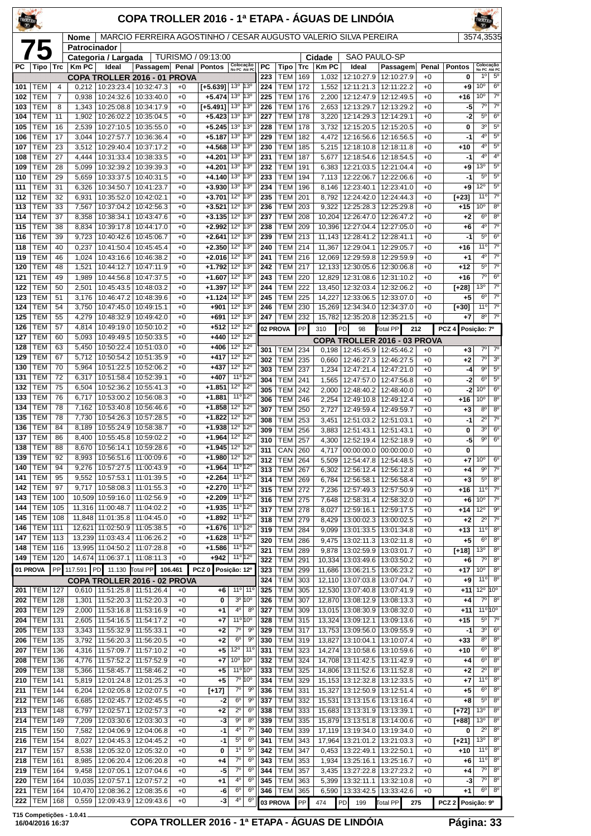| <b>TROLLER</b> |                          |                                  |                |                                                            | COPA TROLLER 2016 - 1ª ETAPA - ÁGUAS DE LINDÓIA                 |              |                        |                                             |                               |            |                          |            |                |                                        |                                               |                 |                    |                                    |                                     |
|----------------|--------------------------|----------------------------------|----------------|------------------------------------------------------------|-----------------------------------------------------------------|--------------|------------------------|---------------------------------------------|-------------------------------|------------|--------------------------|------------|----------------|----------------------------------------|-----------------------------------------------|-----------------|--------------------|------------------------------------|-------------------------------------|
|                |                          |                                  | Nome           |                                                            | MARCIO FERREIRA AGOSTINHO / CESAR AUGUSTO VALERIO SILVA PEREIRA |              |                        |                                             |                               |            |                          |            |                |                                        |                                               |                 |                    | 3574.3535                          |                                     |
|                | 75                       |                                  | Patrocinador   | Categoria / Largada                                        |                                                                 |              | TURISMO / 09:13:00     |                                             |                               |            |                          |            | Cidade         | SAO PAULO-SP                           |                                               |                 |                    |                                    |                                     |
| <b>PC</b>      | Tipo                     | Trc                              | $Km$ PC        | Ideal                                                      | Passagem Penal                                                  |              | <b>Pontos</b>          | Colocação<br>No PC Até PC                   |                               | <b>PC</b>  | Tipo                     | Trc        | <b>Km PC</b>   | Ideal                                  | Passagem                                      | Penal           | <b>Pontos</b>      | Colocação<br>No PC Até PC          |                                     |
|                |                          |                                  |                | COPA TROLLER 2016 - 01 PROVA                               |                                                                 |              |                        | 13º 13º                                     |                               | 223        | TEM                      | 169        | 1,032          | 12:10:27.9                             | 12:10:27.9                                    | $+0$            | 0                  | 1 <sup>0</sup><br>10 <sup>o</sup>  | $5^{\circ}$<br>6 <sup>o</sup>       |
| 101<br>102     | TEM<br><b>TEM</b>        | $\overline{4}$<br>$\overline{7}$ | 0,938          | $0,212$   10:23:23.4   10:32:47.3<br>10:24:32.6            | 10:33:40.0                                                      | $+0$<br>$+0$ | $[+5.639]$<br>$+5.474$ | 13º 13º                                     |                               | 224<br>225 | <b>TEM</b><br><b>TEM</b> | 172<br>176 | 2,200          | 12:12:47.9                             | 1,552   12:11:21.3   12:11:22.2<br>12:12:49.5 | $+0$<br>$+0$    | $+9$<br>$+16$      | 10 <sup>o</sup>                    | $7^{\circ}$                         |
| 103            | TEM                      | 8                                | 1,343          | 10:25:08.8                                                 | 10:34:17.9                                                      | $+0$         | [+5.491]               | 13 <sup>o</sup>  13 <sup>o</sup>            |                               | 226        | <b>TEM</b>               | 176        | 2,653          | 12:13:29.7                             | 12:13:29.2                                    | $+0$            | -5                 | $7^\circ$                          | $7^\circ$                           |
| 104            | TEM                      | 11                               | 1,902          | 10:26:02.2   10:35:04.5                                    |                                                                 | $+0$         | $+5.423$               | $13^{\circ}$ $13^{\circ}$                   |                               | 227        | TEM                      | 178        | 3,220          |                                        | 12:14:29.3   12:14:29.1                       | $+0$            | -2                 | $5^{\circ}$                        | $6^{\circ}$                         |
| 105<br>106     | <b>TEM</b>               | 16                               | 2,539          | 10:27:10.5                                                 | 10:35:55.0                                                      | $+0$         | $+5.245$               | $13^{\circ}$ $ 13^{\circ}$<br>$13^{\circ}$  | $ 13^{\circ}$                 | 228<br>229 | <b>TEM</b>               | 178        | 3,732          | 12:15:20.5                             | 12:15:20.5                                    | $+0$<br>$+0$    | 0<br>-1            | 3 <sup>o</sup><br>4 <sup>0</sup>   | $5^{\circ}$<br>$5^{\circ}$          |
| 107            | тем<br>TEM               | 17<br>23                         | 3,044<br>3,512 | 10:27:57.7<br>10:29:40.4                                   | 10:36:36.4<br>10:37:17.2                                        | $+0$<br>$+0$ | $+5.187$<br>$+4.568$   | 13 <sup>o</sup> 13 <sup>o</sup>             |                               | 230        | TEM<br><b>TEM</b>        | 182<br>185 | 4,472<br>5,215 | 12:16:56.6<br>12:18:10.8               | 12:16:56.5<br>12:18:11.8                      | $+0$            | $+10$              | 4 <sup>0</sup>                     | $5^{\circ}$                         |
| 108            | TEM                      | 27                               | 4,444          | 10:31:33.4                                                 | 10:38:33.5                                                      | +0           | $+4.201$               | $13^{\circ}$ $ 13^{\circ}$                  |                               | 231        | <b>TEM</b>               | 187        | 5,677          | 12:18:54.6                             | 12:18:54.5                                    | $+0$            | -1                 | 4 <sup>0</sup>                     | $4^{\circ}$                         |
| 109            | TEM                      | 28                               | 5,099          | 10:32:39.2                                                 | 10:39:39.3                                                      | $+0$         | $+4.201$               | 13º 13º                                     |                               | 232        | TEM                      | 191        | 6,383          | 12:21:03.5                             | 12:21:04.4                                    | $+0$            | +9                 | 13 <sup>o</sup>                    | $5^{\circ}$                         |
| 110<br>111     | TEM<br>TEM               | 29<br>31                         | 5,659<br>6,326 | 10:33:37.5<br>10:34:50.7                                   | 10:40:31.5<br>10:41:23.7                                        | +0<br>+0     | $+4.140$<br>$+3.930$   | 13º 13º<br>13 <sup>o</sup> 13 <sup>o</sup>  |                               | 233<br>234 | TEM<br><b>TEM</b>        | 194<br>196 | 7,113<br>8,146 | 12:22:06.7<br>12:23:40.1               | 12:22:06.6<br>12:23:41.0                      | $+0$<br>$+0$    | -1<br>$+9$         | $5^{\circ}$<br>12°                 | $5^{\circ}$<br>$5^{\rm o}$          |
| 112            | TEM                      | 32                               | 6,931          | 10:35:52.0                                                 | 10:42:02.1                                                      | $+0$         | $+3.701$               | 12 <sup>o</sup> 13 <sup>o</sup>             |                               | 235        | <b>TEM</b>               | 201        | 8,792          | 12:24:42.0                             | 12:24:44.3                                    | $+0$            | $[+23]$            | $11^{\circ}$                       | $\overline{7^\circ}$                |
| 113            | TEM                      | 33                               | 7,567          | 10:37:04.2                                                 | 10:42:56.3                                                      | $+0$         | $+3.521$               | 12º 13º                                     |                               | 236        | <b>TEM</b>               | 203        | 9,322          | 12:25:28.3                             | 12:25:29.8                                    | $+0$            | $+15$              | 10 <sup>o</sup>                    | 8 <sup>o</sup>                      |
| 114            | TEM                      | 37                               | 8,358          | 10:38:34.1                                                 | 10:43:47.6                                                      | $+0$         | $+3.135$               | 12 <sup>o</sup> 13 <sup>o</sup>             |                               | 237        | <b>TEM</b>               | 208        |                | 10,204 12:26:47.0                      | 12:26:47.2                                    | $+0$            | $+2$               | 6 <sup>o</sup>                     | 8 <sup>o</sup>                      |
| 115            | TEM                      | 38                               | 8,834          | 10:39:17.8                                                 | 10:44:17.0                                                      | $+0$         | $+2.992$               | 12º 13º<br>12 <sup>o</sup> 13 <sup>o</sup>  |                               | 238        | <b>TEM</b>               | 209        |                | 10.396 12:27:04.4                      | 12:27:05.0                                    | $+0$            | +6                 | 4°<br>5 <sup>o</sup>               | $7^\circ$<br>$6^{\circ}$            |
| 116<br>118     | TEM<br><b>TEM</b>        | 39<br>40                         | 9,723<br>0,237 | 10:40:42.6<br>10:41:50.4                                   | 10:45:06.7<br>10:45:45.4                                        | +0<br>$+0$   | $+2.641$<br>$+2.350$   | 12º 13º                                     |                               | 239<br>240 | <b>TEM</b><br><b>TEM</b> | 213<br>214 | 11.143         | 12:28:41.2<br>11,367 12:29:04.1        | 12:28:41.1<br>12:29:05.7                      | $+0$<br>$+0$    | -1<br>+16          | 11 <sup>0</sup>                    | $7^\circ$                           |
| 119            | <b>TEM</b>               | 46                               | 1,024          | 10:43:16.6                                                 | 10:46:38.2                                                      | $+0$         | $+2.016$               | 12º 13º                                     |                               | 241        | <b>TEM</b>               | 216        |                | 12,069 12:29:59.8                      | 12:29:59.9                                    | $+0$            | $+1$               | 4 <sup>0</sup>                     | $7^\circ$                           |
| 120            | TEM                      | 48                               | 1,521          | 10:44:12.7                                                 | 10:47:11.9                                                      | $+0$         | $+1.792$               | 12 <sup>o</sup> 13 <sup>o</sup>             |                               | 242        | <b>TEM</b>               | 217        |                | 12,133 12:30:05.6                      | 12:30:06.8                                    | $+0$            | $+12$              | $5^{\circ}$                        | $7^\circ$                           |
| 121            | TEM                      | 49                               | 1,989          | 10:44:56.8                                                 | 10:47:37.5                                                      | $+0$         | $+1.607$               | 12º 13º                                     |                               | 243        | <b>TEM</b>               | 220        |                | 12,829 12:31:08.6                      | 12:31:10.2                                    | $+0$            | $+16$              | 7 <sup>o</sup>                     | $6^{\circ}$                         |
| 122<br>123     | <b>TEM</b><br>TEM        | 50<br>51                         | 2,501<br>3,176 | 10:46:47.2                                                 | 10:45:43.5   10:48:03.2<br>10:48:39.6                           | $+0$<br>+0   | $+1.397$<br>$+1.124$   | 12 <sup>o</sup> 13 <sup>o</sup><br>12º  13º |                               | 244<br>245 | <b>TEM</b><br><b>TEM</b> | 222<br>225 | 14,227         | 13.450 12:32:03.4<br>12:33:06.5        | 12:32:06.2<br>12:33:07.0                      | $+0$<br>$+0$    | [+28]<br>$+5$      | 13°<br>6 <sup>o</sup>              | $7^\circ$<br>$7^\circ$              |
| 124            | TEM                      | 54                               | 3,750          | 10:47:45.0   10:49:15.1                                    |                                                                 | $+0$         | $+901$                 | 12º 13º                                     |                               | 246        | <b>TEM</b>               | 230        |                |                                        | 15,269 12:34:34.0 12:34:37.0                  | $+0$            | $[+30]$            | 11 <sup>0</sup>                    | $7^\circ$                           |
| 125            | <b>TEM</b>               | 55                               | 4,279          | 10:48:32.9                                                 | 10:49:42.0                                                      | $+0$         | +691                   | 12º 13º                                     |                               | 247        | <b>TEM</b>               | 232        |                | 15,782 12:35:20.8                      | 12:35:21.5                                    | $+0$            | $+7$               | 8 <sup>0</sup>                     | $7^\circ$                           |
| 126            | TEM                      | 57                               | 4,814          | 10:49:19.0                                                 | 10:50:10.2                                                      | $+0$         | $+512$                 | $12^{\circ}$ 12 <sup>°</sup>                |                               |            | 02 PROVA                 | PP         | 310            | PD<br>98                               | Total PP                                      | 212             | PCZ 4 Posicão: 7º  |                                    |                                     |
| 127<br>128     | TEM<br><b>TEM</b>        | 60<br>63                         | 5,093<br>5,450 | 10:49:49.5<br>10:50:22.4                                   | 10:50:33.5<br>10:51:03.0                                        | $+0$<br>$+0$ | $+440$<br>$+406$       | 12º 12º<br>12 <sup>o</sup> 12 <sup>o</sup>  |                               |            |                          |            |                |                                        | COPA TROLLER 2016 - 03 PROVA                  |                 |                    |                                    |                                     |
| 129            | TEM                      | 67                               | 5,712          | 10:50:54.2                                                 | 10:51:35.9                                                      | $+0$         | $+417$                 | 12º  12º                                    |                               | 301<br>302 | TEM<br>TEM               | 234<br>235 | 0,198<br>0,660 | 12:46:27.3                             | 12:45:45.9   12:45:46.2<br>12:46:27.5         | $+0$<br>$+0$    | $+3$<br>$+2$       | $7^\circ$<br>$7^\circ$             | $7^\circ$<br>3 <sup>o</sup>         |
| 130            | TEM                      | 70                               | 5,964          | 10:51:22.5                                                 | 10:52:06.2                                                      | $+0$         | $+437$                 | 12 <sup>o</sup> 12 <sup>o</sup>             |                               | 303        | <b>TEM</b>               | 237        |                |                                        | 1,234   12:47:21.4   12:47:21.0               | $+0$            | -4                 | $9^{\circ}$                        | $5^\circ$                           |
| 131            | TEM                      | 72                               | 6,317          | 10:51:58.4                                                 | 10:52:39.1                                                      | +0           | $+407$                 | 11º 12º                                     |                               | 304        | <b>TEM</b>               | 241        | 1,565          | 12:47:57.0                             | 12:47:56.8                                    | $+0$            | -2                 | 6 <sup>o</sup>                     | $5^{\circ}$                         |
| 132<br>133     | TEM<br>TEM               | 75<br>76                         | 6,504<br>6,717 | 10:52:36.2<br>10:53:00.2                                   | 10:55:41.3<br>10:56:08.3                                        | $+0$<br>$+0$ | $+1.851$<br>$+1.881$   | 12º 12º<br>11 <sup>o</sup> 12 <sup>o</sup>  |                               | 305        | <b>TEM</b>               | 242        | 2,000          | 12:48:40.2                             | 12:48:40.0                                    | $+0$            | -2                 | 10 <sup>o</sup>                    | 6 <sup>o</sup>                      |
| 134            | TEM                      | 78                               | 7,162          | 10:53:40.8                                                 | 10:56:46.6                                                      | $+0$         | $+1.858$               | 12°                                         | $12^{\circ}$                  | 306<br>307 | <b>TEM</b><br><b>TEM</b> | 246<br>250 | 2,254<br>2,727 |                                        | 12:49:10.8   12:49:12.4<br>12:49:59.7         | $+0$<br>$+0$    | $+16$              | 10 <sup>o</sup><br>8 <sup>o</sup>  | 8 <sup>o</sup><br>$8^{\circ}$       |
| 135            | TEM                      | 78                               | 7,730          |                                                            | 10:54:26.3   10:57:28.5                                         | $+0$         | $+1.822$               | 12º 12º                                     |                               | 308        | <b>TEM</b>               | 253        | 3,451          | 12:49:59.4<br>12:51:03.2               | 12:51:03.1                                    | $+0$            | $+3$<br>-1         | $2^{\circ}$                        | $7^\circ$                           |
| 136            | TEM                      | 84                               | 8,189          | 10:55:24.9                                                 | 10:58:38.7                                                      | $+0$         | $+1.938$               | 12º 12º                                     |                               | 309        | <b>TEM</b>               | 256        | 3,883          | 12:51:43.1                             | 12:51:43.1                                    | $+0$            | 0                  | 3 <sup>o</sup>                     | $6^{\circ}$                         |
| 137            | TEM                      | 86                               | 8,400          |                                                            | 10:55:45.8   10:59:02.2                                         | $+0$         | $+1.964$               | $12^{\circ}$<br>$12^{\circ}$ 12 $^{\circ}$  | $12^{\circ}$                  | 310        | <b>TEM</b>               | 257        | 4,300          | 12:52:19.4                             | 12:52:18.9                                    | $+0$            | -5                 | $9^{\circ}$                        | $6^{\circ}$                         |
| 138<br>139     | <b>TEM</b><br>TEM        | 88<br>92                         | 8,993          | 8,670   10:56:14.1   10:59:28.6<br>10:56:51.6   11:00:09.6 |                                                                 | $+0$<br>$+0$ | $+1.945$<br>$+1.980$   | 12º 12º                                     |                               | 311        | CAN 260                  |            |                |                                        | 4,717 00:00:00.0 00:00:00.0                   | $+0$            | 0                  | 10 <sup>o</sup>                    | 6 <sup>o</sup>                      |
| 140            | <b>TEM</b>               | 94                               | 9,276          | 10:57:27.5                                                 | 11:00:43.9                                                      | $+0$         | $+1.964$               | 11º 12º                                     |                               | 312<br>313 | TEM<br><b>TEM</b>        | 264<br>267 | 5,509<br>6,302 | 12:54:47.8<br>12:56:12.4               | 12:54:48.5<br>12:56:12.8                      | $+0$<br>$^{+0}$ | +7<br>$^{+4}$      | $9^{\circ}$                        | $7^\circ$                           |
| 141            | TEM                      | 95                               | 9,552          | 10:57:53.1                                                 | 11:01:39.5                                                      | $+0$         | $+2.264$               | 11º 12º                                     |                               | 314        | <b>TEM</b>               | 269        | 6,784          | 12:56:58.1                             | 12:56:58.4                                    | $+0$            | $+3$               | $5^{\circ}$                        | 8 <sup>o</sup>                      |
| 142            | TEM                      | 97                               | 9,717          | 10:58:08.3                                                 | 11:01:55.3                                                      | +0           | $+2.270$               | 11º 12º<br>11º 12º                          |                               | 315        | <b>TEM</b>               | 272        | 7,236          | 12:57:49.3                             | 12:57:50.9                                    | $+0$            | $+16$              | $11^{\circ}$                       | $7^\circ$                           |
| 143<br>144     | <b>TEM</b><br>TEM        | 100<br>105                       |                | 10,509 10:59:16.0<br>11,316 11:00:48.7                     | 11:02:56.9<br>11:04:02.2                                        | $+0$<br>$+0$ | $+2.209$<br>$+1.935$   | 11°12°                                      |                               | 316<br>317 | TEM                      | 275        | 7,648          | 12:58:31.4                             | 12:58:32.0                                    | $+0$            | $+6$               | 10 <sup>o</sup><br>12°             | $7^\circ$<br>$\overline{9^{\circ}}$ |
| 145            | TEM                      | 108                              |                | 11,848 11:01:35.8                                          | 11:04:45.0                                                      | $^{+0}$      | $+1.892$               | 11 <sup>o</sup> 12 <sup>o</sup>             |                               | 318        | TEM<br><b>TEM</b>        | 278<br>279 | 8,027<br>8,429 | 12:59:16.1<br>13:00:02.3               | 12:59:17.5<br>13:00:02.5                      | $+0$<br>$+0$    | +14<br>$+2$        | $2^{\circ}$                        | $7^\circ$                           |
| 146            | <b>TEM</b>               | 111                              |                | 12,621   11:02:50.9                                        | 11:05:38.5                                                      | $+0$         | $+1.676$               | 11º 12º                                     |                               | 319        | <b>TEM</b>               | 284        | 9,099          | 13:01:33.5                             | 13:01:34.8                                    | $^{+0}$         | $+13$              | $11^{\circ}$                       | 8 <sup>o</sup>                      |
| 147            | <b>TEM</b>               | 113                              |                | 13,239 11:03:43.4                                          | 11:06:26.2                                                      | $+0$         | $+1.628$               | 11º 12º<br>11º 12º                          |                               | 320        | <b>TEM</b>               | 286        | 9,475          | 13:02:11.3                             | 13:02:11.8                                    | $^{+0}$         | $+5$               | 6 <sup>o</sup>                     | 8 <sup>o</sup>                      |
| 148<br>149     | <b>TEM</b><br><b>TEM</b> | 116<br>120                       |                | 13,995 11:04:50.2<br>14,674 11:06:37.1                     | 11:07:28.8<br>11:08:11.3                                        | $+0$<br>$+0$ | $+1.586$<br>$+942$     | 11º 12º                                     |                               | 321        | <b>TEM</b>               | 289        | 9,878          | 13:02:59.9                             | 13:03:01.7                                    | $+0$            | $[+18]$            | 13°                                | 8 <sup>o</sup>                      |
|                | 01 PROVA                 | PP                               |                | 117.591 PD 11.130                                          | Total PP 106.461                                                |              | PCZ 0 Posição: 12º     |                                             |                               | 322<br>323 | <b>TEM</b><br><b>TEM</b> | 291<br>299 | 11,686         | 10,334 13:03:49.6<br>13:06:21.5        | 13:03:50.2<br>13:06:23.2                      | $+0$<br>$+0$    | $+6$<br>$+17$      | $7^\circ$<br>10 <sup>o</sup>       | 8 <sup>o</sup><br>$8^{\circ}$       |
|                |                          |                                  |                | COPA TROLLER 2016 - 02 PROVA                               |                                                                 |              |                        |                                             |                               | 324        | TEM                      | 303        |                | 12,110   13:07:03.8                    | 13:07:04.7                                    | $+0$            | $+9$               | $11^{\circ}$                       | 8 <sup>o</sup>                      |
| 201            | TEM                      | 127                              |                | $0,610$   11:51:25.8                                       | 11:51:26.4                                                      | $+0$         | +6                     | $11°$ 11°                                   |                               | 325        | <b>TEM</b>               | 305        |                | 12,530 13:07:40.8                      | 13:07:41.9                                    | $+0$            | +11                | $12^{\circ}$ 10 $^{\circ}$         |                                     |
| 202<br>203     | <b>TEM</b><br><b>TEM</b> | 128<br>129                       | 1,301          | 11:52:20.3<br>11:53:16.8                                   | 11:52:20.3<br>11:53:16.9                                        | $+0$<br>$+0$ | 0                      | $3^{\circ}$ 10 $^{\circ}$<br>$4^{\circ}$    | $8^{\circ}$                   | 326<br>327 | <b>TEM</b><br>TEM        | 307<br>309 |                | 12,870 13:08:12.9<br>13,015 13:08:30.9 | 13:08:13.3                                    | $+0$<br>$+0$    | $+4$<br>$+11$      | $7^\circ$                          | $8^{\circ}$<br>11°10°               |
| 204            | TEM                      | 131                              | 2,000<br>2,605 | 11:54:16.5                                                 | 11:54:17.2                                                      | $+0$         | +1<br>+7               | $11^{\circ} 10^{\circ}$                     |                               | 328        | TEM                      | 315        |                | 13,324 13:09:12.1                      | 13:08:32.0<br>13:09:13.6                      | $+0$            | $+15$              | $5^{\circ}$                        | $7^\circ$                           |
| 205            | <b>TEM</b>               | 133                              | 3,343          | 11:55:32.9                                                 | 11:55:33.1                                                      | $+0$         | $+2$                   | $7^\circ$                                   | 90                            | 329        | TEM                      | 317        |                | 13,753 13:09:56.0                      | 13:09:55.9                                    | $+0$            | $-1$               | 3 <sup>o</sup>                     | 6 <sup>o</sup>                      |
| 206            | <b>TEM</b>               | 135                              | 3,792          | 11:56:20.3                                                 | 11:56:20.5                                                      | $+0$         | $+2$                   | $6^{\rm o}$                                 | $9^{\circ}$                   | 330        | <b>TEM</b>               | 319        |                | 13,827 13:10:04.1                      | 13:10:07.4                                    | $+0$            | $+33$              | 8 <sup>o</sup>                     | $8^{\circ}$                         |
| 207            | TEM                      | 136                              | 4,316          | 11:57:09.7                                                 | 11:57:10.2                                                      | $+0$         | +5                     | $12^{\circ}$                                | $11^{\circ}$                  | 331        | <b>TEM</b>               | 323        |                | 14,274 13:10:58.6                      | 13:10:59.6                                    | $+0$            | $+10$              | $6^{\circ}$                        | $8^{\circ}$                         |
| 208<br>209     | TEM<br><b>TEM</b>        | 136<br>138                       | 4,776<br>5,366 | 11:57:52.2<br>11:58:45.7                                   | 11:57:52.9<br>11:58:46.2                                        | $+0$<br>$+0$ | $+7$<br>$+5$           | 10°<br>$11^{\circ} 10^{\circ}$              | $10^{\circ}$                  | 332<br>333 | <b>TEM</b><br><b>TEM</b> | 324<br>325 |                | 14,708 13:11:42.5<br>14,806 13:11:52.6 | 13:11:42.9<br>13:11:52.8                      | $+0$<br>$+0$    | $^{+4}$<br>$+2$    | 6 <sup>o</sup><br>$2^{\circ}$      | 8 <sup>o</sup><br>$8^{\circ}$       |
| 210            | TEM                      | 141                              | 5,819          | 12:01:24.8                                                 | 12:01:25.3                                                      | $+0$         | +5                     | 7º 10°                                      |                               | 334        | <b>TEM</b>               | 329        |                | 15,153 13:12:32.8                      | 13:12:33.5                                    | $+0$            | $+7$               | $11^{\circ}$                       | 8 <sup>o</sup>                      |
| 211            | TEM                      | 144                              | 6,204          | 12:02:05.8                                                 | 12:02:07.5                                                      | $+0$         | $[+17]$                | $7^\circ$                                   | 90                            | 336        | <b>TEM</b>               | 331        |                | 15,327 13:12:50.9                      | 13:12:51.4                                    | $+0$            | $+5$               | 6 <sup>o</sup>                     | 8 <sup>o</sup>                      |
| 212            | <b>TEM</b>               | 146                              | 6,685          | 12:02:45.7                                                 | 12:02:45.5                                                      | $+0$         | -2                     | 6 <sup>o</sup>                              | $9^{\circ}$                   | 337        | TEM                      | 332        |                |                                        | 15,531   13:13:15.6   13:13:16.4              | $+0$            | $+8$               | $5^{\circ}$                        | 8 <sup>o</sup>                      |
| 213<br>214     | <b>TEM</b><br><b>TEM</b> | 148<br>149                       | 6,797<br>7,209 | 12:02:57.1<br>12:03:30.6                                   | 12:02:57.3<br>12:03:30.3                                        | $+0$<br>$+0$ | $+2$<br>-3             | $2^{\circ}$<br>$9^{\rm o}$                  | 6 <sup>o</sup><br>$8^{\circ}$ | 338<br>339 | TEM<br>TEM               | 333<br>335 |                | 15,683 13:13:31.9<br>15,879 13:13:51.8 | 13:13:39.1<br>13:14:00.6                      | $+0$<br>+0      | $[+72]$<br>$[+88]$ | 13 <sup>o</sup><br>13 <sup>o</sup> | $8^{\rm o}$<br>$8^{\rm o}$          |
| 215            | <b>TEM</b>               | 150                              | 7,582          | 12:04:06.9                                                 | 12:04:06.8                                                      | $+0$         | $-1$                   | $4^{\rm o}$                                 | $7^\circ$                     | 340        | <b>TEM</b>               | 339        |                | 17,119   13:19:34.0                    | 13:19:34.0                                    | $+0$            | 0                  | $2^{\circ}$                        | 8 <sup>o</sup>                      |
| 216            | <b>TEM</b>               | 154                              | 8,027          | 12:04:45.3                                                 | 12:04:45.2                                                      | $+0$         | $-1$                   | $5^{\circ}$                                 | 6 <sup>o</sup>                | 341        | TEM                      | 343        |                | 17,964 13:21:01.2                      | 13:21:03.3                                    | $+0$            | $[+21]$            | 13 <sup>o</sup>                    | 8 <sup>o</sup>                      |
| 217            | <b>TEM</b>               | 157                              | 8,538          | 12:05:32.0                                                 | 12:05:32.0                                                      | $+0$         | 0                      | 1 <sup>0</sup>                              | $5^{\circ}$                   | 342        | <b>TEM</b>               | 347        | 0,453          | 13:22:49.1                             | 13:22:50.1                                    | $+0$            | $+10$              | $11^{\circ}$                       | $8^{\circ}$                         |
| 218<br>219     | TEM<br>TEM               | 161<br>164                       | 8,985<br>9,458 | 12:06:20.4<br>12:07:05.1                                   | 12:06:20.8<br>12:07:04.6                                        | $+0$<br>$+0$ | +4<br>-5               | $7^\circ$<br>$7^\circ$                      | $6^{\circ}$<br>$6^{\circ}$    | 343<br>344 | TEM<br><b>TEM</b>        | 353<br>357 | 1,934<br>3,435 | 13:25:16.1<br>13:27:22.8               | 13:25:16.7<br>13:27:23.2                      | $+0$<br>$+0$    | $+6$<br>$^{+4}$    | 11°<br>$7^\circ$                   | 8 <sup>o</sup><br>$8^{\circ}$       |
| 220            | <b>TEM</b>               | 164                              |                | 10,035 12:07:57.1                                          | 12:07:57.2                                                      | $+0$         | +1                     | $4^{\circ}$                                 | 6 <sup>o</sup>                | 345        | TEM                      | 363        | 5,399          | 13:32:11.1                             | 13:32:10.8                                    | $+0$            | -3                 | $\overline{7^{\circ}}$             | $8^{\circ}$                         |
| 221            | TEM                      | 164                              |                | 10,470 12:08:36.2                                          | 12:08:35.6                                                      | $+0$         | -6                     | $6^{\circ}$                                 | $6^{\circ}$                   | 346        | <b>TEM</b>               | 365        | 6,590          | 13:33:42.5                             | 13:33:42.6                                    | $+0$            | $+1$               | $6^{\circ}$                        | $8^{\circ}$                         |
| 222            | <b>TEM</b>               | 168                              |                | 0,559 12:09:43.9                                           | 12:09:43.6                                                      | $+0$         | -3                     | 4°                                          | $6^{\circ}$                   |            | 03 PROVA                 | PP         | 474            | PD<br>199                              | <b>Total PP</b>                               | 275             | PCZ 2 Posição: 9º  |                                    |                                     |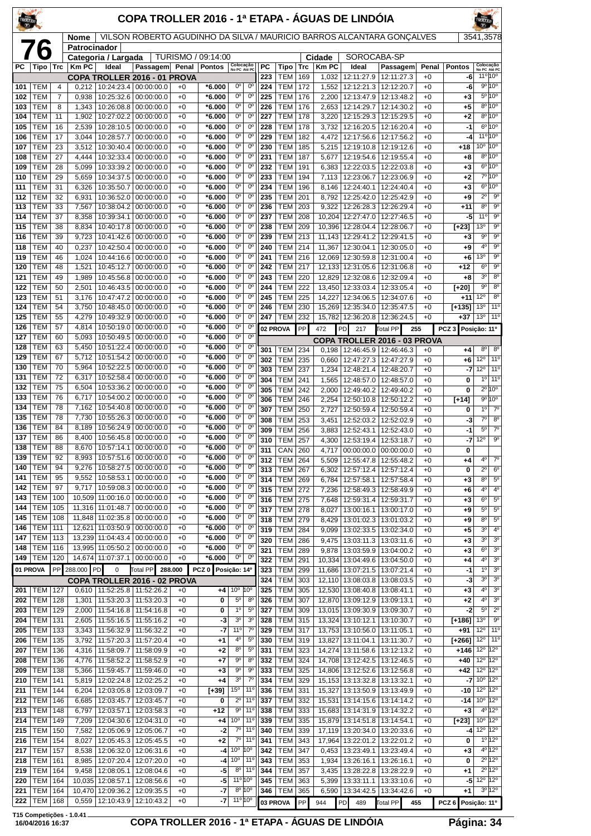| TROLLER    |                   |            |                             |                                 | COPA TROLLER 2016 - 1ª ETAPA - ÁGUAS DE LINDÓIA         |              |                      |                                            |                                 |                 |                          |            |                       |                                                              |                                                                        |               |                     |                                      |                                                 |
|------------|-------------------|------------|-----------------------------|---------------------------------|---------------------------------------------------------|--------------|----------------------|--------------------------------------------|---------------------------------|-----------------|--------------------------|------------|-----------------------|--------------------------------------------------------------|------------------------------------------------------------------------|---------------|---------------------|--------------------------------------|-------------------------------------------------|
|            |                   |            | <b>Nome</b><br>Patrocinador |                                 |                                                         |              |                      |                                            |                                 |                 |                          |            |                       |                                                              | VILSON ROBERTO AGUDINHO DA SILVA / MAURICIO BARROS ALCANTARA GONÇALVES |               |                     | 3541,3578                            |                                                 |
|            | 76                |            |                             | Categoria / Largada             |                                                         |              | TURISMO / 09:14:00   |                                            |                                 |                 |                          |            | Cidade                | SOROCABA-SP                                                  |                                                                        |               |                     |                                      |                                                 |
| PC         | Tipo              | <b>Trc</b> | <b>Km PC</b>                | Ideal                           | Passagem<br>COPA TROLLER 2016 - 01 PROVA                | Penal        | <b>Pontos</b>        | Colocação<br>No PC Até PC                  |                                 | PC<br>223       | Tipo<br>TEM              | Trc<br>169 | <b>Km PC</b><br>1,032 | Ideal<br>12:11:27.9                                          | Passagem<br>12:11:27.3                                                 | Penal<br>$+0$ | <b>Pontos</b><br>-6 | Colocação<br>No PC Até PC<br>11°10°  |                                                 |
| 101        | TEM               | 4          | 0,212                       | 10:24:23.4                      | 00:00:00.0                                              | $+0$         | *6.000               | $0^{\circ}$                                | $0^{\circ}$                     | 224             | TEM                      | 172        | 1,552                 | 12:12:21.3 12:12:20.7                                        |                                                                        | $+0$          | -6                  |                                      | $9^{\circ}10^{\circ}$                           |
| 102        | TEM               | 7          | 0,938                       | 10:25:32.6                      | 00:00:00.0                                              | $+0$         | *6.000               | $0^{\circ}$                                | $0^{\circ}$                     | 225             | <b>TEM</b>               | 176        | 2,200                 | 12:13:47.9                                                   | 12:13:48.2                                                             | $+0$          | +3                  |                                      | 5º 10°                                          |
| 103<br>104 | TEM<br>TEM        | 8<br>11    | 1,343<br>1,902              | 10:26:08.8<br>10:27:02.2        | 00:00:00.0<br>00:00:00.0                                | $+0$<br>$+0$ | *6.000<br>*6.000     | $0^{\circ}$<br>$0^{\circ}$                 | 0°<br>$0^{\circ}$               | 226<br>227      | <b>TEM</b><br><b>TEM</b> | 176<br>178 | 2,653<br>3,220        | 12:14:29.7                                                   | 12:14:30.2<br>12:15:29.3   12:15:29.5                                  | $+0$<br>$+0$  | +5<br>+2            |                                      | $8^{\circ} 10^{\circ}$<br>$8^{\circ}10^{\circ}$ |
| 105        | TEM               | 16         | 2,539                       | 10:28:10.5                      | 00:00:00.0                                              | $+0$         | *6.000               | 0°                                         | $0^{\circ}$                     | 228             | <b>TEM</b>               | 178        | 3,732                 |                                                              | 12:16:20.5   12:16:20.4                                                | $+0$          | $-1$                |                                      | 6º 10º                                          |
| 106        | <b>TEM</b>        | 17         | 3,044                       | 10:28:57.7                      | 00:00:00.0                                              | $+0$         | *6.000               | $\overline{0^{\circ}}$                     | $0^{\circ}$                     | 229             | TEM                      | 182        | 4,472                 |                                                              | 12:17:56.6 12:17:56.2                                                  | $+0$          | -4                  |                                      | 11°10°                                          |
| 107<br>108 | <b>TEM</b><br>TEM | 23<br>27   | 3,512<br>4,444              | 10:30:40.4<br>10:32:33.4        | 00:00:00.0<br>00:00:00.0                                | $+0$<br>$+0$ | $*6.000$<br>*6.000   | $0^{\circ}$<br>$0^{\circ}$                 | $0^{\circ}$<br>$0^{\circ}$      | 230<br>231      | <b>TEM</b><br><b>TEM</b> | 185<br>187 | 5,215<br>5,677        | 12:19:10.8<br>12:19:54.6                                     | 12:19:12.6<br>12:19:55.4                                               | $+0$<br>$+0$  | +18<br>+8           | $10^{\circ}$ 10 <sup>°</sup>         | $8^{\circ} 10^{\circ}$                          |
| 109        | TEM               | 28         | 5,099                       | 10:33:39.2                      | 00:00:00.0                                              | $+0$         | *6.000               | $0^{\circ}$                                | $0^{\circ}$                     | 232             | <b>TEM</b>               | 191        | 6,383                 |                                                              | 12:22:03.5   12:22:03.8                                                | $+0$          | +3                  |                                      | $6^{\circ}10^{\circ}$                           |
| 110        | TEM               | 29         | 5,659                       | 10:34:37.5                      | 00:00:00.0                                              | $+0$         | *6.000               | $0^{\circ}$                                | $0^{\circ}$                     | 233             | <b>TEM</b>               | 194        | 7,113                 | 12:23:06.7                                                   | 12:23:06.9                                                             | $+0$          | +2                  |                                      | 7º 10º                                          |
| 111<br>112 | TEM<br>TEM        | 31<br>32   | 6,326<br>6,931              | 10:35:50.7<br>10:36:52.0        | 00:00:00.0<br>00:00:00.0                                | $+0$<br>$+0$ | *6.000<br>*6.000     | $0^{\circ}$<br>$0^{\circ}$                 | $0^{\circ}$<br>$0^{\circ}$      | 234<br>235      | <b>TEM</b><br><b>TEM</b> | 196<br>201 | 8,146<br>8,792        | 12:24:40.1                                                   | 12:24:40.4<br>12:25:42.0   12:25:42.9                                  | $+0$<br>$+0$  | +3<br>+9            | $2^{\circ}$                          | $6^{\circ}10^{\circ}$<br>$9^{\circ}$            |
| 113        | <b>TEM</b>        | 33         | 7,567                       | 10:38:04.2                      | 00:00:00.0                                              | $+0$         | *6.000               | $0^{\circ}$                                | $0^{\circ}$                     | 236             | <b>TEM</b>               | 203        | 9,322                 |                                                              | 12:26:28.3 12:26:29.4                                                  | $+0$          | $+11$               | 8 <sup>o</sup>                       | $9^{\circ}$                                     |
| 114        | TEM               | 37         | 8,358                       | 10:39:34.1                      | 00:00:00.0                                              | $+0$         | *6.000               | 0°                                         | $0^{\circ}$                     | 237             | <b>TEM</b>               | 208        | 10,204                | 12:27:47.0                                                   | 12:27:46.5                                                             | $+0$          | -5                  | 11°                                  | $9^{\circ}$                                     |
| 115        | TEM<br>TEM        | 38<br>39   | 8,834                       | 10:40:17.8                      | 00:00:00.0                                              | $+0$<br>$+0$ | *6.000               | $0^{\circ}$<br>$0^{\circ}$                 | $0^{\circ}$<br>$0^{\circ}$      | 238<br>239      | TEM<br><b>TEM</b>        | 209<br>213 |                       | 10,396 12:28:04.4 12:28:06.7<br>12:29:41.2 12:29:41.5        |                                                                        | $+0$<br>$+0$  | [+23]               | 13 <sup>o</sup><br>9 <sup>o</sup>    | $9^{\circ}$<br>9 <sup>o</sup>                   |
| 116<br>118 | TEM               | 40         | 9,723<br>0,237              | 10:41:42.6<br>10:42:50.4        | 00:00:00.0<br>00:00:00.0                                | $+0$         | *6.000<br>*6.000     | $0^{\circ}$                                | $0^{\circ}$                     | 240             | <b>TEM</b>               | 214        | 11,143<br>11,367      |                                                              | 12:30:04.1   12:30:05.0                                                | $+0$          | $+3$<br>+9          | 4 <sup>0</sup>                       | $9^{\circ}$                                     |
| 119        | TEM               | 46         | 1,024                       | 10:44:16.6                      | 00:00:00.0                                              | $+0$         | *6.000               | $0^{\circ}$                                | $0^{\circ}$                     | 241             | <b>TEM</b>               | 216        |                       | 12,069 12:30:59.8                                            | 12:31:00.4                                                             | $+0$          | +6                  | 13 <sup>o</sup>                      | $9^{\circ}$                                     |
| 120        | TEM               | 48         | 1,521                       | 10:45:12.7                      | 00:00:00.0                                              | $+0$         | *6.000               | 0°                                         | $0^{\circ}$                     | 242             | <b>TEM</b>               | 217        |                       | 12,133 12:31:05.6 12:31:06.8                                 |                                                                        | $+0$          | +12                 | $6^{\circ}$                          | $\overline{9^{\circ}}$<br>8 <sup>o</sup>        |
| 121<br>122 | TEM<br><b>TEM</b> | 49<br>50   | 1,989<br>2,501              | 10:45:56.8<br>10:46:43.5        | 00:00:00.0<br>00:00:00.0                                | $+0$<br>$+0$ | *6.000<br>*6.000     | $0^{\circ}$<br>$0^{\circ}$                 | $0^{\circ}$<br>$0^{\circ}$      | 243<br>244      | TEM<br><b>TEM</b>        | 220<br>222 |                       | 12.829 12:32:08.6 12:32:09.4<br>13,450 12:33:03.4            | 12:33:05.4                                                             | $+0$<br>$+0$  | +8<br>[+20]         | 3 <sup>0</sup><br>90                 | 8 <sup>0</sup>                                  |
| 123        | TEM               | 51         | 3,176                       | 10:47:47.2                      | 00:00:00.0                                              | $+0$         | *6.000               | 0°                                         | $0^{\circ}$                     | 245             | <b>TEM</b>               | 225        | 14,227                | 12:34:06.5                                                   | 12:34:07.6                                                             | $+0$          | $+11$               | 12°                                  | 8 <sup>o</sup>                                  |
| 124        | TEM               | 54         | 3,750                       | 10:48:45.0                      | 00:00:00.0                                              | $+0$         | *6.000               | $0^{\circ}$                                | $0^{\circ}$                     | 246             | <b>TEM</b>               | 230        |                       | 15,269 12:35:34.0 12:35:47.5                                 |                                                                        | $+0$          | $[+135]$            | 13 <sup>o</sup>                      | 11 <sup>o</sup>                                 |
| 125<br>126 | TEM<br><b>TEM</b> | 55<br>57   | 4,279<br>4,814              | 10:49:32.9<br>10:50:19.0        | 00:00:00.0<br>00:00:00.0                                | $+0$<br>$+0$ | *6.000<br>*6.000     | $0^{\circ}$<br>0°                          | $0^{\circ}$<br>$0^{\circ}$      | 247<br>02 PROVA | <b>TEM</b>               | 232<br>PP  | 15,782                | 12:36:20.8   12:36:24.5                                      |                                                                        | $+0$          | +37                 | 13 <sup>o</sup>                      | 11 <sup>0</sup>                                 |
| 127        | TEM               | 60         | 5,093                       | 10:50:49.5                      | 00:00:00.0                                              | $+0$         | $*6.000$             | $0^{\circ}$                                | $0^{\circ}$                     |                 |                          |            | 472                   | PD<br>217                                                    | Total PP<br>255<br>COPA TROLLER 2016 - 03 PROVA                        |               | PCZ <sub>3</sub>    | Posição: 11º                         |                                                 |
| 128        | TEM               | 63         | 5,450                       | 10:51:22.4                      | 00:00:00.0                                              | $+0$         | *6.000               | $0^{\circ}$                                | 0 <sup>o</sup>                  | 301             | <b>TEM</b>               | 234        | 0.198                 |                                                              | 12:46:45.9   12:46:46.3                                                | $+0$          | +4                  | $8^{\circ}$                          | $8^{\circ}$                                     |
| 129<br>130 | TEM<br>TEM        | 67<br>70   | 5,712<br>5,964              | 10:51:54.2<br>10:52:22.5        | 00:00:00.0<br>00:00:00.0                                | $+0$<br>$+0$ | *6.000<br>*6.000     | 0°<br>0°                                   | $0^{\circ}$<br>$0^{\circ}$      | 302             | <b>TEM</b>               | 235        | 0,660                 | 12:47:27.3                                                   | 12:47:27.9                                                             | $+0$          | +6                  | $12^{\circ}$                         | $11^{\circ}$                                    |
| 131        | TEM               | 72         | 6,317                       | 10:52:58.4                      | 00:00:00.0                                              | $+0$         | *6.000               | $0^{\circ}$                                | $0^{\circ}$                     | 303<br>304      | <b>TEM</b><br><b>TEM</b> | 237<br>241 | 1,234<br>1,565        | 12:48:21.4   12:48:20.7                                      | 12:48:57.0   12:48:57.0                                                | $+0$<br>$+0$  | -7<br>0             | 12°<br>1 <sup>0</sup>                | 110<br>$11^{\circ}$                             |
| 132        | TEM               | 75         | 6,504                       | 10:53:36.2                      | 00:00:00.0                                              | $+0$         | *6.000               | $0^{\circ}$                                | $0^{\circ}$                     | 305             | <b>TEM</b>               | 242        | 2,000                 | 12:49:40.2                                                   | 12:49:40.2                                                             | $+0$          | 0                   |                                      | $2^{\circ}10^{\circ}$                           |
| 133        | <b>TEM</b><br>TEM | 76<br>78   | 6,717                       | 10:54:00.2                      | 00:00:00.0                                              | $+0$         | *6.000               | 0°<br>0°                                   | $0^{\circ}$<br>$0^{\circ}$      | 306             | <b>TEM</b>               | 246        | 2,254                 | 12:50:10.8                                                   | 12:50:12.2                                                             | $+0$          | [+14]               |                                      | 9°10°                                           |
| 134<br>135 | <b>TEM</b>        | 78         | 7,162<br>7,730              | 10:54:40.8<br>10:55:26.3        | 00:00:00.0<br>00:00:00.0                                | $+0$<br>$+0$ | *6.000<br>*6.000     | $0^{\circ}$                                | $\overline{0^{\circ}}$          | 307<br>308      | <b>TEM</b><br><b>TEM</b> | 250<br>253 | 2,727<br>3,451        | 12:52:03.2                                                   | 12:50:59.4   12:50:59.4<br>12:52:02.9                                  | $+0$<br>$+0$  | 0<br>-3             | 1 <sup>0</sup><br>$7^\circ$          | $7^\circ$<br>$8^{\circ}$                        |
| 136        | TEM               | 84         | 8,189                       | 10:56:24.9                      | 00:00:00.0                                              | $+0$         | *6.000               | $0^{\circ}$                                | $0^{\circ}$                     | 309             | <b>TEM</b>               | 256        | 3,883                 | 12:52:43.1                                                   | 12:52:43.0                                                             | $+0$          | -1                  | $5^{\circ}$                          | $7^\circ$                                       |
| 137        | TEM               | 86         | 8,400                       | 10:56:45.8<br>10:57:14.1        | 00:00:00.0                                              | $+0$         | *6.000               | 0°<br>$0^{\circ}$                          | $0^{\circ}$<br>$0^{\circ}$      | 310             | <b>TEM</b>               | 257        | 4,300                 | 12:53:19.4 12:53:18.7                                        |                                                                        | $+0$          | -7                  | $12^{\circ}$                         | $9^{\circ}$                                     |
| 138<br>139 | TEM<br>TEM        | 88<br>92   | 8.670<br>8,993              | 10:57:51.6                      | 00:00:00.0<br>00:00:00.0                                | $+0$<br>$+0$ | $*6.000$<br>*6.000   | 0°                                         | $0^{\circ}$                     | 311<br>312      | CAN<br>TEM               | 260<br>264 | 5,509                 |                                                              | 4,717 00:00:00.0 00:00:00.0<br>12:55:47.8   12:55:48.2                 | $+0$<br>$+0$  | 0<br>+4             | 4º                                   | $7^{\circ}$                                     |
| 140        | TEM               | 94         | 9,276                       | 10:58:27.5                      | 00:00:00.0                                              | $+0$         | *6.000               | $0^{\circ}$                                | $0^{\circ}$                     | 313             | <b>TEM</b>               | 267        | 6,302                 | 12:57:12.4                                                   | 12:57:12.4                                                             | $+0$          | 0                   | $2^{\circ}$                          | $6^{\circ}$                                     |
| 141        | TEM               | 95         | 9,552                       | 10:58:53.1                      | 00:00:00.0                                              | $+0$         | $*6.000$             | $0^{\circ}$                                | $0^{\circ}$                     | 314             | <b>TEM</b>               | 269        | 6,784                 | 12:57:58.1                                                   | 12:57:58.4                                                             | $+0$          | +3                  | $8^{\circ}$                          | $5^{\circ}$                                     |
| 142<br>143 | тем<br><b>TEM</b> | 97<br>100  | 9,717                       | 10:59:08.3<br>10,509 11:00:16.0 | 00:00:00.0<br>00:00:00.0                                | $+0$<br>$+0$ | $*6.000$<br>$*6.000$ | 0°<br>$0^{\circ}$                          | $0^{\circ}$<br>0 <sup>o</sup>   | 315<br>316      | <b>TEM</b><br>TEM        | 272<br>275 | 7,236<br>7,648        |                                                              | 12:58:49.3   12:58:49.9<br>12:59:31.4   12:59:31.7                     | $+0$<br>$+0$  | +6<br>+3            | 4º<br>$6^{\circ}$                    | $4^{\circ}$<br>$5^{\circ}$                      |
| 144        | TEM               | 105        |                             | 11,316 11:01:48.7               | 00:00:00.0                                              | $+0$         | *6.000               | $0^{\circ}$                                | $0^{\circ}$                     | 317             | TEM                      | 278        | 8,027                 | 13:00:16.1                                                   | 13:00:17.0                                                             | $+0$          | +9                  | $5^{\circ}$                          | $5^{\circ}$                                     |
| 145        | TEM               | 108        | 11,848                      | 11:02:35.8                      | 00:00:00.0                                              | $+0$         | *6.000               | 0°                                         | $0^{\circ}$                     | 318             | <b>TEM</b>               | 279        | 8,429                 |                                                              | 13:01:02.3   13:01:03.2                                                | $+0$          | +9                  | 80                                   | $5^{\circ}$                                     |
| 146<br>147 | <b>TEM</b><br>TEM | 111<br>113 | 12,621<br>13,239            | 11:03:50.9<br>11:04:43.4        | 00:00:00.0<br>00:00:00.0                                | $+0$<br>$+0$ | $*6.000$<br>*6.000   | $0^{\circ}$<br>0°                          | $0^{\circ}$<br>$0^{\circ}$      | 319             | TEM<br><b>TEM</b>        | 284        | 9,099                 |                                                              | 13:02:33.5   13:02:34.0                                                | $+0$          | +5                  | 3 <sup>o</sup><br>30                 | 4 <sup>0</sup><br>3 <sup>o</sup>                |
| 148        | TEM               | 116        |                             | 13,995 11:05:50.2               | 00:00:00.0                                              | $+0$         | *6.000               | 0°                                         | $0^{\circ}$                     | 320<br>321      | TEM                      | 286<br>289 | 9,475<br>9,878        | 13:03:59.9                                                   | 13:03:11.3   13:03:11.6<br>13:04:00.2                                  | $+0$<br>$+0$  | +3<br>+3            | $6^{\circ}$                          | $3o$                                            |
| 149        | TEM               | 120        |                             | 14,674 11:07:37.1               | 00:00:00.0                                              | $+0$         | $*6.000$             | 0 <sup>o</sup>                             | $0^{\circ}$                     | 322             | <b>TEM</b>               | 291        |                       |                                                              | 10,334   13:04:49.6   13:04:50.0                                       | $+0$          | +4                  | $4^{\circ}$                          | 3 <sup>o</sup>                                  |
| 01 PROVA   |                   |            | PP 288.000 PD               | 0                               | Total PP                                                | 288.000      | PCZ 0 Posição: 14º   |                                            |                                 | 323<br>324      | <b>TEM</b><br>TEM        | 299<br>303 | 11,686<br>12,110      |                                                              | 13:07:21.5   13:07:21.4<br>13:08:03.8   13:08:03.5                     | $+0$<br>$+0$  | $-1$<br>-3          | 1 <sup>0</sup><br>30                 | 3 <sup>o</sup><br>$3o$                          |
| 201        | TEM               | 127        | 0,610                       |                                 | COPA TROLLER 2016 - 02 PROVA<br>11:52:25.8   11:52:26.2 | $+0$         | $+4$                 | $10^{\circ}$ 10 $^{\circ}$                 |                                 | 325             | TEM                      | 305        |                       | 12,530 13:08:40.8 13:08:41.1                                 |                                                                        | $+0$          | $+3$                | $4^{\circ}$                          | $\overline{3^0}$                                |
| 202        | TEM               | 128        | 1,301                       | 11:53:20.3                      | 11:53:20.3                                              | $+0$         | 0                    | $5^{\circ}$                                | $8^{\circ}$                     | 326             | <b>TEM</b>               | 307        |                       | 12,870 13:09:12.9 13:09:13.1                                 |                                                                        | $+0$          | +2                  | $4^{\circ}$                          | 3 <sup>o</sup>                                  |
| 203        | TEM<br>TEM        | 129<br>131 | 2,000<br>2,605              | 11:54:16.8                      | 11:54:16.8                                              | $+0$<br>$+0$ | 0<br>-3              | $1^{\circ}$<br>3 <sup>o</sup>              | $5^{\circ}$<br>3 <sup>o</sup>   | 327<br>328      | <b>TEM</b><br>TEM        | 309<br>315 |                       | 13,015 13:09:30.9 13:09:30.7                                 |                                                                        | $+0$<br>$+0$  | -2<br>$[+186]$      | $5^{\circ}$<br>13 <sup>°</sup>       | $2^{\circ}$<br>$\overline{9^{\circ}}$           |
| 204<br>205 | TEM               | 133        | 3,343                       | 11:55:16.5<br>11:56:32.9        | 11:55:16.2<br>11:56:32.2                                | $+0$         | -7                   | 11°                                        | $7^\circ$                       | 329             | TEM                      | 317        |                       | 13,324 13:10:12.1 13:10:30.7<br>13,753 13:10:56.0 13:11:05.1 |                                                                        | $+0$          | +91                 | $12^{\circ}$                         | $11^{\circ}$                                    |
| 206        | TEM               | 135        | 3,792                       | 11:57:20.3                      | 11:57:20.4                                              | $+0$         | $+1$                 | $4^{\circ}$                                | $5^{\circ}$                     | 330             | TEM                      | 319        |                       | 13,827 13:11:04.1                                            | 13:11:30.7                                                             | $+0$          | [+266]              | $12^{\circ}$                         | 11 <sup>0</sup>                                 |
| 207        | TEM               | 136        | 4,316                       | 11:58:09.7                      | 11:58:09.9                                              | $+0$         | $+2$                 | 80                                         | $5^{\circ}$                     | 331             | TEM                      | 323        |                       | 14,274 13:11:58.6                                            | 13:12:13.2                                                             | $+0$          | +146                | $12^{\circ}$                         | $12^{\circ}$                                    |
| 208<br>209 | тем<br>TEM        | 136<br>138 | 4,776<br>5,366              | 11:58:52.2<br>11:59:45.7        | 11:58:52.9<br>11:59:46.0                                | $+0$<br>$+0$ | $+7$<br>$+3$         | 90<br>90                                   | $8^{\circ}$<br>9 <sup>o</sup>   | 332<br>333      | <b>TEM</b><br>TEM        | 324<br>325 |                       | 14,708 13:12:42.5 13:12:46.5<br>14,806 13:12:52.6 13:12:56.8 |                                                                        | $+0$<br>$+0$  | +40<br>+42          | 12°<br>12º 12º                       | 12°                                             |
| 210        | тем               | 141        | 5,819                       | 12:02:24.8                      | 12:02:25.2                                              | $+0$         | $+4$                 | 3 <sup>o</sup>                             | $7^{\circ}$                     | 334             | <b>TEM</b>               | 329        |                       | 15, 153 13: 13: 32. 8                                        | 13:13:32.1                                                             | $+0$          | -7                  | 10 <sup>o</sup>                      | $12^{\circ}$                                    |
| 211        | <b>TEM</b>        | 144        | 6,204                       | 12:03:05.8                      | 12:03:09.7                                              | $+0$         | $[+39]$              | $15^{\circ}$                               | $11^{\circ}$                    | 336             | TEM                      | 331        |                       | 15,327 13:13:50.9 13:13:49.9                                 |                                                                        | $+0$          | $-10$               | $12^{\circ}$                         | $12^{\circ}$                                    |
| 212<br>213 | TEM<br>TEM        | 146<br>148 | 6,685<br>6,797              | 12:03:45.7<br>12:03:57.1        | 12:03:45.7<br>12:03:58.3                                | $+0$<br>$+0$ | 0<br>$+12$           | $2^{\circ}$<br>90                          | 11°<br>11 <sup>°</sup>          | 337<br>338      | TEM<br><b>TEM</b>        | 332<br>333 | 15,531                | 13:14:15.6<br>15,683 13:14:31.9 13:14:32.2                   | 13:14:14.2                                                             | $+0$<br>$+0$  | -14<br>$+3$         | $10^{\circ}$ 12°                     | 4º 12º                                          |
| 214        | <b>TEM</b>        | 149        | 7,209                       | 12:04:30.6                      | 12:04:31.0                                              | $+0$         | $+4$                 | $10^{\circ}$                               | 11°                             | 339             | <b>TEM</b>               | 335        |                       | 15,879 13:14:51.8 13:14:54.1                                 |                                                                        | $+0$          | [+23]               | $10^{\circ}$ 12°                     |                                                 |
| 215        | TEM               | 150        | 7,582                       | 12:05:06.9                      | 12:05:06.7                                              | $+0$         | -2                   | $7^\circ$                                  | 11°                             | 340             | TEM                      | 339        |                       | 17,119   13:20:34.0   13:20:33.6                             |                                                                        | $+0$          |                     | $-4$ 12 <sup>o</sup> 12 <sup>o</sup> |                                                 |
| 216<br>217 | тем<br>TEM        | 154<br>157 | 8,027<br>8,538              | 12:05:45.3<br>12:06:32.0        | 12:05:45.5<br>12:06:31.6                                | $+0$<br>$+0$ | $+2$<br>-4           | 70<br>10 <sup>o</sup>                      | $11^{\circ}$<br>10 <sup>o</sup> | 341<br>342      | <b>TEM</b><br>TEM        | 343<br>347 | 17,964<br>0,453       | 13:22:01.2                                                   | 13:22:01.2<br>13:23:49.1   13:23:49.4                                  | $+0$<br>$+0$  | 0<br>$+3$           |                                      | $1^{\circ}$ 12°<br>$4^{\circ}12^{\circ}$        |
| 218        | TEM               | 161        | 8,985                       | 12:07:20.4                      | 12:07:20.0                                              | $+0$         | -4                   | 10 <sup>o</sup>                            | $11^{\circ}$                    | 343             | TEM                      | 353        | 1,934                 | 13:26:16.1                                                   | 13:26:16.1                                                             | $+0$          | 0                   |                                      | $2^{\circ}12^{\circ}$                           |
| 219        | TEM               | 164        | 9,458                       | 12:08:05.1                      | 12:08:04.6                                              | $+0$         | -5                   | 8 <sup>o</sup>                             | $11^{\circ}$                    | 344             | TEM                      | 357        | 3,435                 |                                                              | 13:28:22.8   13:28:22.9                                                | $+0$          | +1                  |                                      | $2^{\circ}$ 12°                                 |
| 220<br>221 | TEM<br>TEM        | 164<br>164 | 10,470                      | 10,035 12:08:57.1<br>12:09:36.2 | 12:08:56.6<br>12:09:35.5                                | $+0$<br>$+0$ | -5<br>-7             | $11^{\circ} 10^{\circ}$<br>$8^{\circ}$ 10° |                                 | 345<br>346      | <b>TEM</b><br><b>TEM</b> | 363<br>365 | 5,399<br>6,590        | 13:33:11.1                                                   | 13:33:10.6<br>13:34:42.5   13:34:42.6                                  | $+0$<br>$+0$  | $-5$<br>+1          | $12^{\circ}$ 12 $^{\circ}$           | $3^{\circ}$ 12°                                 |
| 222        | TEM               | 168        | 0,559                       | 12:10:43.9                      | 12:10:43.2                                              | $+0$         | -7                   | $11^{\circ} 10^{\circ}$                    |                                 | 03 PROVA        |                          | PP         | 944                   | <b>PD</b><br>489                                             | Total PP<br>455                                                        |               | PCZ 6 Posição: 11º  |                                      |                                                 |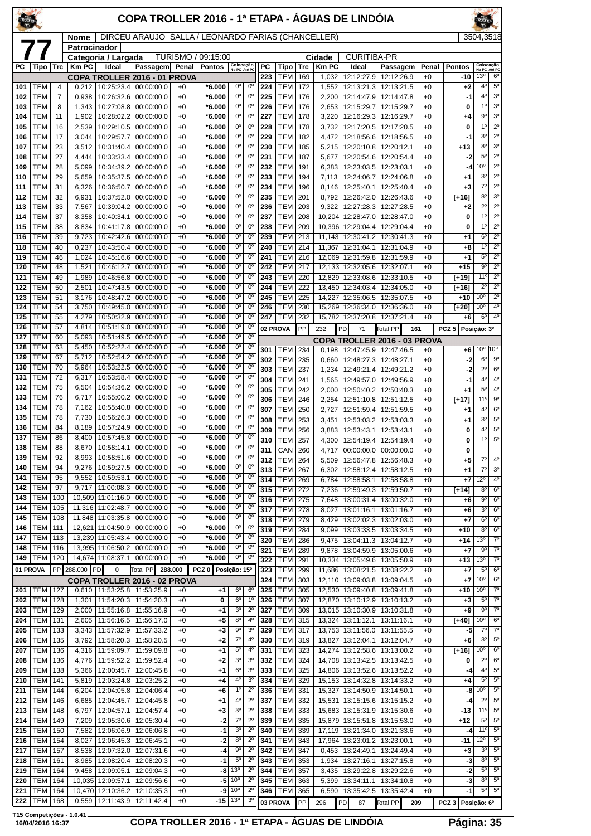|            |                          |                |                |                                 | COPA TROLLER 2016 - 1ª ETAPA - ÁGUAS DE LINDÓIA       |              |                      |                                    |                                  |                  |                          |            |                |                                          |                                       |                 |                         |                                   |                                  |
|------------|--------------------------|----------------|----------------|---------------------------------|-------------------------------------------------------|--------------|----------------------|------------------------------------|----------------------------------|------------------|--------------------------|------------|----------------|------------------------------------------|---------------------------------------|-----------------|-------------------------|-----------------------------------|----------------------------------|
|            |                          |                | Nome           |                                 | DIRCEU ARAUJO SALLA / LEONARDO FARIAS (CHANCELLER)    |              |                      |                                    |                                  |                  |                          |            |                |                                          |                                       |                 |                         | 3504,3518                         |                                  |
|            |                          |                | Patrocinador   | Categoria / Largada             |                                                       |              | TURISMO / 09:15:00   |                                    |                                  |                  |                          |            | Cidade         | <b>CURITIBA-PR</b>                       |                                       |                 |                         |                                   |                                  |
| РC         | Tipo                     | Trc            | Km PC          | Ideal                           | Passagem Penal                                        |              | <b>Pontos</b>        | Colocação<br>No PC Até PC          |                                  | <b>PC</b>        | Tipo                     | Trc        | <b>Km PC</b>   | Ideal                                    | Passagem                              | Penal           | <b>Pontos</b>           | Colocação<br>No PC Até PC         |                                  |
| 101        | TEM                      | $\overline{4}$ | 0,212          |                                 | COPA TROLLER 2016 - 01 PROVA<br>10:25:23.4 00:00:00.0 | $+0$         | *6.000               | $0^{\circ}$                        | $0^{\circ}$                      | 223<br>224       | TEM<br><b>TEM</b>        | 169<br>172 | 1,032<br>1,552 | 12:12:27.9                               | 12:12:26.9<br>12:13:21.3   12:13:21.5 | $+0$<br>$+0$    | -10<br>$+2$             | 13 <sup>o</sup><br>4 <sup>0</sup> | 6 <sup>o</sup><br>$5^{\circ}$    |
| 102        | <b>TEM</b>               | $\overline{7}$ | 0,938          | 10:26:32.6                      | 00:00:00.0                                            | $+0$         | $*6.000$             | $0^{\rm o}$                        | $0^{\circ}$                      | 225              | <b>TEM</b>               | 176        | 2,200          | 12:14:47.9                               | 12:14:47.8                            | $+0$            | -1                      | 4 <sup>0</sup>                    | 3 <sup>o</sup>                   |
| 103        | TEM                      | 8              | 1,343          | 10:27:08.8                      | 00:00:00.0                                            | $+0$         | *6.000               | $0^{\circ}$                        | 0°                               | 226              | <b>TEM</b>               | 176        | 2,653          | 12:15:29.7                               | 12:15:29.7                            | $+0$            | 0                       | $1^{\circ}$                       | 3 <sup>o</sup>                   |
| 104        | TEM                      | 11             | 1,902          | 10:28:02.2                      | 00:00:00.0                                            | $+0$         | *6.000               | $0^{\circ}$                        | $0^{\circ}$                      | 227              | TEM                      | 178        | 3.220          |                                          | 12:16:29.3 12:16:29.7                 | $+0$            | $^{+4}$                 | $9^{\circ}$                       | 3 <sup>o</sup>                   |
| 105<br>106 | <b>TEM</b><br>TEM        | 16<br>17       | 2,539<br>3,044 | 10:29:10.5<br>10:29:57.7        | 00:00:00.0<br>00:00:00.0                              | $+0$<br>$+0$ | *6.000<br>*6.000     | $0^{\circ}$<br>$0^{\circ}$         | $0^{\circ}$<br>$0^{\circ}$       | 228<br>229       | <b>TEM</b><br><b>TEM</b> | 178<br>182 | 3,732<br>4,472 | 12:17:20.5<br>12:18:56.6                 | 12:17:20.5<br>12:18:56.5              | $+0$<br>$+0$    | 0<br>-1                 | 10<br>3 <sup>o</sup>              | $2^{\circ}$<br>$2^{\circ}$       |
| 107        | TEM                      | 23             | 3,512          | 10:31:40.4                      | 00:00:00.0                                            | $+0$         | $*6.000$             | $0^{\circ}$                        | 0°                               | 230              | <b>TEM</b>               | 185        | 5,215          | 12:20:10.8                               | 12:20:12.1                            | $+0$            | $+13$                   | 8 <sup>o</sup>                    | 3 <sup>o</sup>                   |
| 108        | TEM                      | 27             | 4,444          | 10:33:33.4                      | 00:00:00.0                                            | +0           | *6.000               | $0^{\circ}$                        | $0^{\circ}$                      | 231              | <b>TEM</b>               | 187        | 5,677          | 12:20:54.6                               | 12:20:54.4                            | $+0$            | -2                      | 5 <sup>o</sup>                    | $2^{\circ}$                      |
| 109<br>110 | TEM<br>TEM               | 28<br>29       | 5,099<br>5,659 | 10:34:39.2<br>10:35:37.5        | 00:00:00.0<br>00:00:00.0                              | $+0$<br>$+0$ | *6.000<br>*6.000     | $0^{\circ}$<br>0°                  | $0^{\circ}$<br>$0^{\circ}$       | 232<br>233       | <b>TEM</b><br>TEM        | 191<br>194 | 6,383<br>7,113 | 12:23:03.5<br>12:24:06.7                 | 12:23:03.1<br>12:24:06.8              | $+0$<br>$+0$    | -4<br>$+1$              | 10 <sup>o</sup><br>3 <sup>o</sup> | $\overline{2^0}$<br>$2^{\circ}$  |
| 111        | TEM                      | 31             | 6,326          | 10:36:50.7                      | 00:00:00.0                                            | +0           | *6.000               | 0°                                 | $0^{\circ}$                      | 234              | <b>TEM</b>               | 196        | 8,146          | 12:25:40.1                               | 12:25:40.4                            | $+0$            | $+3$                    | $7^\circ$                         | $2^{\circ}$                      |
| 112        | TEM                      | 32             | 6,931          | 10:37:52.0                      | 00:00:00.0                                            | $+0$         | $*6.000$             | $0^{\circ}$                        | $0^{\circ}$                      | 235              | <b>TEM</b>               | 201        | 8,792          | 12:26:42.0                               | 12:26:43.6                            | $+0$            | $[+16]$                 | 8 <sup>o</sup>                    | 3 <sup>0</sup>                   |
| 113        | TEM                      | 33             | 7,567          | 10:39:04.2                      | 00:00:00.0                                            | $+0$         | *6.000               | $0^{\circ}$                        | $0^{\circ}$                      | 236              | <b>TEM</b>               | 203        | 9,322          | 12:27:28.3                               | 12:27:28.5                            | $+0$            | $+2$                    | $2^{\circ}$                       | $2^{\circ}$                      |
| 114<br>115 | TEM<br>TEM               | 37<br>38       | 8,358<br>8,834 | 10:40:34.1<br>10:41:17.8        | 00:00:00.0<br>00:00:00.0                              | $+0$<br>$+0$ | *6.000<br>$*6.000$   | $0^{\circ}$<br>0°                  | $0^{\circ}$<br>$0^{\circ}$       | 237<br>238       | <b>TEM</b><br><b>TEM</b> | 208<br>209 |                | 10,204 12:28:47.0<br>10,396 12:29:04.4   | 12:28:47.0<br>12:29:04.4              | $+0$<br>$+0$    | 0<br>0                  | 1 <sup>0</sup><br>1 <sup>0</sup>  | $2^{\circ}$<br>$2^{\circ}$       |
| 116        | TEM                      | 39             | 9,723          | 10:42:42.6                      | 00:00:00.0                                            | $+0$         | *6.000               | $0^{\circ}$                        | $0^{\circ}$                      | 239              | <b>TEM</b>               | 213        |                | 11,143 12:30:41.2                        | 12:30:41.3                            | $+0$            | +1                      | 6 <sup>o</sup>                    | $\overline{2^0}$                 |
| 118        | <b>TEM</b>               | 40             | 0,237          | 10:43:50.4                      | 00:00:00.0                                            | $+0$         | *6.000               | $0^{\circ}$                        | $0^{\circ}$                      | 240              | <b>TEM</b>               | 214        |                | 11,367 12:31:04.1                        | 12:31:04.9                            | $+0$            | +8                      | 1 <sup>0</sup>                    | $2^{\circ}$                      |
| 119        | <b>TEM</b>               | 46             | 1,024          | 10:45:16.6                      | 00:00:00.0                                            | $+0$         | *6.000               | $0^{\circ}$                        | 0°                               | 241              | <b>TEM</b>               | 216        |                | 12,069 12:31:59.8                        | 12:31:59.9                            | $+0$            | $+1$                    | $5^{\circ}$                       | $2^{\circ}$                      |
| 120<br>121 | TEM<br>TEM               | 48<br>49       | 1,521<br>1,989 | 10:46:12.7<br>10:46:56.8        | 00:00:00.0<br>00:00:00.0                              | $+0$<br>$+0$ | *6.000<br>$*6.000$   | $0^{\circ}$<br>$0^{\circ}$         | $0^{\circ}$<br>0°                | 242<br>243       | <b>TEM</b><br><b>TEM</b> | 217<br>220 |                | 12,133 12:32:05.6<br>12,829 12:33:08.6   | 12:32:07.1<br>12:33:10.5              | $+0$<br>$+0$    | $+15$<br>[+19]          | $9^{\circ}$<br>11 <sup>0</sup>    | $2^{\circ}$<br>$2^{\circ}$       |
| 122        | <b>TEM</b>               | 50             | 2,501          | 10:47:43.5                      | 00:00:00.0                                            | $+0$         | $*6.000$             | $0^{\circ}$                        | $0^{\circ}$                      | 244              | TEM                      | 222        |                | 13.450 12:34:03.4                        | 12:34:05.0                            | $+0$            | [+16]                   | $2^{\circ}$                       | $2^{\circ}$                      |
| 123        | TEM                      | 51             | 3,176          | 10:48:47.2                      | 00:00:00.0                                            | $^{+0}$      | *6.000               | $0^{\circ}$                        | $0^{\circ}$                      | 245              | <b>TEM</b>               | 225        | 14,227         | 12:35:06.5                               | 12:35:07.5                            | $+0$            | $+10$                   | $10^{\circ}$                      | $2^{\circ}$                      |
| 124        | TEM<br><b>TEM</b>        | 54             | 3,750          | 10:49:45.0                      | 00:00:00.0                                            | $+0$         | $*6.000$             | $0^{\circ}$<br>$0^{\circ}$         | $0^{\circ}$<br>$0^{\circ}$       | 246              | <b>TEM</b>               | 230        |                |                                          | 15,269 12:36:34.0 12:36:36.0          | $+0$            | $[+20]$                 | 10 <sup>o</sup><br>6 <sup>o</sup> | $4^{\circ}$<br>4 <sup>0</sup>    |
| 125<br>126 | TEM                      | 55<br>57       | 4,279<br>4,814 | 10:50:32.9<br>10:51:19.0        | 00:00:00.0<br>00:00:00.0                              | $+0$<br>$+0$ | *6.000<br>*6.000     | $0^{\circ}$                        | $0^{\circ}$                      | 247              | <b>TEM</b><br>02 PROVA   | 232<br>PP  | 232            | 15,782 12:37:20.8<br>PD<br>71            | 12:37:21.4<br>Total PP                | $+0$<br>161     | +6<br>PCZ 5 Posição: 3º |                                   |                                  |
| 127        | TEM                      | 60             | 5,093          | 10:51:49.5                      | 00:00:00.0                                            | $+0$         | $*6.000$             | $0^{\circ}$                        | $0^{\circ}$                      |                  |                          |            |                |                                          | COPA TROLLER 2016 - 03 PROVA          |                 |                         |                                   |                                  |
| 128        | <b>TEM</b>               | 63             | 5,450          | 10:52:22.4                      | 00:00:00.0                                            | $+0$         | *6.000               | $0^{\circ}$                        | 0°                               | 301              | тем                      | 234        | 0,198          |                                          | 12:47:45.9 12:47:46.5                 | $+0$            | +6                      | 10 <sup>o</sup>                   | 10 <sup>o</sup>                  |
| 129        | TEM                      | 67             | 5,712          | 10:52:54.2                      | 00:00:00.0                                            | $+0$         | *6.000               | $0^{\circ}$<br>0°                  | $0^{\circ}$<br>$0^{\circ}$       | 302              | TEM                      | 235        | 0,660          | 12:48:27.3                               | 12:48:27.1                            | $+0$            | -2                      | 6 <sup>o</sup>                    | $9^{\circ}$                      |
| 130<br>131 | TEM<br>TEM               | 70<br>72       | 5,964<br>6,317 | 10:53:22.5<br>10:53:58.4        | 00:00:00.0<br>00:00:00.0                              | $+0$<br>+0   | *6.000<br>*6.000     | $0^{\circ}$                        | $0^{\circ}$                      | 303              | <b>TEM</b><br><b>TEM</b> | 237        |                |                                          | 1,234   12:49:21.4   12:49:21.2       | $+0$            | -2                      | $2^{\circ}$<br>4 <sup>0</sup>     | $6^{\circ}$<br>$4^{\circ}$       |
| 132        | TEM                      | 75             | 6,504          | 10:54:36.2                      | 00:00:00.0                                            | $+0$         | $*6.000$             | $0^{\circ}$                        | 0 <sup>c</sup>                   | 304<br>305       | <b>TEM</b>               | 241<br>242 | 1,565<br>2,000 | 12:49:57.0<br>12:50:40.2                 | 12:49:56.9<br>12:50:40.3              | $+0$<br>$+0$    | -1<br>$+1$              | $5^{\circ}$                       | $4^{\circ}$                      |
| 133        | TEM                      | 76             | 6,717          | 10:55:00.2                      | 00:00:00.0                                            | $+0$         | *6.000               | 0°                                 | $0^{\circ}$                      | 306              | <b>TEM</b>               | 246        | 2,254          |                                          | 12:51:10.8   12:51:12.5               | $+0$            | $[+17]$                 | 11 <sup>0</sup>                   | 9 <sup>o</sup>                   |
| 134<br>135 | TEM<br>TEM               | 78<br>78       | 7,162<br>7,730 | 10:55:40.8<br>10:56:26.3        | 00:00:00.0<br>00:00:00.0                              | $+0$<br>$+0$ | *6.000<br>*6.000     | 0°<br>$0^{\circ}$                  | $0^{\circ}$<br>0°                | 307              | <b>TEM</b>               | 250        | 2,727          | 12:51:59.4                               | 12:51:59.5                            | $+0$            | +1                      | 4 <sup>0</sup>                    | $6^{\circ}$                      |
| 136        | TEM                      | 84             | 8,189          | 10:57:24.9                      | 00:00:00.0                                            | $+0$         | *6.000               | $0^{\circ}$                        | $0^{\circ}$                      | 308<br>309       | <b>TEM</b><br><b>TEM</b> | 253<br>256 | 3,451<br>3,883 | 12:53:03.2<br>12:53:43.1                 | 12:53:03.3<br>12:53:43.1              | $+0$<br>$+0$    | +1<br>0                 | 3 <sup>o</sup><br>4°              | $5^{\circ}$<br>$5^{\rm o}$       |
| 137        | TEM                      | 86             | 8,400          | 10:57:45.8                      | 00:00:00.0                                            | $+0$         | *6.000               | 0°                                 | 0°                               | 310              | <b>TEM</b>               | 257        | 4,300          | 12:54:19.4                               | 12:54:19.4                            | $+0$            | 0                       | 1 <sup>0</sup>                    | $\overline{5^0}$                 |
| 138        | <b>TEM</b>               | 88             |                |                                 | 8,670 10:58:14.1 00:00:00.0                           | $+0$         | $*6.000$             | 0 <sup>o</sup>                     | 0 <sup>o</sup>                   | $\overline{311}$ | CAN 260                  |            |                |                                          | 4,717 00:00:00.0 00:00:00.0           | $+0$            | 0                       |                                   |                                  |
| 139<br>140 | TEM<br><b>TEM</b>        | 92<br>94       | 8,993<br>9,276 | 10:58:51.6<br>10:59:27.5        | 00:00:00.0<br>00:00:00.0                              | $+0$<br>$+0$ | $*6.000$<br>$*6.000$ | 0°<br>$0^{\rm o}$                  | $0^{\circ}$<br>$0^{\rm o}$       | 312              | <b>TEM</b>               | 264        | 5,509          | 12:56:47.8                               | 12:56:48.3                            | $+0$            | $+5$                    | $7^\circ$                         | $4^{\circ}$                      |
| 141        | TEM                      | 95             | 9,552          | 10:59:53.1                      | 00:00:00.0                                            | $+0$         | $*6.000$             | $0^{\circ}$                        | $0^{\circ}$                      | 313<br>314       | <b>TEM</b><br><b>TEM</b> | 267<br>269 | 6.302<br>6,784 | 12:58:12.4<br>12:58:58.1                 | 12:58:12.5<br>12:58:58.8              | $^{+0}$<br>$+0$ | $+1$<br>$+7$            | $7^\circ$<br>$12^{\circ}$         | 3 <sup>o</sup><br>4 <sup>0</sup> |
| 142        | TEM                      | 97             | 9,717          | 11:00:08.3                      | 00:00:00.0                                            | +0           | $*6.000$             | $0^{\circ}$                        | $0^{\circ}$                      | 315              | <b>TEM</b>               | 272        | 7,236          | 12:59:49.3                               | 12:59:50.7                            | $+0$            | $[+14]$                 | 8 <sup>o</sup>                    | $6^{\circ}$                      |
| 143        | <b>TEM</b>               | 100            |                | 10,509 11:01:16.0               | 00:00:00.0                                            | $+0$         | $*6.000$             | 0 <sup>o</sup>                     | $0^{\circ}$                      | 316              | TEM                      | 275        | 7,648          | 13:00:31.4                               | 13:00:32.0                            | $+0$            | $+6$                    | $9^{\circ}$                       | 6 <sup>o</sup>                   |
| 144<br>145 | TEM<br>TEM               | 105<br>108     | 11,848         | 11,316 11:02:48.7<br>11:03:35.8 | 00:00:00.0<br>00:00:00.0                              | $+0$<br>$+0$ | *6.000<br>$*6.000$   | $0^{\circ}$<br>$0^{\circ}$         | $0^{\circ}$<br>$0^{\circ}$       | 317              | TEM                      | 278        | 8,027          | 13:01:16.1                               | 13:01:16.7                            | $+0$            | $+6$                    | 3 <sup>o</sup>                    | $6^{\circ}$                      |
| 146        | <b>TEM</b>               | 111            |                | 12,621 11:04:50.9               | 00:00:00.0                                            | $+0$         | $*6.000$             | $0^{\rm o}$                        | $0^{\circ}$                      | 318<br>319       | <b>TEM</b><br>TEM        | 279<br>284 | 8,429<br>9,099 | 13:02:02.3<br>13:03:33.5                 | 13:02:03.0<br>13:03:34.5              | $+0$<br>$+0$    | $+7$<br>$+10$           | $6^{\circ}$<br>8 <sup>o</sup>     | $6^{\circ}$<br>$6^{\circ}$       |
| 147        | <b>TEM</b>               | 113            |                | 13,239 11:05:43.4               | 00:00:00.0                                            | $+0$         | $*6.000$             | 0 <sup>o</sup>                     | $0^{\circ}$                      | 320              | <b>TEM</b>               | 286        | 9,475          | 13:04:11.3                               | 13:04:12.7                            | $+0$            | $+14$                   | 13 <sup>0</sup>                   | $7^\circ$                        |
| 148        | <b>TEM</b>               | 116            |                | 13,995 11:06:50.2               | 00:00:00.0                                            | $+0$         | *6.000               | $0^{\rm o}$                        | $0^{\circ}$                      | 321              | <b>TEM</b>               | 289        | 9,878          | 13:04:59.9                               | 13:05:00.6                            | $+0$            | $+7$                    | $9^{\circ}$                       | $7^\circ$                        |
| 149        | <b>TEM</b>               | 120            |                | 14,674 11:08:37.1               | 00:00:00.0                                            | $+0$         | $*6.000$             | $0^{\circ}$                        | $0^{\circ}$                      | 322              | <b>TEM</b>               | 291        |                | 10,334 13:05:49.6                        | 13:05:50.9                            | $+0$            | $+13$                   | 13 <sup>o</sup>                   | $7^\circ$                        |
|            | 01 PROVA                 | PP             | 288.000 PD     | $\mathsf 0$                     | Total PP 288.000<br>COPA TROLLER 2016 - 02 PROVA      |              | PCZ 0 Posição: 15°   |                                    |                                  | 323<br>324       | <b>TEM</b><br><b>TEM</b> | 299<br>303 | 11,686         | 13:08:21.5<br>12,110 13:09:03.8          | 13:08:22.2<br>13:09:04.5              | $+0$<br>$+0$    | $+7$<br>$+7$            | $5^{\circ}$<br>10 <sup>o</sup>    | $6^{\circ}$<br>6 <sup>o</sup>    |
| 201        | <b>TEM</b>               | 127            |                | $0,610$   11:53:25.8            | 11:53:25.9                                            | $+0$         | $+1$                 | $6^{\circ}$                        | $6^{\circ}$                      | 325              | <b>TEM</b>               | 305        |                | 12,530 13:09:40.8                        | 13:09:41.8                            | $+0$            | $+10$                   | 10 <sup>o</sup>                   | $\overline{7^{\circ}}$           |
| 202        | <b>TEM</b>               | 128            | 1,301          | 11:54:20.3                      | 11:54:20.3                                            | $+0$         | 0                    | 6 <sup>o</sup>                     | $1^{\circ}$                      | 326              | <b>TEM</b>               | 307        |                | 12,870 13:10:12.9                        | 13:10:13.2                            | $+0$            | $+3$                    | $5^{\circ}$                       | $7^\circ$                        |
| 203        | <b>TEM</b>               | 129            | 2,000          | 11:55:16.8                      | 11:55:16.9                                            | $+0$         | +1                   | 3 <sup>o</sup><br>$8^{\circ}$      | $2^{\circ}$<br>$4^{\circ}$       | 327              | TEM                      | 309        |                | 13,015 13:10:30.9                        | 13:10:31.8                            | $+0$            | $+9$                    | $9^{\circ}$<br>$10^{\circ}$       | $7^\circ$<br>$6^{\circ}$         |
| 204<br>205 | TEM<br><b>TEM</b>        | 131<br>133     | 2,605<br>3,343 | 11:56:16.5<br>11:57:32.9        | 11:56:17.0<br>11:57:33.2                              | $+0$<br>$+0$ | +5<br>+3             | 90                                 | 3 <sup>o</sup>                   | 328<br>329       | TEM<br><b>TEM</b>        | 315<br>317 |                | 13,324 13:11:12.1<br>13,753 13:11:56.0   | 13:11:16.1<br>13:11:55.5              | $+0$<br>$+0$    | $[+40]$<br>-5           | $7^\circ$                         | $7^\circ$                        |
| 206        | <b>TEM</b>               | 135            | 3,792          | 11:58:20.3                      | 11:58:20.5                                            | $+0$         | $+2$                 | $7^\circ$                          | $4^{\rm o}$                      | 330              | TEM                      | 319        |                | 13,827 13:12:04.1                        | 13:12:04.7                            | $+0$            | $+6$                    | 3 <sup>o</sup>                    | $5^{\circ}$                      |
| 207        | TEM                      | 136            | 4,316          | 11:59:09.7                      | 11:59:09.8                                            | $+0$         | +1                   | $5^{\circ}$                        | $4^{\circ}$                      | 331              | <b>TEM</b>               | 323        |                | 14,274 13:12:58.6                        | 13:13:00.2                            | $+0$            | $[+16]$                 | 10 <sup>o</sup>                   | $6^{\circ}$                      |
| 208        | TEM                      | 136            | 4,776          | 11:59:52.2                      | 11:59:52.4                                            | $+0$         | $+2$                 | 3 <sup>o</sup>                     | 3 <sup>o</sup>                   | 332              | <b>TEM</b>               | 324        |                | 14,708 13:13:42.5                        | 13:13:42.5                            | $+0$            | 0                       | $2^{\circ}$                       | $6^{\circ}$                      |
| 209<br>210 | <b>TEM</b><br>TEM        | 138<br>141     | 5,366<br>5,819 | 12:00:45.7<br>12:03:24.8        | 12:00:45.8<br>12:03:25.2                              | $+0$<br>$+0$ | $+1$<br>+4           | $6^{\circ}$<br>$4^{\circ}$         | 3 <sup>o</sup><br>3 <sup>o</sup> | 333<br>334       | <b>TEM</b><br><b>TEM</b> | 325<br>329 |                | 14,806 13:13:52.6<br>15,153 13:14:32.8   | 13:13:52.2<br>13:14:33.2              | $+0$<br>$+0$    | -4<br>$^{+4}$           | 4 <sup>0</sup><br>$5^{\circ}$     | $5^\circ$<br>$5^{\circ}$         |
| 211        | TEM                      | 144            | 6,204          | 12:04:05.8                      | 12:04:06.4                                            | $+0$         | +6                   | $1^{\circ}$                        | $2^{\circ}$                      | 336              | <b>TEM</b>               | 331        | 15,327         | 13:14:50.9                               | 13:14:50.1                            | $+0$            | -8                      | 10 <sup>o</sup>                   | $5^{\circ}$                      |
| 212        | <b>TEM</b>               | 146            | 6,685          | 12:04:45.7                      | 12:04:45.8                                            | $+0$         | +1                   | $4^{\rm o}$                        | $2^{\circ}$                      | 337              | TEM                      | 332        |                |                                          | 15,531   13:15:15.6   13:15:15.2      | $+0$            | -4                      | $2^{\circ}$                       | $5^{\circ}$                      |
| 213        | <b>TEM</b>               | 148            | 6,797          | 12:04:57.1                      | 12:04:57.4                                            | $+0$         | $^{+3}$              | $3^{\rm o}$                        | $2^{\circ}$                      | 338              | TEM                      | 333        |                | 15,683 13:15:31.9                        | 13:15:30.6                            | $+0$            | $-13$                   | $11^{\circ}$                      | $5^{\circ}$                      |
| 214<br>215 | <b>TEM</b><br><b>TEM</b> | 149<br>150     | 7,209<br>7,582 | 12:05:30.6<br>12:06:06.9        | 12:05:30.4<br>12:06:06.8                              | $+0$<br>$+0$ | $-2$<br>$-1$         | $7^{\circ}$<br>3 <sup>o</sup>      | $2^{\circ}$<br>$2^{\circ}$       | 339<br>340       | TEM<br><b>TEM</b>        | 335<br>339 |                | 15,879 13:15:51.8<br>17,119   13:21:34.0 | 13:15:53.0<br>13:21:33.6              | $+0$<br>$+0$    | $+12$<br>-4             | $5^{\circ}$<br>11 <sup>0</sup>    | $5^{\rm o}$<br>$5^{\circ}$       |
| 216        | <b>TEM</b>               | 154            | 8,027          | 12:06:45.3                      | 12:06:45.1                                            | $+0$         | $-2$                 | 8 <sup>o</sup>                     | $2^{\circ}$                      | 341              | TEM                      | 343        | 17,964         | 13:23:01.2                               | 13:23:00.1                            | $+0$            | -11                     | $12^{\circ}$                      | $5^{\circ}$                      |
| 217        | <b>TEM</b>               | 157            | 8,538          | 12:07:32.0                      | 12:07:31.6                                            | $+0$         | -4                   | 9 <sup>o</sup>                     | $2^{\circ}$                      | 342              | <b>TEM</b>               | 347        | 0,453          | 13:24:49.1                               | 13:24:49.4                            | $+0$            | $+3$                    | 3 <sup>o</sup>                    | $5^\circ$                        |
| 218        | TEM                      | 161            | 8,985          | 12:08:20.4                      | 12:08:20.3                                            | $+0$         | -1                   | $5^{\circ}$                        | $2^{\circ}$                      | 343              | TEM                      | 353        | 1,934          | 13:27:16.1                               | 13:27:15.8                            | $+0$            | -3                      | 8 <sup>o</sup>                    | $5^\circ$                        |
| 219<br>220 | TEM<br><b>TEM</b>        | 164<br>164     | 9,458          | 12:09:05.1<br>10,035 12:09:57.1 | 12:09:04.3<br>12:09:56.6                              | $+0$<br>$+0$ | -8<br>-5             | 13 <sup>o</sup><br>10 <sup>o</sup> | $2^{\circ}$<br>$2^{\circ}$       | 344<br>345       | <b>TEM</b><br>TEM        | 357<br>363 | 3,435<br>5,399 | 13:29:22.8<br>13:34:11.1                 | 13:29:22.6<br>13:34:10.8              | $+0$<br>$+0$    | -2<br>-3                | $5^{\circ}$<br>$8^{\circ}$        | $5^\circ$<br>$5^\circ$           |
| 221        | TEM                      | 164            |                | 10,470 12:10:36.2               | 12:10:35.3                                            | $+0$         | -9                   | 10 <sup>o</sup>                    | $2^{\circ}$                      | 346              | <b>TEM</b>               | 365        | 6,590          | 13:35:42.5                               | 13:35:42.4                            | $+0$            | -1                      | $5^{\circ}$                       | $5^{\circ}$                      |
| 222        | <b>TEM</b>               | 168            |                | 0,559 12:11:43.9                | 12:11:42.4                                            | $+0$         | $-15$                | 13 <sup>o</sup>                    | 3 <sup>o</sup>                   |                  | 03 PROVA                 | PP         | 296            | PD<br>87                                 | <b>Total PP</b>                       | 209             | PCZ3<br>Posição: 6º     |                                   |                                  |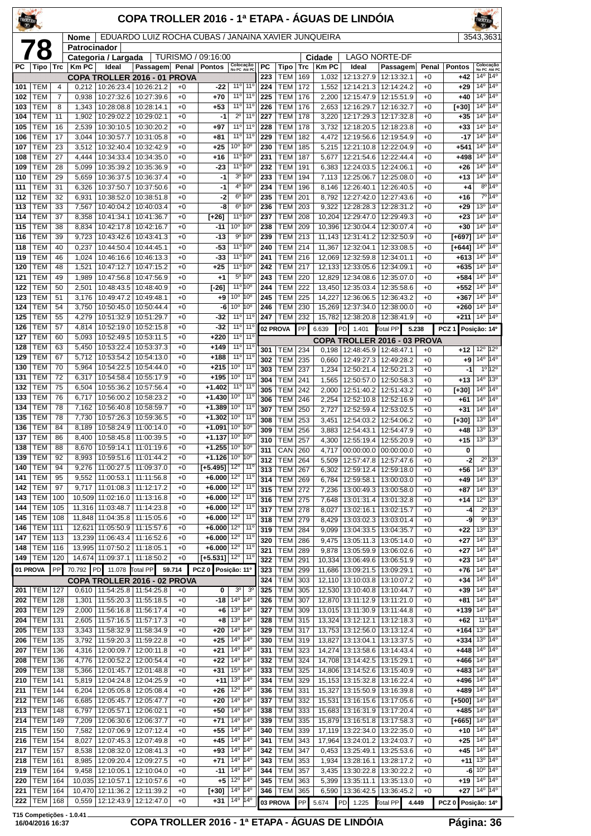| TROLLER    |                          |            |                      |                                                      | COPA TROLLER 2016 - 1ª ETAPA - ÁGUAS DE LINDÓIA                  |              |                                                  |                                                                    |                                    |            |                              |                   |                       |                                            |                                               |               |                                                                  | <b>TROLLED</b>                                                                |                                                                 |
|------------|--------------------------|------------|----------------------|------------------------------------------------------|------------------------------------------------------------------|--------------|--------------------------------------------------|--------------------------------------------------------------------|------------------------------------|------------|------------------------------|-------------------|-----------------------|--------------------------------------------|-----------------------------------------------|---------------|------------------------------------------------------------------|-------------------------------------------------------------------------------|-----------------------------------------------------------------|
|            |                          |            | Nome<br>Patrocinador |                                                      | EDUARDO LUIZ ROCHA CUBAS / JANAINA XAVIER JUNQUEIRA              |              |                                                  |                                                                    |                                    |            |                              |                   |                       |                                            |                                               |               |                                                                  | 3543.3631                                                                     |                                                                 |
|            | 78                       |            |                      | Categoria / Largada                                  |                                                                  |              | TURISMO / 09:16:00                               |                                                                    |                                    |            |                              |                   | Cidade                |                                            | <b>LAGO NORTE-DF</b>                          |               |                                                                  |                                                                               |                                                                 |
| <b>PC</b>  | Tipo                     | Trc        | <b>Km PC</b>         | Ideal                                                | Passagem<br>COPA TROLLER 2016 - 01 PROVA                         | Penal        | <b>Pontos</b>                                    | Colocação<br>No PC Até PC                                          |                                    | РC<br>223  | Tipo<br>TEM                  | <b>Trc</b><br>169 | <b>Km PC</b><br>1,032 | Ideal<br>12:13:27.9                        | Passagem<br>12:13:32.1                        | Penal<br>$+0$ | <b>Pontos</b><br>+42                                             | $14^{\circ}$                                                                  | Colocação<br>No PC Até PC<br>$14^{\circ}$                       |
| 101        | TEM                      | 4          | 0.212                | 10:26:23.4                                           | 10:26:21.2                                                       | $+0$         | -22                                              | 11°                                                                | 11 <sup>0</sup>                    | 224        | <b>TEM</b>                   | 172               | 1,552                 | 12:14:21.3                                 | 12:14:24.2                                    | $+0$          | $+29$                                                            | $14^{\circ}$                                                                  | $14^{\circ}$                                                    |
| 102        | TEM                      | 7          | 0,938                | 10:27:32.6                                           | 10:27:39.6                                                       | $+0$         | $+70$                                            | 11° 11°<br>11° 11°                                                 |                                    | 225        | <b>TEM</b>                   | 176               | 2,200                 | 12:15:47.9                                 | 12:15:51.9                                    | $+0$          | $+40$                                                            | $14^{\circ}$<br>$14^{\circ}$                                                  | $14^{\circ}$<br>$14^{\circ}$                                    |
| 103<br>104 | <b>TEM</b><br>TEM        | 8<br>11    | 1,343<br>1,902       | 10:28:08.8   10:28:14.1<br>10:29:02.2                | 10:29:02.1                                                       | $+0$<br>$+0$ | $+53$<br>-1                                      | $2^{\circ}$                                                        | 11 <sup>0</sup>                    | 226<br>227 | <b>TEM</b><br><b>TEM</b>     | 176<br>178        | 2,653<br>3,220        | 12:16:29.7<br>12:17:29.3                   | 12:16:32.7<br>12:17:32.8                      | $+0$<br>$+0$  | [+30]<br>$+35$                                                   | 14 <sup>0</sup>                                                               | $14^{\circ}$                                                    |
| 105        | TEM                      | 16         | 2,539                | 10:30:10.5                                           | 10:30:20.2                                                       | $+0$         | $+97$                                            | 11º 11º                                                            |                                    | 228        | <b>TEM</b>                   | 178               | 3,732                 | 12:18:20.5                                 | 12:18:23.8                                    | $+0$          | $+33$                                                            | 14 <sup>0</sup>                                                               | 14°                                                             |
| 106<br>107 | TEM<br>TEM               | 17<br>23   | 3.044<br>3,512       | 10:30:57.7<br>10:32:40.4                             | 10:31:05.8<br>10:32:42.9                                         | $+0$<br>$+0$ | $+81$<br>$+25$                                   | 11° 11°<br>10 <sup>o</sup>                                         | 10°                                | 229<br>230 | <b>TEM</b><br><b>TEM</b>     | 182<br>185        | 4,472<br>5,215        | 12:19:56.6<br>12:21:10.8                   | 12:19:54.9<br>12:22:04.9                      | $+0$<br>$+0$  | $-17$<br>+541                                                    | $14^{\circ}$<br>14 <sup>0</sup>                                               | $14^{\circ}$<br>14°                                             |
| 108        | тем                      | 27         | 4,444                | 10:34:33.4                                           | 10:34:35.0                                                       | $+0$         | $+16$                                            | 11 <sup>o</sup> 10 <sup>o</sup>                                    |                                    | 231        | TEM                          | 187               | 5,677                 | 12:21:54.6                                 | 12:22:44.4                                    | $+0$          | +498                                                             | $14^{o}$                                                                      | 14°                                                             |
| 109        | TEM                      | 28         | 5,099                | 10:35:39.2                                           | 10:35:36.9                                                       | $+0$         | -23                                              | 11º 10º                                                            |                                    | 232        | <b>TEM</b>                   | 191               | 6,383                 | 12:24:03.5                                 | 12:24:06.1                                    | $+0$          | $+26$                                                            | $14^{\circ}$                                                                  | $14^{\circ}$                                                    |
| 110<br>111 | TEM<br>TEM               | 29<br>31   | 5,659<br>6,326       | 10:36:37.5<br>10:37:50.7                             | 10:36:37.4<br>10:37:50.6                                         | $+0$<br>$+0$ | $-1$<br>$-1$                                     | 3º 10º<br>4º 10º                                                   |                                    | 233<br>234 | <b>TEM</b><br><b>TEM</b>     | 194<br>196        | 7,113<br>8,146        | 12:25:06.7<br>12:26:40.1                   | 12:25:08.0<br>12:26:40.5                      | $+0$<br>$+0$  | $+13$<br>$^{+4}$                                                 | $14^{\circ}$                                                                  | 14 <sup>o</sup><br>$8^{\circ}$ 14°                              |
| 112        | TEM                      | 32         | 6,931                | 10:38:52.0                                           | 10:38:51.8                                                       | $+0$         | -2                                               | 6º 10º                                                             |                                    | 235        | <b>TEM</b>                   | 201               | 8,792                 | 12:27:42.0                                 | 12:27:43.6                                    | $+0$          | +16                                                              |                                                                               | $7^{\circ}14^{\circ}$                                           |
| 113        | TEM                      | 33         | 7,567                | 10:40:04.2                                           | 10:40:03.4                                                       | $+0$         | -8                                               | 6º 10º                                                             |                                    | 236        | <b>TEM</b>                   | 203               | 9,322                 | 12:28:28.3                                 | 12:28:31.2                                    | $+0$          | $+29$                                                            | 13 <sup>o</sup>                                                               | 140                                                             |
| 114<br>115 | TEM<br><b>TEM</b>        | 37<br>38   | 8,358<br>8,834       | 10:41:34.1<br>10:42:17.8                             | 10:41:36.7<br>10:42:16.7                                         | $+0$<br>$+0$ | $[+26]$<br>-11                                   | 11 <sup>o</sup> 10 <sup>o</sup><br>10°                             | $10^{\circ}$                       | 237<br>238 | TEM<br><b>TEM</b>            | 208<br>209        | 10,396                | 10,204 12:29:47.0<br>12:30:04.4            | 12:29:49.3<br>12:30:07.4                      | $+0$<br>$+0$  | $+23$<br>$+30$                                                   | 14 <sup>0</sup>                                                               | $14^{\circ}$ 14 <sup>°</sup><br>14°                             |
| 116        | TEM                      | 39         | 9,723                | 10:43:42.6                                           | 10:43:41.3                                                       | $+0$         | $-13$                                            | 9° 10°                                                             |                                    | 239        | TEM                          | 213               |                       | 11,143 12:31:41.2                          | 12:32:50.9                                    | $+0$          | [+697]                                                           | $14^{\circ}$                                                                  | $14^{\circ}$                                                    |
| 118        | TEM                      | 40         | 0,237                | 10:44:50.4                                           | 10:44:45.1                                                       | $+0$         | $-53$                                            | 11 <sup>o</sup> 10 <sup>o</sup><br>11 <sup>o</sup> 10 <sup>o</sup> |                                    | 240        | <b>TEM</b>                   | 214               | 11,367                | 12:32:04.1                                 | 12:33:08.5                                    | $+0$          | F+6441                                                           | $14^{\circ}$<br>$14^{\circ}$                                                  | $14^{\circ}$<br>14°                                             |
| 119<br>120 | TEM<br>TEM               | 46<br>48   | 1,024<br>1,521       | 10:46:16.6<br>10:47:12.7                             | 10:46:13.3<br>10:47:15.2                                         | $+0$<br>$+0$ | -33<br>$+25$                                     | 11º 10º                                                            |                                    | 241<br>242 | <b>TEM</b><br><b>TEM</b>     | 216<br>217        | 12,069                | 12:32:59.8<br>12,133 12:33:05.6            | 12:34:01.1<br>12:34:09.1                      | $+0$<br>$+0$  | +613<br>+635                                                     | 14 <sup>0</sup>                                                               | $14^{\circ}$                                                    |
| 121        | <b>TEM</b>               | 49         | 1,989                | 10:47:56.8                                           | 10:47:56.9                                                       | $+0$         | $+1$                                             | 5º 10º                                                             |                                    | 243        | <b>TEM</b>                   | 220               | 12.829                | 12:34:08.6                                 | 12:35:07.0                                    | $+0$          | +584                                                             | $14^{\circ}$                                                                  | $14^{\circ}$                                                    |
| 122        | TEM                      | 50         | 2,501                | 10:48:43.5                                           | 10:48:40.9                                                       | $+0$         | $[-26]$                                          | $11^{\circ}10^{\circ}$<br>10 <sup>o</sup>                          | 10°                                | 244        | <b>TEM</b>                   | 222               |                       | 13,450 12:35:03.4                          | 12:35:58.6                                    | $+0$          | $+552$                                                           | $14^{\circ}$<br>14 <sup>o</sup>                                               | $14^{\circ}$<br>14°                                             |
| 123<br>124 | TEM<br>TEM               | 51<br>54   | 3,176<br>3,750       | 10:49:47.2<br>10:50:45.0                             | 10:49:48.1<br>10:50:44.4                                         | $+0$<br>$+0$ | $+9$<br>-6                                       | 10 <sup>o</sup>                                                    | 10°                                | 245<br>246 | TEM<br><b>TEM</b>            | 225<br>230        | 14,227<br>15,269      | 12:36:06.5<br>12:37:34.0                   | 12:36:43.2<br>12:38:00.0                      | $+0$<br>$+0$  | $+367$<br>$+260$                                                 | $14^{\circ}$                                                                  | $14^{\circ}$                                                    |
| 125        | TEM                      | 55         | 4,279                | 10:51:32.9                                           | 10:51:29.7                                                       | $+0$         | $-32$                                            | 11º 11º                                                            |                                    | 247        | <b>TEM</b>                   | 232               |                       | 15,782 12:38:20.8                          | 12:38:41.9                                    | $+0$          | $+211$                                                           | $14^{\circ}$                                                                  | $14^{\circ}$                                                    |
| 126<br>127 | TEM<br>TEM               | 57<br>60   | 4,814<br>5,093       | 10:52:19.0<br>10:52:49.5                             | 10:52:15.8<br>10:53:11.5                                         | $+0$<br>$+0$ | -32<br>$+220$                                    | 11º 11º<br>$11^{\circ}$                                            | 11 <sup>c</sup>                    |            | 02 PROVA                     | PP                | 6.639                 | PD<br>1.401                                | <b>Total PP</b>                               | 5.238         | PCZ <sub>1</sub>                                                 | Posição: 14º                                                                  |                                                                 |
| 128        | TEM                      | 63         | 5,450                | 10:53:22.4                                           | 10:53:37.3                                                       | $+0$         | $+149$                                           | 11°                                                                | 11 <sup>c</sup>                    | 301        | TEM                          | 234               |                       | $0,198$   12:48:45.9                       | COPA TROLLER 2016 - 03 PROVA<br>12:48:47.1    | $+0$          | +12                                                              |                                                                               | $12^{\circ}$ 12 $^{\circ}$                                      |
| 129        | <b>TEM</b>               | 67         | 5,712                | 10:53:54.2                                           | 10:54:13.0                                                       | $+0$         | $+188$                                           | 11º 11º                                                            |                                    | 302        | TEM                          | 235               | 0.660                 | 12:49:27.3                                 | 12:49:28.2                                    | $+0$          | +9                                                               | $14^{\circ}$                                                                  | $14^{\circ}$                                                    |
| 130<br>131 | TEM<br>TEM               | 70<br>72   | 5,964<br>6,317       | 10:54:22.5<br>10:54:58.4                             | 10:54:44.0<br>10:55:17.9                                         | $+0$<br>$+0$ | $+215$<br>+195                                   | 10 <sup>o</sup><br>10 <sup>o</sup>                                 | $11^{\circ}$<br>11 <sup>0</sup>    | 303        | <b>TEM</b>                   | 237               | 1,234                 | 12:50:21.4                                 | 12:50:21.3                                    | $+0$          | -1                                                               |                                                                               | $1°$ 12°                                                        |
| 132        | TEM                      | 75         | 6,504                | 10:55:36.2                                           | 10:57:56.4                                                       | $+0$         | $+1.402$                                         | 11°                                                                | $11^{\circ}$                       | 304<br>305 | <b>TEM</b><br><b>TEM</b>     | 241<br>242        | 1,565<br>2,000        | 12:50:57.0<br>12:51:40.2                   | 12:50:58.3<br>12:51:43.2                      | $+0$<br>$+0$  | $+13$<br>[+30]                                                   | $14^{\circ}$                                                                  | 13 <sup>o</sup><br>$14^{\circ}$ $14^{\circ}$                    |
| 133        | TEM                      | 76         | 6,717                | 10:56:00.2                                           | 10:58:23.2                                                       | $+0$         | $+1.430$                                         | 10 <sup>o</sup>                                                    | $11^{\circ}$                       | 306        | <b>TEM</b>                   | 246               | 2,254                 | 12:52:10.8                                 | 12:52:16.9                                    | $+0$          | +61                                                              | $14^{\circ}$                                                                  | 14°                                                             |
| 134<br>135 | TEM<br>TEM               | 78<br>78   | 7,162<br>7,730       | 10:56:40.8<br>10:57:26.3                             | 10:58:59.7<br>10:59:36.5                                         | $+0$<br>$+0$ | $+1.389$<br>$+1.302$                             | 10 <sup>o</sup><br>10 <sup>o</sup>                                 | 11 <sup>0</sup><br>11 <sup>0</sup> | 307        | <b>TEM</b>                   | 250               | 2,727                 | 12:52:59.4                                 | 12:53:02.5                                    | $+0$          | $+31$                                                            | 14 <sup>0</sup>                                                               | 14°<br>$14^{\circ}$                                             |
| 136        | TEM                      | 84         | 8,189                | 10:58:24.9                                           | 11:00:14.0                                                       | +0           | +1.091                                           | 10 <sup>o</sup>                                                    | 10°                                | 308<br>309 | <b>TEM</b><br><b>TEM</b>     | 253<br>256        | 3,451<br>3,883        | 12:54:03.2<br>12:54:43.1                   | 12:54:06.2<br>12:54:47.9                      | $+0$<br>$+0$  | [+30]<br>$+48$                                                   | 13 <sup>o</sup><br>13 <sup>o</sup>                                            | 13°                                                             |
| 137        | TEM                      | 86         | 8,400                |                                                      | 10:58:45.8   11:00:39.5                                          | $+0$         | $+1.137$                                         | 10 <sup>o</sup>                                                    | 10°                                | 310        | <b>TEM</b>                   | 257               |                       | 4,300 12:55:19.4                           | 12:55:20.9                                    | $+0$          | $+15$                                                            | 13 <sup>o</sup>                                                               | 13 <sup>o</sup>                                                 |
| 138<br>139 | <b>TEM</b><br><b>TEM</b> | 88<br>92   | 8,670<br>8,993       |                                                      | 10:59:14.1   11:01:19.6<br>10:59:51.6   11:01:44.2               | $+0$<br>$+0$ | $+1.255$<br>$+1.126 10°$                         | 10 <sup>o</sup>                                                    | 10°<br>10 <sup>o</sup>             | 311<br>312 | <b>CAN 260</b><br>TEM        |                   | 5.509                 |                                            | 4,717 00:00:00.0 00:00:00.0                   | $+0$          | 0<br>$-2$                                                        |                                                                               | 2º 13º                                                          |
| 140        | <b>TEM</b>               | 94         | 9,276                | 11:00:27.5                                           | 11:09:37.0                                                       | $+0$         | $[+5.495]$ 12°                                   |                                                                    | $11^{\circ}$                       | 313        | TEM                          | 264<br>267        | 6.302                 | 12:57:47.8<br>12:59:12.4                   | 12:57:47.6<br>12:59:18.0                      | $+0$<br>$+0$  | +56                                                              |                                                                               | 14 <sup>o</sup> 13 <sup>o</sup>                                 |
| 141        | <b>TEM</b>               | 95<br>97   | 9,552                | 11:00:53.1                                           | 11:11:56.8                                                       | $+0$         | $+6.000$<br>$+6.000$ 12°                         | $12^{\circ}$                                                       | $11^{\circ}$<br>$11^{\circ}$       | 314        | <b>TEM</b>                   | 269               | 6,784                 | 12:59:58.1                                 | 13:00:03.0                                    | $+0$          | $+49$                                                            |                                                                               | $14^{\circ}$ 13 <sup>°</sup>                                    |
| 142<br>143 | <b>TEM</b><br><b>TEM</b> | 100        |                      | 9,717   11:01:08.3   11:12:17.2<br>10,509 11:02:16.0 | 11:13:16.8                                                       | $+0$<br>$+0$ | +6.000 $12^{\circ}$                              |                                                                    | $11^{\circ}$                       | 315<br>316 | TEM<br><b>TEM 275</b>        | 272               | 7,236                 | 13:00:49.3                                 | 13:00:58.0<br>7,648   13:01:31.4   13:01:32.8 | $+0$<br>$+0$  | $+87$<br>$+14$                                                   |                                                                               | $14^{\circ}$ 13 <sup>°</sup><br>$12^{\circ}$ 13 $^{\circ}$      |
| 144        | <b>TEM</b>               | 105        |                      | 11,316 11:03:48.7                                    | 11:14:23.8                                                       | $+0$         | $+6.000$                                         | $12^{\circ}$                                                       | $11^{\circ}$                       | 317        | <b>TEM</b>                   | 278               | 8,027                 | 13:02:16.1                                 | 13:02:15.7                                    | $+0$          | -4                                                               |                                                                               | $2^{\circ}13^{\circ}$                                           |
| 145<br>146 | <b>TEM</b><br><b>TEM</b> | 108<br>111 |                      | 11,848 11:04:35.8 11:15:05.6<br>12,621 11:05:50.9    | 11:15:57.6                                                       | $+0$<br>$+0$ | $+6.000$<br>$+6.000$ 12°                         | 12°                                                                | $11^{\circ}$<br>$11^{\circ}$       | 318        | <b>TEM</b>                   | 279               | 8,429                 | 13:03:02.3                                 | 13:03:01.4                                    | $+0$          | -9                                                               |                                                                               | 9°13°                                                           |
| 147        | <b>TEM</b>               | 113        |                      | 13,239 11:06:43.4                                    | 11:16:52.6                                                       | $+0$         | $+6.000$                                         | $12^{\circ}$                                                       | 11 <sup>°</sup>                    | 319<br>320 | TEM<br><b>TEM</b>            | 284<br>286        | 9.099<br>9.475        | 13:04:33.5<br>13:05:11.3                   | 13:04:35.7<br>13:05:14.0                      | $+0$<br>$+0$  | $+22$<br>$+27$                                                   |                                                                               | $13^{\circ}$ 13 $^{\circ}$<br>14 <sup>o</sup> 13 <sup>o</sup>   |
| 148        | <b>TEM</b>               | 116        |                      | 13,995 11:07:50.2 11:18:05.1                         |                                                                  | $+0$         | $+6.000$ 12°                                     |                                                                    | $11^{\circ}$                       | 321        | TEM                          | 289               |                       | 9,878   13:05:59.9                         | 13:06:02.6                                    | $+0$          | $+27$                                                            |                                                                               | $14^{\circ}$ 14 <sup>°</sup>                                    |
| 149        | <b>TEM</b>               | 120<br>PP  |                      | 14,674 11:09:37.1                                    | 11:18:50.2                                                       | $+0$         | $[+5.531]$ 12 <sup>o</sup><br>PCZ 0 Posição: 11º |                                                                    | $11^{\circ}$                       | 322        | <b>TEM</b>                   | 291               | 10,334                | 13:06:49.6                                 | 13:06:51.9                                    | $+0$          | $+23$                                                            |                                                                               | $14^{\circ}$ 14 <sup>°</sup>                                    |
|            | 01 PROVA                 |            |                      |                                                      | 70.792 PD 11.078 Total PP 59.714<br>COPA TROLLER 2016 - 02 PROVA |              |                                                  |                                                                    |                                    | 323<br>324 | <b>TEM</b><br>TEM            | 299<br>303        | 11,686                | 13:09:21.5<br>12,110 13:10:03.8            | 13:09:29.1<br>13:10:07.2                      | $+0$<br>$+0$  | $+76$<br>$+34$                                                   |                                                                               | $14^{\circ}$ 14 <sup>°</sup><br>14 <sup>0</sup> 14 <sup>0</sup> |
| 201        | TEM                      | 127        |                      | 0,610   11:54:25.8   11:54:25.8                      |                                                                  | $+0$         | 0                                                | 3 <sup>o</sup>                                                     | 3 <sup>o</sup>                     | 325        | <b>TEM</b>                   | 305               |                       | 12,530 13:10:40.8                          | 13:10:44.7                                    | $+0$          | $+39$                                                            |                                                                               | $14^{\circ}$ 14 <sup>°</sup>                                    |
| 202<br>203 | <b>TEM</b><br><b>TEM</b> | 128<br>129 | 1,301                | 11:55:20.3<br>2,000   11:56:16.8   11:56:17.4        | 11:55:18.5                                                       | $+0$<br>$+0$ | -18<br>+6                                        | $14^{\circ}$<br>$13^{\circ}$ $ 14^{\circ}$                         | $14^{\circ}$                       | 326<br>327 | <b>TEM</b><br><b>TEM 309</b> | 307               |                       | 12,870 13:11:12.9<br>13,015 13:11:30.9     | 13:11:21.0<br>13:11:44.8                      | $+0$<br>$+0$  | $+81$<br>$+139$ $14^{\circ}$ $14^{\circ}$                        |                                                                               | 14 <sup>°</sup> 14 <sup>°</sup>                                 |
| 204        | <b>TEM</b>               | 131        | 2,605                | 11:57:16.5                                           | 11:57:17.3                                                       | $+0$         | $+8$                                             | 13 <sup>o</sup>                                                    | $14^{\circ}$                       | 328        | <b>TEM</b>                   | 315               |                       | 13,324 13:12:12.1                          | 13:12:18.3                                    | $+0$          | +62                                                              |                                                                               | $11^{\circ}14^{\circ}$                                          |
| 205        | <b>TEM</b>               | 133        | 3,343                | 11:58:32.9                                           | 11:58:34.9                                                       | $+0$         | $+20$                                            | $14^{\circ}$                                                       | 14°                                | 329        | <b>TEM 317</b>               |                   |                       | 13,753 13:12:56.0                          | 13:13:12.4                                    | $+0$          | $+164$                                                           |                                                                               | $13^{\circ}$ $14^{\circ}$                                       |
| 206<br>207 | <b>TEM</b><br><b>TEM</b> | 135<br>136 | 3,792<br>4,316       | 11:59:20.3<br>12:00:09.7                             | 11:59:22.8<br>12:00:11.8                                         | $+0$<br>$+0$ | $+25$<br>$+21$                                   | 14 <sup>°</sup> 14 <sup>°</sup><br>$14^{\circ}$                    | 14°                                | 330<br>331 | <b>TEM 319</b><br>TEM        | 323               |                       | 13,827 13:13:04.1<br>14,274 13:13:58.6     | 13:13:37.5<br>13:14:43.4                      | $+0$<br>$+0$  | $+334 13^{\circ}$ 14 <sup>°</sup><br>+448                        |                                                                               | 14 <sup>o</sup> 14 <sup>o</sup>                                 |
| 208        | <b>TEM</b>               | 136        |                      | 4,776   12:00:52.2                                   | 12:00:54.4                                                       | $+0$         | $+22$                                            | $14^{\circ}$                                                       | $ 14^{\circ}$                      | 332        | TEM                          | 324               |                       | 14,708 13:14:42.5                          | 13:15:29.1                                    | $+0$          | $+466$ $14^{\circ}$ $14^{\circ}$                                 |                                                                               |                                                                 |
| 209        | TEM                      | 138        | 5,366                | 12:01:45.7                                           | 12:01:48.8                                                       | $+0$         | $+31$                                            | 15°                                                                | $14^{\circ}$                       | 333        | TEM                          | 325               |                       | 14,806 13:14:52.6                          | 13:15:40.9                                    | $+0$          | $+483$ 14 <sup>°</sup> 14 <sup>°</sup>                           |                                                                               |                                                                 |
| 210<br>211 | <b>TEM</b><br><b>TEM</b> | 141<br>144 | 5,819                | 12:04:24.8<br>6,204   12:05:05.8   12:05:08.4        | 12:04:25.9                                                       | $+0$<br>$+0$ | +11<br>$+26$                                     | 13 <sup>°</sup><br>$12^{\circ}$                                    | 14°<br>$14^{\circ}$                | 334<br>336 | TEM<br>TEM                   | 329<br>331        |                       | 15,153 13:15:32.8<br>15,327 13:15:50.9     | 13:16:22.4<br>13:16:39.8                      | $+0$<br>$+0$  | +496<br>$+489$ 14 <sup>°</sup> 14 <sup>°</sup>                   |                                                                               | $14^{\circ}$ $14^{\circ}$                                       |
| 212        | <b>TEM</b>               | 146        | 6,685                | 12:05:45.7                                           | 12:05:47.7                                                       | $+0$         | $+20$                                            | $14^{\circ}$                                                       | 14°                                | 337        | TEM                          | 332               |                       | 15,531 13:16:15.6                          | 13:17:05.6                                    | $+0$          | [+500]                                                           |                                                                               | $14^{\circ}$ 14 <sup>°</sup>                                    |
| 213        | <b>TEM</b>               | 148        | 6,797                | 12:05:57.1                                           | 12:06:02.1                                                       | $+0$         | $+50$                                            | $14^{\circ}$                                                       | 14°                                | 338        | <b>TEM</b>                   | 333               |                       | 15,683 13:16:31.9                          | 13:17:20.4                                    | $+0$          | +485                                                             |                                                                               | $14^{\circ}$ 14 <sup>°</sup>                                    |
| 214<br>215 | <b>TEM</b><br><b>TEM</b> | 149<br>150 | 7,209<br>7,582       | 12:06:30.6<br>12:07:06.9                             | 12:06:37.7<br>12:07:12.4                                         | $+0$<br>$+0$ | $+71$<br>$+55$                                   | 14 <sup>°</sup> 14 <sup>°</sup><br>$14^{\circ}$                    | $14^{\circ}$                       | 339<br>340 | <b>TEM 335</b><br><b>TEM</b> | 339               |                       | 15,879 13:16:51.8<br>17,119   13:22:34.0   | 13:17:58.3<br>13:22:35.0                      | $+0$<br>$+0$  | $[+665]$ $\overline{14^{\circ}$ $\overline{14^{\circ}}$<br>$+10$ |                                                                               | $14^{\circ}$ 14 <sup>°</sup>                                    |
| 216        | <b>TEM</b>               | 154        | 8,027                | 12:07:45.3                                           | 12:07:49.8                                                       | $+0$         | $+45$                                            | $14^{\circ}$                                                       | 14°                                | 341        | TEM                          | 343               |                       | 17,964 13:24:01.2                          | 13:24:03.7                                    | $+0$          | $+25$                                                            | $14^{\circ}$                                                                  | 14 <sup>°</sup>                                                 |
| 217        | <b>TEM</b>               | 157        | 8,538                | 12:08:32.0                                           | 12:08:41.3                                                       | $+0$         | $+93$                                            | $14^{\circ}$                                                       | $14^{\circ}$                       | 342        | <b>TEM</b>                   | 347               | 0,453                 | 13:25:49.1                                 | 13:25:53.6                                    | $+0$          | $+45$                                                            |                                                                               | $14^{\circ}$ 14 <sup>°</sup>                                    |
| 218<br>219 | <b>TEM</b><br>TEM        | 161<br>164 |                      | 8,985   12:09:20.4<br>9,458   12:10:05.1             | 12:09:27.5<br>12:10:04.0                                         | $+0$<br>$+0$ | $+71$<br>$-11$                                   | 14 <sup>°</sup> 14 <sup>°</sup><br>$14^{\circ}$                    | $ 14^{\circ}$                      | 343<br>344 | <b>TEM</b><br>TEM            | 353<br>357        |                       | 1,934   13:28:16.1  <br>3,435   13:30:22.8 | 13:28:17.2<br>13:30:22.2                      | $+0$<br>$+0$  |                                                                  | $+11$ 13 <sup>o</sup> 14 <sup>o</sup><br>$-6$ 10 <sup>o</sup> 14 <sup>o</sup> |                                                                 |
| 220        | <b>TEM</b>               | 164        |                      | 10,035 12:10:57.1                                    | 12:10:57.6                                                       | $+0$         | $+5$                                             | 12 <sup>o</sup> 14 <sup>o</sup>                                    |                                    | 345        | <b>TEM</b>                   | 363               | 5,399                 | 13:35:11.1                                 | 13:35:13.0                                    | $+0$          | $+19$                                                            |                                                                               | $14^{\circ}$ $14^{\circ}$                                       |
| 221        | <b>TEM</b>               | 164        |                      | 10,470 12:11:36.2                                    | 12:11:39.2                                                       | $+0$         | $[+30]$                                          | 14 <sup>°</sup> 14 <sup>°</sup>                                    |                                    | 346        | <b>TEM</b>                   | 365               |                       | 6,590 13:36:42.5                           | 13:36:45.2                                    | $+0$          |                                                                  | <b>+27</b> 14º 14º                                                            |                                                                 |
| 222        | <b>TEM</b>               | 168        |                      | $0,559$   12:12:43.9                                 | 12:12:47.0                                                       | $+0$         | $+31$                                            | 14 <sup>o</sup> 14 <sup>o</sup>                                    |                                    |            | 03 PROVA                     |                   |                       | PP 5.674 PD 1.225 Total PP                 |                                               | 4.449         | PCZ 0 Posição: 14º                                               |                                                                               |                                                                 |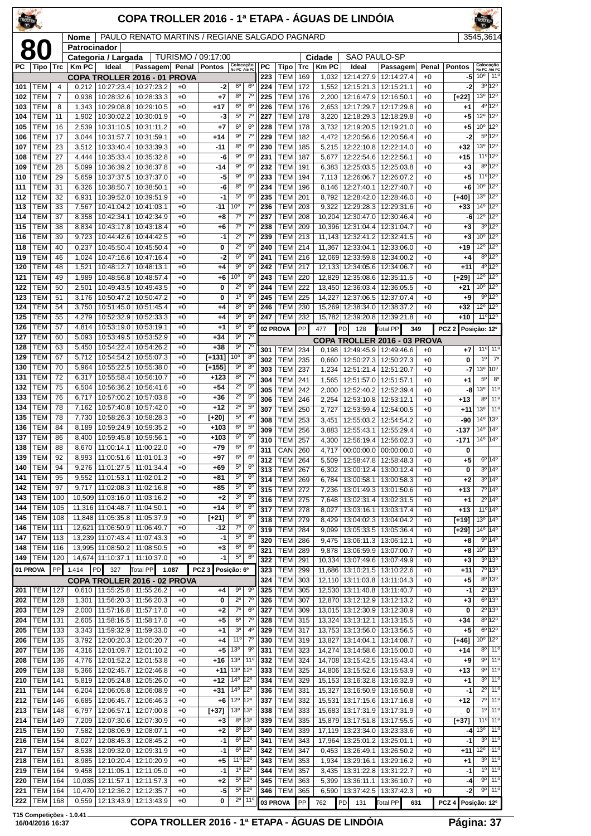| TROLLER    |                          |                     |                      |                                                              | COPA TROLLER 2016 - 1ª ETAPA - ÁGUAS DE LINDÓIA    |              |                                     |                                                 |                                    |            |                          |            |                       |                                                   |                                       |               |                    |                                                                   |
|------------|--------------------------|---------------------|----------------------|--------------------------------------------------------------|----------------------------------------------------|--------------|-------------------------------------|-------------------------------------------------|------------------------------------|------------|--------------------------|------------|-----------------------|---------------------------------------------------|---------------------------------------|---------------|--------------------|-------------------------------------------------------------------|
|            | 80                       |                     | Nome<br>Patrocinador |                                                              | PAULO RENATO MARTINS / REGIANE SALGADO PAGNARD     |              |                                     |                                                 |                                    |            |                          |            |                       |                                                   |                                       |               |                    | 3545,3614                                                         |
| PC.        |                          | <b>Trc</b>          | <b>Km PC</b>         | Categoria / Largada<br>Ideal                                 |                                                    |              | TURISMO / 09:17:00<br><b>Pontos</b> |                                                 |                                    | <b>PC</b>  |                          |            | Cidade<br><b>KmPC</b> | <b>SAO PAULO-SP</b><br>Ideal                      |                                       |               | <b>Pontos</b>      |                                                                   |
|            | Tipo                     |                     |                      |                                                              | Passagem<br>COPA TROLLER 2016 - 01 PROVA           | Penal        |                                     | Colocação<br>No PC Até PC                       |                                    | 223        | Tipo<br><b>TEM</b>       | Trc<br>169 | 1,032                 | 12:14:27.9                                        | Passagem<br>12:14:27.4                | Penal<br>$+0$ | -5                 | Colocação<br>No PC Até PC<br>$10^{\circ}$<br>$11^{\circ}$         |
| 101        | TEM                      | $\overline{4}$      | 0.212                |                                                              | 10:27:23.4   10:27:23.2                            | $+0$         | -2                                  | $6^{\circ}$                                     | $6^{\circ}$                        | 224        | TEM                      | 172        | 1,552                 | 12:15:21.3                                        | 12:15:21.1                            | $+0$          | -2                 | $3^0$ 12 <sup>0</sup>                                             |
| 102<br>103 | <b>TEM</b><br>TEM        | $\overline{7}$<br>8 | 0,938<br>1,343       | 10:28:32.6<br>10:29:08.8                                     | 10:28:33.3<br>10:29:10.5                           | $+0$<br>$+0$ | +7<br>$+17$                         | 8 <sup>0</sup><br>$6^{\circ}$                   | $7^{\circ}$<br>6 <sup>o</sup>      | 225<br>226 | <b>TEM</b><br><b>TEM</b> | 176<br>176 | 2,200<br>2,653        | 12:16:47.9<br>12:17:29.7                          | 12:16:50.1<br>12:17:29.8              | $+0$<br>$+0$  | $[-22]$<br>+1      | 13º 12º<br>$4^{\circ}12^{\circ}$                                  |
| 104        | TEM                      | 11                  | 1,902                | 10:30:02.2                                                   | 10:30:01.9                                         | $+0$         | -3                                  | $\overline{5^0}$                                | $\overline{7^{\circ}}$             | 227        | <b>TEM</b>               | 178        | 3,220                 | 12:18:29.3                                        | 12:18:29.8                            | $+0$          | +5                 | 12º 12º                                                           |
| 105<br>106 | TEM<br>TEM               | 16<br>17            | 2,539<br>3,044       | 10:31:10.5<br>10:31:57.7                                     | 10:31:11.2<br>10:31:59.1                           | $+0$<br>$+0$ | +7<br>$+14$                         | $6^{\circ}$<br>$9^{\circ}$                      | 6 <sup>o</sup><br>$7^\circ$        | 228<br>229 | <b>TEM</b><br><b>TEM</b> | 178<br>182 | 3,732<br>4,472        | 12:19:20.5<br>12:20:56.6                          | 12:19:21.0<br>12:20:56.4              | $+0$<br>$+0$  | $+5$<br>-2         | $10^{\circ}$ 12°<br>$5^{\circ}12^{\circ}$                         |
| 107        | TEM                      | 23                  | 3,512                | 10:33:40.4                                                   | 10:33:39.3                                         | $+0$         | $-11$                               | 8 <sup>o</sup>                                  | $6^{\circ}$                        | 230        | <b>TEM</b>               | 185        | 5,215                 | 12:22:10.8                                        | 12:22:14.0                            | $+0$          | $+32$              | 13º 12º                                                           |
| 108        | TEM                      | 27                  | 4,444                | 10:35:33.4                                                   | 10:35:32.8                                         | $+0$         | -6                                  | $9^{\circ}$<br>$9^{\circ}$                      | 6 <sup>o</sup>                     | 231        | <b>TEM</b>               | 187        | 5,677                 | 12:22:54.6                                        | 12:22:56.1                            | $+0$          | +15                | 11º 12º<br>$8^{\circ}12^{\circ}$                                  |
| 109<br>110 | TEM<br>TEM               | 28<br>29            | 5,099<br>5,659       | 10:36:39.2<br>10:37:37.5                                     | 10:36:37.8<br>10:37:37.0                           | $+0$<br>$+0$ | $-14$<br>-5                         | $9^{\circ}$                                     | $6^{\circ}$<br>$6^{\circ}$         | 232<br>233 | <b>TEM</b><br><b>TEM</b> | 191<br>194 | 6,383<br>7,113        | 12:25:03.5<br>12:26:06.7                          | 12:25:03.8<br>12:26:07.2              | $+0$<br>$+0$  | $+3$<br>+5         | $11^{\circ}12^{\circ}$                                            |
| 111        | TEM                      | 31                  | 6,326                | 10:38:50.7                                                   | 10:38:50.1                                         | $+0$         | -6                                  | $8^{\circ}$                                     | 6 <sup>o</sup>                     | 234        | <b>TEM</b>               | 196        | 8,146                 | 12:27:40.1                                        | 12:27:40.7                            | $+0$          | +6                 | $10^{\circ}$ 12°                                                  |
| 112<br>113 | TEM<br><b>TEM</b>        | 32<br>33            | 6,931<br>7,567       | 10:39:52.0<br>10:41:04.2                                     | 10:39:51.9<br>10:41:03.1                           | $+0$<br>$+0$ | -1<br>$-11$                         | $5^{\circ}$<br>10 <sup>o</sup>                  | $6^{\circ}$<br>$7^\circ$           | 235<br>236 | <b>TEM</b><br><b>TEM</b> | 201<br>203 | 8,792<br>9,322        | 12:28:42.0<br>12:29:28.3                          | 12:28:46.0<br>12:29:31.6              | $+0$<br>$+0$  | $[+40]$<br>$+33$   | 13º 12º<br>14 <sup>o</sup> 12 <sup>o</sup>                        |
| 114        | TEM                      | 37                  | 8,358                | 10:42:34.1                                                   | 10:42:34.9                                         | $+0$         | +8                                  | $7^\circ$                                       | $7^{\circ}$                        | 237        | <b>TEM</b>               | 208        |                       | 10,204 12:30:47.0                                 | 12:30:46.4                            | $+0$          | -61                | 12°<br>12°                                                        |
| 115        | TEM                      | 38                  | 8,834                | 10:43:17.8                                                   | 10:43:18.4                                         | $+0$         | +6                                  | $7^\circ$                                       | $7^\circ$                          | 238        | <b>TEM</b>               | 209        | 10,396                | 12:31:04.4                                        | 12:31:04.7                            | $+0$          | $+3$               | $3^0$ 12 <sup>0</sup>                                             |
| 116<br>118 | <b>TEM</b><br>TEM        | 39<br>40            | 9,723<br>0,237       | 10:44:42.6<br>10:45:50.4                                     | 10:44:42.5<br>10:45:50.4                           | $+0$<br>$+0$ | -1<br>0                             | $2^{\circ}$<br>$2^{\circ}$                      | $7^\circ$<br>6 <sup>o</sup>        | 239<br>240 | <b>TEM</b><br><b>TEM</b> | 213<br>214 | 11,367                | 11,143 12:32:41.2<br>12:33:04.1                   | 12:32:41.5<br>12:33:06.0              | $+0$<br>$+0$  | $+3$<br>+19        | 10 <sup>°</sup> 12 <sup>°</sup><br>12º 12º                        |
| 119        | TEM                      | 46                  | 1,024                | 10:47:16.6                                                   | 10:47:16.4                                         | $+0$         | -2                                  | $6^{\circ}$                                     | $6^{\circ}$                        | 241        | <b>TEM</b>               | 216        | 12,069                | 12:33:59.8                                        | 12:34:00.2                            | $+0$          | +4                 | $8^{\circ}12^{\circ}$                                             |
| 120        | TEM                      | 48                  | 1,521                | 10:48:12.7                                                   | 10:48:13.1                                         | $+0$         | +4                                  | $9^{\circ}$                                     | 6 <sup>o</sup>                     | 242        | <b>TEM</b>               | 217        |                       | 12,133 12:34:05.6                                 | 12:34:06.7                            | $+0$          | $+11$              | $4^{\circ}12^{\circ}$                                             |
| 121<br>122 | TEM<br>TEM               | 49<br>50            | 1,989<br>2,501       | 10:48:56.8<br>10:49:43.5                                     | 10:48:57.4<br>10:49:43.5                           | $+0$<br>$+0$ | +6<br>0                             | 10 <sup>o</sup><br>$2^{\circ}$                  | 6 <sup>o</sup><br>$6^{\circ}$      | 243<br>244 | <b>TEM</b><br><b>TEM</b> | 220<br>222 | 12,829                | 12:35:08.6<br>13,450 12:36:03.4                   | 12:35:11.5<br>12:36:05.5              | $+0$<br>$+0$  | [+29]<br>$+21$     | $12^{\circ}$ 12 <sup>°</sup><br>$12^{\circ}$<br>10 <sup>o</sup>   |
| 123        | TEM                      | 51                  | 3,176                | 10:50:47.2                                                   | 10:50:47.2                                         | $+0$         | 0                                   | 1 <sup>0</sup>                                  | 6 <sup>o</sup>                     | 245        | <b>TEM</b>               | 225        | 14,227                | 12:37:06.5                                        | 12:37:07.4                            | $+0$          | +9                 | 9°12°                                                             |
| 124<br>125 | TEM<br>TEM               | 54                  | 3,750<br>4,279       | 10:52:32.9                                                   | 10:51:45.0   10:51:45.4<br>10:52:33.3              | $+0$<br>$+0$ | +4                                  | 8 <sup>o</sup><br>$9^{\circ}$                   | 6 <sup>o</sup><br>6 <sup>o</sup>   | 246<br>247 | <b>TEM</b><br><b>TEM</b> | 230<br>232 | 15,782                | 15,269 12:38:34.0                                 | 12:38:37.2<br>12:39:21.8              | $+0$<br>$+0$  | +32<br>+10         | 12 <sup>°</sup> 12 <sup>°</sup><br>11º 12º                        |
| 126        | TEM                      | 55<br>57            | 4,814                | 10:53:19.0                                                   | 10:53:19.1                                         | $+0$         | +4<br>+1                            | $6^{\circ}$                                     | 6 <sup>c</sup>                     |            | 02 PROVA                 | PP         | 477                   | 12:39:20.8<br>PD<br>128                           | Total PP                              | 349           | PCZ <sub>2</sub>   | Posição: 12º                                                      |
| 127        | TEM                      | 60                  | 5,093                |                                                              | 10:53:49.5   10:53:52.9                            | $+0$         | $+34$                               | $9^{\circ}$                                     | $7^\circ$                          |            |                          |            |                       | COPA TROLLER 2016 - 03 PROVA                      |                                       |               |                    |                                                                   |
| 128<br>129 | TEM<br>TEM               | 63<br>67            | 5,450<br>5,712       | 10:54:22.4<br>10:54:54.2                                     | 10:54:26.2<br>10:55:07.3                           | $+0$<br>$+0$ | $+38$<br>$[+131]$                   | $9^{\circ}$<br>10 <sup>o</sup>                  | $7^\circ$<br>$8^{\circ}$           | 301        | <b>TEM</b>               | 234        | 0.198                 | 12:49:45.9                                        | 12:49:46.6                            | $+0$          | +7                 | 11º 11º                                                           |
| 130        | TEM                      | 70                  | 5,964                | 10:55:22.5                                                   | 10:55:38.0                                         | $+0$         | [+155]                              | 90                                              | 8 <sup>o</sup>                     | 302<br>303 | <b>TEM</b><br><b>TEM</b> | 235<br>237 | 0,660<br>1,234        | 12:50:27.3                                        | 12:50:27.3<br>12:51:21.4   12:51:20.7 | $+0$<br>$+0$  | 0<br>-7            | $7^\circ$<br>$1^{\circ}$<br>$13^{\circ}$ $10^{\circ}$             |
| 131        | TEM                      | 72                  | 6,317                | 10:55:58.4                                                   | 10:56:10.7                                         | $+0$         | +123                                | 8 <sup>0</sup>                                  | $7^\circ$                          | 304        | <b>TEM</b>               | 241        | 1,565                 | 12:51:57.0                                        | 12:51:57.1                            | $+0$          | $+1$               | $5^{\circ}$<br>8 <sup>o</sup>                                     |
| 132<br>133 | TEM<br>TEM               | 75<br>76            | 6,504<br>6,717       | 10:56:36.2<br>10:57:00.2                                     | 10:56:41.6<br>10:57:03.8                           | $+0$<br>$+0$ | $+54$<br>$+36$                      | $2^{\circ}$<br>$2^{\circ}$                      | $5^{\circ}$<br>5 <sup>0</sup>      | 305        | <b>TEM</b>               | 242        | 2,000                 | 12:52:40.2                                        | 12:52:39.4                            | $+0$          | -8                 | 11 <sup>o</sup><br>13 <sup>o</sup><br>$8^{\circ}$ 11 <sup>°</sup> |
| 134        | TEM                      | 78                  | 7,162                | 10:57:40.8                                                   | 10:57:42.0                                         | $+0$         | $+12$                               | $2^{\circ}$                                     | $5^{\circ}$                        | 306<br>307 | <b>TEM</b><br><b>TEM</b> | 246<br>250 | 2,254<br>2,727        | 12:53:10.8<br>12:53:59.4                          | 12:53:12.1<br>12:54:00.5              | $+0$<br>$+0$  | +13<br>$+11$       | 11 <sup>0</sup><br>13 <sup>o</sup>                                |
| 135        | <b>TEM</b>               | 78                  | 7,730                |                                                              | 10:58:26.3 10:58:28.3                              | $+0$         | $[+20]$                             | $5^{\circ}$                                     | 4 <sup>o</sup>                     | 308        | <b>TEM</b>               | 253        | 3,451                 | 12:55:03.2                                        | 12:54:54.2                            | $+0$          | -90                | 14 <sup>o</sup> 13 <sup>o</sup>                                   |
| 136<br>137 | TEM<br>TEM               | 84<br>86            | 8,189<br>8,400       | 10:59:24.9<br>10:59:45.8                                     | 10:59:35.2<br>10:59:56.1                           | $+0$<br>$+0$ | +103<br>$+103$                      | $6^{\circ}$<br>$6^{\circ}$                      | $5^{\circ}$<br>6 <sup>o</sup>      | 309<br>310 | <b>TEM</b>               | 256        | 3,883                 | 12:55:43.1                                        | 12:55:29.4                            | $+0$          | $-137$<br>$-171$   | $14^{\circ}$ 14 <sup>°</sup><br>$14^{\circ}$ 14 $^{\circ}$        |
| 138        | <b>TEM</b>               | 88                  | 8.670                |                                                              | $11:00:14.1$ 11:00:22.0                            | $+0$         | $+79$                               | $6^{\circ}$                                     | 6 <sup>o</sup>                     | 311        | <b>TEM</b><br>CAN        | 257<br>260 | 4,300                 | 12:56:19.4<br>4,717 00:00:00.0 00:00:00.0         | 12:56:02.3                            | $+0$<br>$+0$  | 0                  |                                                                   |
| 139        | TEM                      | 92                  | 8,993                |                                                              | 11:00:51.6   11:01:01.3                            | $+0$         | +97                                 | $6^{\circ}$<br>$5^{\rm o}$                      | 6 <sup>o</sup><br>6 <sup>o</sup>   | 312        | TEM                      | 264        | 5,509                 | 12:58:47.8                                        | 12:58:48.3                            | $^{+0}$       | +5                 | $6^{\circ}$ 14°                                                   |
| 140<br>141 | <b>TEM</b><br><b>TEM</b> | 94<br>95            | 9,276<br>9,552       | 11:01:27.5<br>11:01:53.1                                     | 11:01:34.4<br>11:02:01.2                           | $+0$<br>$+0$ | +69<br>+81                          | $5^{\rm o}$                                     | 6 <sup>o</sup>                     | 313<br>314 | <b>TEM</b><br><b>TEM</b> | 267<br>269 | 6.302<br>6,784        | 13:00:12.4<br>13:00:58.1                          | 13:00:12.4<br>13:00:58.3              | $+0$<br>$+0$  | 0<br>+2            | $3^0$ 14 <sup>0</sup><br>$3^0$ 14 <sup>0</sup>                    |
| 142        | <b>TEM</b>               | 97                  | 9,717                |                                                              | 11:02:08.3   11:02:16.8                            | $+0$         | $+85$                               | $5^{\rm o}$                                     | 6 <sup>o</sup>                     | 315        | <b>TEM</b>               | 272        | 7,236                 | 13:01:49.3                                        | 13:01:50.6                            | $+0$          | $+13$              | 7º 14º                                                            |
| 143<br>144 | <b>TEM</b><br><b>TEM</b> | 100<br>105          |                      | 10,509 11:03:16.0 11:03:16.2<br>11,316 11:04:48.7            | 11:04:50.1                                         | $+0$<br>$+0$ | +2<br>$+14$                         | 3 <sup>o</sup><br>$6^{\circ}$                   | $6^{\circ}$<br>6 <sup>o</sup>      | 316        | TEM                      | 275        | 7,648                 | 13:02:31.4                                        | 13:02:31.5                            | $+0$          | $+1$               | $2^{\circ}$ 14 <sup>°</sup>                                       |
| 145        | <b>TEM</b>               | 108                 |                      | 11,848 11:05:35.8                                            | 11:05:37.9                                         | $+0$         | $[+21]$                             | $6^{\circ}$                                     | 6 <sup>o</sup>                     | 317<br>318 | TEM<br><b>TEM</b>        | 278<br>279 | 8,027<br>8,429        | 13:03:16.1<br>13:04:02.3                          | 13:03:17.4<br>13:04:04.2              | $+0$<br>$+0$  | +13<br>[+19]       | $11^{\circ}$ 14°<br>$13^{\circ}$ 14 $^{\circ}$                    |
| 146        | <b>TEM</b>               | 111                 | 12,621               |                                                              | 11:06:50.9 11:06:49.7                              | $+0$         | -12                                 | $7^\circ$                                       | 6 <sup>o</sup>                     | 319        | TEM                      | 284        | 9,099                 | 13:05:33.5                                        | 13:05:36.4                            | $+0$          | [+29]              | $14^{\circ}$ 14 $^{\circ}$                                        |
| 147<br>148 | <b>TEM</b><br><b>TEM</b> | 113<br>116          |                      | 13,239 11:07:43.4 11:07:43.3<br>13,995 11:08:50.2 11:08:50.5 |                                                    | $+0$<br>$+0$ | $-1$<br>+3                          | $5^{\circ}$<br>$6^{\circ}$                      | 6 <sup>o</sup><br>6 <sup>o</sup>   | 320        | <b>TEM</b>               | 286        | 9,475                 | 13:06:11.3                                        | 13:06:12.1                            | $+0$          | +8                 | 9°14°<br>$10^{\circ}$ 13 $^{\circ}$                               |
| 149        | <b>TEM</b>               | 120                 |                      | 14,674 11:10:37.1                                            | 11:10:37.0                                         | $+0$         | -1                                  | $5^{\circ}$                                     | $6^{\circ}$                        | 321<br>322 | <b>TEM</b><br><b>TEM</b> | 289<br>291 | 9,878                 | 13:06:59.9<br>10,334   13:07:49.6   13:07:49.9    | 13:07:00.7                            | $+0$<br>$+0$  | +8<br>$+3$         | $3^0$ 13 <sup>0</sup>                                             |
|            | 01 PROVA                 | PP                  | 1.414                | PD<br>327                                                    | 1.087<br>Total PP                                  |              | PCZ <sub>3</sub>                    | Posição: 6º                                     |                                    | 323        | <b>TEM</b>               | 299        |                       | 11,686 13:10:21.5                                 | 13:10:22.6                            | $+0$          | +11                | 7º 13º                                                            |
|            | TEM                      | 127                 |                      |                                                              | COPA TROLLER 2016 - 02 PROVA                       | $+0$         |                                     | 9 <sup>o</sup>                                  | 9 <sup>o</sup>                     | 324<br>325 | TEM<br><b>TEM</b>        | 303<br>305 |                       | 12,110 13:11:03.8<br>12,530 13:11:40.8            | 13:11:04.3<br>13:11:40.7              | $+0$<br>$+0$  | +5<br>$-1$         | $8^{\circ}$ 13°<br>$2^{\circ}13^{\circ}$                          |
| 201<br>202 | <b>TEM</b>               | 128                 | 1,301                | $0,610$   11:55:25.8   11:55:26.2                            | 11:56:20.3   11:56:20.3                            | $+0$         | +4<br>0                             | $2^{\circ}$                                     | $7^\circ$                          | 326        | <b>TEM</b>               | 307        |                       | 12,870 13:12:12.9                                 | 13:12:13.2                            | $+0$          | $+3$               | $6^{\circ}$ 13°                                                   |
| 203        | <b>TEM</b>               | 129                 | 2,000                |                                                              | 11:57:16.8 11:57:17.0                              | $+0$         | $+2$                                | $7^\circ$                                       | $6^{\circ}$                        | 327        | TEM                      | 309        |                       | 13,015 13:12:30.9                                 | 13:12:30.9                            | $+0$          | 0                  | $2^{\circ}13^{\circ}$                                             |
| 204<br>205 | <b>TEM</b><br><b>TEM</b> | 131<br>133          | 2,605<br>3,343       |                                                              | 11:58:16.5   11:58:17.0<br>11:59:32.9   11:59:33.0 | $+0$<br>$+0$ | +5<br>$+1$                          | $6^{\circ}$<br>3 <sup>o</sup>                   | $7^\circ$<br>$4^{\circ}$           | 328<br>329 | TEM<br>TEM               | 315<br>317 |                       | 13,324 13:13:12.1 13:13:15.5<br>13,753 13:13:56.0 | 13:13:56.5                            | $+0$<br>$+0$  | +34<br>$+5$        | $8^{\circ}$ 12°<br>$6^{\circ}12^{\circ}$                          |
| 206        | <b>TEM</b>               | 135                 | 3,792                |                                                              | 12:00:20.3   12:00:20.7                            | $+0$         | +4                                  | 11°                                             | $7^\circ$                          | 330        | TEM                      | 319        |                       | 13,827 13:14:04.1                                 | 13:14:08.7                            | $+0$          | [+46]              | $10^{\circ}$ 12°                                                  |
| 207        | <b>TEM</b>               | 136                 |                      | 4,316   12:01:09.7                                           | 12:01:10.2                                         | $+0$         | +5                                  | 13 <sup>0</sup>                                 | $9^{\circ}$                        | 331        | <b>TEM</b>               | 323        |                       | 14,274 13:14:58.6                                 | 13:15:00.0                            | $+0$          | $+14$              | $8^{\circ}$ 11°                                                   |
| 208<br>209 | <b>TEM</b><br><b>TEM</b> | 136<br>138          | 4,776<br>5,366       |                                                              | 12:01:52.2 12:01:53.8<br>12:02:45.7   12:02:46.8   | $+0$<br>$+0$ | $+16$<br>$+11$                      | 13 <sup>o</sup><br>13 <sup>o</sup>              | $11^{\circ}$<br>12°                | 332<br>333 | <b>TEM</b><br>TEM        | 324<br>325 |                       | 14,708 13:15:42.5<br>14,806 13:15:52.6            | 13:15:43.4<br>13:15:53.9              | $+0$<br>$+0$  | +9<br>$+13$        | $9°$ 11°<br>$9°$ 11°                                              |
| 210        | <b>TEM</b>               | 141                 | 5,819                | 12:05:24.8                                                   | 12:05:26.0                                         | $+0$         | $+12$                               | $14^{\circ}$                                    | $12^{\circ}$                       | 334        | <b>TEM</b>               | 329        |                       | 15,153 13:16:32.8                                 | 13:16:32.9                            | $+0$          | +1                 | $3^0$ 11 <sup>o</sup>                                             |
| 211        | <b>TEM</b>               | 144                 | 6,204                |                                                              | 12:06:05.8   12:06:08.9                            | $+0$         | +31                                 | $14^{\circ}$<br>12 <sup>o</sup> 12 <sup>o</sup> | $12^{\circ}$                       | 336<br>337 | <b>TEM</b>               | 331        |                       | 15,327 13:16:50.9                                 | 13:16:50.8                            | $+0$          | $-1$               | $2^{\circ}$ 11 <sup>°</sup><br>$7°$ 11°                           |
| 212<br>213 | <b>TEM</b><br><b>TEM</b> | 146<br>148          | 6,685<br>6,797       | 12:06:45.7<br>12:06:57.1                                     | 12:06:46.3<br>12:07:00.8                           | $+0$<br>$+0$ | +6<br>$[+37]$                       | 13º 13º                                         |                                    | 338        | <b>TEM</b><br><b>TEM</b> | 332<br>333 |                       | 15,531 13:17:15.6<br>15,683 13:17:31.9            | 13:17:16.8<br>13:17:31.9              | $+0$<br>$+0$  | +12<br>0           | 10 110                                                            |
| 214        | <b>TEM</b>               | 149                 | 7,209                |                                                              | 12:07:30.6   12:07:30.9                            | $+0$         | $^{+3}$                             |                                                 | $8^{\circ}$ 13°                    | 339        | TEM                      | 335        |                       | 15,879 13:17:51.8                                 | 13:17:55.5                            | $+0$          | $[+37]$            | $11°$ 11°                                                         |
| 215<br>216 | <b>TEM</b><br><b>TEM</b> | 150<br>154          | 7,582<br>8,027       | 12:08:06.9<br>12:08:45.3                                     | 12:08:07.1<br>12:08:45.2                           | $+0$<br>$+0$ | +2<br>$-1$                          |                                                 | 8º 13º<br>$6^{\circ}12^{\circ}$    | 340<br>341 | TEM<br><b>TEM</b>        | 339<br>343 | 17,119<br>17,964      | 13:23:34.0<br>13:25:01.2                          | 13:23:33.6<br>13:25:01.1              | $+0$<br>$+0$  | -11                | $-4$ 13 <sup>o</sup> 11 <sup>o</sup><br>$3^0$ 11 <sup>o</sup>     |
| 217        | <b>TEM</b>               | 157                 | 8,538                |                                                              | 12:09:32.0   12:09:31.9                            | $+0$         | $-1$                                |                                                 | $6^{\circ}$ 12°                    | 342        | TEM                      | 347        | 0,453                 | 13:26:49.1                                        | 13:26:50.2                            | $+0$          | $+11$              | $12°$ 11 <sup>o</sup>                                             |
| 218        | TEM                      | 161                 | 8,985                |                                                              | 12:10:20.4   12:10:20.9                            | $+0$         | +5                                  |                                                 | $11^{\circ}$ 12°                   | 343        | <b>TEM</b>               | 353        | 1,934                 | 13:29:16.1                                        | 13:29:16.2                            | $+0$          | +1                 | $3^0$ 11 <sup>o</sup>                                             |
| 219<br>220 | <b>TEM</b><br><b>TEM</b> | 164<br>164          | 9,458                | 12:11:05.1<br>10,035 12:11:57.1                              | 12:11:05.0<br>12:11:57.3                           | $+0$<br>$+0$ | -1<br>+2                            |                                                 | $1^{\circ}$ 12°<br>$5^{\circ}$ 12° | 344<br>345 | TEM<br><b>TEM</b>        | 357<br>363 | 3,435<br>5,399        | 13:31:22.8<br>13:36:11.1                          | 13:31:22.7<br>13:36:10.7              | $+0$<br>$+0$  | $-1$<br>$-4$       | 10 110<br>$9°$ 11°                                                |
| 221        | <b>TEM</b>               | 164                 |                      | 10,470 12:12:36.2                                            | 12:12:35.7                                         | $+0$         | -5                                  |                                                 | $\frac{1}{50}$ 12 <sup>o</sup>     | 346        | TEM                      | 365        | 6,590                 | 13:37:42.5                                        | 13:37:42.3                            | $+0$          | -2                 | $9°$ 11°                                                          |
| 222        | <b>TEM</b>               | 168                 |                      | 0,559   12:13:43.9   12:13:43.9                              |                                                    | $+0$         | 0                                   |                                                 | $2^{\circ}$ 11 <sup>°</sup>        |            | 03 PROVA                 | PP         | 762                   | PD<br>131                                         | Total PP                              | 631           | PCZ 4 Posição: 12º |                                                                   |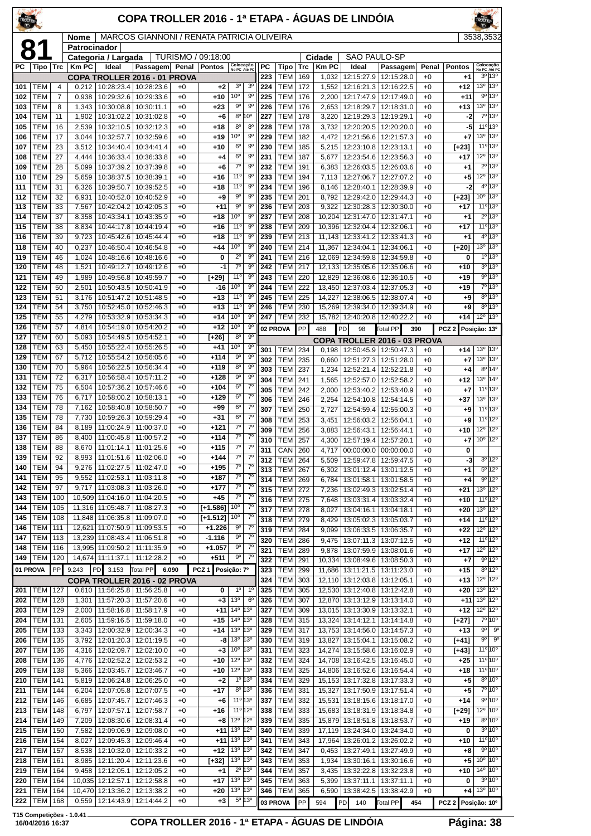| TROLLER    |                          |                |                |                                        | COPA TROLLER 2016 - 1ª ETAPA - ÁGUAS DE LINDÓIA |                    |                          |                                            |                                     |                  |                          |            |                |                                        |                                               |                 |                    | <b>ROLLER</b>                                      |                                                     |
|------------|--------------------------|----------------|----------------|----------------------------------------|-------------------------------------------------|--------------------|--------------------------|--------------------------------------------|-------------------------------------|------------------|--------------------------|------------|----------------|----------------------------------------|-----------------------------------------------|-----------------|--------------------|----------------------------------------------------|-----------------------------------------------------|
|            |                          |                | Nome           |                                        | MARCOS GIANNONI / RENATA PATRICIA OLIVEIRA      |                    |                          |                                            |                                     |                  |                          |            |                |                                        |                                               |                 |                    | 3538,3532                                          |                                                     |
| 8          |                          |                | Patrocinador   | Categoria / Largada                    |                                                 |                    | TURISMO / 09:18:00       |                                            |                                     |                  |                          |            | Cidade         | SAO PAULO-SP                           |                                               |                 |                    |                                                    |                                                     |
| PС         | Tipo                     | Trc            | <b>Km PC</b>   | Ideal                                  | Passagem Penal                                  |                    | Pontos                   | Colocação<br>No PC Até PC                  |                                     | PC               | Tipo                     | Trc        | <b>KmPC</b>    | Ideal                                  | Passagem                                      | Penal           | <b>Pontos</b>      | No PC Até PC                                       | Colocação<br>3º 13º                                 |
| 101        | TEM                      | 4              | 0,212          | COPA TROLLER 2016 - 01 PROVA           | 10:28:23.4   10:28:23.6                         | $+0$               | $+2$                     | 3 <sup>o</sup>                             | 3 <sup>o</sup>                      | 223<br>224       | <b>TEM</b><br><b>TEM</b> | 169<br>172 | 1,032<br>1,552 | 12:16:21.3                             | 12:15:27.9 12:15:28.0<br>12:16:22.5           | $+0$<br>$+0$    | $+1$<br>$+12$      | 13 <sup>o</sup>                                    | 13°                                                 |
| 102        | TEM                      | $\overline{7}$ | 0,938          | 10:29:32.6                             | 10:29:33.6                                      | $+0$               | +10                      | 10 <sup>o</sup>                            | $9^{\circ}$                         | 225              | <b>TEM</b>               | 176        | 2,200          | 12:17:47.9                             | 12:17:49.0                                    | $+0$            | $+11$              |                                                    | 9° 13°                                              |
| 103<br>104 | <b>TEM</b><br>TEM        | 8<br>11        | 1,343<br>1,902 | 10:30:08.8<br>10:31:02.2               | 10:30:11.1<br>10:31:02.8                        | $+0$<br>$+0$       | $+23$<br>$+6$            | 90<br>$8^{\circ}$                          | 90<br>10 <sup>o</sup>               | 226<br>227       | <b>TEM</b><br><b>TEM</b> | 176<br>178 | 2,653<br>3,220 | 12:18:29.7<br>12:19:29.3               | 12:18:31.0<br>12:19:29.1                      | $+0$<br>$+0$    | $+13$<br>-2        | 13 <sup>o</sup>                                    | 13 <sup>o</sup><br>7º 13º                           |
| 105        | TEM                      | 16             | 2,539          | 10:32:10.5                             | 10:32:12.3                                      | $+0$               | +18                      | $8^{\circ}$                                | $8^{\circ}$                         | 228              | <b>TEM</b>               | 178        | 3,732          | 12:20:20.5                             | 12:20:20.0                                    | $+0$            | -5                 |                                                    | $11^{\circ}13^{\circ}$                              |
| 106        | TEM                      | 17             | 3,044          | 10:32:57.7                             | 10:32:59.6                                      | +0                 | $+19$                    | $10^{\circ}$                               | 90                                  | 229              | <b>TEM</b>               | 182        | 4,472          | 12:21:56.6                             | 12:21:57.3                                    | $+0$            | +7                 | 13 <sup>o</sup>                                    | 13 <sup>o</sup>                                     |
| 107<br>108 | TEM<br>TEM               | 23<br>27       | 3,512<br>4,444 | 10:34:40.4<br>10:36:33.4               | 10:34:41.4<br>10:36:33.8                        | $+0$<br>$+0$       | $+10$<br>+4              | 6 <sup>o</sup><br>6 <sup>o</sup>           | 90<br>90                            | 230<br>231       | <b>TEM</b><br><b>TEM</b> | 185<br>187 | 5,215<br>5,677 | 12:23:10.8                             | 12:23:13.1<br>12:23:54.6 12:23:56.3           | $+0$<br>$+0$    | $[+23]$<br>$+17$   | 12°                                                | $11^{\circ}13^{\circ}$<br>13°                       |
| 109        | <b>TEM</b>               | 28             | 5,099          | 10:37:39.2                             | 10:37:39.8                                      | $+0$               | +6                       | $7^\circ$                                  | $9^{\circ}$                         | 232              | TEM                      | 191        | 6,383          | 12:26:03.5                             | 12:26:03.6                                    | $+0$            | $+1$               |                                                    | $2^0$ 13 <sup>0</sup>                               |
| 110        | TEM                      | 29             | 5,659          | 10:38:37.5                             | 10:38:39.1                                      | $+0$               | $+16$                    | 11 <sup>0</sup>                            | 90                                  | 233              | <b>TEM</b>               | 194        | 7,113          | 12:27:06.7                             | 12:27:07.2                                    | $+0$            | +5                 | $12^{\circ}$                                       | $13^{\circ}$                                        |
| 111<br>112 | TEM<br>TEM               | 31<br>32       | 6,326<br>6,931 | 10:39:50.7<br>10:40:52.0               | 10:39:52.5<br>10:40:52.9                        | $+0$<br>$+0$       | +18<br>+9                | 11 <sup>0</sup><br>9 <sup>o</sup>          | 90<br>90                            | 234<br>235       | <b>TEM</b><br><b>TEM</b> | 196<br>201 | 8,146<br>8,792 | 12:28:40.1<br>12:29:42.0               | 12:28:39.9<br>12:29:44.3                      | $+0$<br>$+0$    | -2<br>$[+23]$      | 10 <sup>o</sup>                                    | 4º 13º<br>13 <sup>o</sup>                           |
| 113        | TEM                      | 33             | 7,567          | 10:42:04.2                             | 10:42:05.3                                      | $+0$               | +11                      | 9 <sup>o</sup>                             | $9^{\circ}$                         | 236              | <b>TEM</b>               | 203        |                | 9,322   12:30:28.3                     | 12:30:30.0                                    | $+0$            | +17                |                                                    | 11°13°                                              |
| 114        | <b>TEM</b>               | 37             | 8,358          | 10:43:34.1                             | 10:43:35.9                                      | $+0$               | $+18$                    | $10^{\circ}$                               | 90                                  | 237              | TEM                      | 208        |                | 10,204 12:31:47.0                      | 12:31:47.1                                    | $+0$            | +1                 |                                                    | 2º 13º                                              |
| 115<br>116 | TEM<br>TEM               | 38<br>39       | 8,834<br>9,723 | 10:44:17.8<br>10:45:42.6               | 10:44:19.4<br>10:45:44.4                        | +0<br>$+0$         | $+16$<br>$+18$           | $11^{\circ}$<br>11 <sup>°</sup>            | 90<br>$9^{\circ}$                   | 238<br>239       | <b>TEM</b><br><b>TEM</b> | 209<br>213 | 10.396         | 12:32:04.4<br>11,143 12:33:41.2        | 12:32:06.1<br>12:33:41.3                      | $+0$<br>$+0$    | +17<br>$+1$        |                                                    | 11°13°<br>$4^{\circ}$ 13°                           |
| 118        | TEM                      | 40             | 0,237          | 10:46:50.4                             | 10:46:54.8                                      | $+0$               | $+44$                    | $10^{\circ}$                               | $9^{\circ}$                         | 240              | TEM                      | 214        | 11,367         | 12:34:04.1                             | 12:34:06.1                                    | $+0$            | $[+20]$            | 13 <sup>o</sup>                                    | 13°                                                 |
| 119        | TEM                      | 46             | 1,024          | 10:48:16.6                             | 10:48:16.6                                      | $+0$               | 0                        | $2^{\circ}$<br>$\overline{7^{\circ}}$      | 90                                  | 241              | TEM                      | 216        |                | 12,069 12:34:59.8                      | 12:34:59.8                                    | $+0$            | 0                  |                                                    | $1^{\circ}$ 13°<br>$3^{\circ}13^{\circ}$            |
| 120<br>121 | TEM<br><b>TEM</b>        | 48<br>49       | 1,521<br>1,989 | 10:49:12.7<br>10:49:56.8               | 10:49:12.6<br>10:49:59.7                        | $+0$<br>$+0$       | $-1$<br>[+29]            | 11°                                        | 9 <sup>o</sup><br>$9^{\circ}$       | 242<br>243       | TEM<br><b>TEM</b>        | 217<br>220 |                | 12,829 12:36:08.6                      | 12,133 12:35:05.6 12:35:06.6<br>12:36:10.5    | $+0$<br>$+0$    | $+10$<br>$+19$     |                                                    | $9^{\circ}$ 13°                                     |
| 122        | <b>TEM</b>               | 50             | 2,501          | 10:50:43.5                             | 10:50:41.9                                      | +0                 | $-16$                    | $10^{\circ}$                               | 90                                  | 244              | TEM                      | 222        |                | 13,450 12:37:03.4                      | 12:37:05.3                                    | $+0$            | $+19$              |                                                    | 7º 13º                                              |
| 123        | TEM                      | 51             | 3,176          | 10:51:47.2                             | 10:51:48.5                                      | $+0$               | $+13$                    | $11^{\circ}$                               | $9^{\circ}$                         | 245              | <b>TEM</b>               | 225        | 14,227         | 12:38:06.5                             | 12:38:07.4                                    | $+0$            | $+9$               |                                                    | $8^{\circ}13^{\circ}$<br>$8^{\circ}$ 13 $^{\circ}$  |
| 124<br>125 | TEM<br><b>TEM</b>        | 54<br>55       | 3,750<br>4,279 | 10:52:45.0<br>10:53:32.9               | 10:52:46.3<br>10:53:34.3                        | $+0$<br>$+0$       | $+13$<br>+14             | $11^{\circ}$<br>10 <sup>o</sup>            | 90<br>$9^{\circ}$                   | 246<br>247       | <b>TEM</b><br><b>TEM</b> | 230<br>232 |                | 15,269 12:39:34.0<br>15,782 12:40:20.8 | 12:39:34.9<br>12:40:22.2                      | $+0$<br>$+0$    | $+9$<br>$+14$      | 12°                                                | 13°                                                 |
| 126        | TEM                      | 57             | 4,814          | 10:54:19.0                             | 10:54:20.2                                      | $+0$               | $+12$                    | $10^{\circ}$                               | $\overline{9^0}$                    |                  | 02 PROVA                 | PP         | 488            | PD<br>98                               | Total PP                                      | 390             | PCZ 2 Posição: 13º |                                                    |                                                     |
| 127        | TEM                      | 60             | 5,093          | 10:54:49.5                             | 10:54:52.1                                      | $+0$               | $[+26]$                  | 8 <sup>o</sup><br>10 <sup>o</sup>          | $9^{\circ}$<br>9 <sup>o</sup>       |                  |                          |            |                |                                        | <b>COPA TROLLER 2016 - 03 PROVA</b>           |                 |                    |                                                    |                                                     |
| 128<br>129 | TEM<br><b>TEM</b>        | 63<br>67       | 5,450<br>5,712 | 10:55:22.4<br>10:55:54.2               | 10:55:26.5<br>10:56:05.6                        | $+0$<br>$+0$       | +41<br>$+114$            | $9^{\circ}$                                | $9^{\circ}$                         | 301<br>302       | TEM<br><b>TEM</b>        | 234<br>235 | 0,660          | 12:51:27.3                             | 0,198   12:50:45.9   12:50:47.3<br>12:51:28.0 | $+0$<br>$+0$    | $+14$<br>$+7$      | 13 <sup>o</sup> 13 <sup>o</sup><br>13 <sup>o</sup> | 13°                                                 |
| 130        | TEM                      | 70             | 5,964          | 10:56:22.5                             | 10:56:34.4                                      | $+0$               | $+119$                   | 8 <sup>o</sup>                             | 90                                  | 303              | <b>TEM</b>               | 237        | 1,234          | 12:52:21.4                             | 12:52:21.8                                    | $+0$            | $^{+4}$            |                                                    | $8^{\circ}14^{\circ}$                               |
| 131        | TEM                      | 72             | 6,317          | 10:56:58.4                             | 10:57:11.2                                      | $+0$               | $+128$                   | $9^{\circ}$<br>6 <sup>o</sup>              | 90<br>$7^\circ$                     | 304              | <b>TEM</b>               | 241        | 1,565          | 12:52:57.0                             | 12:52:58.2                                    | $+0$            | $+12$              | 13 <sup>o</sup>                                    | $14^{\circ}$                                        |
| 132<br>133 | TEM<br>TEM               | 75<br>76       | 6,504<br>6,717 | 10:57:36.2<br>10:58:00.2               | 10:57:46.6<br>10:58:13.1                        | +0<br>$+0$         | $+104$<br>$+129$         | 6 <sup>o</sup>                             | $7^\circ$                           | 305<br>306       | <b>TEM</b><br>TEM        | 242<br>246 | 2,000<br>2,254 | 12:53:40.2<br>12:54:10.8               | 12:53:40.9<br>12:54:14.5                      | $+0$<br>$+0$    | +7<br>$+37$        | 13 <sup>o</sup>                                    | $11^{\circ}$ 13°<br>13°                             |
| 134        | <b>TEM</b>               | 78             | 7,162          | 10:58:40.8                             | 10:58:50.7                                      | $+0$               | $+99$                    | 6 <sup>o</sup>                             | $7^\circ$                           | 307              | <b>TEM</b>               | 250        | 2,727          | 12:54:59.4                             | 12:55:00.3                                    | $+0$            | $+9$               |                                                    | $11^{\circ}13^{\circ}$                              |
| 135        | тем                      | 78             | 7,730          | 10:59:26.3                             | 10:59:29.4                                      | $+0$               | $+31$                    | $6^{\circ}$<br>$\overline{7^0}$            | $7^\circ$<br>$\overline{7}^{\circ}$ | 308              | <b>TEM</b>               | 253        | 3,451          | 12:56:03.2                             | 12:56:04.1                                    | $+0$            | +9                 |                                                    | $11^{\circ}$ 12°                                    |
| 136<br>137 | TEM<br>TEM               | 84<br>86       | 8,189<br>8,400 | 11:00:24.9<br>11:00:45.8               | 11:00:37.0<br>11:00:57.2                        | $+0$<br>$+0$       | $+121$<br>$+114$         | $7^\circ$                                  | $7^\circ$                           | 309<br>310       | <b>TEM</b><br><b>TEM</b> | 256<br>257 | 3,883<br>4,300 | 12:56:43.1                             | 12:56:44.1<br>12:57:19.4 12:57:20.1           | $+0$<br>$+0$    | $+10$<br>+7        | 12°<br>$10^{\circ}$ 12°                            | 12°                                                 |
| 138        | <b>TEM</b>               | 88             | 8,670          | 11:01:14.1                             | 11:01:25.6                                      | $+0$               | $+115$                   | 7°                                         | $7^\circ$                           | $\overline{311}$ | CAN 260                  |            |                |                                        | 4,717 00:00:00.0 00:00:00.0                   | $+0$            | 0                  |                                                    |                                                     |
| 139        | TEM                      | 92             |                | 8,993   11:01:51.6   11:02:06.0        |                                                 | $+0$               | $+144$                   | $7^\circ$<br>$7^{\circ}$                   | $7^\circ$<br>$7^{\circ}$            | 312              | <b>TEM 264</b>           |            |                |                                        | 5,509   12:59:47.8   12:59:47.5               | $^{+0}$         | -3                 |                                                    | $3^{\circ}$ 12°                                     |
| 140<br>141 | TEM<br>TEM               | 94<br>95       | 9,276<br>9,552 | 11:02:27.5<br>11:02:53.1               | 11:02:47.0<br>11:03:11.8                        | +0<br>$^{+0}$      | $+195$<br>$+187$         | $7^\circ$                                  | $7^{\circ}$                         | 313<br>314       | TEM<br><b>TEM</b>        | 267<br>269 | 6,302<br>6,784 | 13:01:12.4<br>13:01:58.1               | 13:01:12.5<br>13:01:58.5                      | $^{+0}$<br>$+0$ | $+1$<br>$+4$       |                                                    | $5^{\circ}12^{\circ}$<br>9°12°                      |
| 142        | <b>TEM</b>               | 97             |                | $9,717$   11:03:08.3                   | 11:03:26.0                                      | $+0$               | $+177$                   | $7^\circ$                                  | $7^{\circ}$                         | 315              | <b>TEM</b>               | 272        | 7,236          | 13:02:49.3                             | 13:02:51.4                                    | $+0$            | $+21$              |                                                    | 13º 12º                                             |
| 143        | <b>TEM</b>               | 100            |                | 10,509 11:04:16.0                      | 11:04:20.5                                      | $+0$               | $+45$                    | $7^{\circ}$<br>10°                         | $7^\circ$<br>$7^\circ$              | 316              | TEM                      | 275        | 7,648          | 13:03:31.4                             | 13:03:32.4                                    | $+0$            | $+10$              |                                                    | $11^{\circ}$ 12°                                    |
| 144<br>145 | TEM<br><b>TEM</b>        | 105<br>108     |                | 11,316 11:05:48.7<br>11,848 11:06:35.8 | 11:08:27.3<br>11:09:07.0                        | $+0$<br>$+0$       | $[+1.586]$<br>$[+1.512]$ | $10^{\circ}$                               | $7^\circ$                           | 317<br>318       | TEM<br><b>TEM</b>        | 278<br>279 | 8,027<br>8,429 | 13:04:16.1<br>13:05:02.3               | 13:04:18.1<br>13:05:03.7                      | $+0$<br>$+0$    | $+20$<br>$+14$     |                                                    | $13^{\circ}$ $12^{\circ}$<br>$11^{\circ}12^{\circ}$ |
| 146        | <b>TEM</b>               | 111            |                | 12,621 11:07:50.9                      | 11:09:53.5                                      | +0                 | $+1.226$                 | 90                                         | $7^\circ$                           | 319              | <b>TEM</b>               | 284        | 9,099          | 13:06:33.5                             | 13:06:35.7                                    | $^{+0}$         | $+22$              |                                                    | $12^{\circ}$ 12 $^{\circ}$                          |
| 147        | <b>TEM</b>               | 113            |                | 13,239 11:08:43.4                      | 11:06:51.8                                      | $+0$               | $-1.116$                 | $9^{\rm o}$<br>90                          | $7^\circ$<br>$7^\circ$              | 320              | <b>TEM</b>               | 286        |                | 9,475 13:07:11.3                       | 13:07:12.5                                    | $+0$            | $+12$              |                                                    | $11^{\circ}12^{\circ}$                              |
| 148<br>149 | <b>TEM</b><br><b>TEM</b> | 116<br>120     |                | 13,995 11:09:50.2<br>14,674 11:11:37.1 | 11:11:35.9<br>11:12:28.2                        | $+0$<br>$+0$       | $+1.057$<br>$+511$       | $9^{\circ}$                                | $7^\circ$                           | 321<br>322       | <b>TEM</b><br><b>TEM</b> | 289<br>291 | 9.878          | 13:07:59.9<br>10,334 13:08:49.6        | 13:08:01.6<br>13:08:50.3                      | $+0$<br>$+0$    | $+17$<br>$+7$      |                                                    | 12 <sup>o</sup> 12 <sup>o</sup><br>$9^{\circ}$ 12°  |
|            | 01 PROVA                 | PP             | 9.243          | PD 3.153                               | <b>Total PP</b><br>6.090                        |                    | PCZ 1 Posicão: 7º        |                                            |                                     | 323              | <b>TEM</b>               | 299        |                | 11,686   13:11:21.5                    | 13:11:23.0                                    | $+0$            | $+15$              |                                                    | $8^{\circ}12^{\circ}$                               |
|            |                          |                |                | COPA TROLLER 2016 - 02 PROVA           |                                                 |                    |                          |                                            |                                     | 324              | TEM                      | 303        |                | 12,110 13:12:03.8                      | 13:12:05.1                                    | $+0$            | $+13$              |                                                    | $12^{\circ}$ $12^{\circ}$                           |
| 201<br>202 | TEM<br><b>TEM</b>        | 127<br>128     | 1,301          | $0,610$   11:56:25.8<br>11:57:20.3     | 11:56:25.8<br>11:57:20.6                        | $+0$<br>$+0$       | 0<br>$+3$                | $1^{\circ}$<br>13 <sup>o</sup>             | $1^{\circ}$<br>$6^{\circ}$          | 325<br>326       | <b>TEM</b><br><b>TEM</b> | 305<br>307 |                | 12,530 13:12:40.8                      | 13:12:42.8<br>12,870 13:13:12.9 13:13:14.0    | $+0$<br>$+0$    | $+20$<br>$+11$     | $13^{\circ}$<br>13 <sup>o</sup>                    | $12^{\circ}$<br>$12^{\circ}$                        |
| 203        | TEM                      | 129            | 2,000          | 11:58:16.8                             | 11:58:17.9                                      | $+0$               | $+11$                    | $14^{\circ}$ 13 <sup>0</sup>               |                                     | 327              | TEM                      | 309        |                | 13,015 13:13:30.9                      | 13:13:32.1                                    | $+0$            | $+12$              |                                                    | $12^{\circ}$ $12^{\circ}$                           |
| 204        | <b>TEM</b>               | 131            | 2,605          | 11:59:16.5                             | 11:59:18.0                                      | $^{+0}$            | $+15$                    | 14 <sup>o</sup> 13 <sup>o</sup>            |                                     | 328              | <b>TEM</b>               | 315        |                | 13,324 13:14:12.1                      | 13:14:14.8                                    | $+0$            | [+27]              |                                                    | 7°10°                                               |
| 205<br>206 | <b>TEM</b><br><b>TEM</b> | 133<br>135     | 3,343<br>3,792 | 12:00:32.9<br>12:01:20.3               | 12:00:34.3<br>12:01:19.5                        | $+0$<br>$+0$       | $+14$<br>-8              | 13 <sup>o</sup> 13 <sup>o</sup><br>13º 13º |                                     | 329<br>330       | TEM<br><b>TEM</b>        | 317<br>319 |                | 13,827 13:15:04.1                      | 13,753 13:14:56.0 13:14:57.3<br>13:15:08.2    | $^{+0}$<br>$+0$ | $+13$<br>$[+41]$   | $9^{\circ}$<br>$9^{\circ}$                         | $9^{\circ}$<br>$9^{\circ}$                          |
| 207        | TEM                      | 136            | 4,316          | 12:02:09.7                             | 12:02:10.0                                      | $+0$               | +3                       | $10^{\circ}$ 13°                           |                                     | 331              | TEM                      | 323        |                | 14,274 13:15:58.6                      | 13:16:02.9                                    | $+0$            | $[+43]$            |                                                    | $11^{\circ} 10^{\circ}$                             |
| 208        | <b>TEM</b>               | 136            | 4,776          | 12:02:52.2                             | 12:02:53.2                                      | $+0$               | $+10$                    | 12º 13º                                    |                                     | 332              | TEM                      | 324        |                | 14,708 13:16:42.5                      | 13:16:45.0                                    | $+0$            | $+25$              |                                                    | $11^{\circ}10^{\circ}$                              |
| 209<br>210 | <b>TEM</b><br><b>TEM</b> | 138<br>141     | 5,366<br>5,819 | 12:03:45.7<br>12:06:24.8               | 12:03:46.7<br>12:06:25.0                        | $+0$<br>$+0$       | $+10$<br>$+2$            | 12 <sup>o</sup> 13 <sup>o</sup>            | $1^{\circ}$ 13 $^{\circ}$           | 333<br>334       | <b>TEM</b><br>TEM        | 325<br>329 |                | 14,806 13:16:52.6<br>15,153 13:17:32.8 | 13:16:54.4<br>13:17:33.3                      | $+0$<br>$+0$    | $+18$<br>$+5$      |                                                    | $11^{\circ} 10^{\circ}$<br>$8^{\circ}10^{\circ}$    |
| 211        | <b>TEM</b>               | 144            | 6,204          | 12:07:05.8                             | 12:07:07.5                                      | $+0$               | $+17$                    |                                            | $8^{\circ}$ 13°                     | 336              | TEM                      | 331        |                | 15,327 13:17:50.9                      | 13:17:51.4                                    | $+0$            | $+5$               |                                                    | 7°10°                                               |
| 212        | <b>TEM</b>               | 146            | 6,685          | 12:07:45.7                             | 12:07:46.3                                      | $+0$               | +6                       | 11° 13°                                    |                                     | 337              | TEM                      | 332        |                | 15,531 13:18:15.6                      | 13:18:17.0                                    | $+0$            | $+14$              |                                                    | $9^{\circ} 10^{\circ}$                              |
| 213        | <b>TEM</b>               | 148            | 6,797          | 12:07:57.1                             | 12:07:58.7                                      | $+0$               | +16                      | 11º 12º<br>12 <sup>o</sup> 12 <sup>o</sup> |                                     | 338              | <b>TEM</b>               | 333        |                |                                        | 15,683 13:18:31.9 13:18:34.8                  | $+0$            | $[+29]$            |                                                    | 12º 10º<br>$8^{\circ}$ 10 <sup>°</sup>              |
| 214<br>215 | <b>TEM</b><br><b>TEM</b> | 149<br>150     | 7,209<br>7,582 | 12:08:30.6<br>12:09:06.9               | 12:08:31.4<br>12:09:08.0                        | $^{+0}$<br>$^{+0}$ | $+8$<br>$+11$            | 13 <sup>o</sup> 12 <sup>o</sup>            |                                     | 339<br>340       | TEM<br>TEM               | 335<br>339 | 17,119         | 15,879 13:18:51.8<br>13:24:34.0        | 13:18:53.7<br>13:24:34.0                      | $+0$<br>$+0$    | $+19$<br>0         |                                                    | $3^{\circ} 10^{\circ}$                              |
| 216        | <b>TEM</b>               | 154            | 8,027          | 12:09:45.3                             | 12:09:46.4                                      | $+0$               | $+11$                    | 13º 13º                                    |                                     | 341              | TEM                      | 343        |                | 17,964 13:26:01.2                      | 13:26:02.2                                    | $+0$            | $+10$              |                                                    | 11°10°                                              |
| 217        | <b>TEM</b>               | 157            | 8,538          | 12:10:32.0                             | 12:10:33.2                                      | $+0$               | $+12$                    | 13 <sup>o</sup> 13 <sup>o</sup>            |                                     | 342              | <b>TEM</b>               | 347        | 0,453          | 13:27:49.1                             | 13:27:49.9                                    | $+0$            | $+8$               |                                                    | 9°10°                                               |
| 218<br>219 | <b>TEM</b><br><b>TEM</b> | 161<br>164     | 9,458          | 8,985   12:11:20.4<br>12:12:05.1       | 12:11:23.6<br>12:12:05.2                        | $+0$<br>$+0$       | $[+32]$<br>+1            | 13º 13º                                    | $2^{\circ}$ 13°                     | 343<br>344       | <b>TEM</b><br><b>TEM</b> | 353<br>357 | 1,934<br>3,435 | 13:30:16.1<br>13:32:22.8               | 13:30:16.6<br>13:32:23.8                      | $+0$<br>$+0$    | $+5$<br>$+10$      | 10 <sup>o</sup>                                    | 10 <sup>o</sup><br>$14^{\circ}$ 10 $^{\circ}$       |
| 220        | <b>TEM</b>               | 164            |                | 10,035 12:12:57.1                      | 12:12:58.8                                      | $+0$               | $+17$                    | 13º 13º                                    |                                     | 345              | <b>TEM</b>               | 363        | 5,399          | 13:37:11.1                             | 13:37:11.1                                    | $+0$            | 0                  |                                                    | $3^{\circ}10^{\circ}$                               |
| 221        | <b>TEM</b>               | 164            |                | 10,470 12:13:36.2                      | 12:13:38.2                                      | $+0$               | +20                      | 13º 13º                                    |                                     | 346              | TEM                      | 365        |                | 6,590   13:38:42.5                     | 13:38:42.9                                    | $+0$            | $+4$               |                                                    | $13^{\circ}$ $10^{\circ}$                           |
| 222        | <b>TEM</b>               | 168            | 0,559          | 12:14:43.9                             | 12:14:44.2                                      | $+0$               | $+3$                     |                                            | $5^{\circ}$ 13°                     |                  | 03 PROVA                 | PP         | 594            | <b>PD</b><br>140                       | Total PP                                      | 454             | PCZ <sub>2</sub>   | Posição: 10°                                       |                                                     |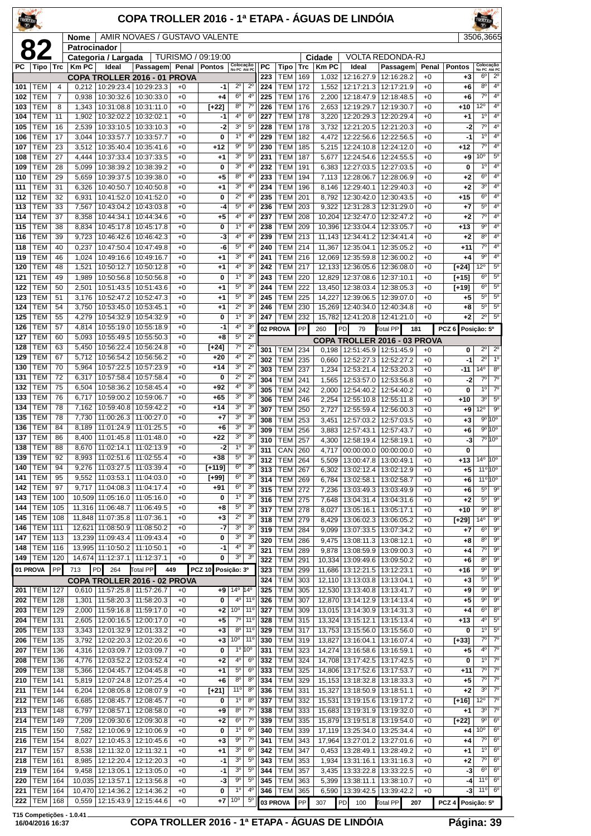| <b>COPA TROLLER 2016 - 1ª ETAPA - ÁGUAS DE LINDÓIA</b> |  |  |
|--------------------------------------------------------|--|--|



|            |                          |                | Nome             |                              | AMIR NOVAES / GUSTAVO VALENTE                                |              |                    |                                       |                                  |            |                          |            |                |                                        |                                       |              |                  | 3506,3665                        |                                     |
|------------|--------------------------|----------------|------------------|------------------------------|--------------------------------------------------------------|--------------|--------------------|---------------------------------------|----------------------------------|------------|--------------------------|------------|----------------|----------------------------------------|---------------------------------------|--------------|------------------|----------------------------------|-------------------------------------|
| 8          |                          |                | Patrocinador     | Categoria / Largada          |                                                              |              | TURISMO / 09:19:00 |                                       |                                  |            |                          |            | Cidade         |                                        | <b>VOLTA REDONDA-RJ</b>               |              |                  |                                  |                                     |
| PC.        |                          |                | Tipo Trc   Km PC | Ideal                        | Passagem Penal   Pontos                                      |              |                    | Colocação<br>No PC Até PC             |                                  | PC         | Tipo                     | <b>Trc</b> | <b>Km PC</b>   | Ideal                                  | Passagem                              | Penal        | <b>Pontos</b>    | Colocação<br>No PC Até PC        |                                     |
|            |                          |                |                  |                              | COPA TROLLER 2016 - 01 PROVA                                 |              |                    |                                       |                                  | 223        | TEM                      | 169        | 1,032          | 12:16:27.9                             | 12:16:28.2                            | $+0$         | $+3$             | 6 <sup>o</sup>                   | $2^{\circ}$                         |
| 101        | <b>TEM</b>               | $\overline{4}$ | 0,212            |                              | 10:29:23.4 10:29:23.3                                        | $+0$         | -1                 | $2^{\circ}$                           | $2^{\circ}$                      | 224        | <b>TEM</b>               | 172        | 1,552          | 12:17:21.3                             | 12:17:21.9                            | $+0$         | +6               | $8^{\circ}$                      | $4^{\circ}$                         |
| 102        | <b>TEM</b>               | $\overline{7}$ | 0,938            |                              | 10:30:32.6   10:30:33.0                                      | $+0$         | +4                 | $6^{\circ}$                           | 4 <sup>0</sup>                   | 225        | <b>TEM</b>               | 176        | 2,200          | 12:18:47.9                             | 12:18:48.5                            | $+0$         | +6               | $7^\circ$                        | 4 <sup>0</sup>                      |
| 103        | <b>TEM</b>               | 8              | 1,343            |                              | 10:31:08.8   10:31:11.0                                      | $+0$         | $[+22]$            | $8^{\circ}$                           | $7^{\circ}$                      | 226        | <b>TEM</b>               | 176        | 2,653          | 12:19:29.7                             | 12:19:30.7                            | $+0$         | +10              | $12^{\circ}$                     | 4 <sup>0</sup>                      |
| 104        | <b>TEM</b>               | 11             | 1,902            |                              | 10:32:02.2   10:32:02.1                                      | $+0$         | -1                 | 4 <sup>0</sup>                        | 6 <sup>o</sup>                   | 227        | <b>TEM</b>               | 178        | 3,220          | 12:20:29.3                             | 12:20:29.4                            | $+0$         | +1               | $1^{\circ}$                      | $4^{\circ}$                         |
| 105        | <b>TEM</b>               | 16             | 2,539            |                              | 10:33:10.5   10:33:10.3                                      | $+0$         | $-2$               | 3 <sup>o</sup>                        | $5^{\circ}$                      | 228        | <b>TEM</b>               | 178        | 3,732          | 12:21:20.5                             | 12:21:20.3                            | $+0$         | $-2$             | $7^\circ$                        | 4°                                  |
| 106        | <b>TEM</b>               | 17             | 3,044            |                              | 10:33:57.7   10:33:57.7                                      | $+0$         | 0                  | $1^{\circ}$<br>$\overline{9^{\circ}}$ | $4^{\circ}$                      | 229        | <b>TEM</b>               | 182        | 4,472          | 12:22:56.6                             | 12:22:56.5                            | $+0$         | $-1$             | $1^{\circ}$<br>$\overline{7^0}$  | 4 <sup>0</sup><br>4 <sup>0</sup>    |
| 107        | <b>TEM</b><br><b>TEM</b> | 23<br>27       | 3,512<br>4,444   |                              | 10:35:40.4   10:35:41.6<br>10:37:33.4   10:37:33.5           | $+0$<br>$+0$ | $+12$              | 3 <sup>o</sup>                        | 5 <sup>0</sup><br>$5^{\circ}$    | 230<br>231 | <b>TEM</b><br><b>TEM</b> | 185        | 5,215          | 12:24:10.8<br>12:24:54.6               | 12:24:12.0                            | $+0$<br>$+0$ | $+12$            | 10 <sup>o</sup>                  | $5^{\circ}$                         |
| 108<br>109 | TEM                      | 28             | 5,099            |                              | 10:38:39.2   10:38:39.2                                      | $+0$         | +1<br>0            | 3 <sup>o</sup>                        | 4 <sup>0</sup>                   | 232        | <b>TEM</b>               | 187<br>191 | 5,677<br>6,383 | 12:27:03.5                             | 12:24:55.5<br>12:27:03.5              | $+0$         | +9<br>0          | $1^{\circ}$                      | $4^{\circ}$                         |
| 110        | <b>TEM</b>               | 29             | 5,659            |                              | 10:39:37.5   10:39:38.0                                      | $+0$         | +5                 | $8^{\circ}$                           | 4 <sup>0</sup>                   | 233        | <b>TEM</b>               | 194        |                | 7,113 12:28:06.7                       | 12:28:06.9                            | $+0$         | +2               | $6^{\circ}$                      | $4^{\circ}$                         |
| 111        | <b>TEM</b>               | 31             | 6,326            |                              | 10:40:50.7   10:40:50.8                                      | $+0$         | +1                 | $3^{\rm o}$                           | 4 <sup>0</sup>                   | 234        | <b>TEM</b>               | 196        | 8,146          | 12:29:40.1                             | 12:29:40.3                            | $+0$         | $+2$             | 3 <sup>o</sup>                   | $4^{\circ}$                         |
| 112        | <b>TEM</b>               | 32             | 6,931            |                              | 10:41:52.0   10:41:52.0                                      | $+0$         | 0                  | $2^{\circ}$                           | 4 <sup>0</sup>                   | 235        | <b>TEM</b>               | 201        | 8,792          | 12:30:42.0                             | 12:30:43.5                            | $+0$         | $+15$            | $6^{\circ}$                      | $4^{\circ}$                         |
| 113        | <b>TEM</b>               | 33             | 7,567            |                              | 10:43:04.2   10:43:03.8                                      | $+0$         | -4                 | $5^{\circ}$                           | $4^{\circ}$                      | 236        | <b>TEM</b>               | 203        | 9,322          | 12:31:28.3                             | 12:31:29.0                            | $+0$         | +7               | $5^{\circ}$                      | 4 <sup>0</sup>                      |
| 114        | <b>TEM</b>               | 37             | 8,358            |                              | 10:44:34.1   10:44:34.6                                      | $+0$         | +5                 | 4 <sup>0</sup>                        | 4 <sup>0</sup>                   | 237        | <b>TEM</b>               | 208        |                | 10,204 12:32:47.0                      | 12:32:47.2                            | $+0$         | +2               | $7^\circ$                        | $4^{\circ}$                         |
| 115        | <b>TEM</b>               | 38             | 8,834            |                              | 10:45:17.8   10:45:17.8                                      | $+0$         | 0                  | $1^{\circ}$                           | 4 <sup>0</sup>                   | 238        | <b>TEM</b>               | 209        |                | 10,396 12:33:04.4                      | 12:33:05.7                            | $+0$         | $+13$            | $9^{\circ}$                      | 4 <sup>°</sup>                      |
| 116        | <b>TEM</b>               | 39             | 9,723            |                              | 10:46:42.6   10:46:42.3                                      | $+0$         | -3                 | 4 <sup>0</sup>                        | 4 <sup>0</sup>                   | 239        | <b>TEM</b>               | 213        |                | 11,143 12:34:41.2                      | 12:34:41.4                            | $+0$         | $+2$             | $8^{\circ}$                      | 4 <sup>0</sup>                      |
| 118        | <b>TEM</b>               | 40             | 0,237            |                              | 10:47:50.4   10:47:49.8                                      | $+0$         | -6                 | $5^{\circ}$<br>3 <sup>o</sup>         | $4^{\circ}$<br>4 <sup>0</sup>    | 240        | <b>TEM</b>               | 214        | 11,367         | 12:35:04.1                             | 12:35:05.2                            | $+0$         | $+11$            | $7^\circ$<br>$9^{\circ}$         | 4°<br>4 <sup>°</sup>                |
| 119<br>120 | <b>TEM</b><br><b>TEM</b> | 46<br>48       | 1,024<br>1,521   | 10:50:12.7                   | 10:49:16.6   10:49:16.7<br>10:50:12.8                        | $+0$<br>$+0$ | +1<br>+1           | 4 <sup>0</sup>                        | 3 <sup>o</sup>                   | 241<br>242 | <b>TEM</b><br><b>TEM</b> | 216<br>217 | 12,133         | 12,069 12:35:59.8<br>12:36:05.6        | 12:36:00.2<br>12:36:08.0              | $+0$<br>$+0$ | +4<br>[+24]      | $12^{\circ}$                     | $5^\circ$                           |
| 121        | <b>TEM</b>               | 49             | 1,989            |                              | 10:50:56.8   10:50:56.8                                      | $+0$         | 0                  | 1 <sup>0</sup>                        | 3 <sup>0</sup>                   | 243        | <b>TEM</b>               | 220        | 12,829         | 12:37:08.6                             | 12:37:10.1                            | $+0$         | [+15]            | $6^{\circ}$                      | $5^{\rm o}$                         |
| 122        | <b>TEM</b>               | 50             | 2,501            |                              | 10:51:43.5   10:51:43.6                                      | $+0$         | +1                 | $5^{\circ}$                           | 3 <sup>o</sup>                   | 244        | <b>TEM</b>               | 222        |                | 13,450 12:38:03.4                      | 12:38:05.3                            | $+0$         | $[+19]$          | $6^{\circ}$                      | $5^{\circ}$                         |
| 123        | <b>TEM</b>               | 51             | 3,176            | 10:52:47.2                   | 10:52:47.3                                                   | $+0$         | +1                 | $5^{\circ}$                           | 3 <sup>o</sup>                   | 245        | <b>TEM</b>               | 225        | 14,227         | 12:39:06.5                             | 12:39:07.0                            | $+0$         | $+5$             | $5^{\circ}$                      | $5^{\circ}$                         |
| 124        | <b>TEM</b>               | 54             | 3,750            |                              | 10:53:45.0   10:53:45.1                                      | $+0$         | +1                 | $2^{\circ}$                           | 3 <sup>o</sup>                   | 246        | <b>TEM</b>               | 230        |                | 15,269 12:40:34.0                      | 12:40:34.8                            | $+0$         | +8               | $5^{\circ}$                      | $5^{\circ}$                         |
| 125        | TEM                      | 55             | 4,279            | 10:54:32.9                   | 10:54:32.9                                                   | $+0$         | 0                  | 1 <sup>0</sup>                        | 3 <sup>0</sup>                   | 247        | <b>TEM</b>               | 232        | 15.782         | 12:41:20.8                             | 12:41:21.0                            | $+0$         | $+2$             | $2^{\circ}$                      | $5^{\circ}$                         |
| 126        | <b>TEM</b>               | 57             | 4,814            |                              | 10:55:19.0   10:55:18.9                                      | $+0$         | $-1$               | 4°                                    | 3 <sup>o</sup>                   |            | 02 PROVA                 | PP         | 260            | PD<br>79                               | <b>Total PP</b>                       | 181          | PCZ <sub>6</sub> | Posição: 5º                      |                                     |
| 127        | <b>TEM</b>               | 60             | 5,093            |                              | 10:55:49.5   10:55:50.3                                      | $+0$         | +8                 | $5^{\circ}$                           | $2^{\circ}$                      |            |                          |            |                | COPA TROLLER 2016 - 03 PROVA           |                                       |              |                  |                                  |                                     |
| 128        | <b>TEM</b>               | 63             | 5,450            |                              | 10:56:22.4   10:56:24.8                                      | $+0$         | $[+24]$            | $7^\circ$                             | $2^{\circ}$                      | 301        | <b>TEM</b>               | 234        |                | 0,198 12:51:45.9 12:51:45.9            |                                       | $+0$         | 0                | $2^{\circ}$                      | $2^{\circ}$                         |
| 129        | <b>TEM</b>               | 67             | 5,712            |                              | 10:56:54.2   10:56:56.2                                      | $+0$         | $+20$              | 4 <sup>0</sup><br>3 <sup>o</sup>      | $2^{\circ}$<br>$2^{\circ}$       | 302        | <b>TEM</b>               | 235        | 0,660          | 12:52:27.3                             | 12:52:27.2                            | $+0$         | $-1$             | $\overline{2^{\circ}}$           | $1^{\circ}$                         |
| 130<br>131 | <b>TEM</b><br><b>TEM</b> | 70<br>72       | 5,964<br>6,317   |                              | 10:57:22.5   10:57:23.9<br>10:57:58.4   10:57:58.4           | $+0$<br>$+0$ | +14<br>0           | $2^{\circ}$                           | $2^{\circ}$                      | 303        | <b>TEM</b>               | 237        | 1,234          | 12:53:21.4                             | 12:53:20.3                            | $+0$         | $-11$            | $14^{\circ}$                     | $8^{\circ}$                         |
| 132        | <b>TEM</b>               | 75             | 6,504            |                              | 10:58:36.2   10:58:45.4                                      | $+0$         | $+92$              | 4°                                    | 3 <sup>o</sup>                   | 304        | <b>TEM</b>               | 241        | 1,565          | 12:53:57.0                             | 12:53:56.8                            | $+0$         | $-2$             | $7^\circ$                        | $\overline{7^{\circ}}$<br>$7^\circ$ |
| 133        | <b>TEM</b>               | 76             | 6,717            |                              | 10:59:00.2   10:59:06.7                                      | $+0$         | +65                | 3 <sup>o</sup>                        | 3 <sup>o</sup>                   | 305<br>306 | <b>TEM</b><br>TEM        | 242<br>246 | 2,000<br>2,254 | 12:54:40.2<br>12:55:10.8               | 12:54:40.2<br>12:55:11.8              | $+0$<br>$+0$ | 0<br>$+10$       | 1 <sup>0</sup><br>3 <sup>o</sup> | $5^{\circ}$                         |
| 134        | <b>TEM</b>               | 78             | 7,162            |                              | 10:59:40.8   10:59:42.2                                      | $+0$         | +14                | 3 <sup>o</sup>                        | 3 <sup>o</sup>                   | 307        | <b>TEM</b>               | 250        | 2,727          | 12:55:59.4                             | 12:56:00.3                            | $+0$         | +9               | 12°                              | $9^{\circ}$                         |
| 135        | <b>TEM</b>               | 78             | 7,730            |                              | 11:00:26.3   11:00:27.0                                      | $+0$         | +7                 | 3 <sup>0</sup>                        | 3 <sup>o</sup>                   | 308        | <b>TEM</b>               | 253        | 3,451          | 12:57:03.2                             | 12:57:03.5                            | $+0$         | $+3$             |                                  | 9°10°                               |
| 136        | <b>TEM</b>               | 84             | 8,189            |                              | 11:01:24.9   11:01:25.5                                      | $+0$         | +6                 | 3 <sup>o</sup>                        | 3 <sup>o</sup>                   | 309        | <b>TEM</b>               | 256        | 3,883          | 12:57:43.1                             | 12:57:43.7                            | $+0$         | +6               |                                  | 9°10°                               |
| 137        | <b>TEM</b>               | 86             | 8,400            |                              | 11:01:45.8   11:01:48.0                                      | $+0$         | $+22$              | 3 <sup>o</sup>                        | 3 <sup>o</sup>                   | 310        | <b>TEM</b>               | 257        | 4,300          | 12:58:19.4                             | 12:58:19.1                            | $+0$         | -3               |                                  | 7°10°                               |
| 138        | <b>TEM</b>               | 88             | 8,670            |                              | 11:02:14.1   11:02:13.9                                      | $+0$         | -2                 | 1 <sup>0</sup>                        | 3 <sup>0</sup>                   | 311        | CAN                      | 260        | 4,717          | 00:00:00.0                             | 00:00:00.0                            | $+0$         | 0                |                                  |                                     |
| 139        | <b>TEM</b>               | 92             | 8,993            | 11:02:51.6                   | 11:02:55.4                                                   | $+0$         | $+38$              | $5^{\rm o}$                           | 3 <sup>o</sup>                   | 312        | <b>TEM</b>               | 264        | 5,509          | 13:00:47.8                             | 13:00:49.1                            | $+0$         | $+13$            | $14^{\circ}$ 10 <sup>°</sup>     |                                     |
| 140        | <b>TEM</b><br><b>TEM</b> | 94<br>95       | 9,276            |                              | 11:03:27.5   11:03:39.4<br>$9,552$   11:03:53.1   11:04:03.0 | $+0$         | $[+119]$           | $6^{\circ}$<br>$6^{\circ}$            | 3 <sup>o</sup><br>3 <sup>o</sup> | 313        | <b>TEM</b>               | 267        | 6,302          | 13:02:12.4                             | 13:02:12.9                            | $+0$         | $+5$             |                                  | $11^{\circ}10^{\circ}$              |
| 141<br>142 | <b>TEM</b>               | 97             | 9,717            |                              | 11:04:08.3   11:04:17.4                                      | $+0$<br>$+0$ | $[+99]$<br>+91     | $6^{\rm o}$                           | 3 <sup>o</sup>                   | 314        | <b>TEM</b> 269           |            |                | 6,784 13:02:58.1 13:02:58.7            |                                       | $+0$         | $+6$             | $11^{\circ} 10^{\circ}$          |                                     |
| 143        | <b>TEM</b>               | 100            |                  | 10,509 11:05:16.0 11:05:16.0 |                                                              | $+0$         | 0                  | $1^{\circ}$                           | 3 <sup>o</sup>                   | 315<br>316 | <b>TEM 272</b>           |            | 7,236          | 13:03:49.3                             | 13:03:49.9                            | $+0$         | +6               | $5^{\circ}$<br>$5^{\circ}$       | $9^\circ$<br>$9^{\circ}$            |
| 144        | <b>TEM</b>               | 105            |                  | 11,316 11:06:48.7 11:06:49.5 |                                                              | $+0$         | +8                 | $5^{\circ}$                           | 3 <sup>o</sup>                   | 317        | TEM<br><b>TEM 278</b>    | 275        | 7,648<br>8,027 | 13:04:31.4                             | 13:04:31.6<br>13:05:16.1   13:05:17.1 | $+0$<br>$+0$ | +2<br>+10        | $9^{\circ}$                      | $8^{\circ}$                         |
| 145        | <b>TEM</b>               | 108            |                  | 11,848 11:07:35.8 11:07:36.1 |                                                              | $+0$         | +3                 | $2^{\circ}$                           | 3 <sup>0</sup>                   | 318        | <b>TEM</b>               | 279        | 8,429          | 13:06:02.3                             | 13:06:05.2                            | $+0$         | [+29]            | $14^{\circ}$                     | $9^{\circ}$                         |
| 146        | <b>TEM</b>               | 111            |                  | 12,621 11:08:50.9 11:08:50.2 |                                                              | $+0$         | -7                 | 3 <sup>0</sup>                        | 3 <sup>0</sup>                   | 319        | <b>TEM</b>               | 284        | 9,099          | 13:07:33.5                             | 13:07:34.2                            | $+0$         | +7               | $6^{\circ}$                      | $9^{\circ}$                         |
| 147        | <b>TEM</b>               | 113            |                  | 13,239 11:09:43.4 11:09:43.4 |                                                              | $+0$         | 0                  | 3 <sup>0</sup>                        | 3 <sup>o</sup>                   | 320        | <b>TEM</b>               | 286        | 9,475          | 13:08:11.3                             | 13:08:12.1                            | $+0$         | +8               | $8^{\circ}$                      | $9^{\circ}$                         |
| 148        | <b>TEM</b>               | 116            |                  | 13,995 11:10:50.2 11:10:50.1 |                                                              | $+0$         | $-1$               | 4º                                    | 3 <sup>o</sup>                   | 321        | TEM                      | 289        | 9,878          | 13:08:59.9                             | 13:09:00.3                            | $+0$         | +4               | $7^\circ$                        | $9^{\circ}$                         |
| 149        | <b>TEM</b>               | 120            |                  | 14,674 11:12:37.1 11:12:37.1 |                                                              | $+0$         | 0                  | $3^{\circ}$                           | 3 <sup>o</sup>                   | 322        | <b>TEM</b>               | 291        |                | 10,334 13:09:49.6                      | 13:09:50.2                            | $+0$         | +6               | $8^{\circ}$                      | $9^{\circ}$                         |
| 01 PROVA   |                          | PP             | 713              | 264<br>PD                    | <b>Total PP</b>                                              | 449          | <b>PCZ 10</b>      | Posição: 3º                           |                                  | 323        | <b>TEM</b>               | 299        |                | 11,686 13:12:21.5                      | 13:12:23.1                            | $+0$         | +16              | $9^{\circ}$                      | $9^{\circ}$                         |
|            |                          |                |                  |                              | COPA TROLLER 2016 - 02 PROVA                                 |              |                    |                                       |                                  | 324        | TEM                      | 303        |                | 12,110 13:13:03.8                      | 13:13:04.1                            | $+0$         | $+3$             | $5^{\circ}$                      | $9^{\circ}$                         |
| 201        | <b>TEM</b>               | 127            |                  | 0,610 11:57:25.8 11:57:26.7  |                                                              | $+0$         |                    | $+9$ 14 <sup>o</sup> 14 <sup>o</sup>  |                                  | 325        | <b>TEM</b>               | 305        |                | 12,530 13:13:40.8                      | 13:13:41.7                            | $+0$         | +9               | $9^{\circ}$                      | $9^{\circ}$                         |
| 202<br>203 | <b>TEM</b><br><b>TEM</b> | 128            | 1,301            |                              | 11:58:20.3   11:58:20.3                                      | $+0$<br>$+0$ | 0                  | $10^{\circ}$   11 $^{\circ}$          | 4 <sup>o</sup>   11 <sup>o</sup> | 326<br>327 | TEM<br><b>TEM</b>        | 307        | 12,870         | 13:14:12.9                             | 13:14:13.4                            | $+0$<br>$+0$ | +5<br>$+4$       | $9^{\circ}$<br>$6^{\circ}$       | 9 <sup>o</sup><br>8 <sup>o</sup>    |
| 204        | TEM                      | 129<br>131     | 2,000<br>2,605   |                              | 11:59:16.8   11:59:17.0<br>12:00:16.5   12:00:17.0           | $+0$         | +2<br>+5           |                                       | $7°$ 11°                         | 328        | <b>TEM</b>               | 309<br>315 |                | 13,015 13:14:30.9<br>13,324 13:15:12.1 | 13:14:31.3<br>13:15:13.4              | $+0$         | $+13$            | $4^{\circ}$                      | $5^{\circ}$                         |
| 205        | <b>TEM</b>               | 133            | 3,343            |                              | 12:01:32.9 12:01:33.2                                        | $+0$         | +3                 |                                       | $8^{\circ}$ 11°                  | 329        | <b>TEM</b>               | 317        |                | 13,753 13:15:56.0                      | 13:15:56.0                            | $+0$         | 0                | 1 <sup>0</sup>                   | $5^{\rm o}$                         |
| 206        | <b>TEM</b>               | 135            | 3,792            |                              | 12:02:20.3   12:02:20.6                                      | $+0$         | $+3$               | $10^{\circ}$                          | 11 <sup>o</sup>                  | 330        | <b>TEM</b>               | 319        | 13,827         | 13:16:04.1                             | 13:16:07.4                            | $+0$         | [+33]            | $7^\circ$                        | $7^{\circ}$                         |
| 207        | TEM                      | 136            | 4,316            |                              | 12:03:09.7   12:03:09.7                                      | $+0$         | 0                  |                                       | $1^{\circ}$ 10 $^{\circ}$        | 331        | <b>TEM</b>               | 323        |                | 14,274 13:16:58.6                      | 13:16:59.1                            | $+0$         | +5               | $4^{\circ}$                      | $7^\circ$                           |
| 208        | <b>TEM</b>               | 136            | 4,776            |                              | 12:03:52.2   12:03:52.4                                      | $+0$         | +2                 | $4^{\circ}$                           | $6^{\circ}$                      | 332        | <b>TEM</b>               | 324        |                | 14,708 13:17:42.5                      | 13:17:42.5                            | $+0$         | 0                | $1^{\circ}$                      | $7^\circ$                           |
| 209        | TEM                      | 138            | 5,366            |                              | 12:04:45.7   12:04:45.8                                      | $+0$         | +1                 | $5^{\circ}$                           | $6^{\circ}$                      | 333        | TEM                      | 325        |                | 14,806 13:17:52.6                      | 13:17:53.7                            | $+0$         | $+11$            | $7^\circ$                        | $7^\circ$                           |
| 210        | <b>TEM</b>               | 141            | 5,819            |                              | 12:07:24.8   12:07:25.4                                      | $+0$         | +6                 |                                       | $8^{\circ}$ 8°                   | 334        | <b>TEM</b>               | 329        |                | 15,153 13:18:32.8                      | 13:18:33.3                            | $+0$         | +5               | $7^\circ$                        | $\overline{7^\circ}$                |
| 211        | <b>TEM</b>               | 144            | 6,204            |                              | 12:08:05.8   12:08:07.9                                      | $+0$         | $[+21]$            |                                       | $11^{\circ}$ 8°                  | 336        | <b>TEM</b>               | 331        |                | 15,327 13:18:50.9                      | 13:18:51.1                            | $+0$         | $+2$             | 3 <sup>0</sup>                   | $7^\circ$                           |
| 212        | TEM                      | 146            | 6,685            |                              | 12:08:45.7   12:08:45.7                                      | $+0$         | 0                  | 10                                    | $8^{\circ}$                      | 337        | <b>TEM</b>               | 332        |                | 15,531   13:19:15.6   13:19:17.2       |                                       | $+0$         | $[+16]$          | $12^{\circ}$                     | $7^\circ$                           |
| 213        | <b>TEM</b>               | 148            | 6,797            |                              | 12:08:57.1   12:08:58.0                                      | $+0$         | +9                 | $8^{\circ}$                           | $7^\circ$                        | 338        | <b>TEM</b>               | 333        |                | 15,683 13:19:31.9                      | 13:19:32.0                            | $+0$         | +1               | 3 <sup>o</sup><br>90             | $7^{\circ}$<br>$6^{\circ}$          |
| 214<br>215 | <b>TEM</b><br><b>TEM</b> | 149<br>150     | 7,209<br>7,582   |                              | 12:09:30.6   12:09:30.8                                      | $+0$<br>$+0$ | +2<br>0            | $6^{\circ}$<br>$1^{\circ}$            | $7^\circ$<br>6 <sup>o</sup>      | 339<br>340 | <b>TEM</b><br><b>TEM</b> | 335<br>339 | 15,879         | 13:19:51.8                             | 13:19:54.0                            | $+0$<br>$+0$ | [+22]            | 10 <sup>o</sup>                  | $6^{\circ}$                         |
| 216        | <b>TEM</b>               | 154            | 8,027            |                              | 12:10:06.9   12:10:06.9<br>12:10:45.3   12:10:45.6           | $+0$         | +3                 | 9 <sup>o</sup>                        | $7^{\circ}$                      | 341        | <b>TEM</b>               | 343        |                | 17,119 13:25:34.0<br>17,964 13:27:01.2 | 13:25:34.4<br>13:27:01.6              | $+0$         | +4<br>+4         | $7^\circ$                        | $6^{\circ}$                         |
| 217        | <b>TEM</b>               | 157            | 8,538            |                              | 12:11:32.0   12:11:32.1                                      | $+0$         | +1                 | 3 <sup>o</sup>                        | $6^{\circ}$                      | 342        | TEM                      | 347        | 0,453          | 13:28:49.1                             | 13:28:49.2                            | $+0$         | $^{+1}$          | $1^{\circ}$                      | $6^{\circ}$                         |
| 218        | <b>TEM</b>               | 161            | 8,985            |                              | 12:12:20.4 12:12:20.3                                        | $+0$         | -1                 | $3^{\circ}$                           | $5^{\circ}$                      | 343        | <b>TEM</b>               | 353        |                | 1,934   13:31:16.1   13:31:16.3        |                                       | $+0$         | +2               | $7^\circ$                        | $6^{\circ}$                         |
|            |                          |                |                  |                              |                                                              | $+0$         | -1                 | 3 <sup>0</sup>                        | $5^{\circ}$                      | 344        | TEM                      | 357        | 3,435          | 13:33:22.8                             | 13:33:22.5                            | $+0$         | $-3$             | $6^{\circ}$                      | 6 <sup>o</sup>                      |
|            | <b>TEM</b>               | 164            | 9,458            | 12:13:05.1   12:13:05.0      |                                                              |              |                    |                                       |                                  |            |                          |            |                |                                        |                                       |              |                  |                                  |                                     |
| 219<br>220 | <b>TEM</b>               | 164            | 10,035           |                              | 12:13:57.1   12:13:56.8                                      | $+0$         | -3                 | 90                                    | $5^{\circ}$                      | 345        | <b>TEM</b>               | 363        | 5,399          | 13:38:11.1                             | 13:38:10.7                            | $+0$         | $-4$             | 11°                              | $6^{\circ}$                         |
| 221<br>222 | <b>TEM</b><br><b>TEM</b> | 164<br>168     | 10,470<br>0,559  |                              | 12:14:36.2   12:14:36.2<br>12:15:43.9 12:15:44.6             | $+0$<br>$+0$ | 0                  | $1^{\circ}$<br>$+7$ 10 $^{\circ}$     | $4^{\circ}$<br>$5^{\circ}$       | 346        | TEM                      | 365        |                | 6,590   13:39:42.5                     | 13:39:42.2                            | $+0$         | -3               |                                  | $11^{\circ}$ 6°                     |

**T15 Competições - 1.0.41**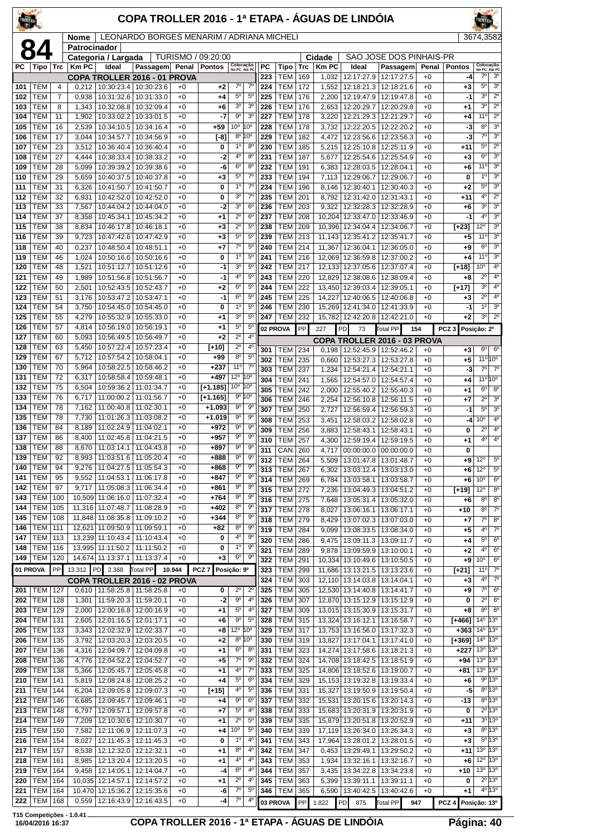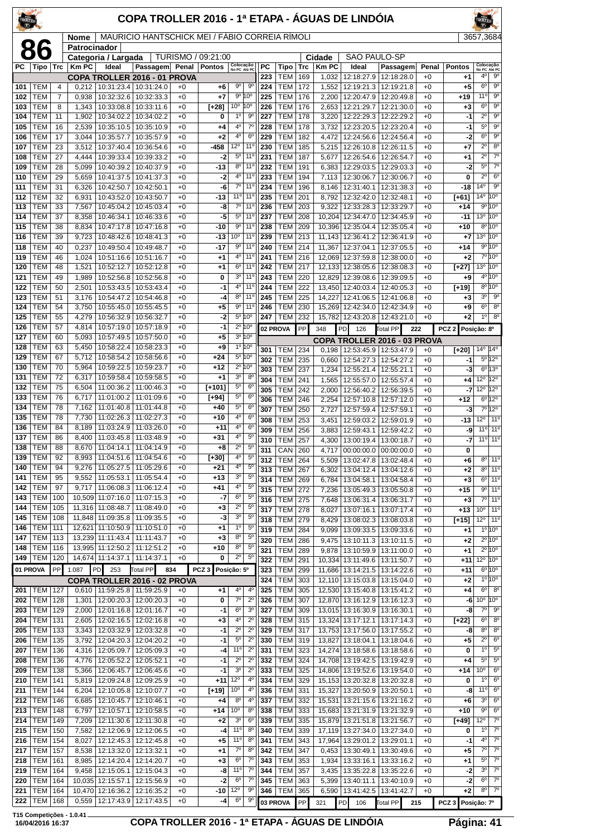| COPA TROLLER 2016 - 1ª ETAPA - ÁGUAS DE LINDÓIA<br>TROLLER |                          |                |                |                                                                |                                                |              |                    |                                  |                                              |            |                              | <b>ROLLER</b> |                  |                                                   |                                            |               |                   |                                              |                                      |
|------------------------------------------------------------|--------------------------|----------------|----------------|----------------------------------------------------------------|------------------------------------------------|--------------|--------------------|----------------------------------|----------------------------------------------|------------|------------------------------|---------------|------------------|---------------------------------------------------|--------------------------------------------|---------------|-------------------|----------------------------------------------|--------------------------------------|
|                                                            |                          |                | Nome           |                                                                | MAURICIO HANTSCHICK MEI / FABIO CORREIA RIMOLI |              |                    |                                  |                                              |            |                              |               |                  |                                                   |                                            |               |                   | 3657,3684                                    |                                      |
|                                                            | 86                       |                | Patrocinador   | Categoria / Largada                                            |                                                |              | TURISMO / 09:21:00 |                                  |                                              |            |                              |               | Cidade           | <b>SAO PAULO-SP</b>                               |                                            |               |                   |                                              |                                      |
| РC                                                         | Tipo                     | Trc            | <b>Km PC</b>   | Ideal                                                          | Passagem                                       | Penal        | <b>Pontos</b>      | Colocação<br>No PC Até PC        |                                              | PC<br>223  | Tipo<br><b>TEM</b>           | Trc<br>169    | <b>KmPC</b>      | Ideal<br>12:18:27.9                               | Passagem<br>12:18:28.0                     | Penal<br>$+0$ | <b>Pontos</b>     | Colocação<br>No PC Até PC<br>4°              | $9^{\circ}$                          |
| 101                                                        | TEM                      | $\overline{4}$ | 0,212          | <b>COPA TROLLER 2016 - 01 PROVA</b><br>10:31:23.4   10:31:24.0 |                                                | $+0$         | +6                 | $9^{\circ}$                      | 90                                           | 224        | <b>TEM</b>                   | 172           | 1,032<br>1,552   | 12:19:21.3                                        | 12:19:21.8                                 | $+0$          | +1<br>$+5$        | $6^{\circ}$                                  | $9^{\circ}$                          |
| 102                                                        | TEM                      | $\overline{7}$ | 0,938          |                                                                | 10:32:32.6   10:32:33.3                        | $+0$         | $+7$               |                                  | 9° 10°                                       | 225        | <b>TEM</b>                   | 176           | 2,200            | 12:20:47.9                                        | 12:20:49.8                                 | $+0$          | +19               | 11°                                          | $9^{\circ}$                          |
| 103<br>104                                                 | <b>TEM</b><br>TEM        | 8<br>11        | 1,343<br>1,902 | 10:33:08.8<br>10:34:02.2                                       | 10:33:11.6<br>10:34:02.2                       | $+0$<br>$+0$ | $[+28]$<br>0       | 10° 10°<br>1 <sup>0</sup>        | 90                                           | 226<br>227 | <b>TEM</b><br><b>TEM</b>     | 176<br>178    | 2,653<br>3,220   | 12:21:29.7<br>12:22:29.3                          | 12:21:30.0<br>12:22:29.2                   | $+0$<br>$+0$  | $+3$<br>$-1$      | $6^{\circ}$<br>$2^{\circ}$                   | $9^{\circ}$<br>$9^{\circ}$           |
| 105                                                        | TEM                      | 16             | 2,539          |                                                                | 10:35:10.5   10:35:10.9                        | $+0$         | +4                 | $4^{\circ}$                      | $7^{\circ}$                                  | 228        | <b>TEM</b>                   | 178           | 3,732            | 12:23:20.5                                        | 12:23:20.4                                 | $+0$          | $-1$              | $5^{\circ}$                                  | 9 <sup>o</sup>                       |
| 106<br>107                                                 | TEM<br><b>TEM</b>        | 17<br>23       | 3,044<br>3,512 | 10:35:57.7<br>10:37:40.4                                       | 10:35:57.9<br>10:36:54.6                       | $+0$<br>$+0$ | +2<br>-458         | 4°<br>12°                        | $6^{\circ}$<br>$11^{\circ}$                  | 229<br>230 | <b>TEM</b><br><b>TEM</b>     | 182<br>185    | 4,472<br>5,215   | 12:24:56.6<br>12:26:10.8                          | 12:24:56.4<br>12:26:11.5                   | $+0$<br>$+0$  | -2<br>$+7$        | $6^{\circ}$<br>$\overline{2^0}$              | $9^{\circ}$<br>8 <sup>o</sup>        |
| 108                                                        | TEM                      | 27             | 4,444          | 10:39:33.4                                                     | 10:39:33.2                                     | $+0$         | -2                 | $5^{\circ}$                      | $11^{\circ}$                                 | 231        | <b>TEM</b>                   | 187           | 5,677            | 12:26:54.6                                        | 12:26:54.7                                 | $+0$          | +1                | $2^{\circ}$                                  | 7 <sup>0</sup>                       |
| 109                                                        | TEM                      | 28             | 5.099          | 10:40:39.2                                                     | 10:40:37.9                                     | $+0$         | $-13$              | 8 <sup>o</sup>                   | 11 <sup>°</sup>                              | 232        | <b>TEM</b>                   | 191           | 6,383            | 12:29:03.5                                        | 12:29:03.3                                 | $+0$          | -2                | $5^{\circ}$                                  | $7^\circ$                            |
| 110<br>111                                                 | TEM<br>TEM               | 29<br>31       | 5,659<br>6,326 | 10:41:37.5<br>10:42:50.7                                       | 10:41:37.3<br>10:42:50.1                       | $+0$<br>$+0$ | -2<br>-6           | $4^{\circ}$<br>$7^\circ$         | $11^{\circ}$<br>$11^{\circ}$                 | 233<br>234 | <b>TEM</b><br><b>TEM</b>     | 194<br>196    | 7,113<br>8,146   | 12:30:06.7<br>12:31:40.1                          | 12:30:06.7<br>12:31:38.3                   | $+0$<br>$+0$  | $\bf{0}$<br>-18   | $2^{\circ}$<br>14 <sup>0</sup>               | $6^{\circ}$<br>9 <sup>o</sup>        |
| 112                                                        | TEM                      | 32             | 6,931          | 10:43:52.0                                                     | 10:43:50.7                                     | $+0$         | -13                | 11°                              | $11^{\circ}$                                 | 235        | <b>TEM</b>                   | 201           | 8,792            | 12:32:42.0                                        | 12:32:48.1                                 | $+0$          | [+61]             | $14^{\circ}$                                 | 10 <sup>o</sup>                      |
| 113<br>114                                                 | TEM<br><b>TEM</b>        | 33<br>37       | 7,567<br>8,358 | 10:45:04.2<br>10:46:34.1                                       | 10:45:03.4<br>10:46:33.6                       | $+0$<br>$+0$ | -8<br>-5           | $7^\circ$<br>$5^{\circ}$         | 11 <sup>°</sup><br>$11^{\circ}$              | 236<br>237 | <b>TEM</b><br><b>TEM</b>     | 203<br>208    | 9,322            | 12:33:28.3<br>10,204 12:34:47.0                   | 12:33:29.7<br>12:34:45.9                   | $+0$<br>$+0$  | +14<br>$-11$      | 13 <sup>o</sup> 10 <sup>o</sup>              | 9°10°                                |
| 115                                                        | TEM                      | 38             | 8,834          | 10:47:17.8                                                     | 10:47:16.8                                     | $+0$         | $-10$              | $9^{\circ}$                      | $11^{\circ}$                                 | 238        | <b>TEM</b>                   | 209           | 10,396           | 12:35:04.4                                        | 12:35:05.4                                 | $+0$          | +10               |                                              | $8^{\circ}10^{\circ}$                |
| 116                                                        | TEM                      | 39             | 9,723          | 10:48:42.6                                                     | 10:48:41.3                                     | $+0$         | $-13$              | 10 <sup>o</sup>                  | 11 <sup>o</sup>                              | 239        | <b>TEM</b>                   | 213           |                  | 11,143 12:36:41.2                                 | 12:36:41.9                                 | $+0$          | +7                | 13 <sup>o</sup> 10 <sup>o</sup>              |                                      |
| 118<br>119                                                 | <b>TEM</b><br>TEM        | 40<br>46       | 0,237<br>1,024 | 10:49:50.4<br>10:51:16.6                                       | 10:49:48.7<br>10:51:16.7                       | $+0$<br>$+0$ | -17                | $9^{\circ}$<br>4°                | $11^{\circ}$<br>$11^{\circ}$                 | 240<br>241 | <b>TEM</b><br><b>TEM</b>     | 214<br>216    | 11,367<br>12,069 | 12:37:04.1<br>12:37:59.8                          | 12:37:05.5<br>12:38:00.0                   | $+0$<br>$+0$  | +14<br>$+2$       |                                              | 9°10°<br>7°10°                       |
| 120                                                        | TEM                      | 48             | 1,521          | 10:52:12.7                                                     | 10:52:12.8                                     | $+0$         | +1<br>+1           |                                  | $6°$ 11 <sup>o</sup>                         | 242        | <b>TEM</b>                   | 217           |                  | 12,133 12:38:05.6                                 | 12:38:08.3                                 | $+0$          | $[+27]$           | $13^{\circ}$ 10 <sup>°</sup>                 |                                      |
| 121                                                        | <b>TEM</b>               | 49             | 1,989          | 10:52:56.8                                                     | 10:52:56.8                                     | $+0$         | 0                  | 3 <sup>o</sup>                   | 11 <sup>°</sup>                              | 243        | <b>TEM</b>                   | 220           | 12,829           | 12:39:08.6                                        | 12:39:09.5                                 | $+0$          | +9                |                                              | 4º 10°                               |
| 122<br>123                                                 | TEM<br>TEM               | 50<br>51       | 2,501<br>3,176 | 10:54:47.2                                                     | 10:53:43.5   10:53:43.4<br>10:54:46.8          | $+0$<br>$+0$ | -1<br>-4           | 4°<br>8 <sup>o</sup>             | $11^{\circ}$<br>$11^{\circ}$                 | 244<br>245 | <b>TEM</b><br><b>TEM</b>     | 222<br>225    | 14,227           | 13,450 12:40:03.4<br>12:41:06.5                   | 12:40:05.3<br>12:41:06.8                   | $+0$<br>$+0$  | [+19]<br>+3       | $3^{\circ}$                                  | $8^{\circ}10^{\circ}$<br>$9^{\circ}$ |
| 124                                                        | TEM                      | 54             | 3,750          | 10:55:45.0                                                     | 10:55:45.5                                     | $+0$         | +5                 | 90                               | $11^{\circ}$                                 | 246        | <b>TEM</b>                   | 230           |                  | 15,269 12:42:34.0                                 | 12:42:34.9                                 | $+0$          | +9                | 6 <sup>o</sup>                               | $8^{\circ}$                          |
| 125                                                        | TEM                      | 55             | 4,279          | 10:56:32.9                                                     | 10:56:32.7                                     | $+0$         | $-2$               |                                  | 5º 10°                                       | 247        | <b>TEM</b>                   | 232           |                  | 15,782 12:43:20.8                                 | 12:43:21.0                                 | $+0$          | $+2$              | 1 <sup>0</sup>                               | 8 <sup>o</sup>                       |
| 126<br>127                                                 | TEM<br>TEM               | 57<br>60       | 4,814<br>5,093 | 10:57:19.0<br>10:57:49.5                                       | 10:57:18.9<br>10:57:50.0                       | $+0$<br>$+0$ | $-1$<br>+5         |                                  | $2^{\circ}$ 10°<br>$3^{\circ}$ 10 $^{\circ}$ |            | 02 PROVA                     | PP            | 348              | PD<br>126                                         | <b>Total PP</b><br>222                     |               | PCZ <sub>2</sub>  | Posição: 8º                                  |                                      |
| 128                                                        | TEM                      | 63             | 5,450          | 10:58:22.4                                                     | 10:58:23.3                                     | $+0$         | +9                 |                                  | 1°10°                                        | 301        | TEM                          | 234           | 0,198            | 12:53:45.9                                        | COPA TROLLER 2016 - 03 PROVA<br>12:53:47.9 | $+0$          | $[+20]$           | $14^{\circ}$ 14 <sup>°</sup>                 |                                      |
| 129                                                        | <b>TEM</b>               | 67             | 5,712          | 10:58:54.2                                                     | 10:58:56.6                                     | $+0$         | $+24$              |                                  | $5^{\circ}$ 10°                              | 302        | <b>TEM</b>                   | 235           | 0,660            | 12:54:27.3                                        | 12:54:27.2                                 | $+0$          | -1                |                                              | $5^{\circ}12^{\circ}$                |
| 130<br>131                                                 | TEM<br>TEM               | 70<br>72       | 5,964<br>6,317 | 10:59:22.5<br>10:59:58.4                                       | 10:59:23.7<br>10:59:58.5                       | $+0$<br>$+0$ | $+12$<br>+1        | 3 <sup>o</sup>                   | $2^{\circ}$ 10°<br>$8^{\circ}$               | 303        | <b>TEM</b>                   | 237           | 1,234            | 12:55:21.4                                        | 12:55:21.1                                 | $+0$          | -3                |                                              | $6^{\circ}$ 13°                      |
| 132                                                        | TEM                      | 75             | 6,504          | 11:00:36.2                                                     | 11:00:46.3                                     | $+0$         | $[+101]$           | $5^{\circ}$                      | 6 <sup>o</sup>                               | 304<br>305 | <b>TEM</b><br><b>TEM</b>     | 241<br>242    | 1,565<br>2,000   | 12:55:57.0<br>12:56:40.2                          | 12:55:57.4<br>12:56:39.5                   | $+0$<br>$+0$  | $+4$<br>-7        | 12º 12º<br>$12^{\circ}$ 12 $^{\circ}$        |                                      |
| 133                                                        | TEM                      | 76             | 6,717          | 11:01:00.2                                                     | 11:01:09.6                                     | $+0$         | $[+94]$            | $5^{\circ}$                      | 6 <sup>o</sup>                               | 306        | TEM                          | 246           | 2,254            | 12:57:10.8                                        | 12:57:12.0                                 | $+0$          | +12               |                                              | $6^{\circ}12^{\circ}$                |
| 134<br>135                                                 | <b>TEM</b><br>TEM        | 78<br>78       | 7,162<br>7,730 | 11:01:40.8<br>11:02:26.3                                       | 11:01:44.8<br>11:02:27.3                       | $+0$<br>$+0$ | $+40$<br>$+10$     | $5^{\circ}$<br>4°                | $6^{\circ}$<br>6 <sup>o</sup>                | 307        | <b>TEM</b>                   | 250           | 2,727            | 12:57:59.4                                        | 12:57:59.1                                 | $+0$          | -3                |                                              | 7º 12º                               |
| 136                                                        | TEM                      | 84             | 8,189          | 11:03:24.9                                                     | 11:03:26.0                                     | $+0$         | $+11$              | 4 <sup>0</sup>                   | $6^{\circ}$                                  | 308<br>309 | <b>TEM</b><br><b>TEM</b>     | 253<br>256    | 3,451<br>3,883   | 12:59:03.2<br>12:59:43.1                          | 12:59:01.9<br>12:59:42.2                   | $+0$<br>$+0$  | $-13$<br>-9       | $12^{\circ}$<br>$11^{\circ}$ 11 <sup>0</sup> | 11 <sup>0</sup>                      |
| 137                                                        | TEM                      | 86             | 8,400          | 11:03:45.8   11:03:48.9                                        |                                                | $+0$         | $+31$              | 4°                               | $5^{\circ}$                                  | 310        | <b>TEM</b>                   | 257           | 4,300            | 13:00:19.4   13:00:18.7                           |                                            | $+0$          | -7                | $11°$ 11°                                    |                                      |
| 138<br>139                                                 | <b>TEM</b><br>TEM        | 88<br>92       | 8,670          | 11:04:14.1<br>8,993   11:04:51.6   11:04:54.6                  | 11:04:14.9                                     | $+0$<br>$+0$ | $+8$<br>$[+30]$    | $2^{\circ}$<br>4°                | 5 <sup>0</sup><br>$5^{\circ}$                | 311        | <b>CAN 260</b>               |               |                  |                                                   | 4,717 00:00:00.0 00:00:00.0                | $+0$          | 0                 |                                              | $8^{\circ}$ 11°                      |
| 140                                                        | <b>TEM</b>               | 94             | 9,276          | 11:05:27.5                                                     | 11:05:29.6                                     | $+0$         | +21                | 4°                               | $5^{\rm o}$                                  | 312<br>313 | <b>TEM 264</b><br><b>TEM</b> | 267           | 6,302            | 5,509   13:02:47.8   13:02:48.4                   | 13:04:12.4 13:04:12.6                      | $+0$<br>$+0$  | +6<br>+2          |                                              | $8^{\circ}$ 11°                      |
| 141                                                        | <b>TEM</b>               | 95             | 9,552          | 11:05:53.1                                                     | 11:05:54.4                                     | $+0$         | $+13$              | 3 <sup>o</sup><br>4 <sup>0</sup> | $5^{\circ}$<br>$5^{\circ}$                   | 314        | <b>TEM</b>                   | 269           | 6,784            | 13:04:58.1                                        | 13:04:58.4                                 | $+0$          | $+3$              |                                              | $6°$ 11°                             |
| 142<br>143                                                 | <b>TEM</b><br><b>TEM</b> | 97<br>100      |                | $9,717$ 11:06:08.3 11:06:12.4<br>10,509 11:07:16.0 11:07:15.3  |                                                | $+0$<br>$+0$ | +41<br>-7          | 6 <sup>o</sup>                   | $5^{\circ}$                                  | 315<br>316 | <b>TEM</b><br>TEM            | 272<br>275    | 7,236<br>7,648   | 13:05:49.3<br>13:06:31.4   13:06:31.7             | 13:05:50.8                                 | $+0$<br>$+0$  | +15<br>$+3$       |                                              | $9°$ 11°<br>7°111°                   |
| 144                                                        | <b>TEM</b>               | 105            |                | 11,316 11:08:48.7                                              | 11:08:49.0                                     | $+0$         | +3                 | $2^{\circ}$                      | $5^{\circ}$                                  | 317        | <b>TEM</b>                   | 278           | 8,027            | 13:07:16.1                                        | 13:07:17.4                                 | $+0$          | +13               | $10^{\circ}$ 11 <sup>o</sup>                 |                                      |
| 145<br>146                                                 | <b>TEM</b><br><b>TEM</b> | 108<br>111     |                | 11,848 11:09:35.8 11:09:35.5<br>12,621 11:10:50.9 11:10:51.0   |                                                | $+0$<br>$+0$ | -3                 | 3 <sup>o</sup><br>$1^{\circ}$    | $5^{\circ}$<br>$5^{\circ}$                   | 318        | <b>TEM 279</b>               |               | 8,429            | 13:08:02.3                                        | 13:08:03.8                                 | $+0$          | $[+15]$           | $12^{\circ}$ 11 <sup>°</sup>                 |                                      |
| 147                                                        | <b>TEM</b>               | 113            |                | 13,239 11:11:43.4                                              | 11:11:43.7                                     | $+0$         | +1<br>+3           | $8^{\rm o}$                      | 5 <sup>0</sup>                               | 319<br>320 | <b>TEM</b><br>TEM            | 284<br>286    | 9,099            | 13:09:33.5<br>9,475 13:10:11.3                    | 13:09:33.6<br>13:10:11.5                   | $+0$<br>$+0$  | +1<br>+2          |                                              | $10^{100}$<br>$2^{\circ}10^{\circ}$  |
| 148                                                        | <b>TEM</b>               | 116            |                | 13,995 11:12:50.2 11:12:51.2                                   |                                                | $+0$         | +10                | $8^{\circ}$                      | $5^{\circ}$                                  | 321        | <b>TEM</b>                   | 289           | 9,878            | 13:10:59.9                                        | 13:11:00.0                                 | $+0$          | +1                |                                              | $2^{\circ}10^{\circ}$                |
| 149                                                        | <b>TEM</b>               | 120            |                | 14,674 11:14:37.1                                              | 11:14:37.1                                     | $+0$         | 0                  | $2^{\circ}$                      | $5^{\circ}$                                  | 322        | <b>TEM</b>                   | 291           |                  | 10,334 13:11:49.6                                 | 13:11:50.7                                 | $+0$          | $+11$             | $12^{\circ}$ 10 $^{\circ}$                   |                                      |
|                                                            | 01 PROVA                 | PP             | 1.087          | PD <br>253<br>COPA TROLLER 2016 - 02 PROVA                     | <b>Total PP</b>                                | 834          | PCZ <sub>3</sub>   | Posição: 5º                      |                                              | 323<br>324 | <b>TEM</b><br><b>TEM</b>     | 299<br>303    |                  | 11,686 13:14:21.5 13:14:22.6<br>12,110 13:15:03.8 | 13:15:04.0                                 | $+0$<br>$+0$  | +11<br>+2         |                                              | $6^{\circ}10^{\circ}$<br>$10^{100}$  |
| 201                                                        | TEM                      | 127            |                | 0,610   11:59:25.8   11:59:25.9                                |                                                | $+0$         | +1                 | 4 <sup>0</sup>                   | $4^{\circ}$                                  | 325        | <b>TEM</b>                   | 305           |                  | 12,530 13:15:40.8                                 | 13:15:41.2                                 | $+0$          | +4                | $6^{\circ}$                                  | 8 <sup>o</sup>                       |
| 202<br>203                                                 | <b>TEM</b><br><b>TEM</b> | 128<br>129     |                | 1,301   12:00:20.3   12:00:20.3<br>12:01:16.8   12:01:16.7     |                                                | $+0$<br>$+0$ | 0<br>-1            | $7^\circ$<br>$6^{\circ}$         | $2^{\circ}$<br>3 <sup>o</sup>                | 326<br>327 | <b>TEM</b><br><b>TEM</b>     | 307           |                  | 12,870 13:16:12.9                                 | 13:16:12.3                                 | $+0$<br>$+0$  | -6<br>-8          | $10^{\circ}$ 10 $^{\circ}$<br>$7^\circ$      | $9^{\circ}$                          |
| 204                                                        | <b>TEM</b>               | 131            | 2,000<br>2,605 | 12:02:16.5                                                     | 12:02:16.8                                     | $+0$         | +3                 | 4°                               | $2^{\circ}$                                  | 328        | <b>TEM</b>                   | 309<br>315    |                  | 13,015 13:16:30.9<br>13,324 13:17:12.1            | 13:16:30.1<br>13:17:14.3                   | $+0$          | [+22]             | $6^{\circ}$                                  | 8 <sup>o</sup>                       |
| 205                                                        | <b>TEM</b>               | 133            | 3,343          |                                                                | 12:03:32.9   12:03:32.8                        | $+0$         | -1                 | $2^{\circ}$                      | $2^{\circ}$                                  | 329        | <b>TEM</b>                   | 317           |                  | 13,753 13:17:56.0                                 | 13:17:55.2                                 | $+0$          | -8                | $8^{\circ}$                                  | 8 <sup>o</sup>                       |
| 206<br>207                                                 | <b>TEM</b><br><b>TEM</b> | 135<br>136     | 3,792          | 12:04:20.3   12:04:20.2<br>4,316   12:05:09.7   12:05:09.3     |                                                | $+0$<br>$+0$ | -1<br>-4           | $5^{\rm o}$<br>11 <sup>0</sup>   | $2^{\circ}$<br>$2^{\circ}$                   | 330<br>331 | TEM<br><b>TEM</b>            | 319<br>323    |                  | 13,827 13:18:04.1<br>14,274 13:18:58.6            | 13:18:04.6<br>13:18:58.6                   | $+0$<br>$+0$  | $+5$<br>0         | $2^{\circ}$<br>1 <sup>0</sup>                | 6 <sup>o</sup><br>$5^{\circ}$        |
| 208                                                        | <b>TEM</b>               | 136            | 4,776          | 12:05:52.2 12:05:52.1                                          |                                                | $+0$         | -1                 | $2^{\circ}$                      | $2^{\circ}$                                  | 332        | <b>TEM</b>                   | 324           |                  | 14,708 13:19:42.5                                 | 13:19:42.9                                 | $+0$          | +4                | $5^\circ$                                    | $5^{\circ}$                          |
| 209                                                        | <b>TEM</b>               | 138            | 5,366          | 12:06:45.7   12:06:45.6                                        |                                                | $+0$         | -1                 | 3 <sup>o</sup>                   | $2^{\circ}$                                  | 333        | TEM                          | 325           |                  | 14,806 13:19:52.6                                 | 13:19:54.0                                 | $+0$          | $+14$             | 10 <sup>o</sup>                              | $6^{\circ}$                          |
| 210<br>211                                                 | <b>TEM</b><br><b>TEM</b> | 141<br>144     | 5,819<br>6,204 | 12:10:05.8   12:10:07.7                                        | 12:09:24.8   12:09:25.9                        | $+0$<br>$+0$ | $+11$<br>$[+19]$   | $12^{\circ}$<br>$10^{\circ}$     | $4^{\circ}$<br>$4^{\circ}$                   | 334<br>336 | TEM<br><b>TEM</b>            | 329<br>331    |                  | 15,153 13:20:32.8<br>15,327 13:20:50.9            | 13:20:32.8<br>13:20:50.1                   | $+0$<br>$+0$  | 0<br>-8           | $1^{\circ}$<br>11°                           | $6^{\circ}$<br>$6^{\circ}$           |
| 212                                                        | <b>TEM</b>               | 146            | 6,685          | 12:10:45.7                                                     | 12:10:46.1                                     | $+0$         | +4                 | 8 <sup>o</sup>                   | $4^{\circ}$                                  | 337        | <b>TEM</b>                   | 332           |                  | 15,531 13:21:15.6                                 | 13:21:16.2                                 | $+0$          | +6                | $3^{\rm o}$                                  | $6^{\circ}$                          |
| 213                                                        | <b>TEM</b>               | 148            | 6,797          | 12:10:57.1                                                     | 12:10:58.5                                     | $+0$         | $+14$              | 10 <sup>o</sup>                  | $8^{\circ}$                                  | 338        | <b>TEM</b>                   | 333           |                  | 15,683 13:21:31.9                                 | 13:21:32.9                                 | $+0$          | $+10$             | $9^{\circ}$                                  | $6^{\circ}$                          |
| 214<br>215                                                 | <b>TEM</b><br><b>TEM</b> | 149<br>150     | 7,209<br>7,582 | 12:11:30.6   12:11:30.8<br>12:12:06.9   12:12:06.5             |                                                | $+0$<br>$+0$ | +2<br>-4           | $3^{\rm o}$<br>11°               | $6^{\circ}$<br>$8^{\circ}$                   | 339<br>340 | <b>TEM</b><br><b>TEM</b>     | 335<br>339    |                  | 15,879 13:21:51.8<br>17,119 13:27:34.0            | 13:21:56.7<br>13:27:34.0                   | $+0$<br>$+0$  | [+49]<br>0        | $12^{\circ}$<br>1 <sup>0</sup>               | $7^{\circ}$<br>$7^\circ$             |
| 216                                                        | <b>TEM</b>               | 154            | 8,027          | 12:12:45.3 12:12:45.8                                          |                                                | $+0$         | +5                 | 11°                              | 8 <sup>o</sup>                               | 341        | <b>TEM</b>                   | 343           |                  | 17,964 13:29:01.2                                 | 13:29:01.1                                 | $+0$          | $-1$              | $4^{\circ}$                                  | $\overline{7^\circ}$                 |
| 217                                                        | <b>TEM</b>               | 157            | 8,538          | 12:13:32.0                                                     | 12:13:32.1                                     | $+0$         | +1                 | $7^\circ$                        | $8^{\circ}$                                  | 342        | <b>TEM</b>                   | 347           | 0,453            | 13:30:49.1                                        | 13:30:49.6                                 | $+0$          | +5                | $7^\circ$                                    | $7^\circ$                            |
| 218<br>219                                                 | <b>TEM</b><br><b>TEM</b> | 161<br>164     | 9.458          | 8,985   12:14:20.4   12:14:20.7<br>12:15:05.1 12:15:04.3       |                                                | $+0$<br>$+0$ | +3<br>-8           | $6^{\circ}$<br>11°               | $7^\circ$<br>$7^\circ$                       | 343<br>344 | TEM<br><b>TEM</b>            | 353<br>357    | 1,934<br>3.435   | 13:33:16.1<br>13:35:22.8                          | 13:33:16.2<br>13:35:22.6                   | $+0$<br>$+0$  | +1<br>-2          | $5^\circ$<br>$3^{\circ}$                     | $7^\circ$<br>$\overline{7^{\circ}}$  |
| 220                                                        | <b>TEM</b>               | 164            |                | 10,035 12:15:57.1                                              | 12:15:56.9                                     | $+0$         | -2                 | $6^{\circ}$                      | $7^\circ$                                    | 345        | <b>TEM</b>                   | 363           | 5,399            | 13:40:11.1                                        | 13:40:10.9                                 | $+0$          | $-2$              | $6^{\circ}$                                  | $7^\circ$                            |
| 221                                                        | <b>TEM</b>               | 164            |                | 10,470 12:16:36.2                                              | 12:16:35.2                                     | $+0$         | -10                | $12^{\circ}$                     | $9^{\circ}$                                  | 346        | TEM                          | 365           |                  | 6,590 13:41:42.5                                  | 13:41:42.7                                 | $+0$          | $+2$              | $8^{\circ}$                                  | $7^\circ$                            |
| 222                                                        | <b>TEM</b>               | 168            |                | 0,559   12:17:43.9   12:17:43.5                                |                                                | $+0$         | -4                 | 6 <sup>o</sup>                   | $9^{\circ}$                                  |            | 03 PROVA                     | PP            | 321              | PD 106                                            | Total PP<br>215                            |               | PCZ 3 Posição: 7º |                                              |                                      |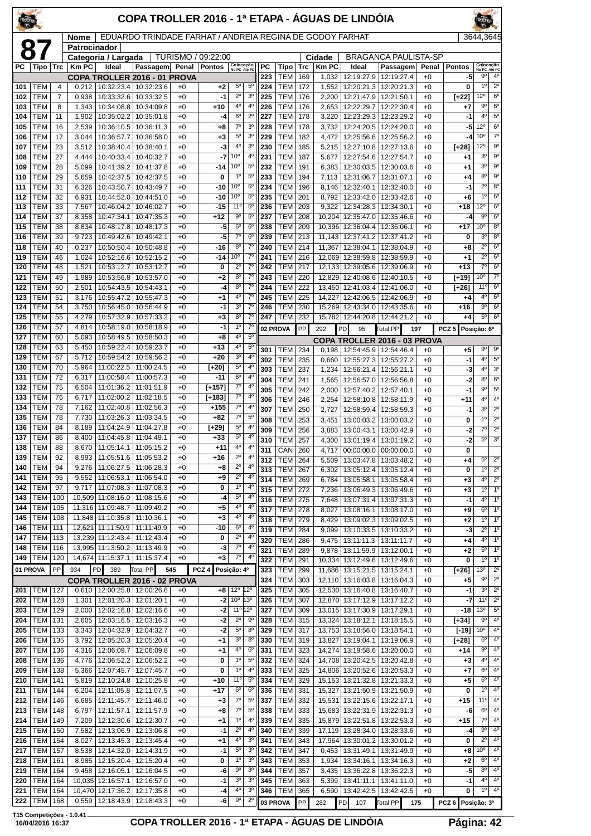| TROLLER    |                          |            |                             |                                           |                                                          |              | COPA TROLLER 2016 - 1ª ETAPA - ÁGUAS DE LINDÓIA |                                  |                                  |            |                          |            |                       |                                        |                              |                 |                     |                                          |                                          |
|------------|--------------------------|------------|-----------------------------|-------------------------------------------|----------------------------------------------------------|--------------|-------------------------------------------------|----------------------------------|----------------------------------|------------|--------------------------|------------|-----------------------|----------------------------------------|------------------------------|-----------------|---------------------|------------------------------------------|------------------------------------------|
| 8          |                          |            | <b>Nome</b><br>Patrocinador |                                           | EDUARDO TRINDADE FARHAT / ANDREIA REGINA DE GODOY FARHAT |              |                                                 |                                  |                                  |            |                          |            | 3644.3645             |                                        |                              |                 |                     |                                          |                                          |
|            |                          |            |                             | Categoria / Largada                       |                                                          | TURISMO /    | 09:22:00                                        |                                  |                                  |            |                          |            | Cidade                |                                        | <b>BRAGANCA PAULISTA-SP</b>  |                 |                     |                                          |                                          |
|            | PC   Tipo                | Trc        | <b>KmPC</b>                 | Ideal<br>COPA TROLLER 2016 - 01 PROVA     | Passagem Penal                                           |              | <b>Pontos</b>                                   | Colocação<br>No PC Até PC        |                                  | РC<br>223  | Tipo<br><b>TEM</b>       | Trc<br>169 | <b>Km PC</b><br>1,032 | Ideal<br>12:19:27.9                    | Passagem<br>12:19:27.4       | Penal<br>$+0$   | <b>Pontos</b><br>-5 | Colocação<br>No PC Até PC<br>$9^{\circ}$ | $4^{\circ}$                              |
| 101        | <b>TEM</b>               | 4          | 0,212                       |                                           | 10:32:23.4   10:32:23.6                                  | +0           | +2                                              | $5^{\circ}$                      | $5^{\circ}$                      | 224        | <b>TEM</b>               | 172        | 1,552                 | 12:20:21.3                             | 12:20:21.3                   | $+0$            | 0                   | $1^{\circ}$                              | $2^{\circ}$                              |
| 102        | <b>TEM</b>               | 7          | 0,938                       | 10:33:32.6                                | 10:33:32.5                                               | $+0$         | $-1$                                            | $2^{\circ}$                      | 3 <sup>o</sup>                   | 225        | <b>TEM</b>               | 176        | 2,200                 | 12:21:47.9                             | 12:21:50.1                   | $^{+0}$         | $[+22]$             | $12^{\circ}$                             | $6^{\circ}$                              |
| 103        | <b>TEM</b>               | 8          |                             | 1,343   10:34:08.8                        | 10:34:09.8                                               | $+0$         | $+10$                                           | 4 <sup>0</sup>                   | 4 <sup>0</sup>                   | 226        | <b>TEM</b>               | 176        | 2.653                 | 12:22:29.7                             | 12:22:30.4                   | $+0$            | +7                  | $9^{\circ}$                              | $6^{\circ}$                              |
| 104<br>105 | TEM<br>TEM               | 11<br>16   | 1,902<br>2,539              | 10:35:02.2<br>10:36:10.5                  | 10:35:01.8<br>10:36:11.3                                 | $+0$<br>$+0$ | -4<br>$+8$                                      | $6^{\circ}$<br>$7^\circ$         | $2^{\circ}$<br>3 <sup>o</sup>    | 227<br>228 | TEM<br><b>TEM</b>        | 178<br>178 | 3,220<br>3,732        | 12:23:29.3<br>12:24:20.5               | 12:23:29.2<br>12:24:20.0     | $+0$<br>$+0$    | -1<br>-5            | 4 <sup>0</sup><br>12°                    | $5^{\circ}$<br>$6^{\circ}$               |
| 106        | <b>TEM</b>               | 17         | 3,044                       | 10:36:57.7                                | 10:36:58.0                                               | $+0$         | $+3$                                            | $5^{\circ}$                      | 3 <sup>o</sup>                   | 229        | <b>TEM</b>               | 182        | 4,472                 | 12:25:56.6                             | 12:25:56.2                   | $+0$            | -4                  | 10 <sup>o</sup>                          | $\overline{7^0}$                         |
| 107        | TEM                      | 23         | 3,512                       | 10:38:40.4                                | 10:38:40.1                                               | $+0$         | -3                                              | 4 <sup>0</sup>                   | 3 <sup>o</sup>                   | 230        | <b>TEM</b>               | 185        | 5,215                 | 12:27:10.8                             | 12:27:13.6                   | $+0$            | [+28]               | 12°                                      | $9^{\circ}$                              |
| 108        | тем                      | 27         | 4,444                       | 10:40:33.4                                | 10:40:32.7                                               | $+0$         | -7                                              | $10^{\circ}$                     | 4°                               | 231        | <b>TEM</b>               | 187        | 5,677                 | 12:27:54.6                             | 12:27:54.7                   | $+0$            | $+1$                | 30                                       | $9^{\circ}$                              |
| 109        | TEM                      | 28         | 5,099                       | 10:41:39.2                                | 10:41:37.8                                               | $+0$         | -14                                             | 10 <sup>o</sup>                  | $5^{\circ}$                      | 232        | <b>TEM</b>               | 191        | 6,383                 | 12:30:03.5                             | 12:30:03.6                   | $+0$            | $+1$                | 3 <sup>o</sup>                           | $9^{\circ}$<br>$\overline{9^{\circ}}$    |
| 110<br>111 | TEM<br>TEM               | 29<br>31   | 5,659<br>6,326              | 10:42:37.5<br>10:43:50.7                  | 10:42:37.5<br>10:43:49.7                                 | $+0$<br>$+0$ | 0<br>$-10$                                      | $1^{\circ}$<br>10°               | $5^{\circ}$<br>$5^{\rm o}$       | 233<br>234 | <b>TEM</b><br><b>TEM</b> | 194<br>196 | 7,113<br>8,146        | 12:31:06.7<br>12:32:40.1               | 12:31:07.1<br>12:32:40.0     | $+0$<br>$+0$    | +4<br>-1            | 8 <sup>o</sup><br>$2^{\circ}$            | $8^{\circ}$                              |
| 112        | <b>TEM</b>               | 32         | 6,931                       | 10:44:52.0                                | 10:44:51.0                                               | $+0$         | -10                                             | 10°                              | $5^{\circ}$                      | 235        | <b>TEM</b>               | 201        | 8,792                 | 12:33:42.0                             | 12:33:42.6                   | $+0$            | $+6$                | $1^{\circ}$                              | $6^{\circ}$                              |
| 113        | TEM                      | 33         | 7,567                       | 10:46:04.2                                | 10:46:02.7                                               | $+0$         | $-15$                                           | $11^{\circ}$                     | $5^{\circ}$                      | 236        | <b>TEM</b>               | 203        | 9,322                 | 12:34:28.3                             | 12:34:30.1                   | $+0$            | $+18$               | 12°                                      | 6 <sup>o</sup>                           |
| 114        | <b>TEM</b>               | 37         | 8,358                       | 10:47:34.1                                | 10:47:35.3                                               | $+0$         | $+12$                                           | 90                               | $5^{\circ}$                      | 237        | TEM                      | 208        |                       | 10,204 12:35:47.0                      | 12:35:46.6                   | $+0$            | -4                  | 9 <sup>o</sup>                           | 6 <sup>o</sup>                           |
| 115<br>116 | TEM<br>TEM               | 38<br>39   | 8,834<br>9,723              | 10:48:17.8<br>10:49:42.6                  | 10:48:17.3<br>10:49:42.1                                 | $+0$<br>$+0$ | -5<br>-5                                        | 6 <sup>o</sup><br>$7^\circ$      | 6 <sup>o</sup><br>6 <sup>o</sup> | 238<br>239 | <b>TEM</b><br><b>TEM</b> | 209<br>213 | 10,396                | 12:36:04.4<br>11,143 12:37:41.2        | 12:36:06.1<br>12:37:41.2     | $+0$<br>$+0$    | +17<br>0            | 10 <sup>o</sup><br>3 <sup>o</sup>        | $8^{\circ}$<br>8 <sup>o</sup>            |
| 118        | TEM                      | 40         | 0,237                       | 10:50:50.4                                | 10:50:48.8                                               | $+0$         | $-16$                                           | $8^{\circ}$                      | $7^\circ$                        | 240        | <b>TEM</b>               | 214        | 11,367                | 12:38:04.1                             | 12:38:04.9                   | $+0$            | $+8$                | $2^{\circ}$                              | 6 <sup>o</sup>                           |
| 119        | TEM                      | 46         | 1,024                       | 10:52:16.6                                | 10:52:15.2                                               | $+0$         | $-14$                                           | 10°                              | $7^\circ$                        | 241        | <b>TEM</b>               | 216        | 12,069                | 12:38:59.8                             | 12:38:59.9                   | $+0$            | $+1$                | $2^{\circ}$                              | $6^{\circ}$                              |
| 120        | TEM                      | 48         | 1,521                       | 10:53:12.7                                | 10:53:12.7                                               | $+0$         | 0                                               | $2^{\circ}$                      | $7^\circ$                        | 242        | <b>TEM</b>               | 217        |                       | 12,133 12:39:05.6                      | 12:39:06.9                   | $+0$            | $+13$               | $\overline{7^{\circ}}$                   | $6^{\circ}$                              |
| 121        | TEM                      | 49         | 1,989                       | 10:53:56.8                                | 10:53:57.0                                               | $+0$         | $+2$                                            | $8^{\circ}$                      | $7^\circ$                        | 243        | <b>TEM</b>               | 220        | 12,829                | 12:40:08.6                             | 12:40:10.5                   | $+0$            | [+19]               | 10 <sup>o</sup>                          | $7^\circ$                                |
| 122<br>123 | тем<br>TEM               | 50<br>51   | 2,501<br>3,176              | 10:54:43.5<br>10:55:47.2                  | 10:54:43.1<br>10:55:47.3                                 | +0<br>$+0$   | -4<br>$+1$                                      | $8^{\circ}$<br>4 <sup>0</sup>    | $7^\circ$<br>$7^\circ$           | 244<br>245 | <b>TEM</b><br><b>TEM</b> | 222<br>225 | 14,227                | 13,450 12:41:03.4<br>12:42:06.5        | 12:41:06.0<br>12:42:06.9     | $+0$<br>$+0$    | [+26]<br>+4         | 11°<br>4 <sup>0</sup>                    | 6 <sup>o</sup><br>$6^{\circ}$            |
| 124        | TEM                      | 54         | 3,750                       | 10:56:45.0                                | 10:56:44.9                                               | $+0$         | -1                                              | 3 <sup>o</sup>                   | $7^\circ$                        | 246        | <b>TEM</b>               | 230        |                       | 15,269 12:43:34.0                      | 12:43:35.6                   | $+0$            | $+16$               | 90                                       | 6 <sup>o</sup>                           |
| 125        | TEM                      | 55         | 4,279                       | 10:57:32.9                                | 10:57:33.2                                               | $+0$         | $+3$                                            | 8 <sup>0</sup>                   | $7^\circ$                        | 247        | <b>TEM</b>               | 232        |                       | 15,782 12:44:20.8                      | 12:44:21.2                   | $+0$            | $+4$                | $5^{\circ}$                              | 6 <sup>o</sup>                           |
| 126        | <b>TEM</b>               | 57         | 4,814                       | 10:58:19.0                                | 10:58:18.9                                               | $+0$         | -1                                              | 1 <sup>0</sup>                   | $7^\circ$                        |            | 02 PROVA                 | PP         | 292                   | PD<br>95                               | Total PP<br>197              |                 | PCZ <sub>5</sub>    | Posição: 6º                              |                                          |
| 127<br>128 | TEM<br>TEM               | 60<br>63   | 5,093                       | 10:58:49.5                                | 10:58:50.3                                               | $+0$         | +8<br>$+13$                                     | 4 <sup>0</sup><br>4 <sup>0</sup> | $5^{\circ}$<br>$5^{\circ}$       |            |                          |            |                       |                                        | COPA TROLLER 2016 - 03 PROVA |                 |                     |                                          |                                          |
| 129        | <b>TEM</b>               | 67         | 5,450<br>5,712              | 10:59:22.4<br>10:59:54.2                  | 10:59:23.7<br>10:59:56.2                                 | +0<br>$+0$   | $+20$                                           | 3 <sup>o</sup>                   | 4 <sup>0</sup>                   | 301<br>302 | TEM                      | 234        | 0,198                 | 12:54:45.9   12:54:46.4                |                              | $+0$            | +5                  | $9^{\circ}$<br>4 <sup>0</sup>            | $9^{\circ}$<br>$5^\circ$                 |
| 130        | TEM                      | 70         | 5,964                       | 11:00:22.5                                | 11:00:24.5                                               | +0           | [+20]                                           | $5^{\circ}$                      | 4°                               | 303        | <b>TEM</b><br><b>TEM</b> | 235<br>237 | 0.660<br>1,234        | 12:55:27.3<br>12:56:21.4               | 12:55:27.2<br>12:56:21.1     | $+0$<br>$+0$    | -1<br>-3            | 4º                                       | 3 <sup>o</sup>                           |
| 131        | TEM                      | 72         | 6,317                       | 11:00:58.4                                | 11:00:57.3                                               | $+0$         | $-11$                                           | 6 <sup>o</sup>                   | 4 <sup>0</sup>                   | 304        | <b>TEM</b>               | 241        | 1,565                 | 12:56:57.0                             | 12:56:56.8                   | $+0$            | -2                  | 80                                       | 6 <sup>o</sup>                           |
| 132        | TEM                      | 75         | 6,504                       | 11:01:36.2                                | 11:01:51.9                                               | $+0$         | $[+157]$                                        | $7^\circ$                        | 4 <sup>0</sup>                   | 305        | <b>TEM</b>               | 242        | 2,000                 | 12:57:40.2                             | 12:57:40.1                   | $+0$            | -1                  | $\overline{9^0}$                         | $5^{\circ}$                              |
| 133<br>134 | TEM<br>TEM               | 76<br>78   | 6,717<br>7,162              | 11:02:00.2<br>11:02:40.8                  | 11:02:18.5<br>11:02:56.3                                 | $+0$         | $[+183]$<br>$+155$                              | $7^{\circ}$<br>$7^\circ$         | 4°<br>4 <sup>0</sup>             | 306        | <b>TEM</b>               | 246        | 2,254                 | 12:58:10.8                             | 12:58:11.9                   | $+0$            | +11                 | 4 <sup>0</sup>                           | 4 <sup>0</sup>                           |
| 135        | TEM                      | 78         | 7,730                       | 11:03:26.3                                | 11:03:34.5                                               | $+0$<br>$+0$ | $+82$                                           | $7^\circ$                        | $5^{\circ}$                      | 307<br>308 | <b>TEM</b><br><b>TEM</b> | 250<br>253 | 2,727<br>3,451        | 12:58:59.4<br>13:00:03.2               | 12:58:59.3<br>13:00:03.2     | $+0$<br>$+0$    | $-1$<br>0           | 30<br>$1^{\circ}$                        | $2^{\circ}$<br>$2^{\circ}$               |
| 136        | TEM                      | 84         | 8,189                       | 11:04:24.9                                | 11:04:27.8                                               | +0           | [+29]                                           | $5^{\circ}$                      | 4°                               | 309        | <b>TEM</b>               | 256        | 3,883                 | 13:00:43.1                             | 13:00:42.9                   | $+0$            | -2                  | $7^\circ$                                | $2^{\circ}$                              |
| 137        | <b>TEM</b>               | 86         | 8,400                       | 11:04:45.8                                | 11:04:49.1                                               | $+0$         | $+33$                                           | $5^{\circ}$                      | 4 <sup>0</sup>                   | 310        | <b>TEM</b>               | 257        | 4,300                 | 13:01:19.4   13:01:19.2                |                              | $+0$            | -2                  | $5^{\circ}$                              | 3 <sup>o</sup>                           |
| 138        | <b>TEM</b>               | 88         | 8,670                       | 11:05:14.1                                | 11:05:15.2                                               | $+0$         | $+11$                                           | 4 <sup>0</sup>                   | $4^{\circ}$                      | 311        | <b>CAN 260</b>           |            |                       | 4,717 00:00:00.0 00:00:00.0            |                              | $+0$            | 0                   |                                          |                                          |
| 139<br>140 | TEM<br><b>TEM</b>        | 92<br>94   | 8,993<br>9,276              | 11:05:51.6<br>11:06:27.5                  | 11:05:53.2<br>11:06:28.3                                 | +0<br>$+0$   | +16<br>+8                                       | $2^{\circ}$<br>$2^{\circ}$       | $4^{\circ}$<br>$4^{\circ}$       | 312        | TEM                      | 264        | 5,509                 | 13:03:47.8                             | 13:03:48.2                   | $^{+0}$         | +4                  | $5^{\circ}$<br>10                        | $2^{\circ}$<br>$2^{\circ}$               |
| 141        | <b>TEM</b>               | 95         | 9,552                       | 11:06:53.1                                | 11:06:54.0                                               | $+0$         | +9                                              | $2^{\circ}$                      | $4^{\rm o}$                      | 313<br>314 | <b>TEM</b><br><b>TEM</b> | 267<br>269 | 6,302<br>6,784        | 13:05:12.4<br>13:05:58.1               | 13:05:12.4<br>13:05:58.4     | $+0$<br>$^{+0}$ | 0<br>$+3$           | 4º                                       | $2^{\circ}$                              |
| 142        | <b>TEM</b>               | 97         |                             | $9,717$   11:07:08.3                      | 11:07:08.3                                               | $+0$         | 0                                               | $1^{\circ}$                      | $4^{\circ}$                      | 315        | <b>TEM</b>               | 272        | 7,236                 | 13:06:49.3                             | 13:06:49.6                   | $+0$            | $+3$                | $1^{\circ}$                              | 1 <sup>0</sup>                           |
| 143        | TEM                      | 100        |                             | 10,509 11:08:16.0                         | 11:08:15.6                                               | $+0$         | -4                                              | $5^{\circ}$                      | 4 <sup>0</sup>                   | 316        | <b>TEM</b>               | 275        | 7,648                 | 13:07:31.4   13:07:31.3                |                              | $+0$            | -1                  | $4^{\circ}$                              | $\overline{1^{\circ}}$                   |
| 144<br>145 | <b>TEM</b><br><b>TEM</b> | 105<br>108 |                             | 11,316 11:09:48.7<br>11,848 11:10:35.8    | 11:09:49.2<br>11:10:36.1                                 | $+0$<br>$+0$ | +5<br>$^{+3}$                                   | $4^{\circ}$<br>4 <sup>0</sup>    | $4^{\circ}$<br>4 <sup>0</sup>    | 317        | <b>TEM</b>               | 278        | 8,027                 | 13:08:16.1                             | 13:08:17.0                   | $^{+0}$         | +9                  | $6^{\circ}$                              | 1 <sup>0</sup>                           |
| 146        | TEM                      | 111        |                             | 12,621 11:11:50.9                         | 11:11:49.9                                               | $+0$         | $-10$                                           | 6 <sup>o</sup>                   | $4^{\circ}$                      | 318<br>319 | <b>TEM</b><br>TEM        | 279<br>284 | 8,429<br>9,099        | 13:09:02.3<br>13:10:33.5               | 13:09:02.5<br>13:10:33.2     | $+0$<br>$+0$    | +2<br>-3            | 1°<br>$\overline{2^{\circ}}$             | 1 <sup>0</sup><br>$\overline{1^{\circ}}$ |
| 147        | TEM                      | 113        |                             | 13,239 11:12:43.4                         | 11:12:43.4                                               | $+0$         | 0                                               | $2^{\circ}$                      | $4^{\circ}$                      | 320        | <b>TEM</b>               | 286        | 9,475                 | 13:11:11.3                             | 13:11:11.7                   | +0              | +4                  | 4°                                       | $1^{\circ}$                              |
| 148        | <b>TEM</b>               | 116        |                             | 13,995 11:13:50.2                         | 11:13:49.9                                               | $+0$         | -3                                              | $7^\circ$                        | 4 <sup>0</sup>                   | 321        | <b>TEM</b>               | 289        | 9,878                 | 13:11:59.9                             | 13:12:00.1                   | $+0$            | +2                  | $5^{\circ}$                              | 1 <sup>0</sup>                           |
| 149        | <b>TEM</b>               | 120        |                             | 14,674 11:15:37.1                         | 11:15:37.4                                               | $+0$         | $+3$                                            | $7^\circ$                        | $4^{\circ}$                      | 322        | <b>TEM</b>               | 291        | 10,334                | 13:12:49.6                             | 13:12:49.6                   | $+0$            | 0                   | $1^{\circ}$                              | 1 <sup>0</sup>                           |
| 01 PROVA   |                          | PP         | 934                         | PD<br>389<br>COPA TROLLER 2016 - 02 PROVA | <b>Total PP</b>                                          | 545          | PCZ <sub>4</sub>                                | Posição: 4º                      |                                  | 323<br>324 | <b>TEM</b><br>TEM        | 299<br>303 | 11,686                | 13:15:21.5<br>12,110 13:16:03.8        | 13:15:24.1<br>13:16:04.3     | $+0$<br>$+0$    | [+26]<br>+5         | 13 <sup>o</sup><br>$9^{\circ}$           | $2^{\circ}$<br>$2^{\circ}$               |
|            | 201   TEM   127          |            |                             | 0,610   12:00:25.8   12:00:26.6           |                                                          | +0           | +8                                              | $12^{\circ}$                     | $12^{\circ}$                     | 325        | <b>TEM</b>               | 305        |                       | 12,530 13:16:40.8                      | 13:16:40.7                   | +0              | $-1$                | 3 <sup>o</sup>                           | $2^{\circ}$                              |
| 202        | <b>TEM</b>               | 128        |                             | 1,301   12:01:20.3                        | 12:01:20.1                                               | $+0$         | $-2$                                            | $10^{\circ}$                     | 13 <sup>o</sup>                  | 326        | <b>TEM</b>               | 307        |                       | 12,870 13:17:12.9                      | 13:17:12.2                   | $+0$            | -7                  | 11°                                      | $2^{\circ}$                              |
| 203        | <b>TEM</b>               | 129        |                             | 2,000   12:02:16.8                        | 12:02:16.6                                               | $+0$         | -2                                              | 11º 12º                          |                                  | 327        | TEM                      | 309        |                       | 13,015 13:17:30.9                      | 13:17:29.1                   | $+0$            | -18                 | 13 <sup>o</sup>                          | $5^{\circ}$                              |
| 204        | <b>TEM</b>               | 131        | 2,605                       | 12:03:16.5                                | 12:03:16.3                                               | $+0$         | -2                                              | $2^{\circ}$<br>5 <sup>o</sup>    | $9^{\circ}$<br>8 <sup>0</sup>    | 328        | <b>TEM</b>               | 315        | 13,324                | 13:18:12.1                             | 13:18:15.5                   | $+0$            | [+34]               | $9^{\circ}$<br>10 <sup>o</sup>           | 4 <sup>0</sup><br>4 <sup>0</sup>         |
| 205<br>206 | <b>TEM</b><br><b>TEM</b> | 133<br>135 | 3,343<br>3,792              | 12:04:32.9<br>12:05:20.3                  | 12:04:32.7<br>12:05:20.4                                 | $+0$<br>$+0$ | $-2$<br>$+1$                                    | $3o$                             | 8 <sup>o</sup>                   | 329<br>330 | TEM<br><b>TEM</b>        | 317<br>319 |                       | 13,753 13:18:56.0<br>13,827 13:19:04.1 | 13:18:54.1<br>13:19:06.9     | $+0$<br>$+0$    | $[-19]$<br>[+28]    | $6^{\circ}$                              | $4^{\circ}$                              |
| 207        | <b>TEM</b>               | 136        | 4,316                       | 12:06:09.7                                | 12:06:09.8                                               | $+0$         | +1                                              | $4^{\circ}$                      | 6 <sup>o</sup>                   | 331        | <b>TEM</b>               | 323        |                       | 14,274 13:19:58.6                      | 13:20:00.0                   | $+0$            | +14                 | 90                                       | $4^{\rm o}$                              |
| 208        | <b>TEM</b>               | 136        |                             | 4,776   12:06:52.2                        | 12:06:52.2                                               | $+0$         | 0                                               | 1 <sup>0</sup>                   | $5^{\circ}$                      | 332        | <b>TEM</b>               | 324        |                       | 14,708 13:20:42.5                      | 13:20:42.8                   | $+0$            | $+3$                | $4^{\circ}$                              | 4 <sup>0</sup>                           |
| 209        | TEM                      | 138        | 5,366                       | 12:07:45.7                                | 12:07:45.7                                               | $+0$         | 0                                               | $1^{\circ}$                      | $4^{\circ}$                      | 333        | <b>TEM</b>               | 325        |                       | 14,806 13:20:52.6                      | 13:20:53.3                   | +0              | +7                  | $6^{\circ}$                              | 4 <sup>0</sup>                           |
| 210        | <b>TEM</b><br><b>TEM</b> | 141<br>144 | 5,819                       | 12:10:24.8                                | 12:10:25.8                                               | $+0$         | +10                                             | $11^{\circ}$<br>6 <sup>o</sup>   | $5^{\circ}$<br>6 <sup>o</sup>    | 334        | <b>TEM</b><br><b>TEM</b> | 329<br>331 |                       | 15,153 13:21:32.8                      | 13:21:33.3                   | +0<br>$+0$      | +5<br>0             | 6°<br>$1^{\circ}$                        | $4^{\circ}$<br>4 <sup>0</sup>            |
| 211<br>212 | TEM                      | 146        | 6,204<br>6,685              | 12:11:05.8<br>12:11:45.7                  | 12:11:07.5<br>12:11:46.0                                 | $+0$<br>$+0$ | +17<br>$^{+3}$                                  | $7^{\circ}$                      | $5^{\circ}$                      | 336<br>337 | <b>TEM</b>               | 332        |                       | 15,327 13:21:50.9<br>15,531 13:22:15.6 | 13:21:50.9<br>13:22:17.1     | $+0$            | $+15$               | 11°                                      | $4^{\circ}$                              |
| 213        | <b>TEM</b>               | 148        | 6,797                       | 12:11:57.1                                | 12:11:57.9                                               | +0           | $+8$                                            | $7^{\circ}$                      | $5^{\circ}$                      | 338        | <b>TEM</b>               | 333        |                       | 15,683 13:22:31.9                      | 13:22:31.3                   | $+0$            | -6                  | $6^{\circ}$                              | 4°                                       |
| 214        | <b>TEM</b>               | 149        | 7,209                       | 12:12:30.6                                | 12:12:30.7                                               | $+0$         | $+1$                                            | $1^{\circ}$                      | $4^{\circ}$                      | 339        | TEM                      | 335        |                       | 15,879 13:22:51.8                      | 13:22:53.3                   | $+0$            | $+15$               | $7^{\circ}$                              | 4 <sup>0</sup>                           |
| 215        | <b>TEM</b>               | 150        | 7,582                       | 12:13:06.9                                | 12:13:06.8                                               | $+0$         | -1                                              | $2^{\circ}$                      | $4^{\circ}$                      | 340        | <b>TEM</b>               | 339        |                       | 17,119   13:28:34.0                    | 13:28:33.6                   | $^{+0}$         | -4                  | 90                                       | 4 <sup>0</sup>                           |
| 216<br>217 | <b>TEM</b><br><b>TEM</b> | 154<br>157 | 8,027<br>8,538              | 12:13:45.3<br>12:14:32.0                  | 12:13:45.4<br>12:14:31.9                                 | $+0$<br>$+0$ | $+1$<br>-1                                      | 4 <sup>0</sup><br>$5^{\circ}$    | 3 <sup>o</sup><br>3 <sup>o</sup> | 341<br>342 | <b>TEM</b><br><b>TEM</b> | 343<br>347 | 0,453                 | 17,964 13:30:01.2<br>13:31:49.1        | 13:30:01.2<br>13:31:49.9     | +0<br>$+0$      | 0<br>+8             | $2^{\circ}$<br>$10^{\circ}$              | 4 <sup>0</sup><br>4 <sup>0</sup>         |
| 218        | <b>TEM</b>               | 161        | 8,985                       | 12:15:20.4                                | 12:15:20.4                                               | $+0$         | 0                                               | $1^{\circ}$                      | 3 <sup>o</sup>                   | 343        | <b>TEM</b>               | 353        | 1,934                 | 13:34:16.1                             | 13:34:16.3                   | $+0$            | $+2$                | $6^{\circ}$                              | 4 <sup>0</sup>                           |
| 219        | <b>TEM</b>               | 164        | 9,458                       | 12:16:05.1                                | 12:16:04.5                                               | $+0$         | -6                                              | 9 <sup>o</sup>                   | 3 <sup>o</sup>                   | 344        | TEM                      | 357        | 3,435                 | 13:36:22.8                             | 13:36:22.3                   | $+0$            | -5                  | 8 <sup>o</sup>                           | 4 <sup>0</sup>                           |
| 220        | <b>TEM</b>               | 164        |                             | 10,035 12:16:57.1                         | 12:16:57.0                                               | +0           | -1                                              | 3 <sup>o</sup>                   | 3 <sup>o</sup>                   | 345        | <b>TEM</b>               | 363        | 5,399                 | 13:41:11.1                             | 13:41:11.0                   | $^{+0}$         | -1                  | 4°                                       | $4^{\circ}$                              |
| 221<br>222 | TEM<br><b>TEM</b>        | 164<br>168 |                             | 10,470 12:17:36.2<br>$0,559$   12:18:43.9 | 12:17:35.8<br>12:18:43.3                                 | $+0$<br>$+0$ | -4<br>-6                                        | 4 <sup>0</sup><br>$9^{\circ}$    | 3 <sup>o</sup><br>$2^{\circ}$    | 346        | <b>TEM</b>               | 365        | 6,590                 | 13:42:42.5                             | 13:42:42.5                   | $+0$            | 0                   | $1^{\circ}$                              | 4 <sup>0</sup>                           |
|            |                          |            |                             |                                           |                                                          |              |                                                 |                                  |                                  | 03 PROVA   |                          | PP         | 282                   | PD 107                                 | Total PP<br>175              |                 | PCZ <sub>6</sub>    | Posição: 3º                              |                                          |